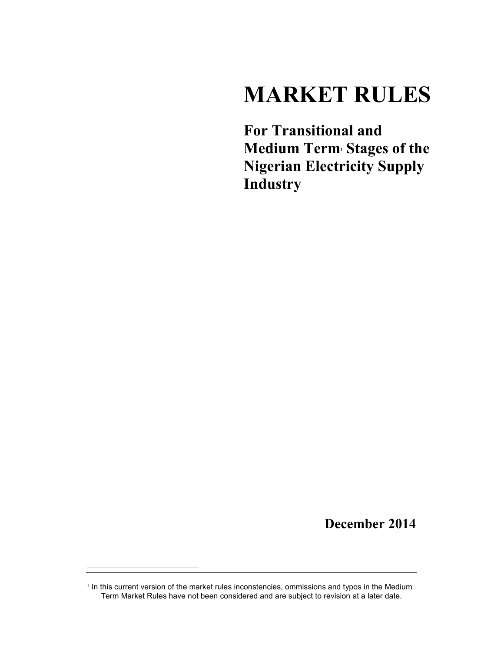# **MARKET RULES**

**For Transitional and Medium Term1 Stages of the Nigerian Electricity Supply Industry** 

**December 2014** 

<sup>&</sup>lt;sup>1</sup> In this current version of the market rules inconstencies, ommissions and typos in the Medium Term Market Rules have not been considered and are subject to revision at a later date.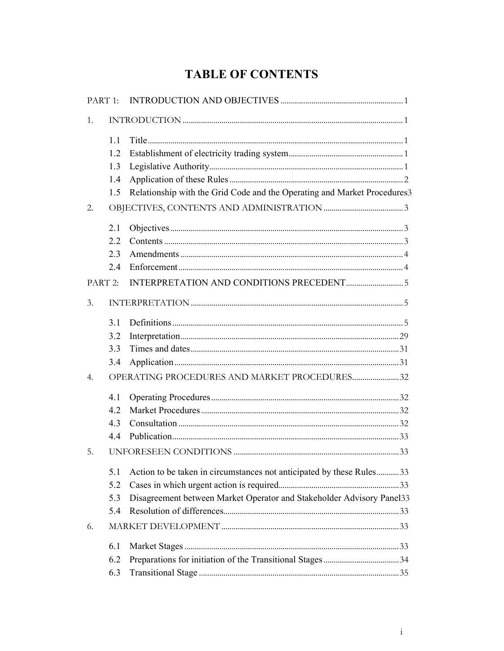## **TABLE OF CONTENTS**

| PART 1:          |     |                                                                          |  |
|------------------|-----|--------------------------------------------------------------------------|--|
| 1.               |     |                                                                          |  |
|                  | 1.1 |                                                                          |  |
|                  | 1.2 |                                                                          |  |
|                  | 1.3 |                                                                          |  |
|                  | 1.4 |                                                                          |  |
|                  | 1.5 | Relationship with the Grid Code and the Operating and Market Procedures3 |  |
| 2.               |     |                                                                          |  |
|                  | 2.1 |                                                                          |  |
|                  | 2.2 |                                                                          |  |
|                  | 2.3 |                                                                          |  |
|                  | 2.4 |                                                                          |  |
| PART 2:          |     |                                                                          |  |
| 3.               |     |                                                                          |  |
|                  | 3.1 |                                                                          |  |
|                  | 3.2 |                                                                          |  |
|                  | 3.3 |                                                                          |  |
|                  | 3.4 |                                                                          |  |
| $\overline{4}$ . |     | OPERATING PROCEDURES AND MARKET PROCEDURES32                             |  |
|                  | 4.1 |                                                                          |  |
|                  | 4.2 |                                                                          |  |
|                  | 4.3 |                                                                          |  |
|                  | 4.4 |                                                                          |  |
| 5.               |     |                                                                          |  |
|                  | 5.1 | Action to be taken in circumstances not anticipated by these Rules33     |  |
|                  | 5.2 |                                                                          |  |
|                  | 5.3 | Disagreement between Market Operator and Stakeholder Advisory Panel33    |  |
|                  | 5.4 |                                                                          |  |
| 6.               |     |                                                                          |  |
|                  | 6.1 |                                                                          |  |
|                  | 6.2 |                                                                          |  |
|                  | 6.3 |                                                                          |  |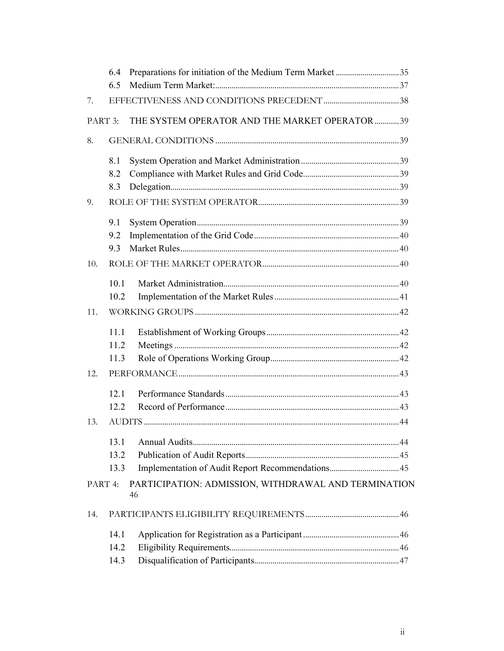|         | 6.4  |                                                      |  |
|---------|------|------------------------------------------------------|--|
|         | 6.5  |                                                      |  |
| 7.      |      |                                                      |  |
| PART 3: |      | THE SYSTEM OPERATOR AND THE MARKET OPERATOR 39       |  |
| 8.      |      |                                                      |  |
|         | 8.1  |                                                      |  |
|         | 8.2  |                                                      |  |
|         | 8.3  |                                                      |  |
| 9.      |      |                                                      |  |
|         | 9.1  |                                                      |  |
|         | 9.2  |                                                      |  |
|         | 9.3  |                                                      |  |
| 10.     |      |                                                      |  |
|         | 10.1 |                                                      |  |
|         | 10.2 |                                                      |  |
| 11.     |      |                                                      |  |
|         | 11.1 |                                                      |  |
|         | 11.2 |                                                      |  |
|         | 11.3 |                                                      |  |
| 12.     |      |                                                      |  |
|         | 12.1 |                                                      |  |
|         | 12.2 |                                                      |  |
| 13.     |      |                                                      |  |
|         | 13.1 |                                                      |  |
|         | 13.2 |                                                      |  |
|         | 13.3 |                                                      |  |
| PART 4: |      | PARTICIPATION: ADMISSION, WITHDRAWAL AND TERMINATION |  |
|         |      | 46                                                   |  |
| 14.     |      |                                                      |  |
|         | 14.1 |                                                      |  |
|         | 14.2 |                                                      |  |
|         | 14.3 |                                                      |  |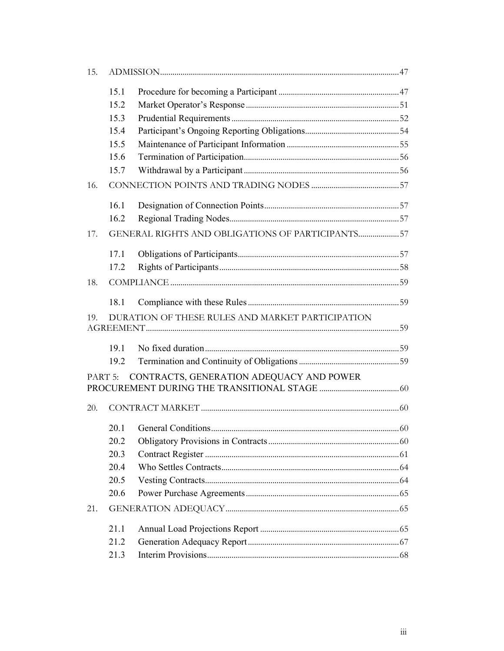| 15. |                    |                                                  |  |
|-----|--------------------|--------------------------------------------------|--|
|     | 15.1               |                                                  |  |
|     | 15.2               |                                                  |  |
|     | 15.3               |                                                  |  |
|     | 15.4               |                                                  |  |
|     | 15.5               |                                                  |  |
|     | 15.6               |                                                  |  |
|     | 15.7               |                                                  |  |
| 16. |                    |                                                  |  |
|     | 16.1               |                                                  |  |
|     | 16.2               |                                                  |  |
| 17. |                    | GENERAL RIGHTS AND OBLIGATIONS OF PARTICIPANTS57 |  |
|     | 17.1               |                                                  |  |
|     | 17.2               |                                                  |  |
| 18. |                    |                                                  |  |
|     | 18.1               |                                                  |  |
| 19. |                    | DURATION OF THESE RULES AND MARKET PARTICIPATION |  |
|     | 19.1               |                                                  |  |
|     | 19.2               |                                                  |  |
|     | PART <sub>5:</sub> | CONTRACTS, GENERATION ADEQUACY AND POWER         |  |
|     |                    |                                                  |  |
| 20. |                    |                                                  |  |
|     | 20.1               |                                                  |  |
|     | 20.2               |                                                  |  |
|     | 20.3               |                                                  |  |
|     | 20.4               |                                                  |  |
|     | 20.5               |                                                  |  |
|     | 20.6               |                                                  |  |
| 21. |                    |                                                  |  |
|     | 21.1               |                                                  |  |
|     | 21.2               |                                                  |  |
|     | 21.3               |                                                  |  |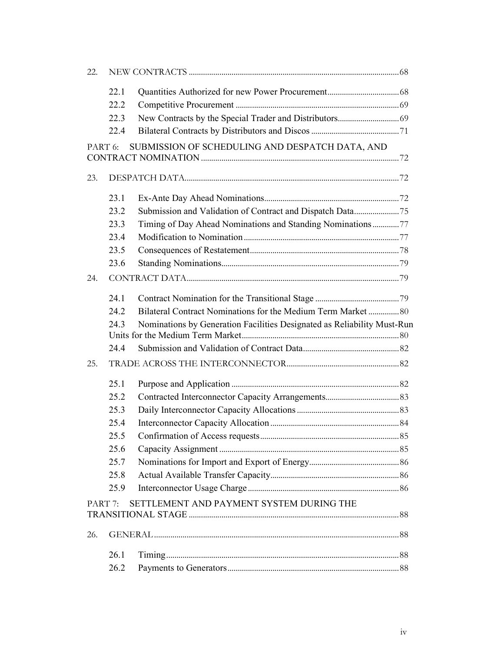| 22.     |      |                                                                         |  |
|---------|------|-------------------------------------------------------------------------|--|
|         | 22.1 |                                                                         |  |
|         | 22.2 |                                                                         |  |
|         | 22.3 |                                                                         |  |
|         | 22.4 |                                                                         |  |
| PART 6: |      | SUBMISSION OF SCHEDULING AND DESPATCH DATA, AND                         |  |
|         |      |                                                                         |  |
| 23.     |      |                                                                         |  |
|         | 23.1 |                                                                         |  |
|         | 23.2 | Submission and Validation of Contract and Dispatch Data75               |  |
|         | 23.3 | Timing of Day Ahead Nominations and Standing Nominations77              |  |
|         | 23.4 |                                                                         |  |
|         | 23.5 |                                                                         |  |
|         | 23.6 |                                                                         |  |
| 24.     |      |                                                                         |  |
|         | 24.1 |                                                                         |  |
|         | 24.2 | Bilateral Contract Nominations for the Medium Term Market  80           |  |
|         | 24.3 | Nominations by Generation Facilities Designated as Reliability Must-Run |  |
|         |      |                                                                         |  |
|         | 24.4 |                                                                         |  |
| 25.     |      |                                                                         |  |
|         | 25.1 |                                                                         |  |
|         | 25.2 |                                                                         |  |
|         | 25.3 |                                                                         |  |
|         | 25.4 |                                                                         |  |
|         | 25.5 |                                                                         |  |
|         | 25.6 |                                                                         |  |
|         | 25.7 |                                                                         |  |
|         | 25.8 |                                                                         |  |
|         | 25.9 |                                                                         |  |
| PART 7: |      | SETTLEMENT AND PAYMENT SYSTEM DURING THE                                |  |
|         |      |                                                                         |  |
| 26.     |      |                                                                         |  |
|         | 26.1 |                                                                         |  |
|         | 26.2 |                                                                         |  |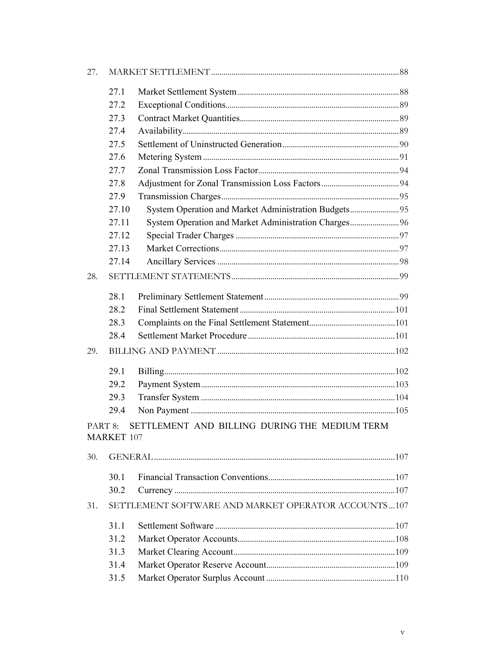| 27.                |                   |                                                       |  |
|--------------------|-------------------|-------------------------------------------------------|--|
|                    | 27.1              |                                                       |  |
|                    | 27.2              |                                                       |  |
|                    | 27.3              |                                                       |  |
|                    | 27.4              |                                                       |  |
|                    | 27.5              |                                                       |  |
|                    | 27.6              |                                                       |  |
|                    | 27.7              |                                                       |  |
|                    | 27.8              |                                                       |  |
|                    | 27.9              |                                                       |  |
|                    | 27.10             | System Operation and Market Administration Budgets95  |  |
|                    | 27.11             | System Operation and Market Administration Charges 96 |  |
|                    | 27.12             |                                                       |  |
|                    | 27.13             |                                                       |  |
|                    | 27.14             |                                                       |  |
| 28.                |                   |                                                       |  |
|                    | 28.1              |                                                       |  |
|                    | 28.2              |                                                       |  |
|                    | 28.3              |                                                       |  |
|                    | 28.4              |                                                       |  |
| 29.                |                   |                                                       |  |
|                    | 29.1              |                                                       |  |
|                    | 29.2              |                                                       |  |
|                    | 29.3              |                                                       |  |
|                    | 29.4              |                                                       |  |
| PART <sub>8:</sub> | <b>MARKET 107</b> | SETTLEMENT AND BILLING DURING THE MEDIUM TERM         |  |
| 30.                |                   |                                                       |  |
|                    | 30.1              |                                                       |  |
|                    | 30.2              |                                                       |  |
| 31.                |                   | SETTLEMENT SOFTWARE AND MARKET OPERATOR ACCOUNTS  107 |  |
|                    | 31.1              |                                                       |  |
|                    | 31.2              |                                                       |  |
|                    | 31.3              |                                                       |  |
|                    | 31.4              |                                                       |  |
|                    | 31.5              |                                                       |  |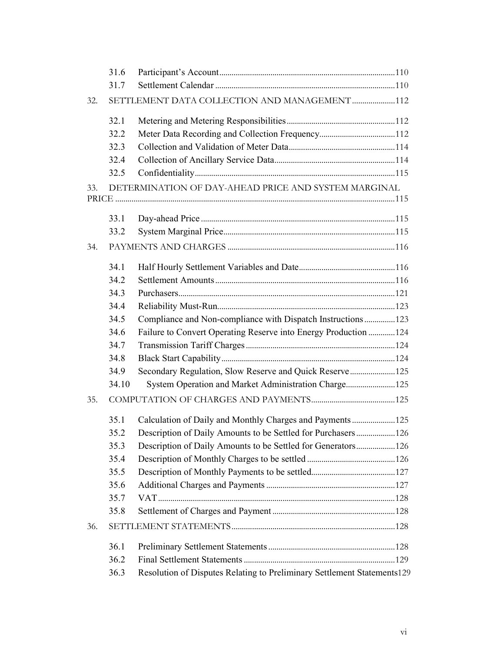|     | 31.6  |                                                                         |  |
|-----|-------|-------------------------------------------------------------------------|--|
|     | 31.7  |                                                                         |  |
| 32. |       | SETTLEMENT DATA COLLECTION AND MANAGEMENT 112                           |  |
|     | 32.1  |                                                                         |  |
|     | 32.2  |                                                                         |  |
|     | 32.3  |                                                                         |  |
|     | 32.4  |                                                                         |  |
|     | 32.5  |                                                                         |  |
| 33. |       | DETERMINATION OF DAY-AHEAD PRICE AND SYSTEM MARGINAL                    |  |
|     |       |                                                                         |  |
|     | 33.1  |                                                                         |  |
|     | 33.2  |                                                                         |  |
| 34. |       |                                                                         |  |
|     | 34.1  |                                                                         |  |
|     | 34.2  |                                                                         |  |
|     | 34.3  |                                                                         |  |
|     | 34.4  |                                                                         |  |
|     | 34.5  | Compliance and Non-compliance with Dispatch Instructions 123            |  |
|     | 34.6  | Failure to Convert Operating Reserve into Energy Production 124         |  |
|     | 34.7  |                                                                         |  |
|     | 34.8  |                                                                         |  |
|     | 34.9  | Secondary Regulation, Slow Reserve and Quick Reserve 125                |  |
|     | 34.10 | System Operation and Market Administration Charge 125                   |  |
| 35. |       |                                                                         |  |
|     | 35.1  | Calculation of Daily and Monthly Charges and Payments125                |  |
|     | 35.2  | Description of Daily Amounts to be Settled for Purchasers126            |  |
|     | 35.3  |                                                                         |  |
|     | 35.4  |                                                                         |  |
|     | 35.5  |                                                                         |  |
|     | 35.6  |                                                                         |  |
|     | 35.7  |                                                                         |  |
|     | 35.8  |                                                                         |  |
| 36. |       |                                                                         |  |
|     | 36.1  |                                                                         |  |
|     | 36.2  |                                                                         |  |
|     | 36.3  | Resolution of Disputes Relating to Preliminary Settlement Statements129 |  |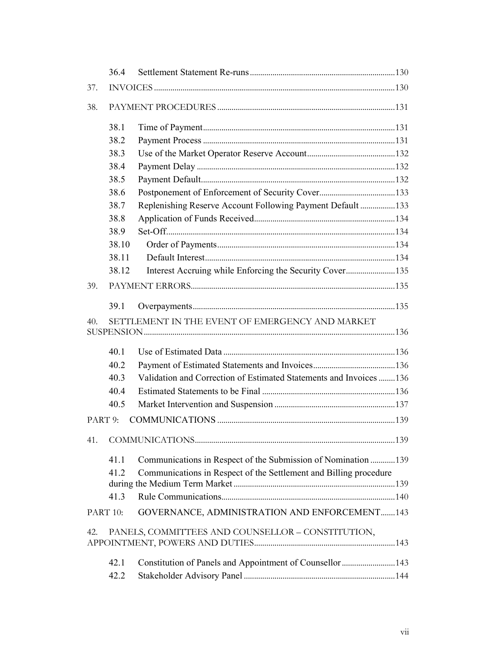|     | 36.4     |                                                                     |  |
|-----|----------|---------------------------------------------------------------------|--|
| 37. |          |                                                                     |  |
| 38. |          |                                                                     |  |
|     | 38.1     |                                                                     |  |
|     | 38.2     |                                                                     |  |
|     | 38.3     |                                                                     |  |
|     | 38.4     |                                                                     |  |
|     | 38.5     |                                                                     |  |
|     | 38.6     |                                                                     |  |
|     | 38.7     | Replenishing Reserve Account Following Payment Default133           |  |
|     | 38.8     |                                                                     |  |
|     | 38.9     |                                                                     |  |
|     | 38.10    |                                                                     |  |
|     | 38.11    |                                                                     |  |
|     | 38.12    |                                                                     |  |
| 39. |          |                                                                     |  |
|     | 39.1     |                                                                     |  |
| 40. |          | SETTLEMENT IN THE EVENT OF EMERGENCY AND MARKET                     |  |
|     |          |                                                                     |  |
|     | 40.1     |                                                                     |  |
|     | 40.2     |                                                                     |  |
|     | 40.3     | Validation and Correction of Estimated Statements and Invoices  136 |  |
|     | 40.4     |                                                                     |  |
|     | 40.5     |                                                                     |  |
|     | PART 9:  |                                                                     |  |
| 41. |          |                                                                     |  |
|     | 41.1     | Communications in Respect of the Submission of Nomination 139       |  |
|     | 41.2     | Communications in Respect of the Settlement and Billing procedure   |  |
|     |          |                                                                     |  |
|     | 41.3     |                                                                     |  |
|     | PART 10: | GOVERNANCE, ADMINISTRATION AND ENFORCEMENT143                       |  |
| 42. |          | PANELS, COMMITTEES AND COUNSELLOR - CONSTITUTION,                   |  |
|     |          |                                                                     |  |
|     | 42.1     |                                                                     |  |
|     | 42.2     |                                                                     |  |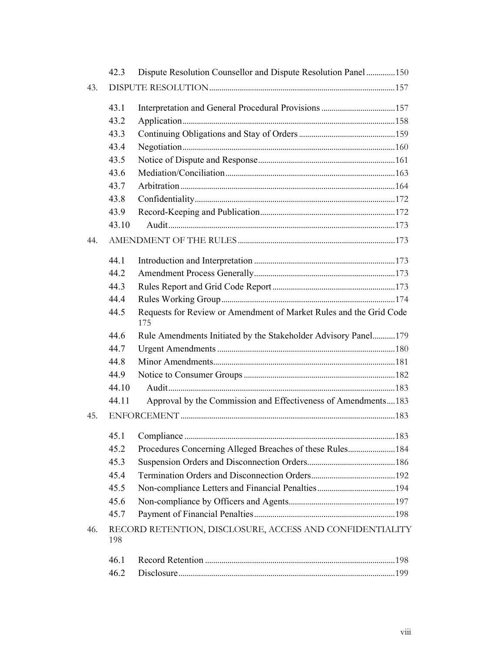|     | 42.3  | Dispute Resolution Counsellor and Dispute Resolution Panel 150            |  |
|-----|-------|---------------------------------------------------------------------------|--|
| 43. |       |                                                                           |  |
|     | 43.1  |                                                                           |  |
|     | 43.2  |                                                                           |  |
|     | 43.3  |                                                                           |  |
|     | 43.4  |                                                                           |  |
|     | 43.5  |                                                                           |  |
|     | 43.6  |                                                                           |  |
|     | 43.7  |                                                                           |  |
|     | 43.8  |                                                                           |  |
|     | 43.9  |                                                                           |  |
|     | 43.10 |                                                                           |  |
| 44. |       |                                                                           |  |
|     | 44.1  |                                                                           |  |
|     | 44.2  |                                                                           |  |
|     | 44.3  |                                                                           |  |
|     | 44.4  |                                                                           |  |
|     | 44.5  | Requests for Review or Amendment of Market Rules and the Grid Code<br>175 |  |
|     | 44.6  | Rule Amendments Initiated by the Stakeholder Advisory Panel179            |  |
|     | 44.7  |                                                                           |  |
|     | 44.8  |                                                                           |  |
|     | 44.9  |                                                                           |  |
|     | 44.10 |                                                                           |  |
|     | 44.11 | Approval by the Commission and Effectiveness of Amendments183             |  |
| 45. |       |                                                                           |  |
|     |       |                                                                           |  |
|     | 45.2  | Procedures Concerning Alleged Breaches of these Rules184                  |  |
|     | 45.3  |                                                                           |  |
|     | 45.4  |                                                                           |  |
|     | 45.5  |                                                                           |  |
|     | 45.6  |                                                                           |  |
|     | 45.7  |                                                                           |  |
| 46. | 198   | RECORD RETENTION, DISCLOSURE, ACCESS AND CONFIDENTIALITY                  |  |
|     | 46.1  |                                                                           |  |
|     | 46.2  |                                                                           |  |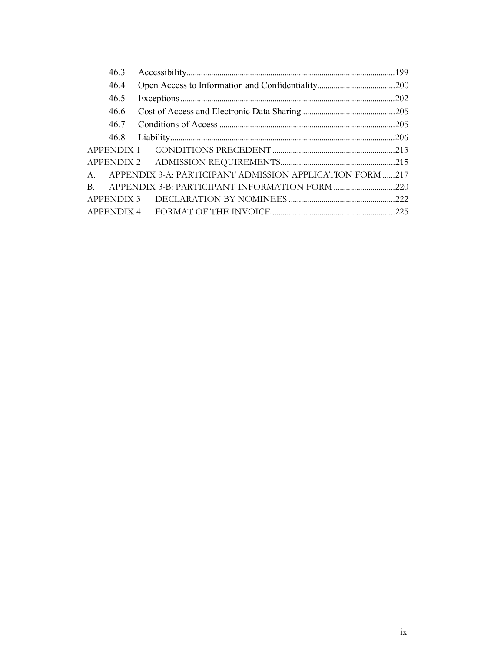| 46.3 |                                                             |  |
|------|-------------------------------------------------------------|--|
| 46.4 |                                                             |  |
| 46.5 |                                                             |  |
| 46.6 |                                                             |  |
| 46.7 |                                                             |  |
|      |                                                             |  |
|      |                                                             |  |
|      |                                                             |  |
|      | A. APPENDIX 3-A: PARTICIPANT ADMISSION APPLICATION FORM 217 |  |
|      |                                                             |  |
|      |                                                             |  |
|      |                                                             |  |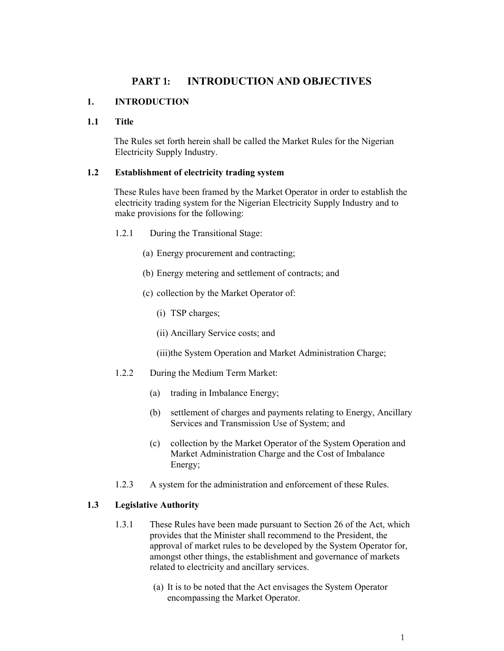#### **PART 1: INTRODUCTION AND OBJECTIVES**

#### **1. INTRODUCTION**

#### **1.1 Title**

The Rules set forth herein shall be called the Market Rules for the Nigerian Electricity Supply Industry.

#### **1.2 Establishment of electricity trading system**

These Rules have been framed by the Market Operator in order to establish the electricity trading system for the Nigerian Electricity Supply Industry and to make provisions for the following:

- 1.2.1 During the Transitional Stage:
	- (a) Energy procurement and contracting;
	- (b) Energy metering and settlement of contracts; and
	- (c) collection by the Market Operator of:
		- (i) TSP charges;
		- (ii) Ancillary Service costs; and

(iii)the System Operation and Market Administration Charge;

- 1.2.2 During the Medium Term Market:
	- (a) trading in Imbalance Energy;
	- (b) settlement of charges and payments relating to Energy, Ancillary Services and Transmission Use of System; and
	- (c) collection by the Market Operator of the System Operation and Market Administration Charge and the Cost of Imbalance Energy;
- 1.2.3 A system for the administration and enforcement of these Rules.

#### **1.3 Legislative Authority**

- 1.3.1 These Rules have been made pursuant to Section 26 of the Act, which provides that the Minister shall recommend to the President, the approval of market rules to be developed by the System Operator for, amongst other things, the establishment and governance of markets related to electricity and ancillary services.
	- (a) It is to be noted that the Act envisages the System Operator encompassing the Market Operator.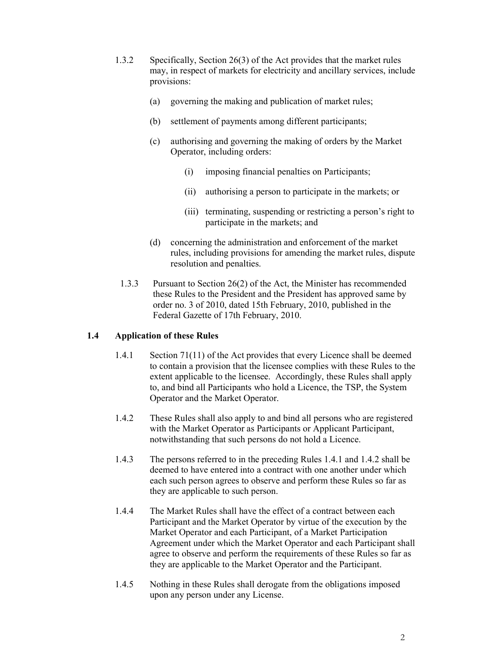- 1.3.2 Specifically, Section 26(3) of the Act provides that the market rules may, in respect of markets for electricity and ancillary services, include provisions:
	- (a) governing the making and publication of market rules;
	- (b) settlement of payments among different participants;
	- (c) authorising and governing the making of orders by the Market Operator, including orders:
		- (i) imposing financial penalties on Participants;
		- (ii) authorising a person to participate in the markets; or
		- (iii) terminating, suspending or restricting a person's right to participate in the markets; and
	- (d) concerning the administration and enforcement of the market rules, including provisions for amending the market rules, dispute resolution and penalties.
- 1.3.3 Pursuant to Section 26(2) of the Act, the Minister has recommended these Rules to the President and the President has approved same by order no. 3 of 2010, dated 15th February, 2010, published in the Federal Gazette of 17th February, 2010.

#### **1.4 Application of these Rules**

- 1.4.1 Section 71(11) of the Act provides that every Licence shall be deemed to contain a provision that the licensee complies with these Rules to the extent applicable to the licensee. Accordingly, these Rules shall apply to, and bind all Participants who hold a Licence, the TSP, the System Operator and the Market Operator.
- 1.4.2 These Rules shall also apply to and bind all persons who are registered with the Market Operator as Participants or Applicant Participant, notwithstanding that such persons do not hold a Licence.
- 1.4.3 The persons referred to in the preceding Rules 1.4.1 and 1.4.2 shall be deemed to have entered into a contract with one another under which each such person agrees to observe and perform these Rules so far as they are applicable to such person.
- 1.4.4 The Market Rules shall have the effect of a contract between each Participant and the Market Operator by virtue of the execution by the Market Operator and each Participant, of a Market Participation Agreement under which the Market Operator and each Participant shall agree to observe and perform the requirements of these Rules so far as they are applicable to the Market Operator and the Participant.
- 1.4.5 Nothing in these Rules shall derogate from the obligations imposed upon any person under any License.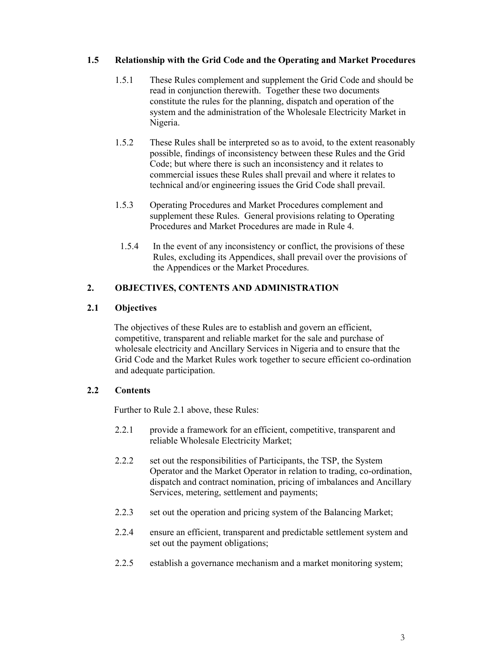#### **1.5 Relationship with the Grid Code and the Operating and Market Procedures**

- 1.5.1 These Rules complement and supplement the Grid Code and should be read in conjunction therewith. Together these two documents constitute the rules for the planning, dispatch and operation of the system and the administration of the Wholesale Electricity Market in Nigeria.
- 1.5.2 These Rules shall be interpreted so as to avoid, to the extent reasonably possible, findings of inconsistency between these Rules and the Grid Code; but where there is such an inconsistency and it relates to commercial issues these Rules shall prevail and where it relates to technical and/or engineering issues the Grid Code shall prevail.
- 1.5.3 Operating Procedures and Market Procedures complement and supplement these Rules. General provisions relating to Operating Procedures and Market Procedures are made in Rule 4.
	- 1.5.4 In the event of any inconsistency or conflict, the provisions of these Rules, excluding its Appendices, shall prevail over the provisions of the Appendices or the Market Procedures.

#### **2. OBJECTIVES, CONTENTS AND ADMINISTRATION**

#### **2.1 Objectives**

The objectives of these Rules are to establish and govern an efficient, competitive, transparent and reliable market for the sale and purchase of wholesale electricity and Ancillary Services in Nigeria and to ensure that the Grid Code and the Market Rules work together to secure efficient co-ordination and adequate participation.

#### **2.2 Contents**

Further to Rule 2.1 above, these Rules:

- 2.2.1 provide a framework for an efficient, competitive, transparent and reliable Wholesale Electricity Market;
- 2.2.2 set out the responsibilities of Participants, the TSP, the System Operator and the Market Operator in relation to trading, co-ordination, dispatch and contract nomination, pricing of imbalances and Ancillary Services, metering, settlement and payments;
- 2.2.3 set out the operation and pricing system of the Balancing Market;
- 2.2.4 ensure an efficient, transparent and predictable settlement system and set out the payment obligations;
- 2.2.5 establish a governance mechanism and a market monitoring system;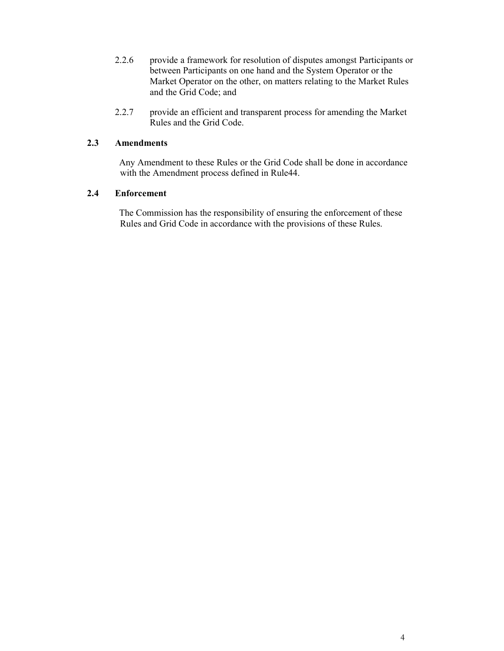- 2.2.6 provide a framework for resolution of disputes amongst Participants or between Participants on one hand and the System Operator or the Market Operator on the other, on matters relating to the Market Rules and the Grid Code; and
- 2.2.7 provide an efficient and transparent process for amending the Market Rules and the Grid Code.

#### **2.3 Amendments**

Any Amendment to these Rules or the Grid Code shall be done in accordance with the Amendment process defined in Rule44.

#### **2.4 Enforcement**

The Commission has the responsibility of ensuring the enforcement of these Rules and Grid Code in accordance with the provisions of these Rules.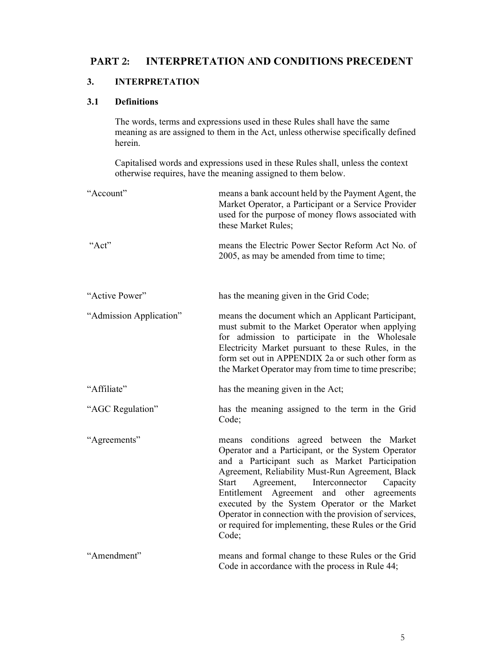### **PART 2: INTERPRETATION AND CONDITIONS PRECEDENT**

#### **3. INTERPRETATION**

#### **3.1 Definitions**

The words, terms and expressions used in these Rules shall have the same meaning as are assigned to them in the Act, unless otherwise specifically defined herein.

Capitalised words and expressions used in these Rules shall, unless the context otherwise requires, have the meaning assigned to them below.

| "Account"               | means a bank account held by the Payment Agent, the<br>Market Operator, a Participant or a Service Provider<br>used for the purpose of money flows associated with<br>these Market Rules;                                                                                                                                  |
|-------------------------|----------------------------------------------------------------------------------------------------------------------------------------------------------------------------------------------------------------------------------------------------------------------------------------------------------------------------|
| "Act"                   | means the Electric Power Sector Reform Act No. of<br>2005, as may be amended from time to time;                                                                                                                                                                                                                            |
| "Active Power"          | has the meaning given in the Grid Code;                                                                                                                                                                                                                                                                                    |
| "Admission Application" | means the document which an Applicant Participant,<br>must submit to the Market Operator when applying<br>for admission to participate in the Wholesale<br>Electricity Market pursuant to these Rules, in the<br>form set out in APPENDIX 2a or such other form as<br>the Market Operator may from time to time prescribe; |
| "Affiliate"             | has the meaning given in the Act;                                                                                                                                                                                                                                                                                          |
| "AGC Regulation"        | has the meaning assigned to the term in the Grid<br>Code;                                                                                                                                                                                                                                                                  |
| "Agreements"            | means conditions agreed between the Market<br>Operator and a Participant, or the System Operator<br>and a Participant such as Market Participation<br>Agreement, Reliability Must-Run Agreement, Black<br><b>Start</b><br>Agreement,<br>Interconnector<br>Capacity                                                         |
|                         | Entitlement Agreement<br>and<br>other<br>agreements<br>executed by the System Operator or the Market<br>Operator in connection with the provision of services,<br>or required for implementing, these Rules or the Grid<br>Code;                                                                                           |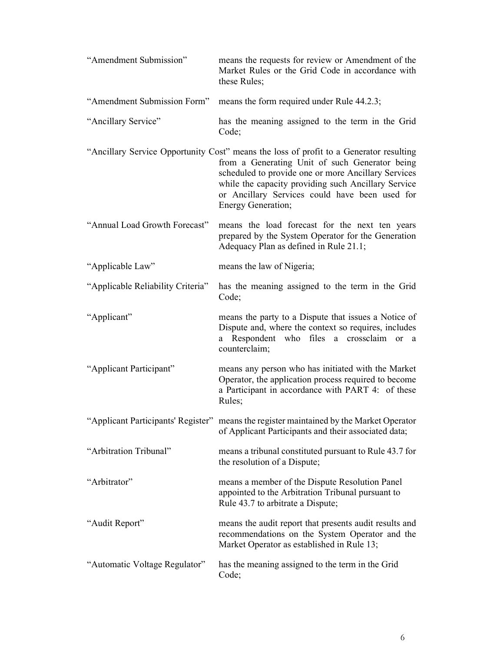| "Amendment Submission"            | means the requests for review or Amendment of the<br>Market Rules or the Grid Code in accordance with<br>these Rules;                                                                                                                                                                                                          |
|-----------------------------------|--------------------------------------------------------------------------------------------------------------------------------------------------------------------------------------------------------------------------------------------------------------------------------------------------------------------------------|
| "Amendment Submission Form"       | means the form required under Rule 44.2.3;                                                                                                                                                                                                                                                                                     |
| "Ancillary Service"               | has the meaning assigned to the term in the Grid<br>Code;                                                                                                                                                                                                                                                                      |
|                                   | "Ancillary Service Opportunity Cost" means the loss of profit to a Generator resulting<br>from a Generating Unit of such Generator being<br>scheduled to provide one or more Ancillary Services<br>while the capacity providing such Ancillary Service<br>or Ancillary Services could have been used for<br>Energy Generation; |
| "Annual Load Growth Forecast"     | means the load forecast for the next ten years<br>prepared by the System Operator for the Generation<br>Adequacy Plan as defined in Rule 21.1;                                                                                                                                                                                 |
| "Applicable Law"                  | means the law of Nigeria;                                                                                                                                                                                                                                                                                                      |
| "Applicable Reliability Criteria" | has the meaning assigned to the term in the Grid<br>Code;                                                                                                                                                                                                                                                                      |
| "Applicant"                       | means the party to a Dispute that issues a Notice of<br>Dispute and, where the context so requires, includes<br>a Respondent who files a crossclaim or<br>a<br>counterclaim;                                                                                                                                                   |
| "Applicant Participant"           | means any person who has initiated with the Market<br>Operator, the application process required to become<br>a Participant in accordance with PART 4: of these<br>Rules;                                                                                                                                                      |
|                                   | "Applicant Participants' Register" means the register maintained by the Market Operator<br>of Applicant Participants and their associated data;                                                                                                                                                                                |
| "Arbitration Tribunal"            | means a tribunal constituted pursuant to Rule 43.7 for<br>the resolution of a Dispute,                                                                                                                                                                                                                                         |
| "Arbitrator"                      | means a member of the Dispute Resolution Panel<br>appointed to the Arbitration Tribunal pursuant to<br>Rule 43.7 to arbitrate a Dispute;                                                                                                                                                                                       |
| "Audit Report"                    | means the audit report that presents audit results and<br>recommendations on the System Operator and the<br>Market Operator as established in Rule 13;                                                                                                                                                                         |
| "Automatic Voltage Regulator"     | has the meaning assigned to the term in the Grid<br>Code;                                                                                                                                                                                                                                                                      |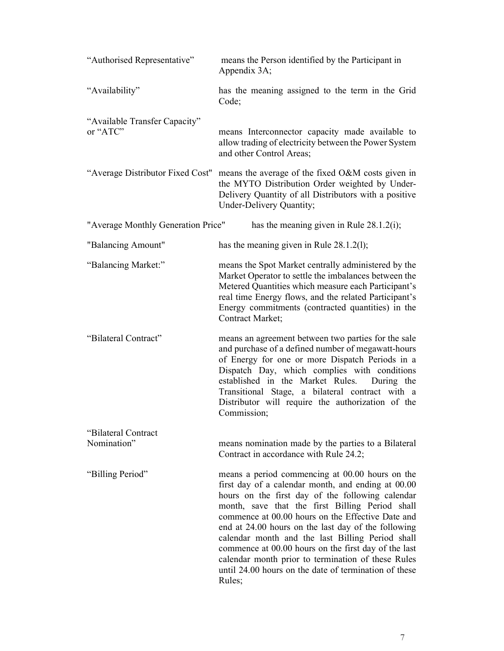| "Authorised Representative"               | means the Person identified by the Participant in<br>Appendix 3A;                                                                                                                                                                                                                                                                                                                                                                                                                                                                                             |
|-------------------------------------------|---------------------------------------------------------------------------------------------------------------------------------------------------------------------------------------------------------------------------------------------------------------------------------------------------------------------------------------------------------------------------------------------------------------------------------------------------------------------------------------------------------------------------------------------------------------|
| "Availability"                            | has the meaning assigned to the term in the Grid<br>Code;                                                                                                                                                                                                                                                                                                                                                                                                                                                                                                     |
| "Available Transfer Capacity"<br>or "ATC" | means Interconnector capacity made available to<br>allow trading of electricity between the Power System<br>and other Control Areas;                                                                                                                                                                                                                                                                                                                                                                                                                          |
| "Average Distributor Fixed Cost"          | means the average of the fixed O&M costs given in<br>the MYTO Distribution Order weighted by Under-<br>Delivery Quantity of all Distributors with a positive<br>Under-Delivery Quantity;                                                                                                                                                                                                                                                                                                                                                                      |
| "Average Monthly Generation Price"        | has the meaning given in Rule $28.1.2(i)$ ;                                                                                                                                                                                                                                                                                                                                                                                                                                                                                                                   |
| "Balancing Amount"                        | has the meaning given in Rule $28.1.2(1)$ ;                                                                                                                                                                                                                                                                                                                                                                                                                                                                                                                   |
| "Balancing Market:"                       | means the Spot Market centrally administered by the<br>Market Operator to settle the imbalances between the<br>Metered Quantities which measure each Participant's<br>real time Energy flows, and the related Participant's<br>Energy commitments (contracted quantities) in the<br>Contract Market;                                                                                                                                                                                                                                                          |
| "Bilateral Contract"                      | means an agreement between two parties for the sale<br>and purchase of a defined number of megawatt-hours<br>of Energy for one or more Dispatch Periods in a<br>Dispatch Day, which complies with conditions<br>established in the Market Rules.<br>During the<br>Transitional Stage, a bilateral contract with a<br>Distributor will require the authorization of the<br>Commission;                                                                                                                                                                         |
| "Bilateral Contract"                      |                                                                                                                                                                                                                                                                                                                                                                                                                                                                                                                                                               |
| Nomination"                               | means nomination made by the parties to a Bilateral<br>Contract in accordance with Rule 24.2;                                                                                                                                                                                                                                                                                                                                                                                                                                                                 |
| "Billing Period"                          | means a period commencing at 00.00 hours on the<br>first day of a calendar month, and ending at 00.00<br>hours on the first day of the following calendar<br>month, save that the first Billing Period shall<br>commence at 00.00 hours on the Effective Date and<br>end at 24.00 hours on the last day of the following<br>calendar month and the last Billing Period shall<br>commence at 00.00 hours on the first day of the last<br>calendar month prior to termination of these Rules<br>until 24.00 hours on the date of termination of these<br>Rules; |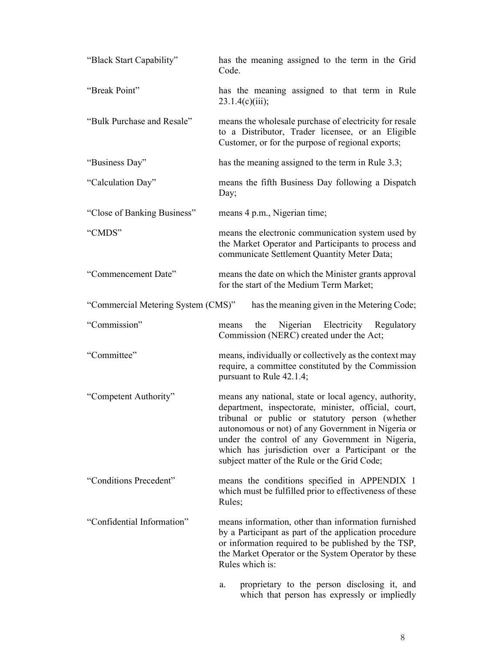| "Black Start Capability"           | has the meaning assigned to the term in the Grid<br>Code.                                                                                                                                                                                                                                                                                                                     |
|------------------------------------|-------------------------------------------------------------------------------------------------------------------------------------------------------------------------------------------------------------------------------------------------------------------------------------------------------------------------------------------------------------------------------|
| "Break Point"                      | has the meaning assigned to that term in Rule<br>23.1.4(c)(iii);                                                                                                                                                                                                                                                                                                              |
| "Bulk Purchase and Resale"         | means the wholesale purchase of electricity for resale<br>to a Distributor, Trader licensee, or an Eligible<br>Customer, or for the purpose of regional exports;                                                                                                                                                                                                              |
| "Business Day"                     | has the meaning assigned to the term in Rule 3.3;                                                                                                                                                                                                                                                                                                                             |
| "Calculation Day"                  | means the fifth Business Day following a Dispatch<br>Day;                                                                                                                                                                                                                                                                                                                     |
| "Close of Banking Business"        | means 4 p.m., Nigerian time;                                                                                                                                                                                                                                                                                                                                                  |
| "CMDS"                             | means the electronic communication system used by<br>the Market Operator and Participants to process and<br>communicate Settlement Quantity Meter Data;                                                                                                                                                                                                                       |
| "Commencement Date"                | means the date on which the Minister grants approval<br>for the start of the Medium Term Market;                                                                                                                                                                                                                                                                              |
| "Commercial Metering System (CMS)" | has the meaning given in the Metering Code;                                                                                                                                                                                                                                                                                                                                   |
| "Commission"                       | Nigerian Electricity Regulatory<br>the<br>means<br>Commission (NERC) created under the Act;                                                                                                                                                                                                                                                                                   |
| "Committee"                        | means, individually or collectively as the context may<br>require, a committee constituted by the Commission<br>pursuant to Rule 42.1.4;                                                                                                                                                                                                                                      |
| "Competent Authority"              | means any national, state or local agency, authority,<br>department, inspectorate, minister, official, court,<br>tribunal or public or statutory person (whether<br>autonomous or not) of any Government in Nigeria or<br>under the control of any Government in Nigeria,<br>which has jurisdiction over a Participant or the<br>subject matter of the Rule or the Grid Code; |
| "Conditions Precedent"             | means the conditions specified in APPENDIX 1<br>which must be fulfilled prior to effectiveness of these<br>Rules;                                                                                                                                                                                                                                                             |
| "Confidential Information"         | means information, other than information furnished<br>by a Participant as part of the application procedure<br>or information required to be published by the TSP,<br>the Market Operator or the System Operator by these<br>Rules which is:                                                                                                                                 |
|                                    | proprietary to the person disclosing it, and<br>a.<br>which that person has expressly or impliedly                                                                                                                                                                                                                                                                            |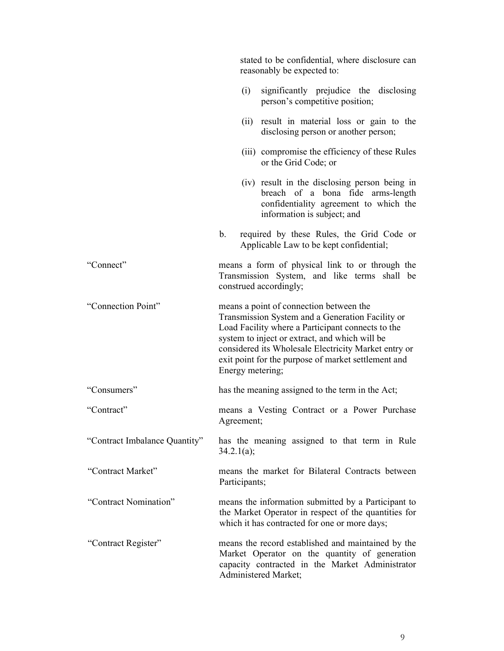|                               |                  | stated to be confidential, where disclosure can<br>reasonably be expected to:                                                                                                                                                                                                                                     |
|-------------------------------|------------------|-------------------------------------------------------------------------------------------------------------------------------------------------------------------------------------------------------------------------------------------------------------------------------------------------------------------|
|                               | (i)              | significantly prejudice the disclosing<br>person's competitive position;                                                                                                                                                                                                                                          |
|                               | (ii)             | result in material loss or gain to the<br>disclosing person or another person;                                                                                                                                                                                                                                    |
|                               |                  | (iii) compromise the efficiency of these Rules<br>or the Grid Code; or                                                                                                                                                                                                                                            |
|                               |                  | (iv) result in the disclosing person being in<br>breach of a bona fide arms-length<br>confidentiality agreement to which the<br>information is subject; and                                                                                                                                                       |
|                               | b.               | required by these Rules, the Grid Code or<br>Applicable Law to be kept confidential;                                                                                                                                                                                                                              |
| "Connect"                     |                  | means a form of physical link to or through the<br>Transmission System, and like terms shall be<br>construed accordingly;                                                                                                                                                                                         |
| "Connection Point"            | Energy metering; | means a point of connection between the<br>Transmission System and a Generation Facility or<br>Load Facility where a Participant connects to the<br>system to inject or extract, and which will be<br>considered its Wholesale Electricity Market entry or<br>exit point for the purpose of market settlement and |
| "Consumers"                   |                  | has the meaning assigned to the term in the Act;                                                                                                                                                                                                                                                                  |
| "Contract"                    | Agreement;       | means a Vesting Contract or a Power Purchase                                                                                                                                                                                                                                                                      |
| "Contract Imbalance Quantity" | 34.2.1(a);       | has the meaning assigned to that term in Rule                                                                                                                                                                                                                                                                     |
| "Contract Market"             | Participants;    | means the market for Bilateral Contracts between                                                                                                                                                                                                                                                                  |
| "Contract Nomination"         |                  | means the information submitted by a Participant to<br>the Market Operator in respect of the quantities for<br>which it has contracted for one or more days;                                                                                                                                                      |
| "Contract Register"           |                  | means the record established and maintained by the<br>Market Operator on the quantity of generation<br>capacity contracted in the Market Administrator<br>Administered Market;                                                                                                                                    |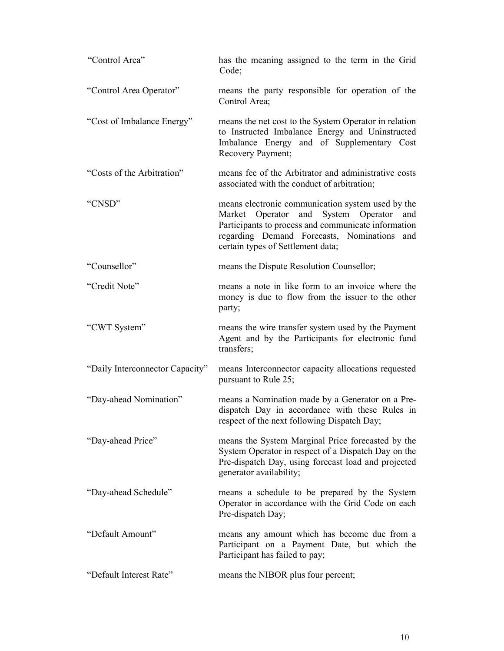| "Control Area"                  | has the meaning assigned to the term in the Grid<br>Code;                                                                                                                                                                                     |
|---------------------------------|-----------------------------------------------------------------------------------------------------------------------------------------------------------------------------------------------------------------------------------------------|
| "Control Area Operator"         | means the party responsible for operation of the<br>Control Area;                                                                                                                                                                             |
| "Cost of Imbalance Energy"      | means the net cost to the System Operator in relation<br>to Instructed Imbalance Energy and Uninstructed<br>Imbalance Energy and of Supplementary Cost<br>Recovery Payment;                                                                   |
| "Costs of the Arbitration"      | means fee of the Arbitrator and administrative costs<br>associated with the conduct of arbitration;                                                                                                                                           |
| "CNSD"                          | means electronic communication system used by the<br>Market Operator and System Operator<br>and<br>Participants to process and communicate information<br>regarding Demand Forecasts, Nominations<br>and<br>certain types of Settlement data; |
| "Counsellor"                    | means the Dispute Resolution Counsellor;                                                                                                                                                                                                      |
| "Credit Note"                   | means a note in like form to an invoice where the<br>money is due to flow from the issuer to the other<br>party;                                                                                                                              |
| "CWT System"                    | means the wire transfer system used by the Payment<br>Agent and by the Participants for electronic fund<br>transfers;                                                                                                                         |
| "Daily Interconnector Capacity" | means Interconnector capacity allocations requested<br>pursuant to Rule 25;                                                                                                                                                                   |
| "Day-ahead Nomination"          | means a Nomination made by a Generator on a Pre-<br>dispatch Day in accordance with these Rules in<br>respect of the next following Dispatch Day;                                                                                             |
| "Day-ahead Price"               | means the System Marginal Price forecasted by the<br>System Operator in respect of a Dispatch Day on the<br>Pre-dispatch Day, using forecast load and projected<br>generator availability;                                                    |
| "Day-ahead Schedule"            | means a schedule to be prepared by the System<br>Operator in accordance with the Grid Code on each<br>Pre-dispatch Day;                                                                                                                       |
| "Default Amount"                | means any amount which has become due from a<br>Participant on a Payment Date, but which the<br>Participant has failed to pay;                                                                                                                |
| "Default Interest Rate"         | means the NIBOR plus four percent;                                                                                                                                                                                                            |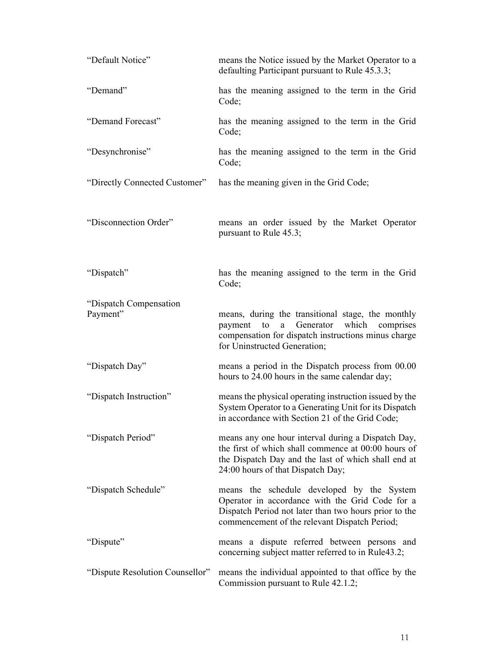| "Default Notice"                   | means the Notice issued by the Market Operator to a<br>defaulting Participant pursuant to Rule 45.3.3;                                                                                                  |
|------------------------------------|---------------------------------------------------------------------------------------------------------------------------------------------------------------------------------------------------------|
| "Demand"                           | has the meaning assigned to the term in the Grid<br>Code;                                                                                                                                               |
| "Demand Forecast"                  | has the meaning assigned to the term in the Grid<br>Code;                                                                                                                                               |
| "Desynchronise"                    | has the meaning assigned to the term in the Grid<br>Code;                                                                                                                                               |
| "Directly Connected Customer"      | has the meaning given in the Grid Code;                                                                                                                                                                 |
| "Disconnection Order"              | means an order issued by the Market Operator<br>pursuant to Rule 45.3;                                                                                                                                  |
| "Dispatch"                         | has the meaning assigned to the term in the Grid<br>Code;                                                                                                                                               |
| "Dispatch Compensation<br>Payment" | means, during the transitional stage, the monthly<br>Generator<br>which<br>payment<br>to<br>comprises<br>a<br>compensation for dispatch instructions minus charge<br>for Uninstructed Generation;       |
| "Dispatch Day"                     | means a period in the Dispatch process from 00.00<br>hours to 24.00 hours in the same calendar day;                                                                                                     |
| "Dispatch Instruction"             | means the physical operating instruction issued by the<br>System Operator to a Generating Unit for its Dispatch<br>in accordance with Section 21 of the Grid Code;                                      |
| "Dispatch Period"                  | means any one hour interval during a Dispatch Day,<br>the first of which shall commence at 00:00 hours of<br>the Dispatch Day and the last of which shall end at<br>24:00 hours of that Dispatch Day;   |
| "Dispatch Schedule"                | means the schedule developed by the System<br>Operator in accordance with the Grid Code for a<br>Dispatch Period not later than two hours prior to the<br>commencement of the relevant Dispatch Period; |
| "Dispute"                          | means a dispute referred between persons and<br>concerning subject matter referred to in Rule43.2;                                                                                                      |
| "Dispute Resolution Counsellor"    | means the individual appointed to that office by the<br>Commission pursuant to Rule 42.1.2;                                                                                                             |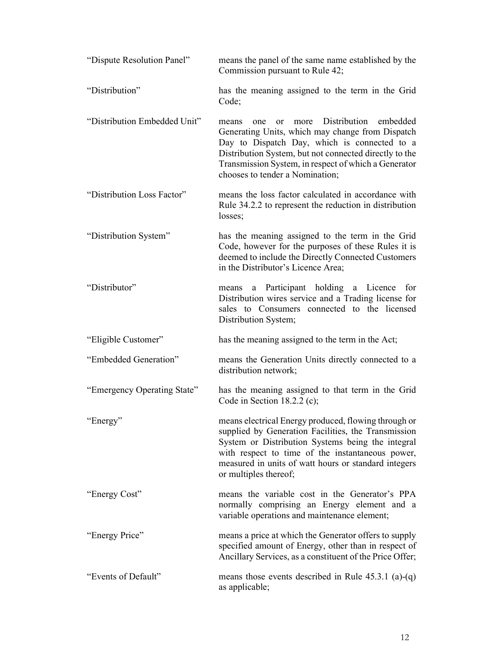| "Dispute Resolution Panel"   | means the panel of the same name established by the<br>Commission pursuant to Rule 42;                                                                                                                                                                                                                                     |
|------------------------------|----------------------------------------------------------------------------------------------------------------------------------------------------------------------------------------------------------------------------------------------------------------------------------------------------------------------------|
| "Distribution"               | has the meaning assigned to the term in the Grid<br>Code;                                                                                                                                                                                                                                                                  |
| "Distribution Embedded Unit" | Distribution<br>embedded<br>more<br>one<br><sub>or</sub><br>means<br>Generating Units, which may change from Dispatch<br>Day to Dispatch Day, which is connected to a<br>Distribution System, but not connected directly to the<br>Transmission System, in respect of which a Generator<br>chooses to tender a Nomination; |
| "Distribution Loss Factor"   | means the loss factor calculated in accordance with<br>Rule 34.2.2 to represent the reduction in distribution<br>losses;                                                                                                                                                                                                   |
| "Distribution System"        | has the meaning assigned to the term in the Grid<br>Code, however for the purposes of these Rules it is<br>deemed to include the Directly Connected Customers<br>in the Distributor's Licence Area;                                                                                                                        |
| "Distributor"                | a Participant holding a<br>Licence for<br>means<br>Distribution wires service and a Trading license for<br>sales to Consumers connected to the licensed<br>Distribution System;                                                                                                                                            |
| "Eligible Customer"          | has the meaning assigned to the term in the Act;                                                                                                                                                                                                                                                                           |
| "Embedded Generation"        | means the Generation Units directly connected to a<br>distribution network;                                                                                                                                                                                                                                                |
| "Emergency Operating State"  | has the meaning assigned to that term in the Grid<br>Code in Section 18.2.2 (c),                                                                                                                                                                                                                                           |
| "Energy"                     | means electrical Energy produced, flowing through or<br>supplied by Generation Facilities, the Transmission<br>System or Distribution Systems being the integral<br>with respect to time of the instantaneous power,<br>measured in units of watt hours or standard integers<br>or multiples thereof;                      |
| "Energy Cost"                | means the variable cost in the Generator's PPA<br>normally comprising an Energy element and a<br>variable operations and maintenance element;                                                                                                                                                                              |
| "Energy Price"               | means a price at which the Generator offers to supply<br>specified amount of Energy, other than in respect of<br>Ancillary Services, as a constituent of the Price Offer,                                                                                                                                                  |
| "Events of Default"          | means those events described in Rule $45.3.1$ (a)-(q)<br>as applicable;                                                                                                                                                                                                                                                    |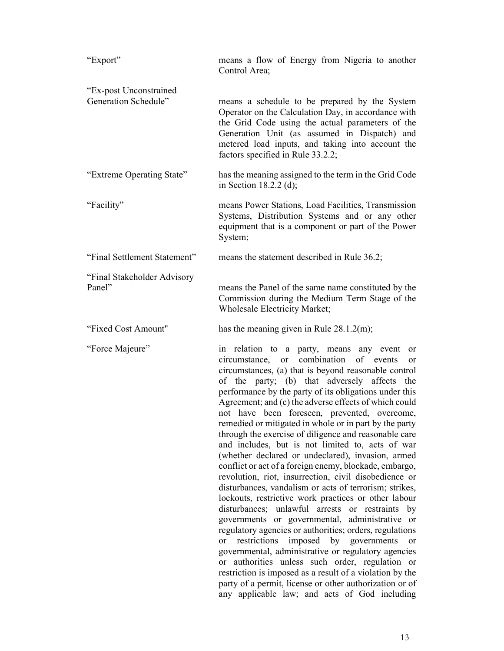| "Export"                                       | means a flow of Energy from Nigeria to another<br>Control Area;                                                                                                                                                                                                                                                                                                                                                                                                                                                                                                                                                                                                                                                                                                                                                                                                                                                                                                                                                                                                                                                                                                                                                                                                                                                                                                                     |
|------------------------------------------------|-------------------------------------------------------------------------------------------------------------------------------------------------------------------------------------------------------------------------------------------------------------------------------------------------------------------------------------------------------------------------------------------------------------------------------------------------------------------------------------------------------------------------------------------------------------------------------------------------------------------------------------------------------------------------------------------------------------------------------------------------------------------------------------------------------------------------------------------------------------------------------------------------------------------------------------------------------------------------------------------------------------------------------------------------------------------------------------------------------------------------------------------------------------------------------------------------------------------------------------------------------------------------------------------------------------------------------------------------------------------------------------|
| "Ex-post Unconstrained<br>Generation Schedule" | means a schedule to be prepared by the System<br>Operator on the Calculation Day, in accordance with<br>the Grid Code using the actual parameters of the<br>Generation Unit (as assumed in Dispatch) and<br>metered load inputs, and taking into account the<br>factors specified in Rule 33.2.2;                                                                                                                                                                                                                                                                                                                                                                                                                                                                                                                                                                                                                                                                                                                                                                                                                                                                                                                                                                                                                                                                                   |
| "Extreme Operating State"                      | has the meaning assigned to the term in the Grid Code<br>in Section 18.2.2 (d);                                                                                                                                                                                                                                                                                                                                                                                                                                                                                                                                                                                                                                                                                                                                                                                                                                                                                                                                                                                                                                                                                                                                                                                                                                                                                                     |
| "Facility"                                     | means Power Stations, Load Facilities, Transmission<br>Systems, Distribution Systems and or any other<br>equipment that is a component or part of the Power<br>System;                                                                                                                                                                                                                                                                                                                                                                                                                                                                                                                                                                                                                                                                                                                                                                                                                                                                                                                                                                                                                                                                                                                                                                                                              |
| "Final Settlement Statement"                   | means the statement described in Rule 36.2;                                                                                                                                                                                                                                                                                                                                                                                                                                                                                                                                                                                                                                                                                                                                                                                                                                                                                                                                                                                                                                                                                                                                                                                                                                                                                                                                         |
| "Final Stakeholder Advisory<br>Panel"          | means the Panel of the same name constituted by the<br>Commission during the Medium Term Stage of the<br><b>Wholesale Electricity Market;</b>                                                                                                                                                                                                                                                                                                                                                                                                                                                                                                                                                                                                                                                                                                                                                                                                                                                                                                                                                                                                                                                                                                                                                                                                                                       |
| "Fixed Cost Amount"                            | has the meaning given in Rule $28.1.2$ (m);                                                                                                                                                                                                                                                                                                                                                                                                                                                                                                                                                                                                                                                                                                                                                                                                                                                                                                                                                                                                                                                                                                                                                                                                                                                                                                                                         |
| "Force Majeure"                                | in relation to a party, means any event or<br>combination of events<br>circumstance,<br><sub>or</sub><br>or<br>circumstances, (a) that is beyond reasonable control<br>of the party; (b) that adversely<br>affects<br>the<br>performance by the party of its obligations under this<br>Agreement; and (c) the adverse effects of which could<br>not have been foreseen, prevented, overcome,<br>remedied or mitigated in whole or in part by the party<br>through the exercise of diligence and reasonable care<br>and includes, but is not limited to, acts of war<br>(whether declared or undeclared), invasion, armed<br>conflict or act of a foreign enemy, blockade, embargo,<br>revolution, riot, insurrection, civil disobedience or<br>disturbances, vandalism or acts of terrorism; strikes,<br>lockouts, restrictive work practices or other labour<br>disturbances; unlawful arrests or restraints<br>by<br>governments or governmental, administrative or<br>regulatory agencies or authorities; orders, regulations<br>restrictions imposed by governments<br>or<br><sub>or</sub><br>governmental, administrative or regulatory agencies<br>authorities unless such order, regulation or<br>or<br>restriction is imposed as a result of a violation by the<br>party of a permit, license or other authorization or of<br>any applicable law; and acts of God including |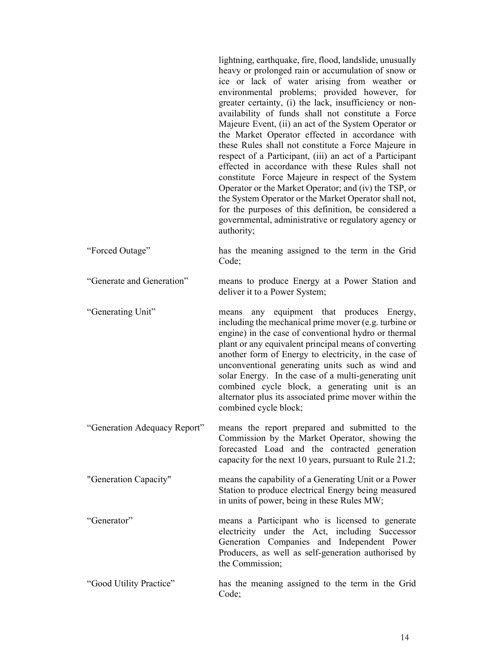lightning, earthquake, fire, flood, landslide, unusually heavy or prolonged rain or accumulation of snow or ice or lack of water arising from weather or environmental problems; provided however, for greater certainty, (i) the lack, insufficiency or nonavailability of funds shall not constitute a Force Majeure Event, (ii) an act of the System Operator or the Market Operator effected in accordance with these Rules shall not constitute a Force Majeure in respect of a Participant, (iii) an act of a Participant effected in accordance with these Rules shall not constitute Force Majeure in respect of the System Operator or the Market Operator; and (iv) the TSP, or the System Operator or the Market Operator shall not, for the purposes of this definition, be considered a governmental, administrative or regulatory agency or authority;

- "Forced Outage" has the meaning assigned to the term in the Grid Code;
- "Generate and Generation" means to produce Energy at a Power Station and deliver it to a Power System;

"Generating Unit" means any equipment that produces Energy, including the mechanical prime mover (e.g. turbine or engine) in the case of conventional hydro or thermal plant or any equivalent principal means of converting another form of Energy to electricity, in the case of unconventional generating units such as wind and solar Energy. In the case of a multi-generating unit combined cycle block, a generating unit is an alternator plus its associated prime mover within the combined cycle block;

- "Generation Adequacy Report" means the report prepared and submitted to the Commission by the Market Operator, showing the forecasted Load and the contracted generation capacity for the next 10 years, pursuant to Rule 21.2;
- "Generation Capacity" means the capability of a Generating Unit or a Power Station to produce electrical Energy being measured in units of power, being in these Rules MW;
- "Generator" means a Participant who is licensed to generate electricity under the Act, including Successor Generation Companies and Independent Power Producers, as well as self-generation authorised by the Commission;
- "Good Utility Practice" has the meaning assigned to the term in the Grid Code;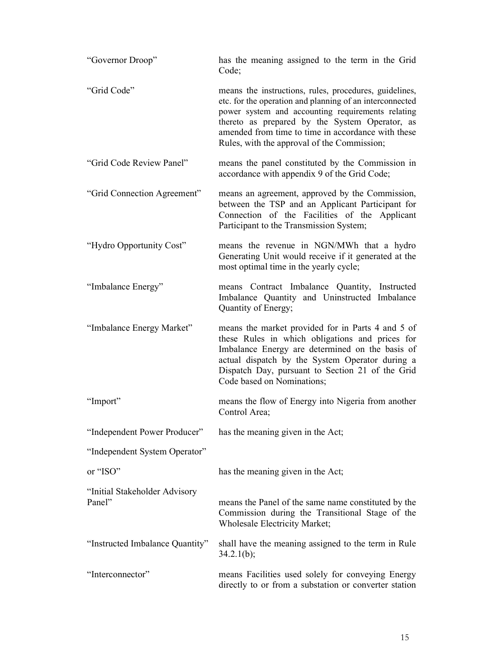| "Governor Droop"                        | has the meaning assigned to the term in the Grid<br>Code;                                                                                                                                                                                                                                                                      |
|-----------------------------------------|--------------------------------------------------------------------------------------------------------------------------------------------------------------------------------------------------------------------------------------------------------------------------------------------------------------------------------|
| "Grid Code"                             | means the instructions, rules, procedures, guidelines,<br>etc. for the operation and planning of an interconnected<br>power system and accounting requirements relating<br>thereto as prepared by the System Operator, as<br>amended from time to time in accordance with these<br>Rules, with the approval of the Commission; |
| "Grid Code Review Panel"                | means the panel constituted by the Commission in<br>accordance with appendix 9 of the Grid Code;                                                                                                                                                                                                                               |
| "Grid Connection Agreement"             | means an agreement, approved by the Commission,<br>between the TSP and an Applicant Participant for<br>Connection of the Facilities of the Applicant<br>Participant to the Transmission System;                                                                                                                                |
| "Hydro Opportunity Cost"                | means the revenue in NGN/MWh that a hydro<br>Generating Unit would receive if it generated at the<br>most optimal time in the yearly cycle;                                                                                                                                                                                    |
| "Imbalance Energy"                      | means Contract Imbalance Quantity, Instructed<br>Imbalance Quantity and Uninstructed Imbalance<br>Quantity of Energy;                                                                                                                                                                                                          |
| "Imbalance Energy Market"               | means the market provided for in Parts 4 and 5 of<br>these Rules in which obligations and prices for<br>Imbalance Energy are determined on the basis of<br>actual dispatch by the System Operator during a<br>Dispatch Day, pursuant to Section 21 of the Grid<br>Code based on Nominations;                                   |
| "Import"                                | means the flow of Energy into Nigeria from another<br>Control Area;                                                                                                                                                                                                                                                            |
| "Independent Power Producer"            | has the meaning given in the Act;                                                                                                                                                                                                                                                                                              |
| "Independent System Operator"           |                                                                                                                                                                                                                                                                                                                                |
| or "ISO"                                | has the meaning given in the Act;                                                                                                                                                                                                                                                                                              |
| "Initial Stakeholder Advisory<br>Panel" | means the Panel of the same name constituted by the<br>Commission during the Transitional Stage of the<br><b>Wholesale Electricity Market;</b>                                                                                                                                                                                 |
| "Instructed Imbalance Quantity"         | shall have the meaning assigned to the term in Rule<br>$34.2.1(b)$ ;                                                                                                                                                                                                                                                           |
| "Interconnector"                        | means Facilities used solely for conveying Energy<br>directly to or from a substation or converter station                                                                                                                                                                                                                     |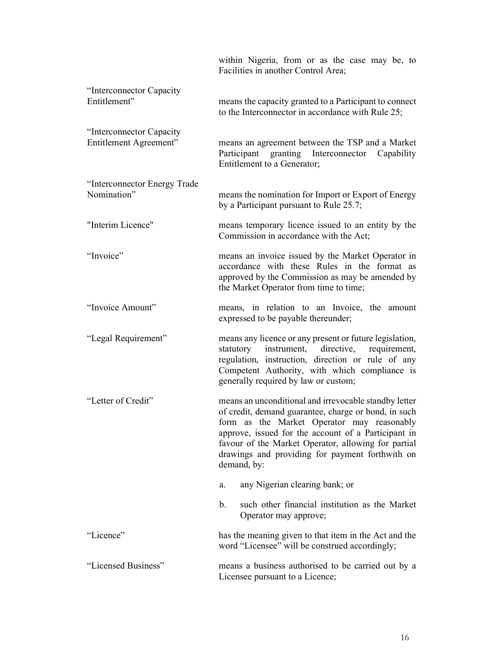|                                                    | within Nigeria, from or as the case may be, to<br>Facilities in another Control Area;                                                                                                                                                                                                                                                       |
|----------------------------------------------------|---------------------------------------------------------------------------------------------------------------------------------------------------------------------------------------------------------------------------------------------------------------------------------------------------------------------------------------------|
| "Interconnector Capacity"<br>Entitlement"          | means the capacity granted to a Participant to connect<br>to the Interconnector in accordance with Rule 25;                                                                                                                                                                                                                                 |
| "Interconnector Capacity<br>Entitlement Agreement" | means an agreement between the TSP and a Market<br>Participant<br>granting<br>Interconnector<br>Capability<br>Entitlement to a Generator;                                                                                                                                                                                                   |
| "Interconnector Energy Trade<br>Nomination"        | means the nomination for Import or Export of Energy<br>by a Participant pursuant to Rule 25.7;                                                                                                                                                                                                                                              |
| "Interim Licence"                                  | means temporary licence issued to an entity by the<br>Commission in accordance with the Act;                                                                                                                                                                                                                                                |
| "Invoice"                                          | means an invoice issued by the Market Operator in<br>accordance with these Rules in the format as<br>approved by the Commission as may be amended by<br>the Market Operator from time to time;                                                                                                                                              |
| "Invoice Amount"                                   | means, in relation to an Invoice, the amount<br>expressed to be payable thereunder;                                                                                                                                                                                                                                                         |
| "Legal Requirement"                                | means any licence or any present or future legislation,<br>instrument,<br>directive,<br>statutory<br>requirement,<br>regulation, instruction, direction or rule of any<br>Competent Authority, with which compliance is<br>generally required by law or custom;                                                                             |
| "Letter of Credit"                                 | means an unconditional and irrevocable standby letter<br>of credit, demand guarantee, charge or bond, in such<br>form as the Market Operator may reasonably<br>approve, issued for the account of a Participant in<br>favour of the Market Operator, allowing for partial<br>drawings and providing for payment forthwith on<br>demand, by: |
|                                                    | any Nigerian clearing bank; or<br>a.                                                                                                                                                                                                                                                                                                        |
|                                                    | such other financial institution as the Market<br>b.<br>Operator may approve;                                                                                                                                                                                                                                                               |
| "Licence"                                          | has the meaning given to that item in the Act and the<br>word "Licensee" will be construed accordingly;                                                                                                                                                                                                                                     |
| "Licensed Business"                                | means a business authorised to be carried out by a<br>Licensee pursuant to a Licence;                                                                                                                                                                                                                                                       |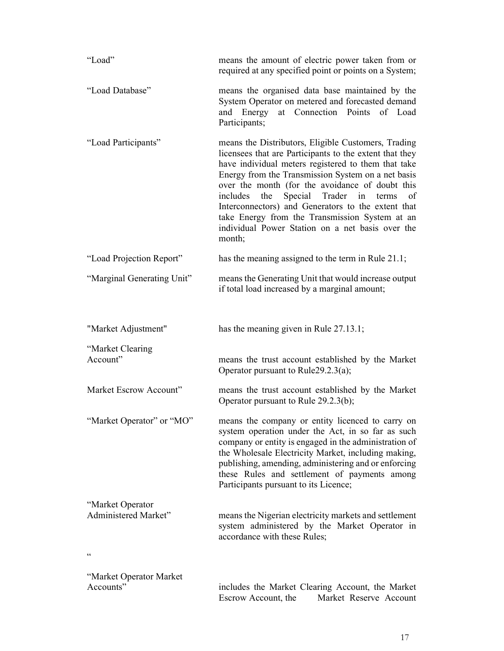| "Load"                                   | means the amount of electric power taken from or<br>required at any specified point or points on a System;                                                                                                                                                                                                                                                                                                                                                                                               |
|------------------------------------------|----------------------------------------------------------------------------------------------------------------------------------------------------------------------------------------------------------------------------------------------------------------------------------------------------------------------------------------------------------------------------------------------------------------------------------------------------------------------------------------------------------|
| "Load Database"                          | means the organised data base maintained by the<br>System Operator on metered and forecasted demand<br>at Connection Points<br>and Energy<br>of Load<br>Participants;                                                                                                                                                                                                                                                                                                                                    |
| "Load Participants"                      | means the Distributors, Eligible Customers, Trading<br>licensees that are Participants to the extent that they<br>have individual meters registered to them that take<br>Energy from the Transmission System on a net basis<br>over the month (for the avoidance of doubt this<br>includes the<br>Special Trader in<br>terms<br>οf<br>Interconnectors) and Generators to the extent that<br>take Energy from the Transmission System at an<br>individual Power Station on a net basis over the<br>month; |
| "Load Projection Report"                 | has the meaning assigned to the term in Rule 21.1;                                                                                                                                                                                                                                                                                                                                                                                                                                                       |
| "Marginal Generating Unit"               | means the Generating Unit that would increase output<br>if total load increased by a marginal amount;                                                                                                                                                                                                                                                                                                                                                                                                    |
| "Market Adjustment"                      | has the meaning given in Rule 27.13.1;                                                                                                                                                                                                                                                                                                                                                                                                                                                                   |
| "Market Clearing<br>Account"             | means the trust account established by the Market<br>Operator pursuant to Rule29.2.3(a);                                                                                                                                                                                                                                                                                                                                                                                                                 |
| Market Escrow Account"                   | means the trust account established by the Market<br>Operator pursuant to Rule 29.2.3(b);                                                                                                                                                                                                                                                                                                                                                                                                                |
| "Market Operator" or "MO"                | means the company or entity licenced to carry on<br>system operation under the Act, in so far as such<br>company or entity is engaged in the administration of<br>the Wholesale Electricity Market, including making,<br>publishing, amending, administering and or enforcing<br>these Rules and settlement of payments among<br>Participants pursuant to its Licence;                                                                                                                                   |
| "Market Operator<br>Administered Market" | means the Nigerian electricity markets and settlement<br>system administered by the Market Operator in<br>accordance with these Rules;                                                                                                                                                                                                                                                                                                                                                                   |
| $\boldsymbol{\zeta}$                     |                                                                                                                                                                                                                                                                                                                                                                                                                                                                                                          |
| "Market Operator Market<br>Accounts"     | includes the Market Clearing Account, the Market<br>Market Reserve Account<br>Escrow Account, the                                                                                                                                                                                                                                                                                                                                                                                                        |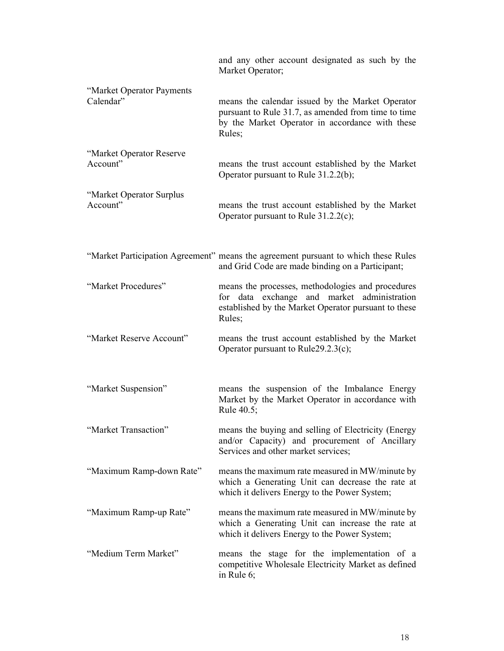|                                        | and any other account designated as such by the<br>Market Operator;                                                                                                  |
|----------------------------------------|----------------------------------------------------------------------------------------------------------------------------------------------------------------------|
| "Market Operator Payments<br>Calendar" | means the calendar issued by the Market Operator<br>pursuant to Rule 31.7, as amended from time to time<br>by the Market Operator in accordance with these<br>Rules; |
| "Market Operator Reserve<br>Account"   | means the trust account established by the Market<br>Operator pursuant to Rule 31.2.2(b);                                                                            |
| "Market Operator Surplus<br>Account"   | means the trust account established by the Market<br>Operator pursuant to Rule $31.2.2(c)$ ;                                                                         |
|                                        | "Market Participation Agreement" means the agreement pursuant to which these Rules<br>and Grid Code are made binding on a Participant;                               |
| "Market Procedures"                    | means the processes, methodologies and procedures<br>for data exchange and market administration<br>established by the Market Operator pursuant to these<br>Rules;   |
| "Market Reserve Account"               | means the trust account established by the Market<br>Operator pursuant to Rule29.2.3(c);                                                                             |
| "Market Suspension"                    | means the suspension of the Imbalance Energy<br>Market by the Market Operator in accordance with<br>Rule 40.5;                                                       |
| "Market Transaction"                   | means the buying and selling of Electricity (Energy<br>and/or Capacity) and procurement of Ancillary<br>Services and other market services;                          |
| "Maximum Ramp-down Rate"               | means the maximum rate measured in MW/minute by<br>which a Generating Unit can decrease the rate at<br>which it delivers Energy to the Power System;                 |
| "Maximum Ramp-up Rate"                 | means the maximum rate measured in MW/minute by<br>which a Generating Unit can increase the rate at<br>which it delivers Energy to the Power System;                 |
| "Medium Term Market"                   | means the stage for the implementation of a<br>competitive Wholesale Electricity Market as defined<br>in Rule 6;                                                     |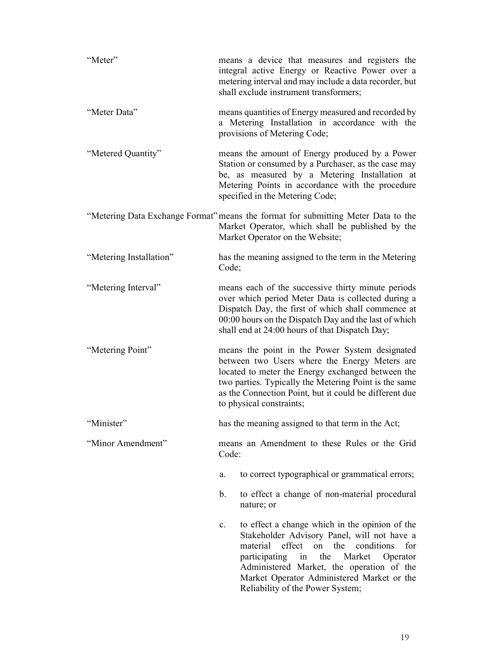| "Meter"                 | means a device that measures and registers the<br>integral active Energy or Reactive Power over a<br>metering interval and may include a data recorder, but<br>shall exclude instrument transformers;                                                                                                                                                |
|-------------------------|------------------------------------------------------------------------------------------------------------------------------------------------------------------------------------------------------------------------------------------------------------------------------------------------------------------------------------------------------|
| "Meter Data"            | means quantities of Energy measured and recorded by<br>a Metering Installation in accordance with the<br>provisions of Metering Code;                                                                                                                                                                                                                |
| "Metered Quantity"      | means the amount of Energy produced by a Power<br>Station or consumed by a Purchaser, as the case may<br>be, as measured by a Metering Installation at<br>Metering Points in accordance with the procedure<br>specified in the Metering Code;                                                                                                        |
|                         | "Metering Data Exchange Format" means the format for submitting Meter Data to the<br>Market Operator, which shall be published by the<br>Market Operator on the Website;                                                                                                                                                                             |
| "Metering Installation" | has the meaning assigned to the term in the Metering<br>Code;                                                                                                                                                                                                                                                                                        |
| "Metering Interval"     | means each of the successive thirty minute periods<br>over which period Meter Data is collected during a<br>Dispatch Day, the first of which shall commence at<br>00:00 hours on the Dispatch Day and the last of which<br>shall end at 24:00 hours of that Dispatch Day;                                                                            |
| "Metering Point"        | means the point in the Power System designated<br>between two Users where the Energy Meters are<br>located to meter the Energy exchanged between the<br>two parties. Typically the Metering Point is the same<br>as the Connection Point, but it could be different due<br>to physical constraints;                                                  |
| "Minister"              | has the meaning assigned to that term in the Act;                                                                                                                                                                                                                                                                                                    |
| "Minor Amendment"       | means an Amendment to these Rules or the Grid<br>Code:                                                                                                                                                                                                                                                                                               |
|                         | to correct typographical or grammatical errors;<br>a.                                                                                                                                                                                                                                                                                                |
|                         | b.<br>to effect a change of non-material procedural<br>nature; or                                                                                                                                                                                                                                                                                    |
|                         | to effect a change which in the opinion of the<br>C <sub>1</sub><br>Stakeholder Advisory Panel, will not have a<br>material<br>effect<br>on the conditions<br>for<br>participating<br>the<br>Market<br>Operator<br>in<br>Administered Market, the operation of the<br>Market Operator Administered Market or the<br>Reliability of the Power System; |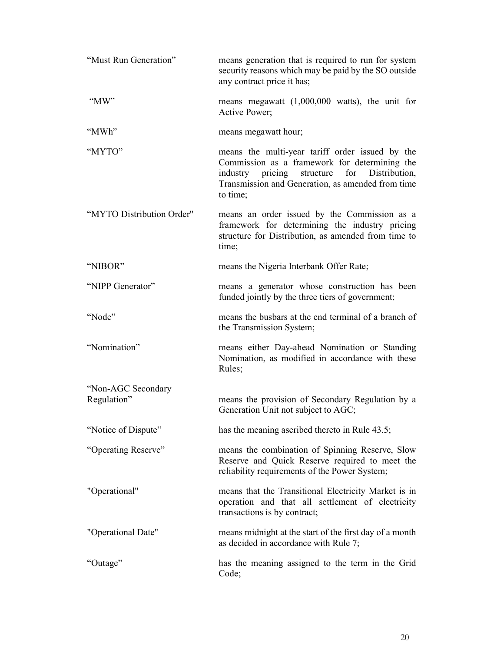| "Must Run Generation"             | means generation that is required to run for system<br>security reasons which may be paid by the SO outside<br>any contract price it has;                                                                                     |
|-----------------------------------|-------------------------------------------------------------------------------------------------------------------------------------------------------------------------------------------------------------------------------|
| "MW"                              | means megawatt (1,000,000 watts), the unit for<br>Active Power;                                                                                                                                                               |
| "MWh"                             | means megawatt hour;                                                                                                                                                                                                          |
| "MYTO"                            | means the multi-year tariff order issued by the<br>Commission as a framework for determining the<br>structure<br>for<br>Distribution,<br>industry<br>pricing<br>Transmission and Generation, as amended from time<br>to time; |
| "MYTO Distribution Order"         | means an order issued by the Commission as a<br>framework for determining the industry pricing<br>structure for Distribution, as amended from time to<br>time;                                                                |
| "NIBOR"                           | means the Nigeria Interbank Offer Rate;                                                                                                                                                                                       |
| "NIPP Generator"                  | means a generator whose construction has been<br>funded jointly by the three tiers of government;                                                                                                                             |
| "Node"                            | means the busbars at the end terminal of a branch of<br>the Transmission System;                                                                                                                                              |
| "Nomination"                      | means either Day-ahead Nomination or Standing<br>Nomination, as modified in accordance with these<br>Rules;                                                                                                                   |
| "Non-AGC Secondary<br>Regulation" | means the provision of Secondary Regulation by a<br>Generation Unit not subject to AGC;                                                                                                                                       |
| "Notice of Dispute"               | has the meaning ascribed thereto in Rule 43.5;                                                                                                                                                                                |
| "Operating Reserve"               | means the combination of Spinning Reserve, Slow<br>Reserve and Quick Reserve required to meet the<br>reliability requirements of the Power System;                                                                            |
| "Operational"                     | means that the Transitional Electricity Market is in<br>operation and that all settlement of electricity<br>transactions is by contract;                                                                                      |
| "Operational Date"                | means midnight at the start of the first day of a month<br>as decided in accordance with Rule 7;                                                                                                                              |
| "Outage"                          | has the meaning assigned to the term in the Grid<br>Code;                                                                                                                                                                     |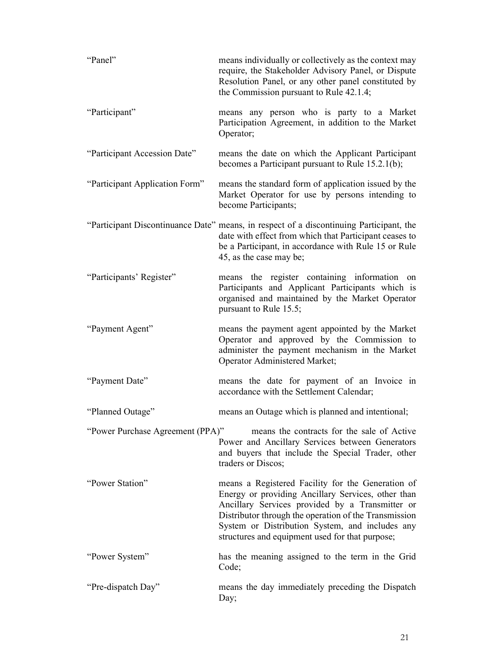| "Panel"                          | means individually or collectively as the context may<br>require, the Stakeholder Advisory Panel, or Dispute<br>Resolution Panel, or any other panel constituted by<br>the Commission pursuant to Rule 42.1.4;                                                                                                            |
|----------------------------------|---------------------------------------------------------------------------------------------------------------------------------------------------------------------------------------------------------------------------------------------------------------------------------------------------------------------------|
| "Participant"                    | means any person who is party to a Market<br>Participation Agreement, in addition to the Market<br>Operator;                                                                                                                                                                                                              |
| "Participant Accession Date"     | means the date on which the Applicant Participant<br>becomes a Participant pursuant to Rule $15.2.1(b)$ ;                                                                                                                                                                                                                 |
| "Participant Application Form"   | means the standard form of application issued by the<br>Market Operator for use by persons intending to<br>become Participants;                                                                                                                                                                                           |
|                                  | "Participant Discontinuance Date" means, in respect of a discontinuing Participant, the<br>date with effect from which that Participant ceases to<br>be a Participant, in accordance with Rule 15 or Rule<br>45, as the case may be;                                                                                      |
| "Participants' Register"         | means the register containing information on<br>Participants and Applicant Participants which is<br>organised and maintained by the Market Operator<br>pursuant to Rule 15.5;                                                                                                                                             |
| "Payment Agent"                  | means the payment agent appointed by the Market<br>Operator and approved by the Commission to<br>administer the payment mechanism in the Market<br>Operator Administered Market;                                                                                                                                          |
| "Payment Date"                   | means the date for payment of an Invoice in<br>accordance with the Settlement Calendar;                                                                                                                                                                                                                                   |
| "Planned Outage"                 | means an Outage which is planned and intentional;                                                                                                                                                                                                                                                                         |
| "Power Purchase Agreement (PPA)" | means the contracts for the sale of Active<br>Power and Ancillary Services between Generators<br>and buyers that include the Special Trader, other<br>traders or Discos;                                                                                                                                                  |
| "Power Station"                  | means a Registered Facility for the Generation of<br>Energy or providing Ancillary Services, other than<br>Ancillary Services provided by a Transmitter or<br>Distributor through the operation of the Transmission<br>System or Distribution System, and includes any<br>structures and equipment used for that purpose; |
| "Power System"                   | has the meaning assigned to the term in the Grid<br>Code;                                                                                                                                                                                                                                                                 |
| "Pre-dispatch Day"               | means the day immediately preceding the Dispatch<br>Day;                                                                                                                                                                                                                                                                  |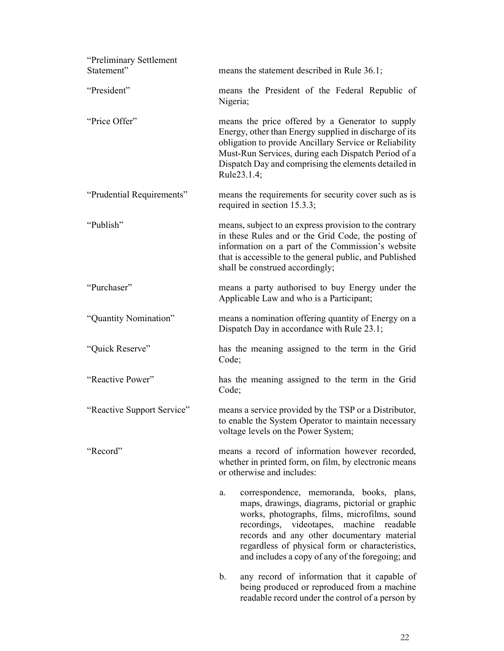| "Preliminary Settlement<br>Statement" | means the statement described in Rule 36.1;                                                                                                                                                                                                                                                                                                             |
|---------------------------------------|---------------------------------------------------------------------------------------------------------------------------------------------------------------------------------------------------------------------------------------------------------------------------------------------------------------------------------------------------------|
| "President"                           | means the President of the Federal Republic of<br>Nigeria;                                                                                                                                                                                                                                                                                              |
| "Price Offer"                         | means the price offered by a Generator to supply<br>Energy, other than Energy supplied in discharge of its<br>obligation to provide Ancillary Service or Reliability<br>Must-Run Services, during each Dispatch Period of a<br>Dispatch Day and comprising the elements detailed in<br>Rule23.1.4;                                                      |
| "Prudential Requirements"             | means the requirements for security cover such as is<br>required in section 15.3.3;                                                                                                                                                                                                                                                                     |
| "Publish"                             | means, subject to an express provision to the contrary<br>in these Rules and or the Grid Code, the posting of<br>information on a part of the Commission's website<br>that is accessible to the general public, and Published<br>shall be construed accordingly;                                                                                        |
| "Purchaser"                           | means a party authorised to buy Energy under the<br>Applicable Law and who is a Participant;                                                                                                                                                                                                                                                            |
| "Quantity Nomination"                 | means a nomination offering quantity of Energy on a<br>Dispatch Day in accordance with Rule 23.1;                                                                                                                                                                                                                                                       |
| "Quick Reserve"                       | has the meaning assigned to the term in the Grid<br>Code;                                                                                                                                                                                                                                                                                               |
| "Reactive Power"                      | has the meaning assigned to the term in the Grid<br>Code;                                                                                                                                                                                                                                                                                               |
| "Reactive Support Service"            | means a service provided by the TSP or a Distributor,<br>to enable the System Operator to maintain necessary<br>voltage levels on the Power System;                                                                                                                                                                                                     |
| "Record"                              | means a record of information however recorded,<br>whether in printed form, on film, by electronic means<br>or otherwise and includes:                                                                                                                                                                                                                  |
|                                       | correspondence, memoranda, books, plans,<br>a.<br>maps, drawings, diagrams, pictorial or graphic<br>works, photographs, films, microfilms, sound<br>videotapes, machine<br>recordings,<br>readable<br>records and any other documentary material<br>regardless of physical form or characteristics,<br>and includes a copy of any of the foregoing; and |
|                                       | b.<br>any record of information that it capable of<br>being produced or reproduced from a machine                                                                                                                                                                                                                                                       |

readable record under the control of a person by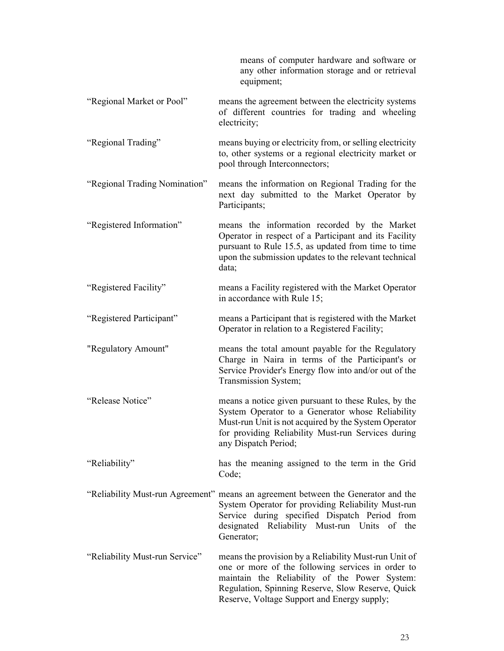|                                | means of computer hardware and software or<br>any other information storage and or retrieval<br>equipment;                                                                                                                                                      |
|--------------------------------|-----------------------------------------------------------------------------------------------------------------------------------------------------------------------------------------------------------------------------------------------------------------|
| "Regional Market or Pool"      | means the agreement between the electricity systems<br>of different countries for trading and wheeling<br>electricity;                                                                                                                                          |
| "Regional Trading"             | means buying or electricity from, or selling electricity<br>to, other systems or a regional electricity market or<br>pool through Interconnectors;                                                                                                              |
| "Regional Trading Nomination"  | means the information on Regional Trading for the<br>next day submitted to the Market Operator by<br>Participants;                                                                                                                                              |
| "Registered Information"       | means the information recorded by the Market<br>Operator in respect of a Participant and its Facility<br>pursuant to Rule 15.5, as updated from time to time<br>upon the submission updates to the relevant technical<br>data;                                  |
| "Registered Facility"          | means a Facility registered with the Market Operator<br>in accordance with Rule 15;                                                                                                                                                                             |
| "Registered Participant"       | means a Participant that is registered with the Market<br>Operator in relation to a Registered Facility;                                                                                                                                                        |
| "Regulatory Amount"            | means the total amount payable for the Regulatory<br>Charge in Naira in terms of the Participant's or<br>Service Provider's Energy flow into and/or out of the<br>Transmission System;                                                                          |
| "Release Notice"               | means a notice given pursuant to these Rules, by the<br>System Operator to a Generator whose Reliability<br>Must-run Unit is not acquired by the System Operator<br>for providing Reliability Must-run Services during<br>any Dispatch Period;                  |
| "Reliability"                  | has the meaning assigned to the term in the Grid<br>Code;                                                                                                                                                                                                       |
|                                | "Reliability Must-run Agreement" means an agreement between the Generator and the<br>System Operator for providing Reliability Must-run<br>Service during specified Dispatch Period from<br>designated Reliability Must-run Units of the<br>Generator;          |
| "Reliability Must-run Service" | means the provision by a Reliability Must-run Unit of<br>one or more of the following services in order to<br>maintain the Reliability of the Power System:<br>Regulation, Spinning Reserve, Slow Reserve, Quick<br>Reserve, Voltage Support and Energy supply; |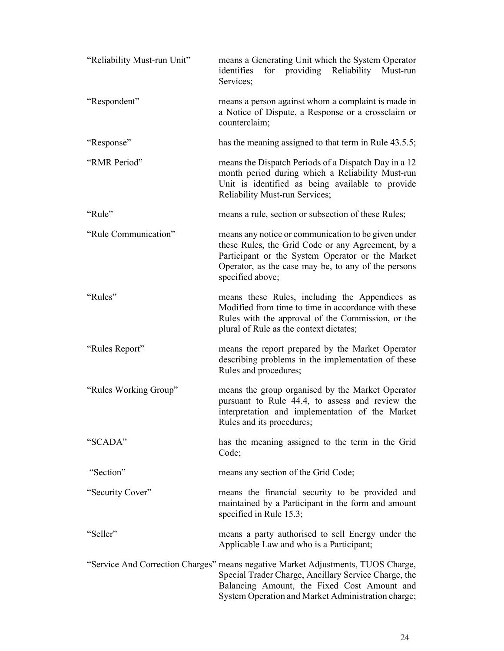| "Reliability Must-run Unit" | means a Generating Unit which the System Operator<br>for providing Reliability<br>identifies<br>Must-run<br>Services;                                                                                                                         |
|-----------------------------|-----------------------------------------------------------------------------------------------------------------------------------------------------------------------------------------------------------------------------------------------|
| "Respondent"                | means a person against whom a complaint is made in<br>a Notice of Dispute, a Response or a crossclaim or<br>counterclaim;                                                                                                                     |
| "Response"                  | has the meaning assigned to that term in Rule 43.5.5;                                                                                                                                                                                         |
| "RMR Period"                | means the Dispatch Periods of a Dispatch Day in a 12<br>month period during which a Reliability Must-run<br>Unit is identified as being available to provide<br>Reliability Must-run Services;                                                |
| "Rule"                      | means a rule, section or subsection of these Rules;                                                                                                                                                                                           |
| "Rule Communication"        | means any notice or communication to be given under<br>these Rules, the Grid Code or any Agreement, by a<br>Participant or the System Operator or the Market<br>Operator, as the case may be, to any of the persons<br>specified above;       |
| "Rules"                     | means these Rules, including the Appendices as<br>Modified from time to time in accordance with these<br>Rules with the approval of the Commission, or the<br>plural of Rule as the context dictates;                                         |
| "Rules Report"              | means the report prepared by the Market Operator<br>describing problems in the implementation of these<br>Rules and procedures;                                                                                                               |
| "Rules Working Group"       | means the group organised by the Market Operator<br>pursuant to Rule 44.4, to assess and review the<br>interpretation and implementation of the Market<br>Rules and its procedures;                                                           |
| "SCADA"                     | has the meaning assigned to the term in the Grid<br>Code;                                                                                                                                                                                     |
| "Section"                   | means any section of the Grid Code,                                                                                                                                                                                                           |
| "Security Cover"            | means the financial security to be provided and<br>maintained by a Participant in the form and amount<br>specified in Rule 15.3;                                                                                                              |
| "Seller"                    | means a party authorised to sell Energy under the<br>Applicable Law and who is a Participant;                                                                                                                                                 |
|                             | "Service And Correction Charges" means negative Market Adjustments, TUOS Charge,<br>Special Trader Charge, Ancillary Service Charge, the<br>Balancing Amount, the Fixed Cost Amount and<br>System Operation and Market Administration charge; |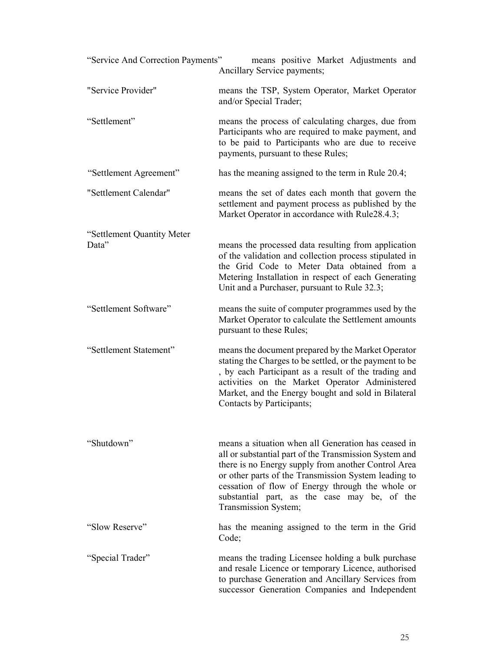| "Service And Correction Payments" | means positive Market Adjustments and<br>Ancillary Service payments;                                                                                                                                                                                                                                                                                     |
|-----------------------------------|----------------------------------------------------------------------------------------------------------------------------------------------------------------------------------------------------------------------------------------------------------------------------------------------------------------------------------------------------------|
| "Service Provider"                | means the TSP, System Operator, Market Operator<br>and/or Special Trader;                                                                                                                                                                                                                                                                                |
| "Settlement"                      | means the process of calculating charges, due from<br>Participants who are required to make payment, and<br>to be paid to Participants who are due to receive<br>payments, pursuant to these Rules;                                                                                                                                                      |
| "Settlement Agreement"            | has the meaning assigned to the term in Rule 20.4;                                                                                                                                                                                                                                                                                                       |
| "Settlement Calendar"             | means the set of dates each month that govern the<br>settlement and payment process as published by the<br>Market Operator in accordance with Rule28.4.3;                                                                                                                                                                                                |
| "Settlement Quantity Meter        |                                                                                                                                                                                                                                                                                                                                                          |
| Data"                             | means the processed data resulting from application<br>of the validation and collection process stipulated in<br>the Grid Code to Meter Data obtained from a<br>Metering Installation in respect of each Generating<br>Unit and a Purchaser, pursuant to Rule 32.3;                                                                                      |
| "Settlement Software"             | means the suite of computer programmes used by the<br>Market Operator to calculate the Settlement amounts<br>pursuant to these Rules;                                                                                                                                                                                                                    |
| "Settlement Statement"            | means the document prepared by the Market Operator<br>stating the Charges to be settled, or the payment to be<br>, by each Participant as a result of the trading and<br>activities on the Market Operator Administered<br>Market, and the Energy bought and sold in Bilateral<br>Contacts by Participants;                                              |
| "Shutdown"                        | means a situation when all Generation has ceased in<br>all or substantial part of the Transmission System and<br>there is no Energy supply from another Control Area<br>or other parts of the Transmission System leading to<br>cessation of flow of Energy through the whole or<br>substantial part, as the case may be, of the<br>Transmission System; |
| "Slow Reserve"                    | has the meaning assigned to the term in the Grid<br>Code;                                                                                                                                                                                                                                                                                                |
| "Special Trader"                  | means the trading Licensee holding a bulk purchase<br>and resale Licence or temporary Licence, authorised<br>to purchase Generation and Ancillary Services from<br>successor Generation Companies and Independent                                                                                                                                        |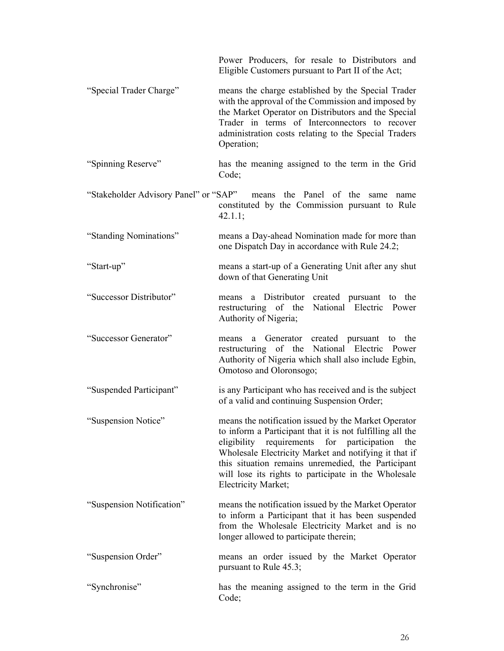|                                       | Power Producers, for resale to Distributors and<br>Eligible Customers pursuant to Part II of the Act;                                                                                                                                                                                                                                                                         |
|---------------------------------------|-------------------------------------------------------------------------------------------------------------------------------------------------------------------------------------------------------------------------------------------------------------------------------------------------------------------------------------------------------------------------------|
| "Special Trader Charge"               | means the charge established by the Special Trader<br>with the approval of the Commission and imposed by<br>the Market Operator on Distributors and the Special<br>Trader in terms of Interconnectors to recover<br>administration costs relating to the Special Traders<br>Operation;                                                                                        |
| "Spinning Reserve"                    | has the meaning assigned to the term in the Grid<br>Code;                                                                                                                                                                                                                                                                                                                     |
| "Stakeholder Advisory Panel" or "SAP" | means the Panel of the same<br>name<br>constituted by the Commission pursuant to Rule<br>42.1.1;                                                                                                                                                                                                                                                                              |
| "Standing Nominations"                | means a Day-ahead Nomination made for more than<br>one Dispatch Day in accordance with Rule 24.2;                                                                                                                                                                                                                                                                             |
| "Start-up"                            | means a start-up of a Generating Unit after any shut<br>down of that Generating Unit                                                                                                                                                                                                                                                                                          |
| "Successor Distributor"               | a Distributor created pursuant to the<br>means<br>restructuring of the National Electric Power<br>Authority of Nigeria;                                                                                                                                                                                                                                                       |
| "Successor Generator"                 | a Generator created pursuant to the<br>means<br>restructuring of the National Electric Power<br>Authority of Nigeria which shall also include Egbin,<br>Omotoso and Oloronsogo;                                                                                                                                                                                               |
| "Suspended Participant"               | is any Participant who has received and is the subject<br>of a valid and continuing Suspension Order;                                                                                                                                                                                                                                                                         |
| "Suspension Notice"                   | means the notification issued by the Market Operator<br>to inform a Participant that it is not fulfilling all the<br>for<br>eligibility<br>requirements<br>participation<br>the<br>Wholesale Electricity Market and notifying it that if<br>this situation remains unremedied, the Participant<br>will lose its rights to participate in the Wholesale<br>Electricity Market; |
| "Suspension Notification"             | means the notification issued by the Market Operator<br>to inform a Participant that it has been suspended<br>from the Wholesale Electricity Market and is no<br>longer allowed to participate therein;                                                                                                                                                                       |
| "Suspension Order"                    | means an order issued by the Market Operator<br>pursuant to Rule 45.3;                                                                                                                                                                                                                                                                                                        |
| "Synchronise"                         | has the meaning assigned to the term in the Grid<br>Code;                                                                                                                                                                                                                                                                                                                     |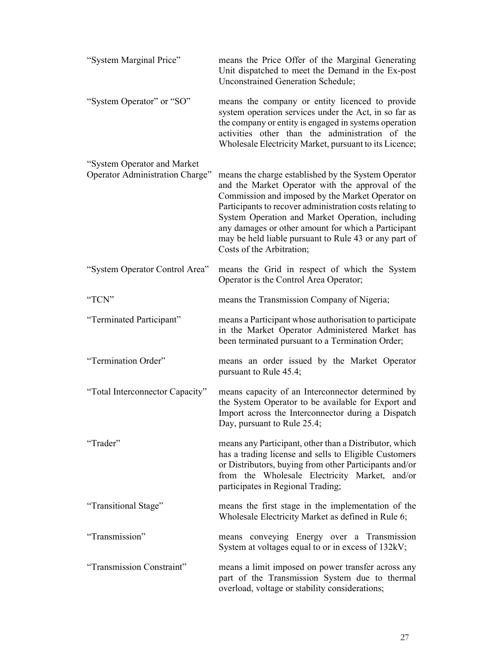| "System Marginal Price"                                        | means the Price Offer of the Marginal Generating<br>Unit dispatched to meet the Demand in the Ex-post<br><b>Unconstrained Generation Schedule;</b>                                                                                                                                                                                                                                                                       |
|----------------------------------------------------------------|--------------------------------------------------------------------------------------------------------------------------------------------------------------------------------------------------------------------------------------------------------------------------------------------------------------------------------------------------------------------------------------------------------------------------|
| "System Operator" or "SO"                                      | means the company or entity licenced to provide<br>system operation services under the Act, in so far as<br>the company or entity is engaged in systems operation<br>activities other than the administration of the<br>Wholesale Electricity Market, pursuant to its Licence;                                                                                                                                           |
| "System Operator and Market<br>Operator Administration Charge" | means the charge established by the System Operator<br>and the Market Operator with the approval of the<br>Commission and imposed by the Market Operator on<br>Participants to recover administration costs relating to<br>System Operation and Market Operation, including<br>any damages or other amount for which a Participant<br>may be held liable pursuant to Rule 43 or any part of<br>Costs of the Arbitration; |
| "System Operator Control Area"                                 | means the Grid in respect of which the System<br>Operator is the Control Area Operator;                                                                                                                                                                                                                                                                                                                                  |
| "TCN"                                                          | means the Transmission Company of Nigeria;                                                                                                                                                                                                                                                                                                                                                                               |
| "Terminated Participant"                                       | means a Participant whose authorisation to participate<br>in the Market Operator Administered Market has<br>been terminated pursuant to a Termination Order;                                                                                                                                                                                                                                                             |
| "Termination Order"                                            | means an order issued by the Market Operator<br>pursuant to Rule 45.4;                                                                                                                                                                                                                                                                                                                                                   |
| "Total Interconnector Capacity"                                | means capacity of an Interconnector determined by<br>the System Operator to be available for Export and<br>Import across the Interconnector during a Dispatch<br>Day, pursuant to Rule 25.4;                                                                                                                                                                                                                             |
| "Trader"                                                       | means any Participant, other than a Distributor, which<br>has a trading license and sells to Eligible Customers<br>or Distributors, buying from other Participants and/or<br>from the Wholesale Electricity Market, and/or<br>participates in Regional Trading;                                                                                                                                                          |
| "Transitional Stage"                                           | means the first stage in the implementation of the<br>Wholesale Electricity Market as defined in Rule 6;                                                                                                                                                                                                                                                                                                                 |
| "Transmission"                                                 | means conveying Energy over a Transmission<br>System at voltages equal to or in excess of 132kV;                                                                                                                                                                                                                                                                                                                         |
| "Transmission Constraint"                                      | means a limit imposed on power transfer across any<br>part of the Transmission System due to thermal<br>overload, voltage or stability considerations;                                                                                                                                                                                                                                                                   |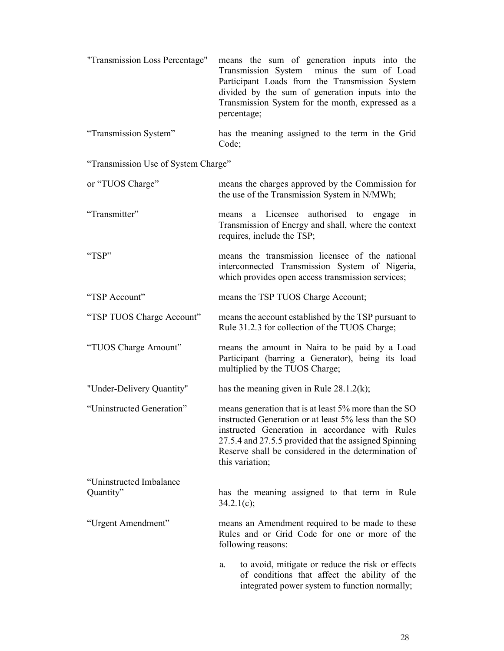| "Transmission Loss Percentage"       | means the sum of generation inputs into the<br>Transmission System<br>minus the sum of Load<br>Participant Loads from the Transmission System<br>divided by the sum of generation inputs into the<br>Transmission System for the month, expressed as a<br>percentage;                               |  |  |  |
|--------------------------------------|-----------------------------------------------------------------------------------------------------------------------------------------------------------------------------------------------------------------------------------------------------------------------------------------------------|--|--|--|
| "Transmission System"                | has the meaning assigned to the term in the Grid<br>Code;                                                                                                                                                                                                                                           |  |  |  |
| "Transmission Use of System Charge"  |                                                                                                                                                                                                                                                                                                     |  |  |  |
| or "TUOS Charge"                     | means the charges approved by the Commission for<br>the use of the Transmission System in N/MWh;                                                                                                                                                                                                    |  |  |  |
| "Transmitter"                        | a Licensee authorised to engage<br>means<br>in<br>Transmission of Energy and shall, where the context<br>requires, include the TSP,                                                                                                                                                                 |  |  |  |
| "TSP"                                | means the transmission licensee of the national<br>interconnected Transmission System of Nigeria,<br>which provides open access transmission services;                                                                                                                                              |  |  |  |
| "TSP Account"                        | means the TSP TUOS Charge Account;                                                                                                                                                                                                                                                                  |  |  |  |
| "TSP TUOS Charge Account"            | means the account established by the TSP pursuant to<br>Rule 31.2.3 for collection of the TUOS Charge;                                                                                                                                                                                              |  |  |  |
| "TUOS Charge Amount"                 | means the amount in Naira to be paid by a Load<br>Participant (barring a Generator), being its load<br>multiplied by the TUOS Charge;                                                                                                                                                               |  |  |  |
| "Under-Delivery Quantity"            | has the meaning given in Rule $28.1.2(k)$ ;                                                                                                                                                                                                                                                         |  |  |  |
| "Uninstructed Generation"            | means generation that is at least 5% more than the SO<br>instructed Generation or at least 5% less than the SO<br>instructed Generation in accordance with Rules<br>27.5.4 and 27.5.5 provided that the assigned Spinning<br>Reserve shall be considered in the determination of<br>this variation; |  |  |  |
| "Uninstructed Imbalance<br>Quantity" | has the meaning assigned to that term in Rule<br>$34.2.1(c)$ ;                                                                                                                                                                                                                                      |  |  |  |
| "Urgent Amendment"                   | means an Amendment required to be made to these<br>Rules and or Grid Code for one or more of the<br>following reasons:                                                                                                                                                                              |  |  |  |
|                                      | to avoid, mitigate or reduce the risk or effects<br>a.<br>of conditions that affect the ability of the<br>integrated power system to function normally;                                                                                                                                             |  |  |  |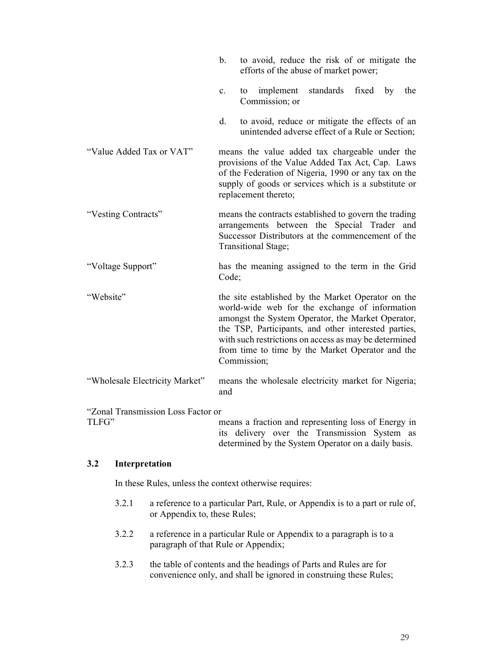|                                             | b.                                                                                                                                                                                                                                         | to avoid, reduce the risk of or mitigate the<br>efforts of the abuse of market power;                                                                                                                                                                                                                                                         |  |
|---------------------------------------------|--------------------------------------------------------------------------------------------------------------------------------------------------------------------------------------------------------------------------------------------|-----------------------------------------------------------------------------------------------------------------------------------------------------------------------------------------------------------------------------------------------------------------------------------------------------------------------------------------------|--|
|                                             | $\mathbf{c}$ .                                                                                                                                                                                                                             | implement<br>standards<br>the<br>fixed<br>by<br>to<br>Commission; or                                                                                                                                                                                                                                                                          |  |
|                                             | d.                                                                                                                                                                                                                                         | to avoid, reduce or mitigate the effects of an<br>unintended adverse effect of a Rule or Section;                                                                                                                                                                                                                                             |  |
| "Value Added Tax or VAT"                    | means the value added tax chargeable under the<br>provisions of the Value Added Tax Act, Cap. Laws<br>of the Federation of Nigeria, 1990 or any tax on the<br>supply of goods or services which is a substitute or<br>replacement thereto; |                                                                                                                                                                                                                                                                                                                                               |  |
| "Vesting Contracts"                         | means the contracts established to govern the trading<br>arrangements between the Special Trader and<br>Successor Distributors at the commencement of the<br>Transitional Stage;                                                           |                                                                                                                                                                                                                                                                                                                                               |  |
| "Voltage Support"                           | Code;                                                                                                                                                                                                                                      | has the meaning assigned to the term in the Grid                                                                                                                                                                                                                                                                                              |  |
| "Website"                                   |                                                                                                                                                                                                                                            | the site established by the Market Operator on the<br>world-wide web for the exchange of information<br>amongst the System Operator, the Market Operator,<br>the TSP, Participants, and other interested parties,<br>with such restrictions on access as may be determined<br>from time to time by the Market Operator and the<br>Commission; |  |
| "Wholesale Electricity Market"              | and                                                                                                                                                                                                                                        | means the wholesale electricity market for Nigeria;                                                                                                                                                                                                                                                                                           |  |
| "Zonal Transmission Loss Factor or<br>TLFG" | its.                                                                                                                                                                                                                                       | means a fraction and representing loss of Energy in<br>delivery over the Transmission System<br>as                                                                                                                                                                                                                                            |  |

**3.2 Interpretation** 

In these Rules, unless the context otherwise requires:

3.2.1 a reference to a particular Part, Rule, or Appendix is to a part or rule of, or Appendix to, these Rules;

determined by the System Operator on a daily basis.

- 3.2.2 a reference in a particular Rule or Appendix to a paragraph is to a paragraph of that Rule or Appendix;
- 3.2.3 the table of contents and the headings of Parts and Rules are for convenience only, and shall be ignored in construing these Rules;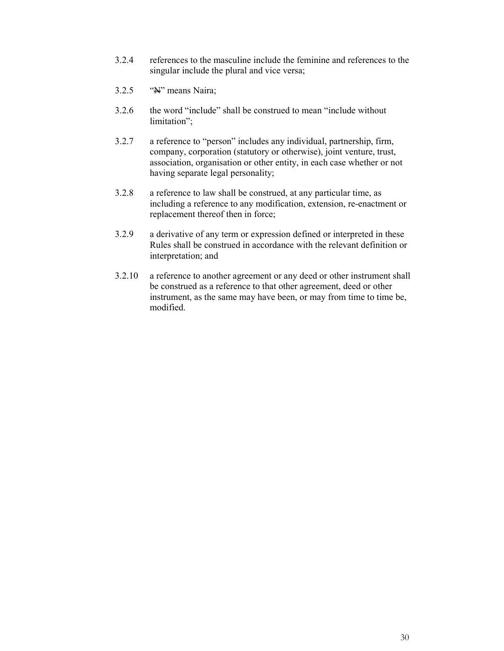- 3.2.4 references to the masculine include the feminine and references to the singular include the plural and vice versa;
- $3.2.5$  "N" means Naira;
- 3.2.6 the word "include" shall be construed to mean "include without limitation";
- 3.2.7 a reference to "person" includes any individual, partnership, firm, company, corporation (statutory or otherwise), joint venture, trust, association, organisation or other entity, in each case whether or not having separate legal personality;
- 3.2.8 a reference to law shall be construed, at any particular time, as including a reference to any modification, extension, re-enactment or replacement thereof then in force;
- 3.2.9 a derivative of any term or expression defined or interpreted in these Rules shall be construed in accordance with the relevant definition or interpretation; and
- 3.2.10 a reference to another agreement or any deed or other instrument shall be construed as a reference to that other agreement, deed or other instrument, as the same may have been, or may from time to time be, modified.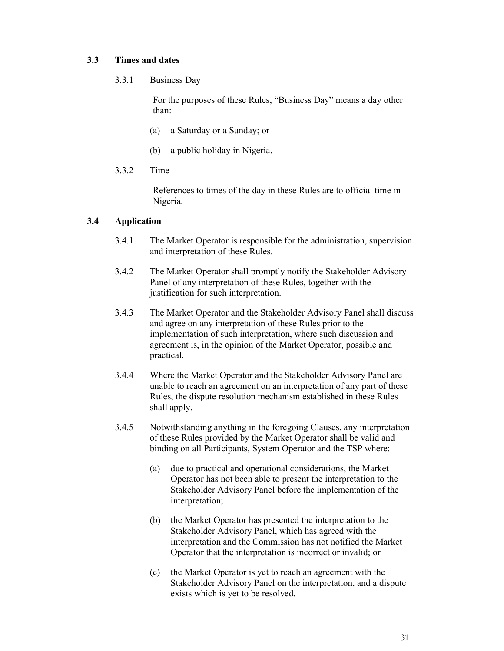### **3.3 Times and dates**

3.3.1 Business Day

For the purposes of these Rules, "Business Day" means a day other than:

- (a) a Saturday or a Sunday; or
- (b) a public holiday in Nigeria.
- 3.3.2 Time

References to times of the day in these Rules are to official time in Nigeria.

## **3.4 Application**

- 3.4.1 The Market Operator is responsible for the administration, supervision and interpretation of these Rules.
- 3.4.2 The Market Operator shall promptly notify the Stakeholder Advisory Panel of any interpretation of these Rules, together with the justification for such interpretation.
- 3.4.3 The Market Operator and the Stakeholder Advisory Panel shall discuss and agree on any interpretation of these Rules prior to the implementation of such interpretation, where such discussion and agreement is, in the opinion of the Market Operator, possible and practical.
- 3.4.4 Where the Market Operator and the Stakeholder Advisory Panel are unable to reach an agreement on an interpretation of any part of these Rules, the dispute resolution mechanism established in these Rules shall apply.
- 3.4.5 Notwithstanding anything in the foregoing Clauses, any interpretation of these Rules provided by the Market Operator shall be valid and binding on all Participants, System Operator and the TSP where:
	- (a) due to practical and operational considerations, the Market Operator has not been able to present the interpretation to the Stakeholder Advisory Panel before the implementation of the interpretation;
	- (b) the Market Operator has presented the interpretation to the Stakeholder Advisory Panel, which has agreed with the interpretation and the Commission has not notified the Market Operator that the interpretation is incorrect or invalid; or
	- (c) the Market Operator is yet to reach an agreement with the Stakeholder Advisory Panel on the interpretation, and a dispute exists which is yet to be resolved.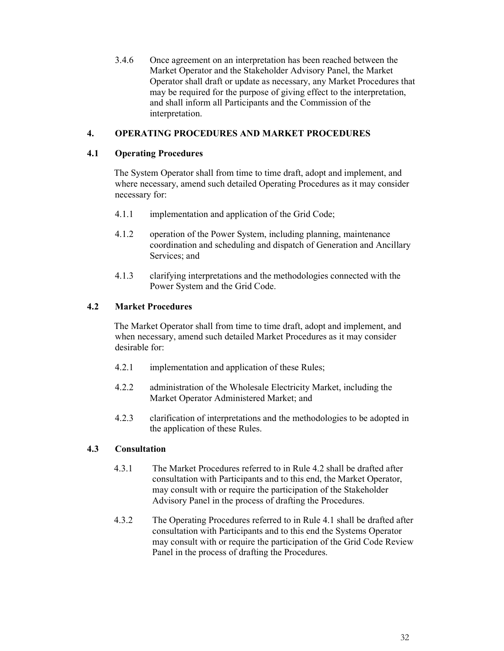3.4.6 Once agreement on an interpretation has been reached between the Market Operator and the Stakeholder Advisory Panel, the Market Operator shall draft or update as necessary, any Market Procedures that may be required for the purpose of giving effect to the interpretation, and shall inform all Participants and the Commission of the interpretation.

## **4. OPERATING PROCEDURES AND MARKET PROCEDURES**

### **4.1 Operating Procedures**

The System Operator shall from time to time draft, adopt and implement, and where necessary, amend such detailed Operating Procedures as it may consider necessary for:

- 4.1.1 implementation and application of the Grid Code;
- 4.1.2 operation of the Power System, including planning, maintenance coordination and scheduling and dispatch of Generation and Ancillary Services; and
- 4.1.3 clarifying interpretations and the methodologies connected with the Power System and the Grid Code.

### **4.2 Market Procedures**

The Market Operator shall from time to time draft, adopt and implement, and when necessary, amend such detailed Market Procedures as it may consider desirable for:

- 4.2.1 implementation and application of these Rules;
- 4.2.2 administration of the Wholesale Electricity Market, including the Market Operator Administered Market; and
- 4.2.3 clarification of interpretations and the methodologies to be adopted in the application of these Rules.

## **4.3 Consultation**

- 4.3.1 The Market Procedures referred to in Rule 4.2 shall be drafted after consultation with Participants and to this end, the Market Operator, may consult with or require the participation of the Stakeholder Advisory Panel in the process of drafting the Procedures.
- 4.3.2 The Operating Procedures referred to in Rule 4.1 shall be drafted after consultation with Participants and to this end the Systems Operator may consult with or require the participation of the Grid Code Review Panel in the process of drafting the Procedures.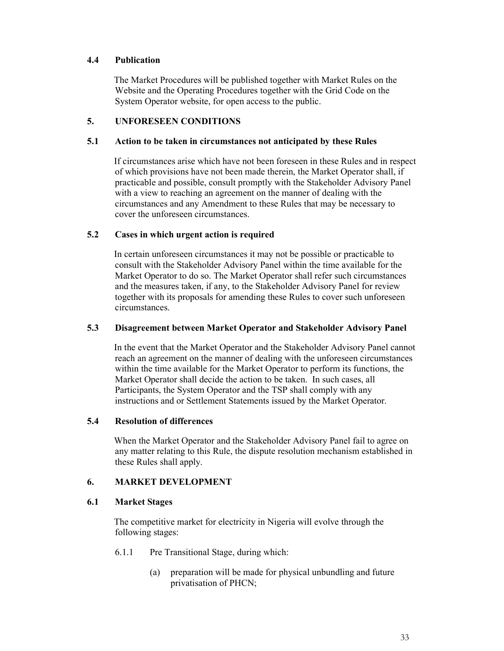## **4.4 Publication**

The Market Procedures will be published together with Market Rules on the Website and the Operating Procedures together with the Grid Code on the System Operator website, for open access to the public.

## **5. UNFORESEEN CONDITIONS**

### **5.1 Action to be taken in circumstances not anticipated by these Rules**

If circumstances arise which have not been foreseen in these Rules and in respect of which provisions have not been made therein, the Market Operator shall, if practicable and possible, consult promptly with the Stakeholder Advisory Panel with a view to reaching an agreement on the manner of dealing with the circumstances and any Amendment to these Rules that may be necessary to cover the unforeseen circumstances.

### **5.2 Cases in which urgent action is required**

In certain unforeseen circumstances it may not be possible or practicable to consult with the Stakeholder Advisory Panel within the time available for the Market Operator to do so. The Market Operator shall refer such circumstances and the measures taken, if any, to the Stakeholder Advisory Panel for review together with its proposals for amending these Rules to cover such unforeseen circumstances.

### **5.3 Disagreement between Market Operator and Stakeholder Advisory Panel**

In the event that the Market Operator and the Stakeholder Advisory Panel cannot reach an agreement on the manner of dealing with the unforeseen circumstances within the time available for the Market Operator to perform its functions, the Market Operator shall decide the action to be taken. In such cases, all Participants, the System Operator and the TSP shall comply with any instructions and or Settlement Statements issued by the Market Operator.

### **5.4 Resolution of differences**

When the Market Operator and the Stakeholder Advisory Panel fail to agree on any matter relating to this Rule, the dispute resolution mechanism established in these Rules shall apply.

## **6. MARKET DEVELOPMENT**

## **6.1 Market Stages**

The competitive market for electricity in Nigeria will evolve through the following stages:

- 6.1.1 Pre Transitional Stage, during which:
	- (a) preparation will be made for physical unbundling and future privatisation of PHCN;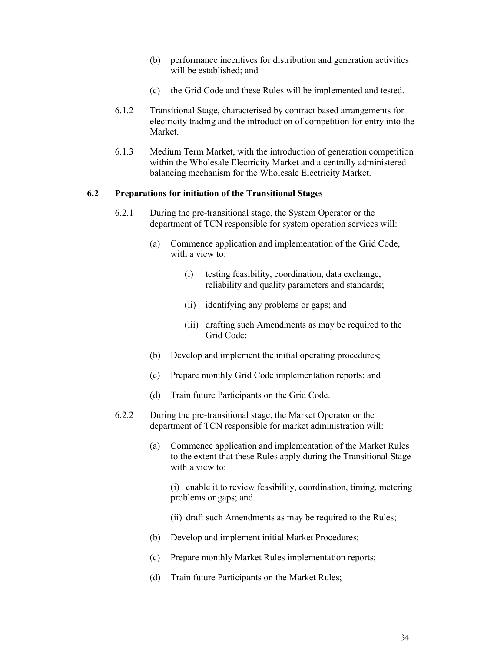- (b) performance incentives for distribution and generation activities will be established; and
- (c) the Grid Code and these Rules will be implemented and tested.
- 6.1.2 Transitional Stage, characterised by contract based arrangements for electricity trading and the introduction of competition for entry into the Market.
- 6.1.3 Medium Term Market, with the introduction of generation competition within the Wholesale Electricity Market and a centrally administered balancing mechanism for the Wholesale Electricity Market.

### **6.2 Preparations for initiation of the Transitional Stages**

- 6.2.1 During the pre-transitional stage, the System Operator or the department of TCN responsible for system operation services will:
	- (a) Commence application and implementation of the Grid Code, with a view to:
		- (i) testing feasibility, coordination, data exchange, reliability and quality parameters and standards;
		- (ii) identifying any problems or gaps; and
		- (iii) drafting such Amendments as may be required to the Grid Code;
	- (b) Develop and implement the initial operating procedures;
	- (c) Prepare monthly Grid Code implementation reports; and
	- (d) Train future Participants on the Grid Code.
- 6.2.2 During the pre-transitional stage, the Market Operator or the department of TCN responsible for market administration will:
	- (a) Commence application and implementation of the Market Rules to the extent that these Rules apply during the Transitional Stage with a view to:

(i) enable it to review feasibility, coordination, timing, metering problems or gaps; and

- (ii) draft such Amendments as may be required to the Rules;
- (b) Develop and implement initial Market Procedures;
- (c) Prepare monthly Market Rules implementation reports;
- (d) Train future Participants on the Market Rules;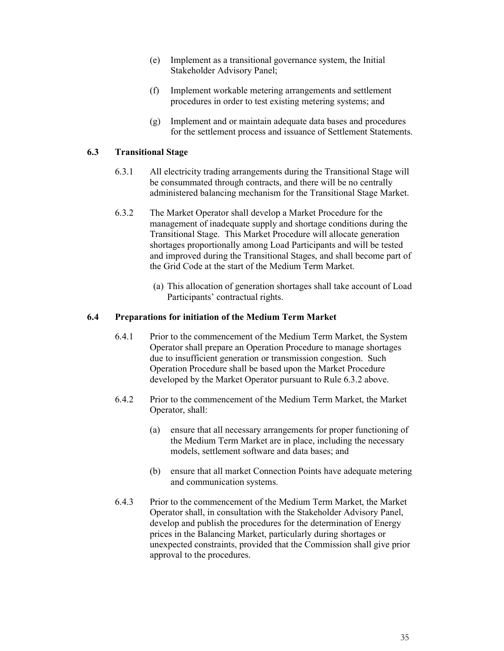- (e) Implement as a transitional governance system, the Initial Stakeholder Advisory Panel;
- (f) Implement workable metering arrangements and settlement procedures in order to test existing metering systems; and
- (g) Implement and or maintain adequate data bases and procedures for the settlement process and issuance of Settlement Statements.

### **6.3 Transitional Stage**

- 6.3.1 All electricity trading arrangements during the Transitional Stage will be consummated through contracts, and there will be no centrally administered balancing mechanism for the Transitional Stage Market.
- 6.3.2 The Market Operator shall develop a Market Procedure for the management of inadequate supply and shortage conditions during the Transitional Stage. This Market Procedure will allocate generation shortages proportionally among Load Participants and will be tested and improved during the Transitional Stages, and shall become part of the Grid Code at the start of the Medium Term Market.
	- (a) This allocation of generation shortages shall take account of Load Participants' contractual rights.

### **6.4 Preparations for initiation of the Medium Term Market**

- 6.4.1 Prior to the commencement of the Medium Term Market, the System Operator shall prepare an Operation Procedure to manage shortages due to insufficient generation or transmission congestion. Such Operation Procedure shall be based upon the Market Procedure developed by the Market Operator pursuant to Rule 6.3.2 above.
- 6.4.2 Prior to the commencement of the Medium Term Market, the Market Operator, shall:
	- (a) ensure that all necessary arrangements for proper functioning of the Medium Term Market are in place, including the necessary models, settlement software and data bases; and
	- (b) ensure that all market Connection Points have adequate metering and communication systems.
- 6.4.3 Prior to the commencement of the Medium Term Market, the Market Operator shall, in consultation with the Stakeholder Advisory Panel, develop and publish the procedures for the determination of Energy prices in the Balancing Market, particularly during shortages or unexpected constraints, provided that the Commission shall give prior approval to the procedures.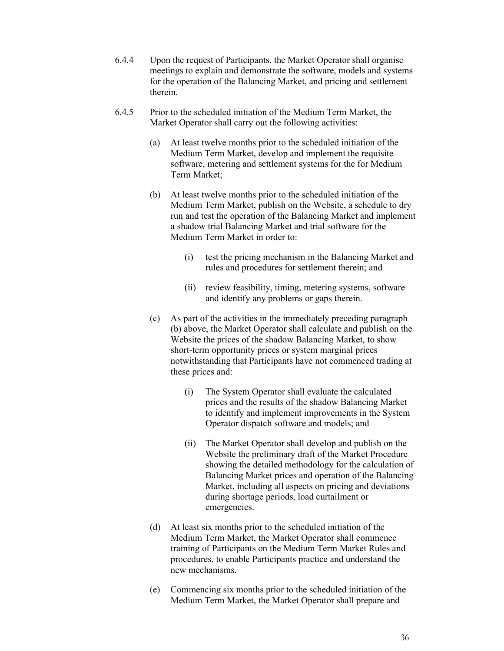- 6.4.4 Upon the request of Participants, the Market Operator shall organise meetings to explain and demonstrate the software, models and systems for the operation of the Balancing Market, and pricing and settlement therein.
- 6.4.5 Prior to the scheduled initiation of the Medium Term Market, the Market Operator shall carry out the following activities:
	- (a) At least twelve months prior to the scheduled initiation of the Medium Term Market, develop and implement the requisite software, metering and settlement systems for the for Medium Term Market;
	- (b) At least twelve months prior to the scheduled initiation of the Medium Term Market, publish on the Website, a schedule to dry run and test the operation of the Balancing Market and implement a shadow trial Balancing Market and trial software for the Medium Term Market in order to:
		- (i) test the pricing mechanism in the Balancing Market and rules and procedures for settlement therein; and
		- (ii) review feasibility, timing, metering systems, software and identify any problems or gaps therein.
	- (c) As part of the activities in the immediately preceding paragraph (b) above, the Market Operator shall calculate and publish on the Website the prices of the shadow Balancing Market, to show short-term opportunity prices or system marginal prices notwithstanding that Participants have not commenced trading at these prices and:
		- (i) The System Operator shall evaluate the calculated prices and the results of the shadow Balancing Market to identify and implement improvements in the System Operator dispatch software and models; and
		- (ii) The Market Operator shall develop and publish on the Website the preliminary draft of the Market Procedure showing the detailed methodology for the calculation of Balancing Market prices and operation of the Balancing Market, including all aspects on pricing and deviations during shortage periods, load curtailment or emergencies.
	- (d) At least six months prior to the scheduled initiation of the Medium Term Market, the Market Operator shall commence training of Participants on the Medium Term Market Rules and procedures, to enable Participants practice and understand the new mechanisms.
	- (e) Commencing six months prior to the scheduled initiation of the Medium Term Market, the Market Operator shall prepare and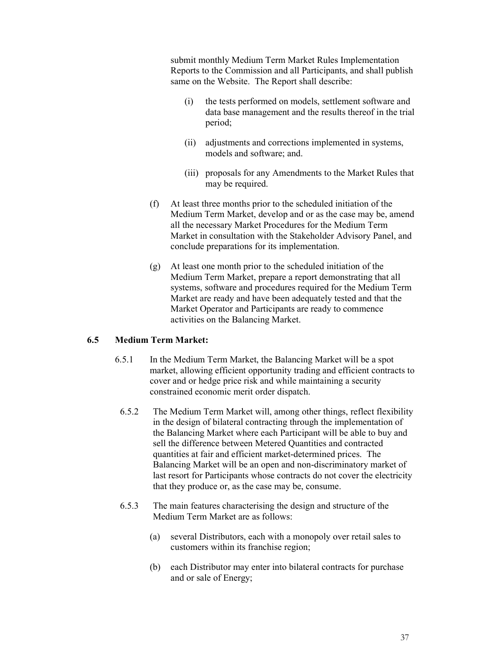submit monthly Medium Term Market Rules Implementation Reports to the Commission and all Participants, and shall publish same on the Website. The Report shall describe:

- (i) the tests performed on models, settlement software and data base management and the results thereof in the trial period;
- (ii) adjustments and corrections implemented in systems, models and software; and.
- (iii) proposals for any Amendments to the Market Rules that may be required.
- (f) At least three months prior to the scheduled initiation of the Medium Term Market, develop and or as the case may be, amend all the necessary Market Procedures for the Medium Term Market in consultation with the Stakeholder Advisory Panel, and conclude preparations for its implementation.
- (g) At least one month prior to the scheduled initiation of the Medium Term Market, prepare a report demonstrating that all systems, software and procedures required for the Medium Term Market are ready and have been adequately tested and that the Market Operator and Participants are ready to commence activities on the Balancing Market.

## **6.5 Medium Term Market:**

- 6.5.1 In the Medium Term Market, the Balancing Market will be a spot market, allowing efficient opportunity trading and efficient contracts to cover and or hedge price risk and while maintaining a security constrained economic merit order dispatch.
- 6.5.2 The Medium Term Market will, among other things, reflect flexibility in the design of bilateral contracting through the implementation of the Balancing Market where each Participant will be able to buy and sell the difference between Metered Quantities and contracted quantities at fair and efficient market-determined prices. The Balancing Market will be an open and non-discriminatory market of last resort for Participants whose contracts do not cover the electricity that they produce or, as the case may be, consume.
- 6.5.3 The main features characterising the design and structure of the Medium Term Market are as follows:
	- (a) several Distributors, each with a monopoly over retail sales to customers within its franchise region;
	- (b) each Distributor may enter into bilateral contracts for purchase and or sale of Energy;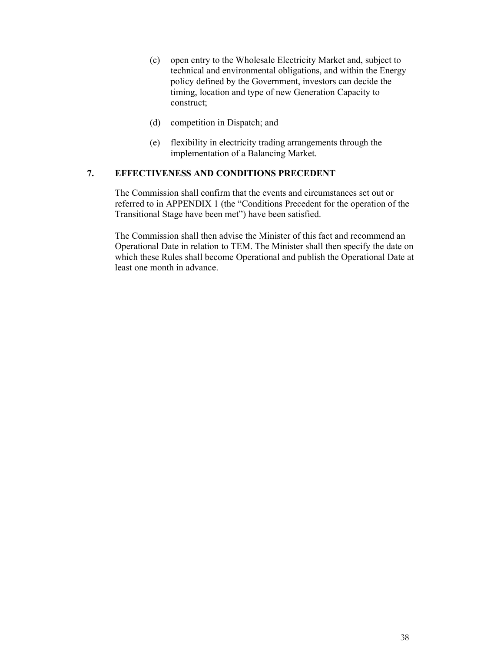- (c) open entry to the Wholesale Electricity Market and, subject to technical and environmental obligations, and within the Energy policy defined by the Government, investors can decide the timing, location and type of new Generation Capacity to construct;
- (d) competition in Dispatch; and
- (e) flexibility in electricity trading arrangements through the implementation of a Balancing Market.

### **7. EFFECTIVENESS AND CONDITIONS PRECEDENT**

The Commission shall confirm that the events and circumstances set out or referred to in APPENDIX 1 (the "Conditions Precedent for the operation of the Transitional Stage have been met") have been satisfied.

The Commission shall then advise the Minister of this fact and recommend an Operational Date in relation to TEM. The Minister shall then specify the date on which these Rules shall become Operational and publish the Operational Date at least one month in advance.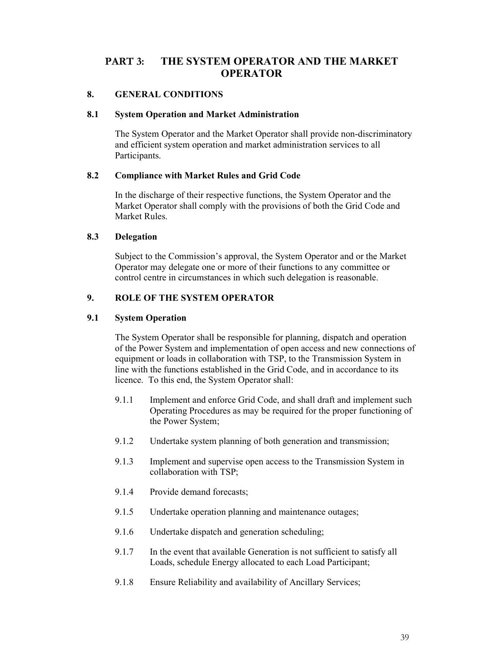# **PART 3: THE SYSTEM OPERATOR AND THE MARKET OPERATOR**

### **8. GENERAL CONDITIONS**

#### **8.1 System Operation and Market Administration**

The System Operator and the Market Operator shall provide non-discriminatory and efficient system operation and market administration services to all Participants.

### **8.2 Compliance with Market Rules and Grid Code**

In the discharge of their respective functions, the System Operator and the Market Operator shall comply with the provisions of both the Grid Code and Market Rules.

### **8.3 Delegation**

Subject to the Commission's approval, the System Operator and or the Market Operator may delegate one or more of their functions to any committee or control centre in circumstances in which such delegation is reasonable.

## **9. ROLE OF THE SYSTEM OPERATOR**

### **9.1 System Operation**

The System Operator shall be responsible for planning, dispatch and operation of the Power System and implementation of open access and new connections of equipment or loads in collaboration with TSP, to the Transmission System in line with the functions established in the Grid Code, and in accordance to its licence. To this end, the System Operator shall:

- 9.1.1 Implement and enforce Grid Code, and shall draft and implement such Operating Procedures as may be required for the proper functioning of the Power System;
- 9.1.2 Undertake system planning of both generation and transmission;
- 9.1.3 Implement and supervise open access to the Transmission System in collaboration with TSP;
- 9.1.4 Provide demand forecasts;
- 9.1.5 Undertake operation planning and maintenance outages;
- 9.1.6 Undertake dispatch and generation scheduling;
- 9.1.7 In the event that available Generation is not sufficient to satisfy all Loads, schedule Energy allocated to each Load Participant;
- 9.1.8 Ensure Reliability and availability of Ancillary Services;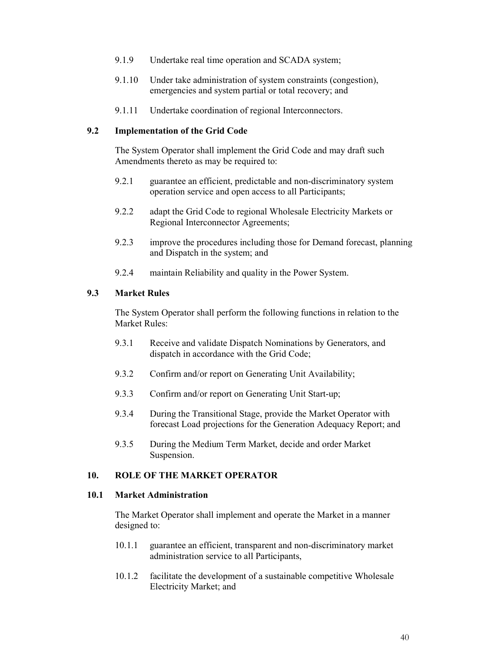- 9.1.9 Undertake real time operation and SCADA system;
- 9.1.10 Under take administration of system constraints (congestion), emergencies and system partial or total recovery; and
- 9.1.11 Undertake coordination of regional Interconnectors.

#### **9.2 Implementation of the Grid Code**

The System Operator shall implement the Grid Code and may draft such Amendments thereto as may be required to:

- 9.2.1 guarantee an efficient, predictable and non-discriminatory system operation service and open access to all Participants;
- 9.2.2 adapt the Grid Code to regional Wholesale Electricity Markets or Regional Interconnector Agreements;
- 9.2.3 improve the procedures including those for Demand forecast, planning and Dispatch in the system; and
- 9.2.4 maintain Reliability and quality in the Power System.

#### **9.3 Market Rules**

The System Operator shall perform the following functions in relation to the Market Rules<sup>-</sup>

- 9.3.1 Receive and validate Dispatch Nominations by Generators, and dispatch in accordance with the Grid Code;
- 9.3.2 Confirm and/or report on Generating Unit Availability;
- 9.3.3 Confirm and/or report on Generating Unit Start-up;
- 9.3.4 During the Transitional Stage, provide the Market Operator with forecast Load projections for the Generation Adequacy Report; and
- 9.3.5 During the Medium Term Market, decide and order Market Suspension.

### **10. ROLE OF THE MARKET OPERATOR**

#### **10.1 Market Administration**

The Market Operator shall implement and operate the Market in a manner designed to:

- 10.1.1 guarantee an efficient, transparent and non-discriminatory market administration service to all Participants,
- 10.1.2 facilitate the development of a sustainable competitive Wholesale Electricity Market; and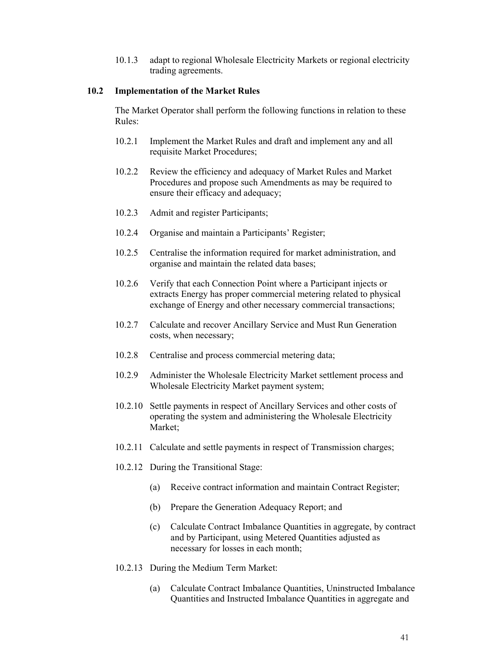10.1.3 adapt to regional Wholesale Electricity Markets or regional electricity trading agreements.

### **10.2 Implementation of the Market Rules**

The Market Operator shall perform the following functions in relation to these Rules:

- 10.2.1 Implement the Market Rules and draft and implement any and all requisite Market Procedures;
- 10.2.2 Review the efficiency and adequacy of Market Rules and Market Procedures and propose such Amendments as may be required to ensure their efficacy and adequacy;
- 10.2.3 Admit and register Participants;
- 10.2.4 Organise and maintain a Participants' Register;
- 10.2.5 Centralise the information required for market administration, and organise and maintain the related data bases;
- 10.2.6 Verify that each Connection Point where a Participant injects or extracts Energy has proper commercial metering related to physical exchange of Energy and other necessary commercial transactions;
- 10.2.7 Calculate and recover Ancillary Service and Must Run Generation costs, when necessary;
- 10.2.8 Centralise and process commercial metering data;
- 10.2.9 Administer the Wholesale Electricity Market settlement process and Wholesale Electricity Market payment system;
- 10.2.10 Settle payments in respect of Ancillary Services and other costs of operating the system and administering the Wholesale Electricity Market;
- 10.2.11 Calculate and settle payments in respect of Transmission charges;
- 10.2.12 During the Transitional Stage:
	- (a) Receive contract information and maintain Contract Register;
	- (b) Prepare the Generation Adequacy Report; and
	- (c) Calculate Contract Imbalance Quantities in aggregate, by contract and by Participant, using Metered Quantities adjusted as necessary for losses in each month;
- 10.2.13 During the Medium Term Market:
	- (a) Calculate Contract Imbalance Quantities, Uninstructed Imbalance Quantities and Instructed Imbalance Quantities in aggregate and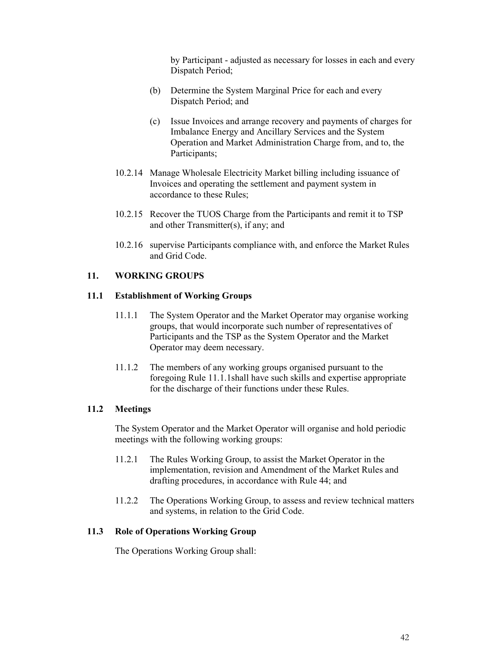by Participant - adjusted as necessary for losses in each and every Dispatch Period;

- (b) Determine the System Marginal Price for each and every Dispatch Period; and
- (c) Issue Invoices and arrange recovery and payments of charges for Imbalance Energy and Ancillary Services and the System Operation and Market Administration Charge from, and to, the Participants;
- 10.2.14 Manage Wholesale Electricity Market billing including issuance of Invoices and operating the settlement and payment system in accordance to these Rules;
- 10.2.15 Recover the TUOS Charge from the Participants and remit it to TSP and other Transmitter(s), if any; and
- 10.2.16 supervise Participants compliance with, and enforce the Market Rules and Grid Code.

### **11. WORKING GROUPS**

### **11.1 Establishment of Working Groups**

- 11.1.1 The System Operator and the Market Operator may organise working groups, that would incorporate such number of representatives of Participants and the TSP as the System Operator and the Market Operator may deem necessary.
- 11.1.2 The members of any working groups organised pursuant to the foregoing Rule 11.1.1shall have such skills and expertise appropriate for the discharge of their functions under these Rules.

### **11.2 Meetings**

The System Operator and the Market Operator will organise and hold periodic meetings with the following working groups:

- 11.2.1 The Rules Working Group, to assist the Market Operator in the implementation, revision and Amendment of the Market Rules and drafting procedures, in accordance with Rule 44; and
- 11.2.2 The Operations Working Group, to assess and review technical matters and systems, in relation to the Grid Code.

#### **11.3 Role of Operations Working Group**

The Operations Working Group shall: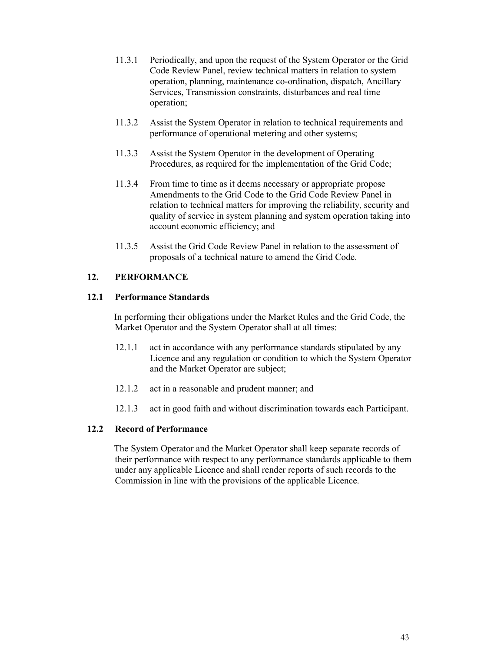- 11.3.1 Periodically, and upon the request of the System Operator or the Grid Code Review Panel, review technical matters in relation to system operation, planning, maintenance co-ordination, dispatch, Ancillary Services, Transmission constraints, disturbances and real time operation;
- 11.3.2 Assist the System Operator in relation to technical requirements and performance of operational metering and other systems;
- 11.3.3 Assist the System Operator in the development of Operating Procedures, as required for the implementation of the Grid Code;
- 11.3.4 From time to time as it deems necessary or appropriate propose Amendments to the Grid Code to the Grid Code Review Panel in relation to technical matters for improving the reliability, security and quality of service in system planning and system operation taking into account economic efficiency; and
- 11.3.5 Assist the Grid Code Review Panel in relation to the assessment of proposals of a technical nature to amend the Grid Code.

## **12. PERFORMANCE**

### **12.1 Performance Standards**

In performing their obligations under the Market Rules and the Grid Code, the Market Operator and the System Operator shall at all times:

- 12.1.1 act in accordance with any performance standards stipulated by any Licence and any regulation or condition to which the System Operator and the Market Operator are subject;
- 12.1.2 act in a reasonable and prudent manner; and
- 12.1.3 act in good faith and without discrimination towards each Participant.

## **12.2 Record of Performance**

The System Operator and the Market Operator shall keep separate records of their performance with respect to any performance standards applicable to them under any applicable Licence and shall render reports of such records to the Commission in line with the provisions of the applicable Licence.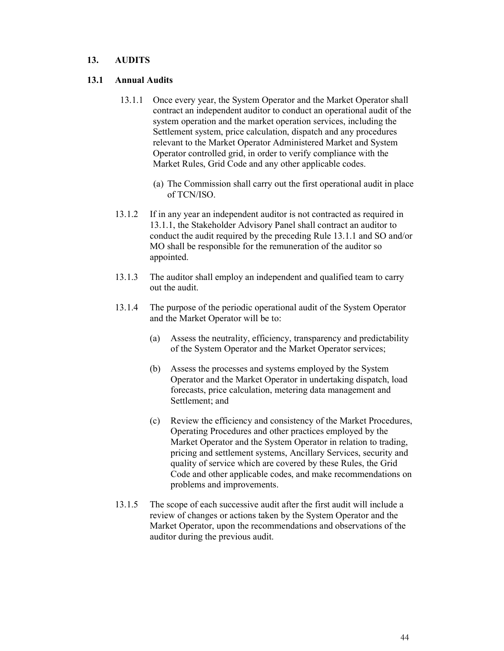### **13. AUDITS**

### **13.1 Annual Audits**

- 13.1.1 Once every year, the System Operator and the Market Operator shall contract an independent auditor to conduct an operational audit of the system operation and the market operation services, including the Settlement system, price calculation, dispatch and any procedures relevant to the Market Operator Administered Market and System Operator controlled grid, in order to verify compliance with the Market Rules, Grid Code and any other applicable codes.
	- (a) The Commission shall carry out the first operational audit in place of TCN/ISO.
- 13.1.2 If in any year an independent auditor is not contracted as required in 13.1.1, the Stakeholder Advisory Panel shall contract an auditor to conduct the audit required by the preceding Rule 13.1.1 and SO and/or MO shall be responsible for the remuneration of the auditor so appointed.
- 13.1.3 The auditor shall employ an independent and qualified team to carry out the audit.
- 13.1.4 The purpose of the periodic operational audit of the System Operator and the Market Operator will be to:
	- (a) Assess the neutrality, efficiency, transparency and predictability of the System Operator and the Market Operator services;
	- (b) Assess the processes and systems employed by the System Operator and the Market Operator in undertaking dispatch, load forecasts, price calculation, metering data management and Settlement; and
	- (c) Review the efficiency and consistency of the Market Procedures, Operating Procedures and other practices employed by the Market Operator and the System Operator in relation to trading, pricing and settlement systems, Ancillary Services, security and quality of service which are covered by these Rules, the Grid Code and other applicable codes, and make recommendations on problems and improvements.
- 13.1.5 The scope of each successive audit after the first audit will include a review of changes or actions taken by the System Operator and the Market Operator, upon the recommendations and observations of the auditor during the previous audit.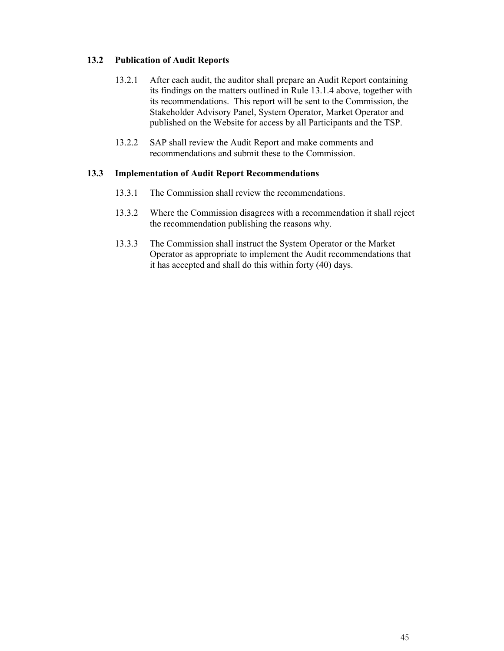## **13.2 Publication of Audit Reports**

- 13.2.1 After each audit, the auditor shall prepare an Audit Report containing its findings on the matters outlined in Rule 13.1.4 above, together with its recommendations. This report will be sent to the Commission, the Stakeholder Advisory Panel, System Operator, Market Operator and published on the Website for access by all Participants and the TSP.
- 13.2.2 SAP shall review the Audit Report and make comments and recommendations and submit these to the Commission.

### **13.3 Implementation of Audit Report Recommendations**

- 13.3.1 The Commission shall review the recommendations.
- 13.3.2 Where the Commission disagrees with a recommendation it shall reject the recommendation publishing the reasons why.
- 13.3.3 The Commission shall instruct the System Operator or the Market Operator as appropriate to implement the Audit recommendations that it has accepted and shall do this within forty (40) days.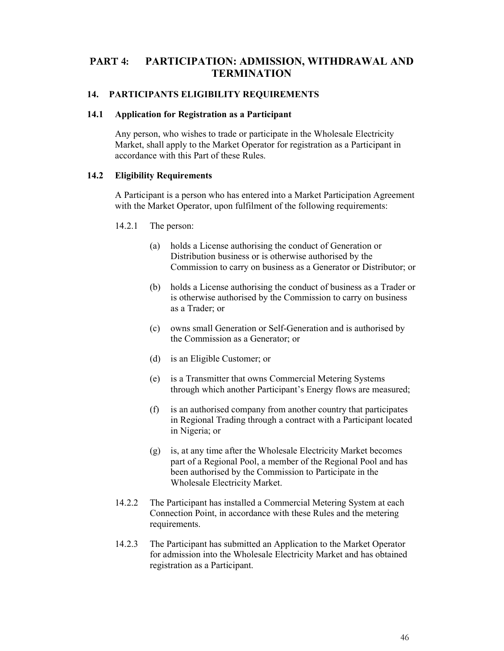# **PART 4: PARTICIPATION: ADMISSION, WITHDRAWAL AND TERMINATION**

### **14. PARTICIPANTS ELIGIBILITY REQUIREMENTS**

#### **14.1 Application for Registration as a Participant**

Any person, who wishes to trade or participate in the Wholesale Electricity Market, shall apply to the Market Operator for registration as a Participant in accordance with this Part of these Rules.

### **14.2 Eligibility Requirements**

A Participant is a person who has entered into a Market Participation Agreement with the Market Operator, upon fulfilment of the following requirements:

- 14.2.1 The person:
	- (a) holds a License authorising the conduct of Generation or Distribution business or is otherwise authorised by the Commission to carry on business as a Generator or Distributor; or
	- (b) holds a License authorising the conduct of business as a Trader or is otherwise authorised by the Commission to carry on business as a Trader; or
	- (c) owns small Generation or Self-Generation and is authorised by the Commission as a Generator; or
	- (d) is an Eligible Customer; or
	- (e) is a Transmitter that owns Commercial Metering Systems through which another Participant's Energy flows are measured;
	- (f) is an authorised company from another country that participates in Regional Trading through a contract with a Participant located in Nigeria; or
	- (g) is, at any time after the Wholesale Electricity Market becomes part of a Regional Pool, a member of the Regional Pool and has been authorised by the Commission to Participate in the Wholesale Electricity Market.
- 14.2.2 The Participant has installed a Commercial Metering System at each Connection Point, in accordance with these Rules and the metering requirements.
- 14.2.3 The Participant has submitted an Application to the Market Operator for admission into the Wholesale Electricity Market and has obtained registration as a Participant.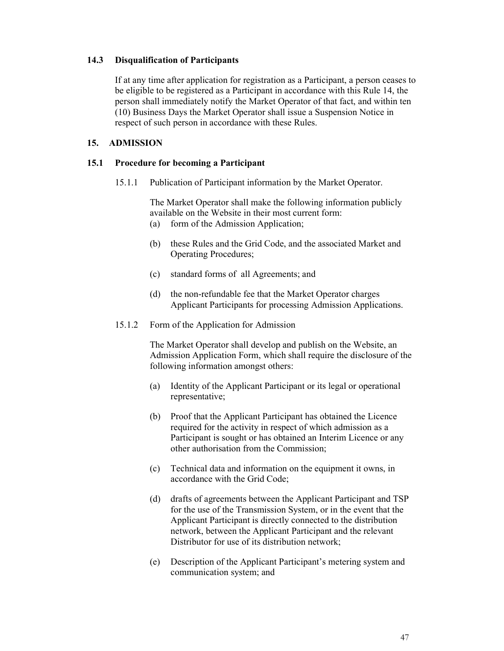### **14.3 Disqualification of Participants**

If at any time after application for registration as a Participant, a person ceases to be eligible to be registered as a Participant in accordance with this Rule 14, the person shall immediately notify the Market Operator of that fact, and within ten (10) Business Days the Market Operator shall issue a Suspension Notice in respect of such person in accordance with these Rules.

### **15. ADMISSION**

#### **15.1 Procedure for becoming a Participant**

15.1.1 Publication of Participant information by the Market Operator.

The Market Operator shall make the following information publicly available on the Website in their most current form:

- (a) form of the Admission Application;
- (b) these Rules and the Grid Code, and the associated Market and Operating Procedures;
- (c) standard forms of all Agreements; and
- (d) the non-refundable fee that the Market Operator charges Applicant Participants for processing Admission Applications.
- 15.1.2 Form of the Application for Admission

The Market Operator shall develop and publish on the Website, an Admission Application Form, which shall require the disclosure of the following information amongst others:

- (a) Identity of the Applicant Participant or its legal or operational representative;
- (b) Proof that the Applicant Participant has obtained the Licence required for the activity in respect of which admission as a Participant is sought or has obtained an Interim Licence or any other authorisation from the Commission;
- (c) Technical data and information on the equipment it owns, in accordance with the Grid Code;
- (d) drafts of agreements between the Applicant Participant and TSP for the use of the Transmission System, or in the event that the Applicant Participant is directly connected to the distribution network, between the Applicant Participant and the relevant Distributor for use of its distribution network;
- (e) Description of the Applicant Participant's metering system and communication system; and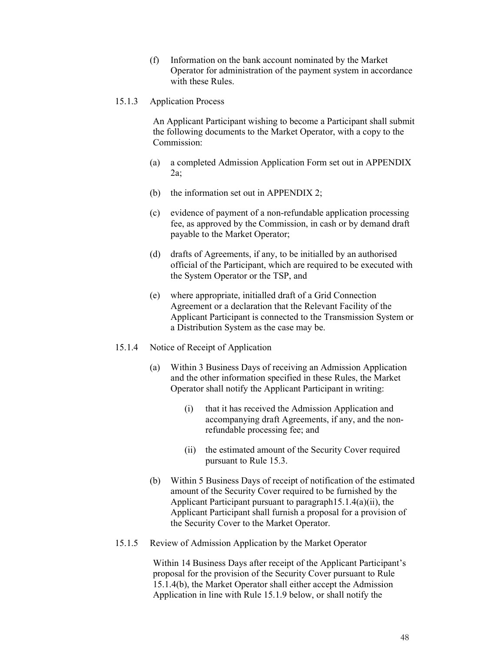(f) Information on the bank account nominated by the Market Operator for administration of the payment system in accordance with these Rules.

#### 15.1.3 Application Process

An Applicant Participant wishing to become a Participant shall submit the following documents to the Market Operator, with a copy to the Commission:

- (a) a completed Admission Application Form set out in APPENDIX 2a;
- (b) the information set out in APPENDIX 2;
- (c) evidence of payment of a non-refundable application processing fee, as approved by the Commission, in cash or by demand draft payable to the Market Operator;
- (d) drafts of Agreements, if any, to be initialled by an authorised official of the Participant, which are required to be executed with the System Operator or the TSP, and
- (e) where appropriate, initialled draft of a Grid Connection Agreement or a declaration that the Relevant Facility of the Applicant Participant is connected to the Transmission System or a Distribution System as the case may be.
- 15.1.4 Notice of Receipt of Application
	- (a) Within 3 Business Days of receiving an Admission Application and the other information specified in these Rules, the Market Operator shall notify the Applicant Participant in writing:
		- (i) that it has received the Admission Application and accompanying draft Agreements, if any, and the nonrefundable processing fee; and
		- (ii) the estimated amount of the Security Cover required pursuant to Rule 15.3.
	- (b) Within 5 Business Days of receipt of notification of the estimated amount of the Security Cover required to be furnished by the Applicant Participant pursuant to paragraph15.1.4(a)(ii), the Applicant Participant shall furnish a proposal for a provision of the Security Cover to the Market Operator.
- 15.1.5 Review of Admission Application by the Market Operator

Within 14 Business Days after receipt of the Applicant Participant's proposal for the provision of the Security Cover pursuant to Rule 15.1.4(b), the Market Operator shall either accept the Admission Application in line with Rule 15.1.9 below, or shall notify the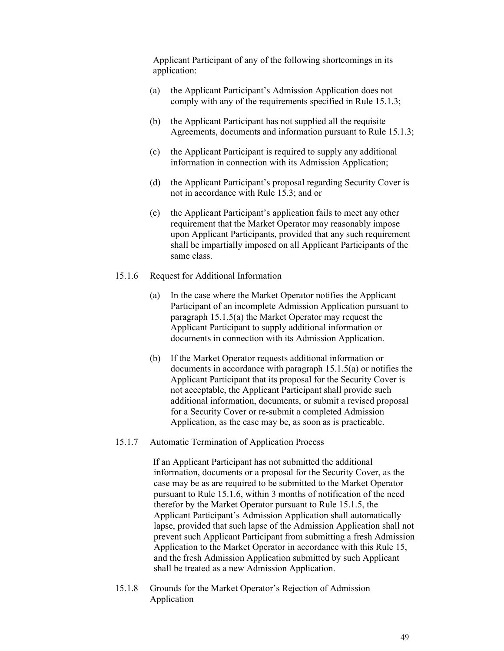Applicant Participant of any of the following shortcomings in its application:

- (a) the Applicant Participant's Admission Application does not comply with any of the requirements specified in Rule 15.1.3;
- (b) the Applicant Participant has not supplied all the requisite Agreements, documents and information pursuant to Rule 15.1.3;
- (c) the Applicant Participant is required to supply any additional information in connection with its Admission Application;
- (d) the Applicant Participant's proposal regarding Security Cover is not in accordance with Rule 15.3; and or
- (e) the Applicant Participant's application fails to meet any other requirement that the Market Operator may reasonably impose upon Applicant Participants, provided that any such requirement shall be impartially imposed on all Applicant Participants of the same class.
- 15.1.6 Request for Additional Information
	- (a) In the case where the Market Operator notifies the Applicant Participant of an incomplete Admission Application pursuant to paragraph 15.1.5(a) the Market Operator may request the Applicant Participant to supply additional information or documents in connection with its Admission Application.
	- (b) If the Market Operator requests additional information or documents in accordance with paragraph 15.1.5(a) or notifies the Applicant Participant that its proposal for the Security Cover is not acceptable, the Applicant Participant shall provide such additional information, documents, or submit a revised proposal for a Security Cover or re-submit a completed Admission Application, as the case may be, as soon as is practicable.
- 15.1.7 Automatic Termination of Application Process

If an Applicant Participant has not submitted the additional information, documents or a proposal for the Security Cover, as the case may be as are required to be submitted to the Market Operator pursuant to Rule 15.1.6, within 3 months of notification of the need therefor by the Market Operator pursuant to Rule 15.1.5, the Applicant Participant's Admission Application shall automatically lapse, provided that such lapse of the Admission Application shall not prevent such Applicant Participant from submitting a fresh Admission Application to the Market Operator in accordance with this Rule 15, and the fresh Admission Application submitted by such Applicant shall be treated as a new Admission Application.

15.1.8 Grounds for the Market Operator's Rejection of Admission Application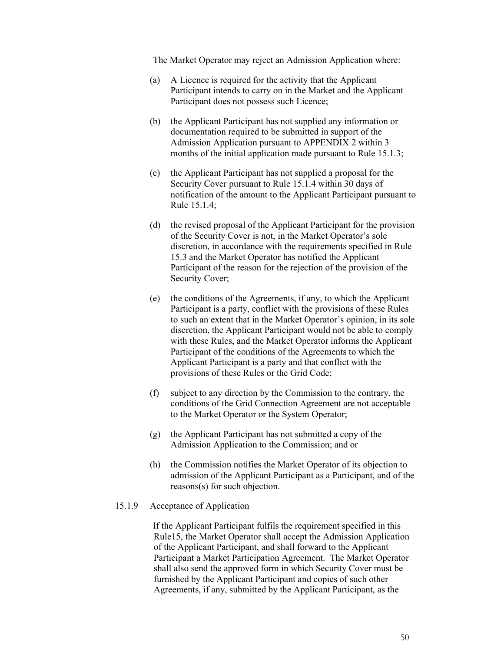The Market Operator may reject an Admission Application where:

- (a) A Licence is required for the activity that the Applicant Participant intends to carry on in the Market and the Applicant Participant does not possess such Licence;
- (b) the Applicant Participant has not supplied any information or documentation required to be submitted in support of the Admission Application pursuant to APPENDIX 2 within 3 months of the initial application made pursuant to Rule 15.1.3;
- (c) the Applicant Participant has not supplied a proposal for the Security Cover pursuant to Rule 15.1.4 within 30 days of notification of the amount to the Applicant Participant pursuant to Rule 15.1.4;
- (d) the revised proposal of the Applicant Participant for the provision of the Security Cover is not, in the Market Operator's sole discretion, in accordance with the requirements specified in Rule 15.3 and the Market Operator has notified the Applicant Participant of the reason for the rejection of the provision of the Security Cover;
- (e) the conditions of the Agreements, if any, to which the Applicant Participant is a party, conflict with the provisions of these Rules to such an extent that in the Market Operator's opinion, in its sole discretion, the Applicant Participant would not be able to comply with these Rules, and the Market Operator informs the Applicant Participant of the conditions of the Agreements to which the Applicant Participant is a party and that conflict with the provisions of these Rules or the Grid Code;
- (f) subject to any direction by the Commission to the contrary, the conditions of the Grid Connection Agreement are not acceptable to the Market Operator or the System Operator;
- (g) the Applicant Participant has not submitted a copy of the Admission Application to the Commission; and or
- (h) the Commission notifies the Market Operator of its objection to admission of the Applicant Participant as a Participant, and of the reasons(s) for such objection.

### 15.1.9 Acceptance of Application

If the Applicant Participant fulfils the requirement specified in this Rule15, the Market Operator shall accept the Admission Application of the Applicant Participant, and shall forward to the Applicant Participant a Market Participation Agreement. The Market Operator shall also send the approved form in which Security Cover must be furnished by the Applicant Participant and copies of such other Agreements, if any, submitted by the Applicant Participant, as the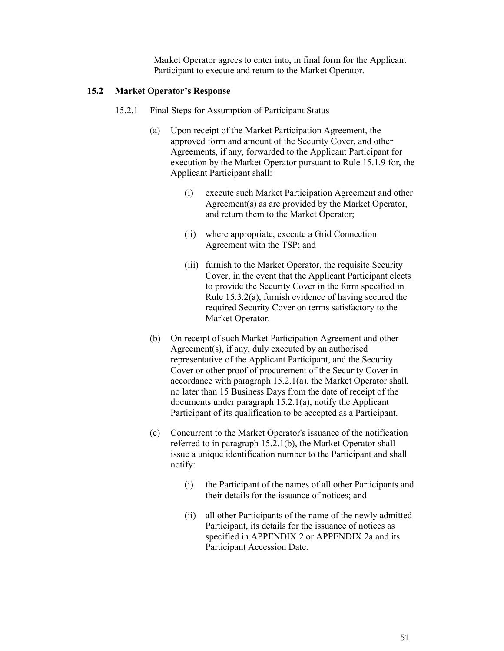Market Operator agrees to enter into, in final form for the Applicant Participant to execute and return to the Market Operator.

### **15.2 Market Operator's Response**

- 15.2.1 Final Steps for Assumption of Participant Status
	- (a) Upon receipt of the Market Participation Agreement, the approved form and amount of the Security Cover, and other Agreements, if any, forwarded to the Applicant Participant for execution by the Market Operator pursuant to Rule 15.1.9 for, the Applicant Participant shall:
		- (i) execute such Market Participation Agreement and other Agreement(s) as are provided by the Market Operator, and return them to the Market Operator;
		- (ii) where appropriate, execute a Grid Connection Agreement with the TSP; and
		- (iii) furnish to the Market Operator, the requisite Security Cover, in the event that the Applicant Participant elects to provide the Security Cover in the form specified in Rule 15.3.2(a), furnish evidence of having secured the required Security Cover on terms satisfactory to the Market Operator.
	- (b) On receipt of such Market Participation Agreement and other Agreement(s), if any, duly executed by an authorised representative of the Applicant Participant, and the Security Cover or other proof of procurement of the Security Cover in accordance with paragraph 15.2.1(a), the Market Operator shall, no later than 15 Business Days from the date of receipt of the documents under paragraph 15.2.1(a), notify the Applicant Participant of its qualification to be accepted as a Participant.
	- (c) Concurrent to the Market Operator's issuance of the notification referred to in paragraph 15.2.1(b), the Market Operator shall issue a unique identification number to the Participant and shall notify:
		- (i) the Participant of the names of all other Participants and their details for the issuance of notices; and
		- (ii) all other Participants of the name of the newly admitted Participant, its details for the issuance of notices as specified in APPENDIX 2 or APPENDIX 2a and its Participant Accession Date.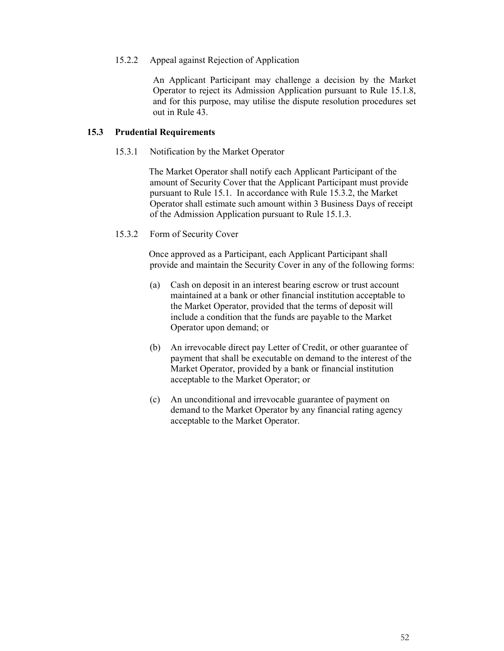### 15.2.2 Appeal against Rejection of Application

An Applicant Participant may challenge a decision by the Market Operator to reject its Admission Application pursuant to Rule 15.1.8, and for this purpose, may utilise the dispute resolution procedures set out in Rule 43.

### **15.3 Prudential Requirements**

### 15.3.1 Notification by the Market Operator

The Market Operator shall notify each Applicant Participant of the amount of Security Cover that the Applicant Participant must provide pursuant to Rule 15.1. In accordance with Rule 15.3.2, the Market Operator shall estimate such amount within 3 Business Days of receipt of the Admission Application pursuant to Rule 15.1.3.

15.3.2 Form of Security Cover

Once approved as a Participant, each Applicant Participant shall provide and maintain the Security Cover in any of the following forms:

- (a) Cash on deposit in an interest bearing escrow or trust account maintained at a bank or other financial institution acceptable to the Market Operator, provided that the terms of deposit will include a condition that the funds are payable to the Market Operator upon demand; or
- (b) An irrevocable direct pay Letter of Credit, or other guarantee of payment that shall be executable on demand to the interest of the Market Operator, provided by a bank or financial institution acceptable to the Market Operator; or
- (c) An unconditional and irrevocable guarantee of payment on demand to the Market Operator by any financial rating agency acceptable to the Market Operator.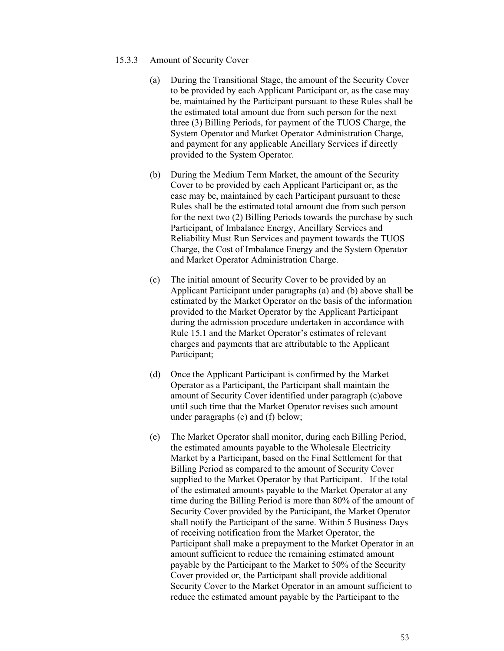- 15.3.3 Amount of Security Cover
	- (a) During the Transitional Stage, the amount of the Security Cover to be provided by each Applicant Participant or, as the case may be, maintained by the Participant pursuant to these Rules shall be the estimated total amount due from such person for the next three (3) Billing Periods, for payment of the TUOS Charge, the System Operator and Market Operator Administration Charge, and payment for any applicable Ancillary Services if directly provided to the System Operator.
	- (b) During the Medium Term Market, the amount of the Security Cover to be provided by each Applicant Participant or, as the case may be, maintained by each Participant pursuant to these Rules shall be the estimated total amount due from such person for the next two (2) Billing Periods towards the purchase by such Participant, of Imbalance Energy, Ancillary Services and Reliability Must Run Services and payment towards the TUOS Charge, the Cost of Imbalance Energy and the System Operator and Market Operator Administration Charge.
	- (c) The initial amount of Security Cover to be provided by an Applicant Participant under paragraphs (a) and (b) above shall be estimated by the Market Operator on the basis of the information provided to the Market Operator by the Applicant Participant during the admission procedure undertaken in accordance with Rule 15.1 and the Market Operator's estimates of relevant charges and payments that are attributable to the Applicant Participant;
	- (d) Once the Applicant Participant is confirmed by the Market Operator as a Participant, the Participant shall maintain the amount of Security Cover identified under paragraph (c)above until such time that the Market Operator revises such amount under paragraphs (e) and (f) below;
	- (e) The Market Operator shall monitor, during each Billing Period, the estimated amounts payable to the Wholesale Electricity Market by a Participant, based on the Final Settlement for that Billing Period as compared to the amount of Security Cover supplied to the Market Operator by that Participant. If the total of the estimated amounts payable to the Market Operator at any time during the Billing Period is more than 80% of the amount of Security Cover provided by the Participant, the Market Operator shall notify the Participant of the same. Within 5 Business Days of receiving notification from the Market Operator, the Participant shall make a prepayment to the Market Operator in an amount sufficient to reduce the remaining estimated amount payable by the Participant to the Market to 50% of the Security Cover provided or, the Participant shall provide additional Security Cover to the Market Operator in an amount sufficient to reduce the estimated amount payable by the Participant to the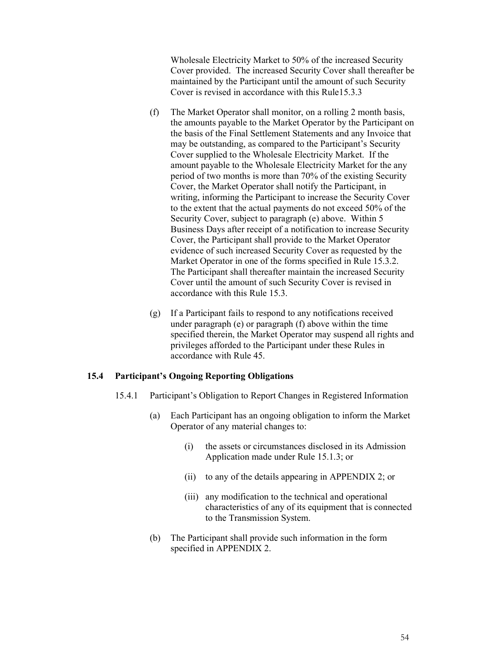Wholesale Electricity Market to 50% of the increased Security Cover provided. The increased Security Cover shall thereafter be maintained by the Participant until the amount of such Security Cover is revised in accordance with this Rule15.3.3

- (f) The Market Operator shall monitor, on a rolling 2 month basis, the amounts payable to the Market Operator by the Participant on the basis of the Final Settlement Statements and any Invoice that may be outstanding, as compared to the Participant's Security Cover supplied to the Wholesale Electricity Market. If the amount payable to the Wholesale Electricity Market for the any period of two months is more than 70% of the existing Security Cover, the Market Operator shall notify the Participant, in writing, informing the Participant to increase the Security Cover to the extent that the actual payments do not exceed 50% of the Security Cover, subject to paragraph (e) above. Within 5 Business Days after receipt of a notification to increase Security Cover, the Participant shall provide to the Market Operator evidence of such increased Security Cover as requested by the Market Operator in one of the forms specified in Rule 15.3.2. The Participant shall thereafter maintain the increased Security Cover until the amount of such Security Cover is revised in accordance with this Rule 15.3.
- (g) If a Participant fails to respond to any notifications received under paragraph (e) or paragraph (f) above within the time specified therein, the Market Operator may suspend all rights and privileges afforded to the Participant under these Rules in accordance with Rule 45.

### **15.4 Participant's Ongoing Reporting Obligations**

- 15.4.1 Participant's Obligation to Report Changes in Registered Information
	- (a) Each Participant has an ongoing obligation to inform the Market Operator of any material changes to:
		- (i) the assets or circumstances disclosed in its Admission Application made under Rule 15.1.3; or
		- (ii) to any of the details appearing in APPENDIX 2; or
		- (iii) any modification to the technical and operational characteristics of any of its equipment that is connected to the Transmission System.
	- (b) The Participant shall provide such information in the form specified in APPENDIX 2.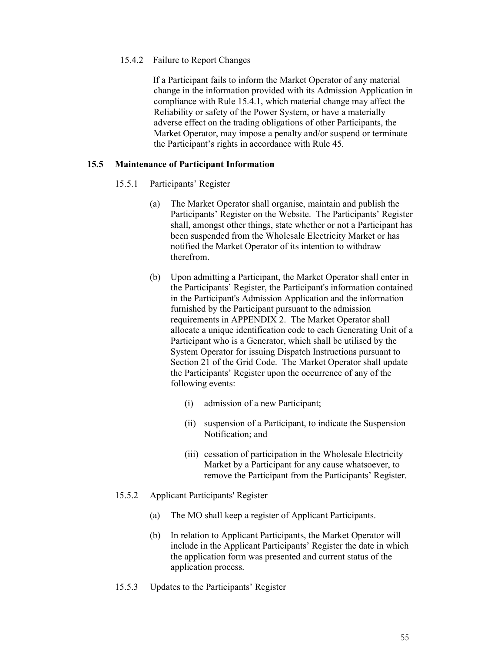### 15.4.2 Failure to Report Changes

If a Participant fails to inform the Market Operator of any material change in the information provided with its Admission Application in compliance with Rule 15.4.1, which material change may affect the Reliability or safety of the Power System, or have a materially adverse effect on the trading obligations of other Participants, the Market Operator, may impose a penalty and/or suspend or terminate the Participant's rights in accordance with Rule 45.

### **15.5 Maintenance of Participant Information**

- 15.5.1 Participants' Register
	- (a) The Market Operator shall organise, maintain and publish the Participants' Register on the Website. The Participants' Register shall, amongst other things, state whether or not a Participant has been suspended from the Wholesale Electricity Market or has notified the Market Operator of its intention to withdraw therefrom.
	- (b) Upon admitting a Participant, the Market Operator shall enter in the Participants' Register, the Participant's information contained in the Participant's Admission Application and the information furnished by the Participant pursuant to the admission requirements in APPENDIX 2. The Market Operator shall allocate a unique identification code to each Generating Unit of a Participant who is a Generator, which shall be utilised by the System Operator for issuing Dispatch Instructions pursuant to Section 21 of the Grid Code. The Market Operator shall update the Participants' Register upon the occurrence of any of the following events:
		- (i) admission of a new Participant;
		- (ii) suspension of a Participant, to indicate the Suspension Notification; and
		- (iii) cessation of participation in the Wholesale Electricity Market by a Participant for any cause whatsoever, to remove the Participant from the Participants' Register.
- 15.5.2 Applicant Participants' Register
	- (a) The MO shall keep a register of Applicant Participants.
	- (b) In relation to Applicant Participants, the Market Operator will include in the Applicant Participants' Register the date in which the application form was presented and current status of the application process.
- 15.5.3 Updates to the Participants' Register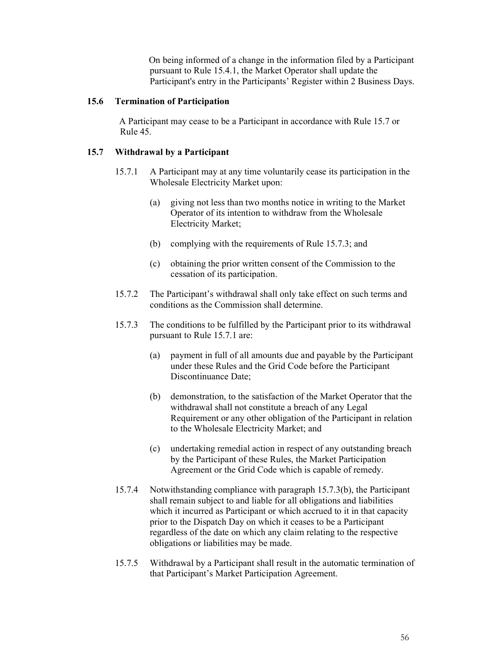On being informed of a change in the information filed by a Participant pursuant to Rule 15.4.1, the Market Operator shall update the Participant's entry in the Participants' Register within 2 Business Days.

### **15.6 Termination of Participation**

A Participant may cease to be a Participant in accordance with Rule 15.7 or Rule 45.

### **15.7 Withdrawal by a Participant**

- 15.7.1 A Participant may at any time voluntarily cease its participation in the Wholesale Electricity Market upon:
	- (a) giving not less than two months notice in writing to the Market Operator of its intention to withdraw from the Wholesale Electricity Market;
	- (b) complying with the requirements of Rule 15.7.3; and
	- (c) obtaining the prior written consent of the Commission to the cessation of its participation.
- 15.7.2 The Participant's withdrawal shall only take effect on such terms and conditions as the Commission shall determine.
- 15.7.3 The conditions to be fulfilled by the Participant prior to its withdrawal pursuant to Rule 15.7.1 are:
	- (a) payment in full of all amounts due and payable by the Participant under these Rules and the Grid Code before the Participant Discontinuance Date;
	- (b) demonstration, to the satisfaction of the Market Operator that the withdrawal shall not constitute a breach of any Legal Requirement or any other obligation of the Participant in relation to the Wholesale Electricity Market; and
	- (c) undertaking remedial action in respect of any outstanding breach by the Participant of these Rules, the Market Participation Agreement or the Grid Code which is capable of remedy.
- 15.7.4 Notwithstanding compliance with paragraph 15.7.3(b), the Participant shall remain subject to and liable for all obligations and liabilities which it incurred as Participant or which accrued to it in that capacity prior to the Dispatch Day on which it ceases to be a Participant regardless of the date on which any claim relating to the respective obligations or liabilities may be made.
- 15.7.5 Withdrawal by a Participant shall result in the automatic termination of that Participant's Market Participation Agreement.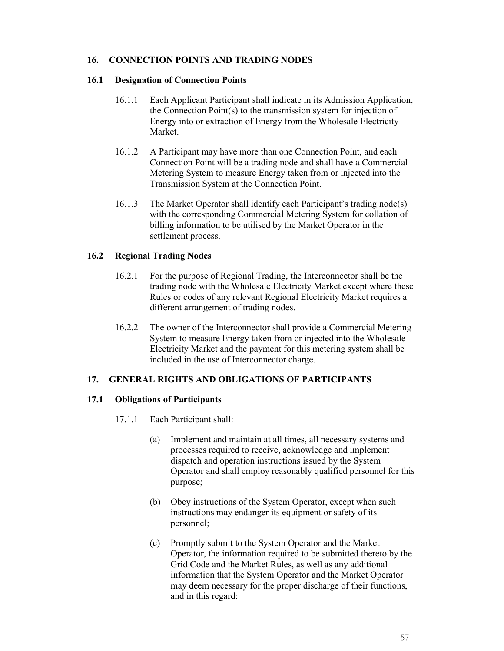### **16. CONNECTION POINTS AND TRADING NODES**

### **16.1 Designation of Connection Points**

- 16.1.1 Each Applicant Participant shall indicate in its Admission Application, the Connection Point(s) to the transmission system for injection of Energy into or extraction of Energy from the Wholesale Electricity Market.
- 16.1.2 A Participant may have more than one Connection Point, and each Connection Point will be a trading node and shall have a Commercial Metering System to measure Energy taken from or injected into the Transmission System at the Connection Point.
- 16.1.3 The Market Operator shall identify each Participant's trading node(s) with the corresponding Commercial Metering System for collation of billing information to be utilised by the Market Operator in the settlement process.

### **16.2 Regional Trading Nodes**

- 16.2.1 For the purpose of Regional Trading, the Interconnector shall be the trading node with the Wholesale Electricity Market except where these Rules or codes of any relevant Regional Electricity Market requires a different arrangement of trading nodes.
- 16.2.2 The owner of the Interconnector shall provide a Commercial Metering System to measure Energy taken from or injected into the Wholesale Electricity Market and the payment for this metering system shall be included in the use of Interconnector charge.

## **17. GENERAL RIGHTS AND OBLIGATIONS OF PARTICIPANTS**

## **17.1 Obligations of Participants**

- 17.1.1 Each Participant shall:
	- (a) Implement and maintain at all times, all necessary systems and processes required to receive, acknowledge and implement dispatch and operation instructions issued by the System Operator and shall employ reasonably qualified personnel for this purpose;
	- (b) Obey instructions of the System Operator, except when such instructions may endanger its equipment or safety of its personnel;
	- (c) Promptly submit to the System Operator and the Market Operator, the information required to be submitted thereto by the Grid Code and the Market Rules, as well as any additional information that the System Operator and the Market Operator may deem necessary for the proper discharge of their functions, and in this regard: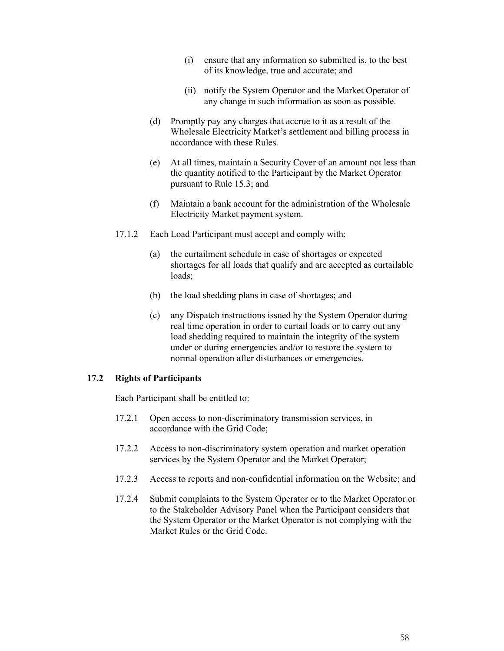- (i) ensure that any information so submitted is, to the best of its knowledge, true and accurate; and
- (ii) notify the System Operator and the Market Operator of any change in such information as soon as possible.
- (d) Promptly pay any charges that accrue to it as a result of the Wholesale Electricity Market's settlement and billing process in accordance with these Rules.
- (e) At all times, maintain a Security Cover of an amount not less than the quantity notified to the Participant by the Market Operator pursuant to Rule 15.3; and
- (f) Maintain a bank account for the administration of the Wholesale Electricity Market payment system.
- 17.1.2 Each Load Participant must accept and comply with:
	- (a) the curtailment schedule in case of shortages or expected shortages for all loads that qualify and are accepted as curtailable loads;
	- (b) the load shedding plans in case of shortages; and
	- (c) any Dispatch instructions issued by the System Operator during real time operation in order to curtail loads or to carry out any load shedding required to maintain the integrity of the system under or during emergencies and/or to restore the system to normal operation after disturbances or emergencies.

### **17.2 Rights of Participants**

Each Participant shall be entitled to:

- 17.2.1 Open access to non-discriminatory transmission services, in accordance with the Grid Code;
- 17.2.2 Access to non-discriminatory system operation and market operation services by the System Operator and the Market Operator;
- 17.2.3 Access to reports and non-confidential information on the Website; and
- 17.2.4 Submit complaints to the System Operator or to the Market Operator or to the Stakeholder Advisory Panel when the Participant considers that the System Operator or the Market Operator is not complying with the Market Rules or the Grid Code.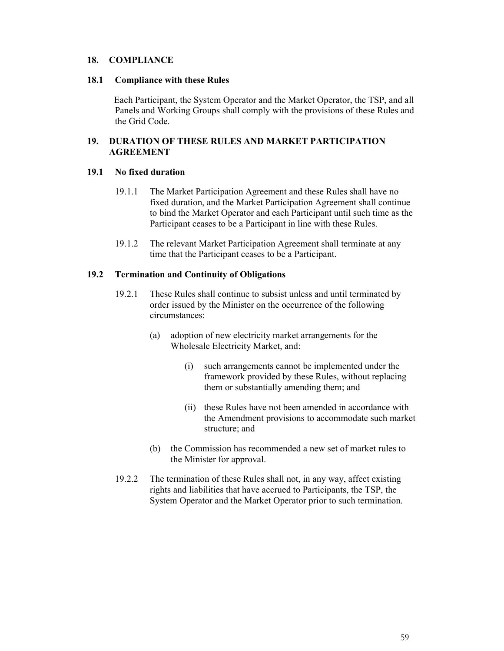### **18. COMPLIANCE**

#### **18.1 Compliance with these Rules**

Each Participant, the System Operator and the Market Operator, the TSP, and all Panels and Working Groups shall comply with the provisions of these Rules and the Grid Code.

### **19. DURATION OF THESE RULES AND MARKET PARTICIPATION AGREEMENT**

### **19.1 No fixed duration**

- 19.1.1 The Market Participation Agreement and these Rules shall have no fixed duration, and the Market Participation Agreement shall continue to bind the Market Operator and each Participant until such time as the Participant ceases to be a Participant in line with these Rules.
- 19.1.2 The relevant Market Participation Agreement shall terminate at any time that the Participant ceases to be a Participant.

#### **19.2 Termination and Continuity of Obligations**

- 19.2.1 These Rules shall continue to subsist unless and until terminated by order issued by the Minister on the occurrence of the following circumstances:
	- (a) adoption of new electricity market arrangements for the Wholesale Electricity Market, and:
		- (i) such arrangements cannot be implemented under the framework provided by these Rules, without replacing them or substantially amending them; and
		- (ii) these Rules have not been amended in accordance with the Amendment provisions to accommodate such market structure; and
	- (b) the Commission has recommended a new set of market rules to the Minister for approval.
- 19.2.2 The termination of these Rules shall not, in any way, affect existing rights and liabilities that have accrued to Participants, the TSP, the System Operator and the Market Operator prior to such termination.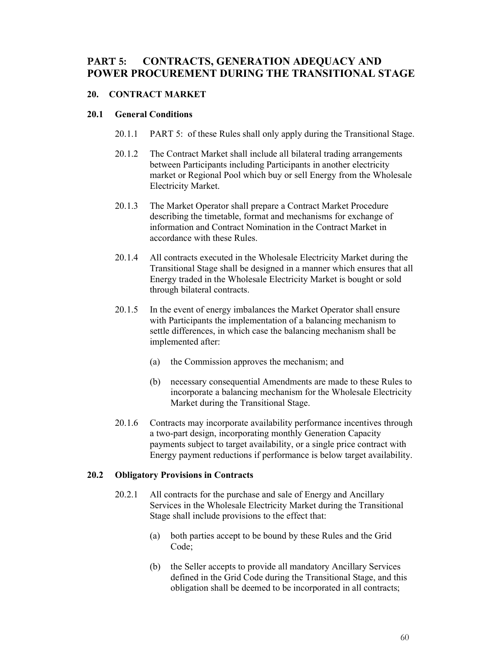# **PART 5: CONTRACTS, GENERATION ADEQUACY AND POWER PROCUREMENT DURING THE TRANSITIONAL STAGE**

## **20. CONTRACT MARKET**

### **20.1 General Conditions**

- 20.1.1 PART 5: of these Rules shall only apply during the Transitional Stage.
- 20.1.2 The Contract Market shall include all bilateral trading arrangements between Participants including Participants in another electricity market or Regional Pool which buy or sell Energy from the Wholesale Electricity Market.
- 20.1.3 The Market Operator shall prepare a Contract Market Procedure describing the timetable, format and mechanisms for exchange of information and Contract Nomination in the Contract Market in accordance with these Rules.
- 20.1.4 All contracts executed in the Wholesale Electricity Market during the Transitional Stage shall be designed in a manner which ensures that all Energy traded in the Wholesale Electricity Market is bought or sold through bilateral contracts.
- 20.1.5 In the event of energy imbalances the Market Operator shall ensure with Participants the implementation of a balancing mechanism to settle differences, in which case the balancing mechanism shall be implemented after:
	- (a) the Commission approves the mechanism; and
	- (b) necessary consequential Amendments are made to these Rules to incorporate a balancing mechanism for the Wholesale Electricity Market during the Transitional Stage.
- 20.1.6 Contracts may incorporate availability performance incentives through a two-part design, incorporating monthly Generation Capacity payments subject to target availability, or a single price contract with Energy payment reductions if performance is below target availability.

## **20.2 Obligatory Provisions in Contracts**

- 20.2.1 All contracts for the purchase and sale of Energy and Ancillary Services in the Wholesale Electricity Market during the Transitional Stage shall include provisions to the effect that:
	- (a) both parties accept to be bound by these Rules and the Grid Code;
	- (b) the Seller accepts to provide all mandatory Ancillary Services defined in the Grid Code during the Transitional Stage, and this obligation shall be deemed to be incorporated in all contracts;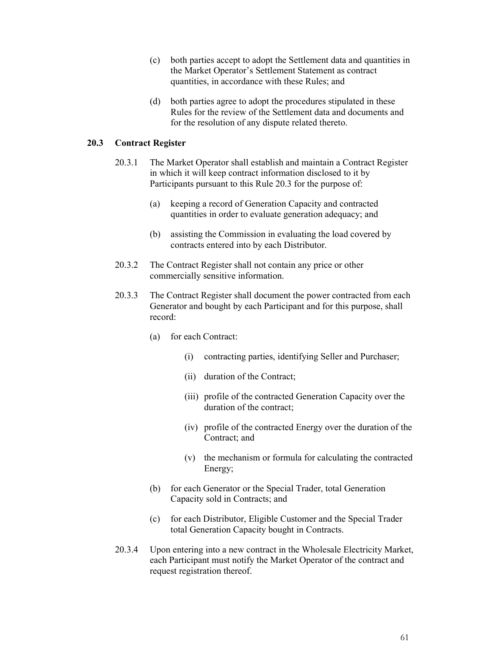- (c) both parties accept to adopt the Settlement data and quantities in the Market Operator's Settlement Statement as contract quantities, in accordance with these Rules; and
- (d) both parties agree to adopt the procedures stipulated in these Rules for the review of the Settlement data and documents and for the resolution of any dispute related thereto.

### **20.3 Contract Register**

- 20.3.1 The Market Operator shall establish and maintain a Contract Register in which it will keep contract information disclosed to it by Participants pursuant to this Rule 20.3 for the purpose of:
	- (a) keeping a record of Generation Capacity and contracted quantities in order to evaluate generation adequacy; and
	- (b) assisting the Commission in evaluating the load covered by contracts entered into by each Distributor.
- 20.3.2 The Contract Register shall not contain any price or other commercially sensitive information.
- 20.3.3 The Contract Register shall document the power contracted from each Generator and bought by each Participant and for this purpose, shall record:
	- (a) for each Contract:
		- (i) contracting parties, identifying Seller and Purchaser;
		- (ii) duration of the Contract;
		- (iii) profile of the contracted Generation Capacity over the duration of the contract;
		- (iv) profile of the contracted Energy over the duration of the Contract; and
		- (v) the mechanism or formula for calculating the contracted Energy;
	- (b) for each Generator or the Special Trader, total Generation Capacity sold in Contracts; and
	- (c) for each Distributor, Eligible Customer and the Special Trader total Generation Capacity bought in Contracts.
- 20.3.4 Upon entering into a new contract in the Wholesale Electricity Market, each Participant must notify the Market Operator of the contract and request registration thereof.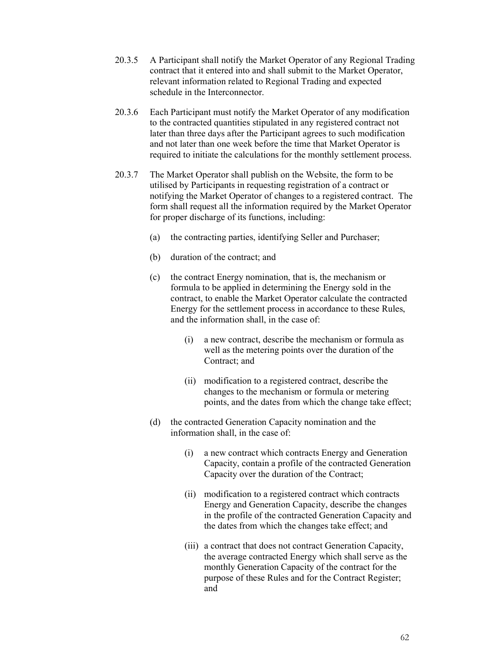- 20.3.5 A Participant shall notify the Market Operator of any Regional Trading contract that it entered into and shall submit to the Market Operator, relevant information related to Regional Trading and expected schedule in the Interconnector.
- 20.3.6 Each Participant must notify the Market Operator of any modification to the contracted quantities stipulated in any registered contract not later than three days after the Participant agrees to such modification and not later than one week before the time that Market Operator is required to initiate the calculations for the monthly settlement process.
- 20.3.7 The Market Operator shall publish on the Website, the form to be utilised by Participants in requesting registration of a contract or notifying the Market Operator of changes to a registered contract. The form shall request all the information required by the Market Operator for proper discharge of its functions, including:
	- (a) the contracting parties, identifying Seller and Purchaser;
	- (b) duration of the contract; and
	- (c) the contract Energy nomination, that is, the mechanism or formula to be applied in determining the Energy sold in the contract, to enable the Market Operator calculate the contracted Energy for the settlement process in accordance to these Rules, and the information shall, in the case of:
		- (i) a new contract, describe the mechanism or formula as well as the metering points over the duration of the Contract; and
		- (ii) modification to a registered contract, describe the changes to the mechanism or formula or metering points, and the dates from which the change take effect;
	- (d) the contracted Generation Capacity nomination and the information shall, in the case of:
		- (i) a new contract which contracts Energy and Generation Capacity, contain a profile of the contracted Generation Capacity over the duration of the Contract;
		- (ii) modification to a registered contract which contracts Energy and Generation Capacity, describe the changes in the profile of the contracted Generation Capacity and the dates from which the changes take effect; and
		- (iii) a contract that does not contract Generation Capacity, the average contracted Energy which shall serve as the monthly Generation Capacity of the contract for the purpose of these Rules and for the Contract Register; and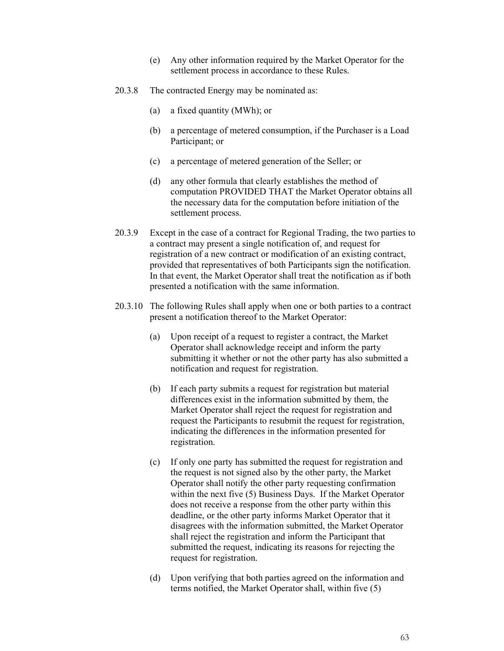- (e) Any other information required by the Market Operator for the settlement process in accordance to these Rules.
- 20.3.8 The contracted Energy may be nominated as:
	- (a) a fixed quantity (MWh); or
	- (b) a percentage of metered consumption, if the Purchaser is a Load Participant; or
	- (c) a percentage of metered generation of the Seller; or
	- (d) any other formula that clearly establishes the method of computation PROVIDED THAT the Market Operator obtains all the necessary data for the computation before initiation of the settlement process.
- 20.3.9 Except in the case of a contract for Regional Trading, the two parties to a contract may present a single notification of, and request for registration of a new contract or modification of an existing contract, provided that representatives of both Participants sign the notification. In that event, the Market Operator shall treat the notification as if both presented a notification with the same information.
- 20.3.10 The following Rules shall apply when one or both parties to a contract present a notification thereof to the Market Operator:
	- (a) Upon receipt of a request to register a contract, the Market Operator shall acknowledge receipt and inform the party submitting it whether or not the other party has also submitted a notification and request for registration.
	- (b) If each party submits a request for registration but material differences exist in the information submitted by them, the Market Operator shall reject the request for registration and request the Participants to resubmit the request for registration, indicating the differences in the information presented for registration.
	- (c) If only one party has submitted the request for registration and the request is not signed also by the other party, the Market Operator shall notify the other party requesting confirmation within the next five (5) Business Days. If the Market Operator does not receive a response from the other party within this deadline, or the other party informs Market Operator that it disagrees with the information submitted, the Market Operator shall reject the registration and inform the Participant that submitted the request, indicating its reasons for rejecting the request for registration.
	- (d) Upon verifying that both parties agreed on the information and terms notified, the Market Operator shall, within five (5)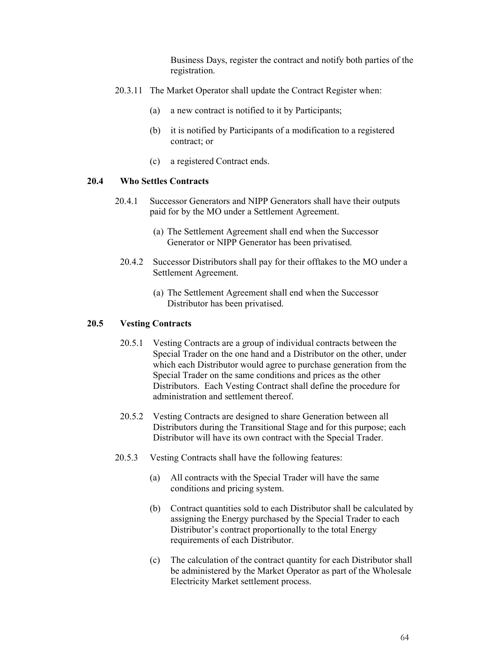Business Days, register the contract and notify both parties of the registration.

- 20.3.11 The Market Operator shall update the Contract Register when:
	- (a) a new contract is notified to it by Participants;
	- (b) it is notified by Participants of a modification to a registered contract; or
	- (c) a registered Contract ends.

#### **20.4 Who Settles Contracts**

- 20.4.1 Successor Generators and NIPP Generators shall have their outputs paid for by the MO under a Settlement Agreement.
	- (a) The Settlement Agreement shall end when the Successor Generator or NIPP Generator has been privatised.
	- 20.4.2 Successor Distributors shall pay for their offtakes to the MO under a Settlement Agreement.
		- (a) The Settlement Agreement shall end when the Successor Distributor has been privatised.

#### **20.5 Vesting Contracts**

- 20.5.1 Vesting Contracts are a group of individual contracts between the Special Trader on the one hand and a Distributor on the other, under which each Distributor would agree to purchase generation from the Special Trader on the same conditions and prices as the other Distributors. Each Vesting Contract shall define the procedure for administration and settlement thereof.
- 20.5.2 Vesting Contracts are designed to share Generation between all Distributors during the Transitional Stage and for this purpose; each Distributor will have its own contract with the Special Trader.
- 20.5.3 Vesting Contracts shall have the following features:
	- (a) All contracts with the Special Trader will have the same conditions and pricing system.
	- (b) Contract quantities sold to each Distributor shall be calculated by assigning the Energy purchased by the Special Trader to each Distributor's contract proportionally to the total Energy requirements of each Distributor.
	- (c) The calculation of the contract quantity for each Distributor shall be administered by the Market Operator as part of the Wholesale Electricity Market settlement process.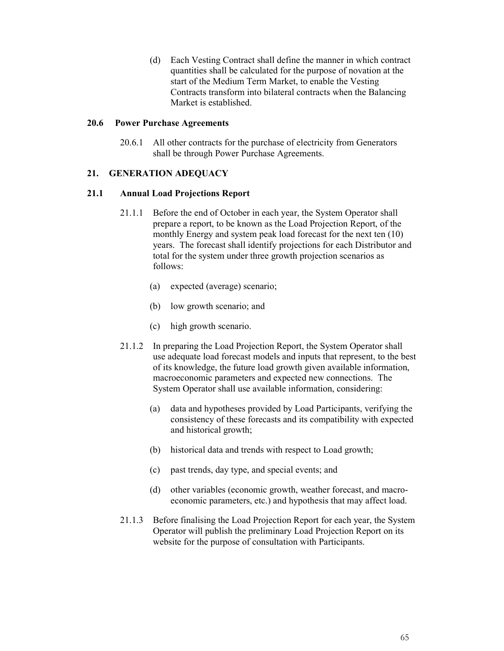(d) Each Vesting Contract shall define the manner in which contract quantities shall be calculated for the purpose of novation at the start of the Medium Term Market, to enable the Vesting Contracts transform into bilateral contracts when the Balancing Market is established.

#### **20.6 Power Purchase Agreements**

20.6.1 All other contracts for the purchase of electricity from Generators shall be through Power Purchase Agreements.

## **21. GENERATION ADEQUACY**

#### **21.1 Annual Load Projections Report**

- 21.1.1 Before the end of October in each year, the System Operator shall prepare a report, to be known as the Load Projection Report, of the monthly Energy and system peak load forecast for the next ten (10) years. The forecast shall identify projections for each Distributor and total for the system under three growth projection scenarios as follows:
	- (a) expected (average) scenario;
	- (b) low growth scenario; and
	- (c) high growth scenario.
- 21.1.2 In preparing the Load Projection Report, the System Operator shall use adequate load forecast models and inputs that represent, to the best of its knowledge, the future load growth given available information, macroeconomic parameters and expected new connections. The System Operator shall use available information, considering:
	- (a) data and hypotheses provided by Load Participants, verifying the consistency of these forecasts and its compatibility with expected and historical growth;
	- (b) historical data and trends with respect to Load growth;
	- (c) past trends, day type, and special events; and
	- (d) other variables (economic growth, weather forecast, and macroeconomic parameters, etc.) and hypothesis that may affect load.
- 21.1.3 Before finalising the Load Projection Report for each year, the System Operator will publish the preliminary Load Projection Report on its website for the purpose of consultation with Participants.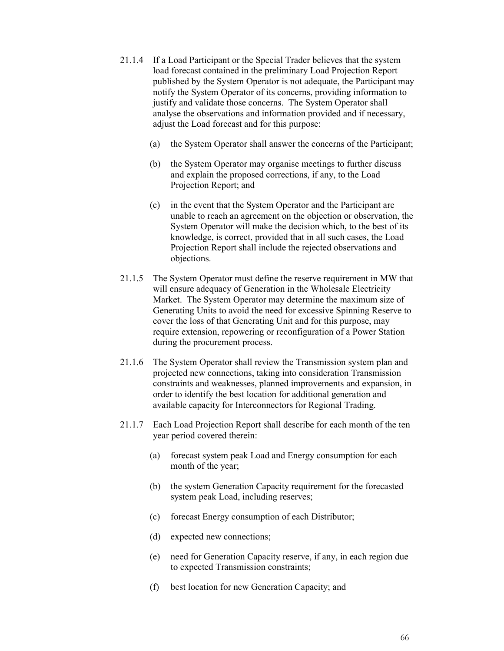- 21.1.4 If a Load Participant or the Special Trader believes that the system load forecast contained in the preliminary Load Projection Report published by the System Operator is not adequate, the Participant may notify the System Operator of its concerns, providing information to justify and validate those concerns. The System Operator shall analyse the observations and information provided and if necessary, adjust the Load forecast and for this purpose:
	- (a) the System Operator shall answer the concerns of the Participant;
	- (b) the System Operator may organise meetings to further discuss and explain the proposed corrections, if any, to the Load Projection Report; and
	- (c) in the event that the System Operator and the Participant are unable to reach an agreement on the objection or observation, the System Operator will make the decision which, to the best of its knowledge, is correct, provided that in all such cases, the Load Projection Report shall include the rejected observations and objections.
- 21.1.5 The System Operator must define the reserve requirement in MW that will ensure adequacy of Generation in the Wholesale Electricity Market. The System Operator may determine the maximum size of Generating Units to avoid the need for excessive Spinning Reserve to cover the loss of that Generating Unit and for this purpose, may require extension, repowering or reconfiguration of a Power Station during the procurement process.
- 21.1.6 The System Operator shall review the Transmission system plan and projected new connections, taking into consideration Transmission constraints and weaknesses, planned improvements and expansion, in order to identify the best location for additional generation and available capacity for Interconnectors for Regional Trading.
- 21.1.7 Each Load Projection Report shall describe for each month of the ten year period covered therein:
	- (a) forecast system peak Load and Energy consumption for each month of the year;
	- (b) the system Generation Capacity requirement for the forecasted system peak Load, including reserves;
	- (c) forecast Energy consumption of each Distributor;
	- (d) expected new connections;
	- (e) need for Generation Capacity reserve, if any, in each region due to expected Transmission constraints;
	- (f) best location for new Generation Capacity; and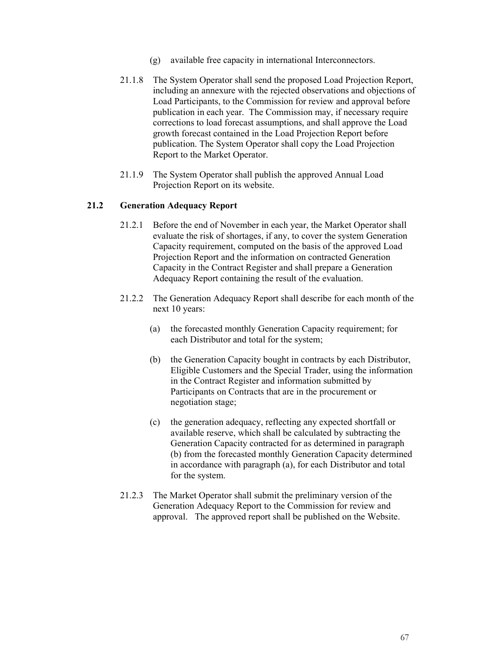- (g) available free capacity in international Interconnectors.
- 21.1.8 The System Operator shall send the proposed Load Projection Report, including an annexure with the rejected observations and objections of Load Participants, to the Commission for review and approval before publication in each year. The Commission may, if necessary require corrections to load forecast assumptions, and shall approve the Load growth forecast contained in the Load Projection Report before publication. The System Operator shall copy the Load Projection Report to the Market Operator.
- 21.1.9 The System Operator shall publish the approved Annual Load Projection Report on its website.

#### **21.2 Generation Adequacy Report**

- 21.2.1 Before the end of November in each year, the Market Operator shall evaluate the risk of shortages, if any, to cover the system Generation Capacity requirement, computed on the basis of the approved Load Projection Report and the information on contracted Generation Capacity in the Contract Register and shall prepare a Generation Adequacy Report containing the result of the evaluation.
- 21.2.2 The Generation Adequacy Report shall describe for each month of the next 10 years:
	- (a) the forecasted monthly Generation Capacity requirement; for each Distributor and total for the system;
	- (b) the Generation Capacity bought in contracts by each Distributor, Eligible Customers and the Special Trader, using the information in the Contract Register and information submitted by Participants on Contracts that are in the procurement or negotiation stage;
	- (c) the generation adequacy, reflecting any expected shortfall or available reserve, which shall be calculated by subtracting the Generation Capacity contracted for as determined in paragraph (b) from the forecasted monthly Generation Capacity determined in accordance with paragraph (a), for each Distributor and total for the system.
- 21.2.3 The Market Operator shall submit the preliminary version of the Generation Adequacy Report to the Commission for review and approval. The approved report shall be published on the Website.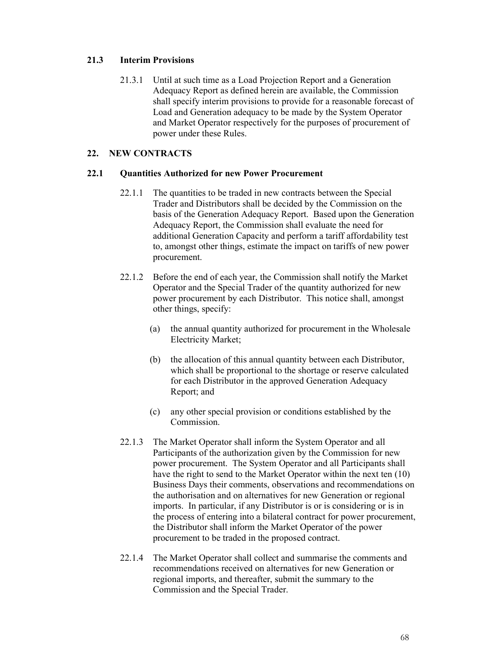# **21.3 Interim Provisions**

21.3.1 Until at such time as a Load Projection Report and a Generation Adequacy Report as defined herein are available, the Commission shall specify interim provisions to provide for a reasonable forecast of Load and Generation adequacy to be made by the System Operator and Market Operator respectively for the purposes of procurement of power under these Rules.

## **22. NEW CONTRACTS**

#### **22.1 Quantities Authorized for new Power Procurement**

- 22.1.1 The quantities to be traded in new contracts between the Special Trader and Distributors shall be decided by the Commission on the basis of the Generation Adequacy Report. Based upon the Generation Adequacy Report, the Commission shall evaluate the need for additional Generation Capacity and perform a tariff affordability test to, amongst other things, estimate the impact on tariffs of new power procurement.
- 22.1.2 Before the end of each year, the Commission shall notify the Market Operator and the Special Trader of the quantity authorized for new power procurement by each Distributor. This notice shall, amongst other things, specify:
	- (a) the annual quantity authorized for procurement in the Wholesale Electricity Market;
	- (b) the allocation of this annual quantity between each Distributor, which shall be proportional to the shortage or reserve calculated for each Distributor in the approved Generation Adequacy Report; and
	- (c) any other special provision or conditions established by the Commission.
- 22.1.3 The Market Operator shall inform the System Operator and all Participants of the authorization given by the Commission for new power procurement. The System Operator and all Participants shall have the right to send to the Market Operator within the next ten (10) Business Days their comments, observations and recommendations on the authorisation and on alternatives for new Generation or regional imports. In particular, if any Distributor is or is considering or is in the process of entering into a bilateral contract for power procurement, the Distributor shall inform the Market Operator of the power procurement to be traded in the proposed contract.
- 22.1.4 The Market Operator shall collect and summarise the comments and recommendations received on alternatives for new Generation or regional imports, and thereafter, submit the summary to the Commission and the Special Trader.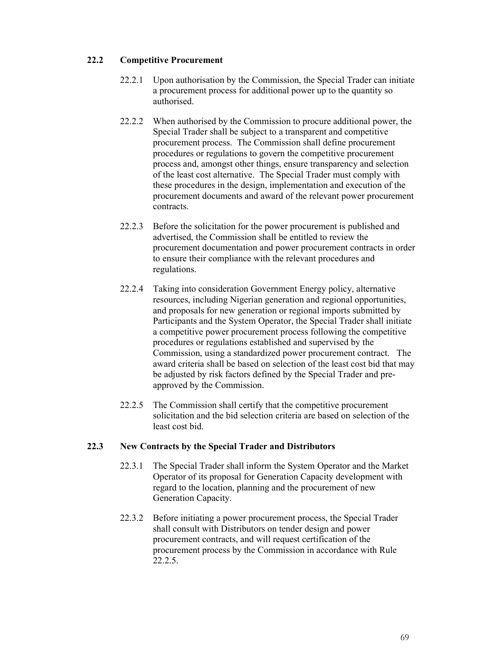# **22.2 Competitive Procurement**

- 22.2.1 Upon authorisation by the Commission, the Special Trader can initiate a procurement process for additional power up to the quantity so authorised.
- 22.2.2 When authorised by the Commission to procure additional power, the Special Trader shall be subject to a transparent and competitive procurement process. The Commission shall define procurement procedures or regulations to govern the competitive procurement process and, amongst other things, ensure transparency and selection of the least cost alternative. The Special Trader must comply with these procedures in the design, implementation and execution of the procurement documents and award of the relevant power procurement contracts.
- 22.2.3 Before the solicitation for the power procurement is published and advertised, the Commission shall be entitled to review the procurement documentation and power procurement contracts in order to ensure their compliance with the relevant procedures and regulations.
- 22.2.4 Taking into consideration Government Energy policy, alternative resources, including Nigerian generation and regional opportunities, and proposals for new generation or regional imports submitted by Participants and the System Operator, the Special Trader shall initiate a competitive power procurement process following the competitive procedures or regulations established and supervised by the Commission, using a standardized power procurement contract. The award criteria shall be based on selection of the least cost bid that may be adjusted by risk factors defined by the Special Trader and preapproved by the Commission.
- 22.2.5 The Commission shall certify that the competitive procurement solicitation and the bid selection criteria are based on selection of the least cost bid.

# **22.3 New Contracts by the Special Trader and Distributors**

- 22.3.1 The Special Trader shall inform the System Operator and the Market Operator of its proposal for Generation Capacity development with regard to the location, planning and the procurement of new Generation Capacity.
- 22.3.2 Before initiating a power procurement process, the Special Trader shall consult with Distributors on tender design and power procurement contracts, and will request certification of the procurement process by the Commission in accordance with Rule 22.2.5.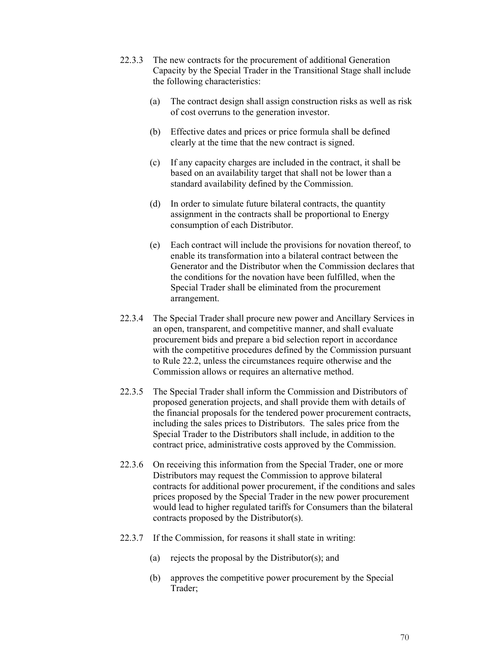- 22.3.3 The new contracts for the procurement of additional Generation Capacity by the Special Trader in the Transitional Stage shall include the following characteristics:
	- (a) The contract design shall assign construction risks as well as risk of cost overruns to the generation investor.
	- (b) Effective dates and prices or price formula shall be defined clearly at the time that the new contract is signed.
	- (c) If any capacity charges are included in the contract, it shall be based on an availability target that shall not be lower than a standard availability defined by the Commission.
	- (d) In order to simulate future bilateral contracts, the quantity assignment in the contracts shall be proportional to Energy consumption of each Distributor.
	- (e) Each contract will include the provisions for novation thereof, to enable its transformation into a bilateral contract between the Generator and the Distributor when the Commission declares that the conditions for the novation have been fulfilled, when the Special Trader shall be eliminated from the procurement arrangement.
- 22.3.4 The Special Trader shall procure new power and Ancillary Services in an open, transparent, and competitive manner, and shall evaluate procurement bids and prepare a bid selection report in accordance with the competitive procedures defined by the Commission pursuant to Rule 22.2, unless the circumstances require otherwise and the Commission allows or requires an alternative method.
- 22.3.5 The Special Trader shall inform the Commission and Distributors of proposed generation projects, and shall provide them with details of the financial proposals for the tendered power procurement contracts, including the sales prices to Distributors. The sales price from the Special Trader to the Distributors shall include, in addition to the contract price, administrative costs approved by the Commission.
- 22.3.6 On receiving this information from the Special Trader, one or more Distributors may request the Commission to approve bilateral contracts for additional power procurement, if the conditions and sales prices proposed by the Special Trader in the new power procurement would lead to higher regulated tariffs for Consumers than the bilateral contracts proposed by the Distributor(s).
- 22.3.7 If the Commission, for reasons it shall state in writing:
	- (a) rejects the proposal by the Distributor(s); and
	- (b) approves the competitive power procurement by the Special Trader;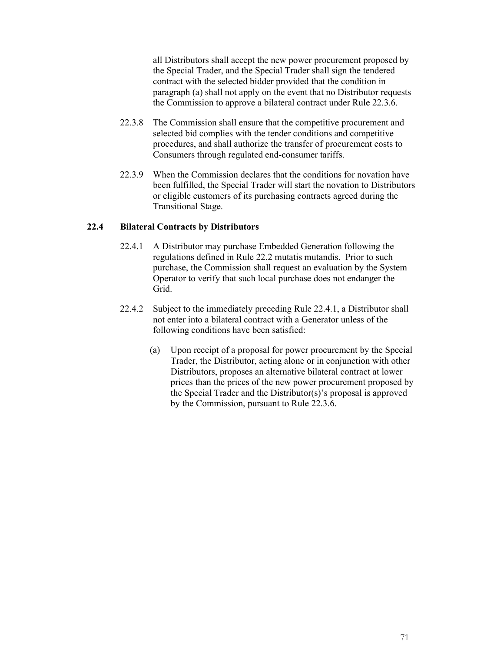all Distributors shall accept the new power procurement proposed by the Special Trader, and the Special Trader shall sign the tendered contract with the selected bidder provided that the condition in paragraph (a) shall not apply on the event that no Distributor requests the Commission to approve a bilateral contract under Rule 22.3.6.

- 22.3.8 The Commission shall ensure that the competitive procurement and selected bid complies with the tender conditions and competitive procedures, and shall authorize the transfer of procurement costs to Consumers through regulated end-consumer tariffs.
- 22.3.9 When the Commission declares that the conditions for novation have been fulfilled, the Special Trader will start the novation to Distributors or eligible customers of its purchasing contracts agreed during the Transitional Stage.

## **22.4 Bilateral Contracts by Distributors**

- 22.4.1 A Distributor may purchase Embedded Generation following the regulations defined in Rule 22.2 mutatis mutandis. Prior to such purchase, the Commission shall request an evaluation by the System Operator to verify that such local purchase does not endanger the Grid.
- 22.4.2 Subject to the immediately preceding Rule 22.4.1, a Distributor shall not enter into a bilateral contract with a Generator unless of the following conditions have been satisfied:
	- (a) Upon receipt of a proposal for power procurement by the Special Trader, the Distributor, acting alone or in conjunction with other Distributors, proposes an alternative bilateral contract at lower prices than the prices of the new power procurement proposed by the Special Trader and the Distributor(s)'s proposal is approved by the Commission, pursuant to Rule 22.3.6.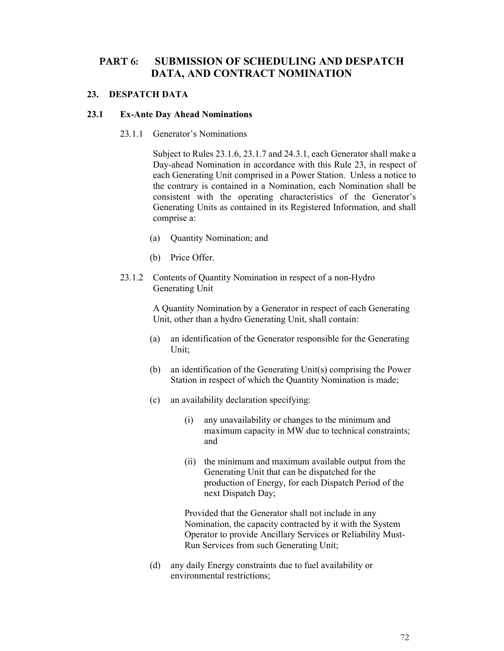# **PART 6: SUBMISSION OF SCHEDULING AND DESPATCH DATA, AND CONTRACT NOMINATION**

# **23. DESPATCH DATA**

#### **23.1 Ex-Ante Day Ahead Nominations**

#### 23.1.1 Generator's Nominations

Subject to Rules 23.1.6, 23.1.7 and 24.3.1, each Generator shall make a Day-ahead Nomination in accordance with this Rule 23, in respect of each Generating Unit comprised in a Power Station. Unless a notice to the contrary is contained in a Nomination, each Nomination shall be consistent with the operating characteristics of the Generator's Generating Units as contained in its Registered Information, and shall comprise a:

- (a) Quantity Nomination; and
- (b) Price Offer.
- 23.1.2 Contents of Quantity Nomination in respect of a non-Hydro Generating Unit

A Quantity Nomination by a Generator in respect of each Generating Unit, other than a hydro Generating Unit, shall contain:

- (a) an identification of the Generator responsible for the Generating Unit;
- (b) an identification of the Generating Unit(s) comprising the Power Station in respect of which the Quantity Nomination is made;
- (c) an availability declaration specifying:
	- (i) any unavailability or changes to the minimum and maximum capacity in MW due to technical constraints; and
	- (ii) the minimum and maximum available output from the Generating Unit that can be dispatched for the production of Energy, for each Dispatch Period of the next Dispatch Day;

Provided that the Generator shall not include in any Nomination, the capacity contracted by it with the System Operator to provide Ancillary Services or Reliability Must-Run Services from such Generating Unit;

(d) any daily Energy constraints due to fuel availability or environmental restrictions;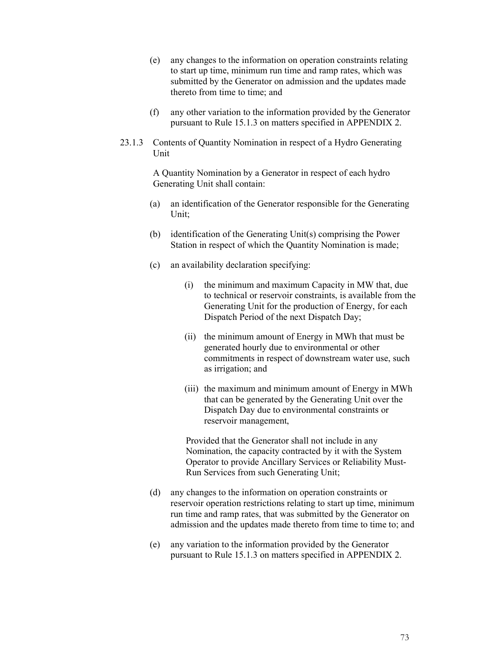- (e) any changes to the information on operation constraints relating to start up time, minimum run time and ramp rates, which was submitted by the Generator on admission and the updates made thereto from time to time; and
- (f) any other variation to the information provided by the Generator pursuant to Rule 15.1.3 on matters specified in APPENDIX 2.
- 23.1.3 Contents of Quantity Nomination in respect of a Hydro Generating Unit

A Quantity Nomination by a Generator in respect of each hydro Generating Unit shall contain:

- (a) an identification of the Generator responsible for the Generating Unit;
- (b) identification of the Generating Unit(s) comprising the Power Station in respect of which the Quantity Nomination is made;
- (c) an availability declaration specifying:
	- (i) the minimum and maximum Capacity in MW that, due to technical or reservoir constraints, is available from the Generating Unit for the production of Energy, for each Dispatch Period of the next Dispatch Day;
	- (ii) the minimum amount of Energy in MWh that must be generated hourly due to environmental or other commitments in respect of downstream water use, such as irrigation; and
	- (iii) the maximum and minimum amount of Energy in MWh that can be generated by the Generating Unit over the Dispatch Day due to environmental constraints or reservoir management,

Provided that the Generator shall not include in any Nomination, the capacity contracted by it with the System Operator to provide Ancillary Services or Reliability Must-Run Services from such Generating Unit;

- (d) any changes to the information on operation constraints or reservoir operation restrictions relating to start up time, minimum run time and ramp rates, that was submitted by the Generator on admission and the updates made thereto from time to time to; and
- (e) any variation to the information provided by the Generator pursuant to Rule 15.1.3 on matters specified in APPENDIX 2.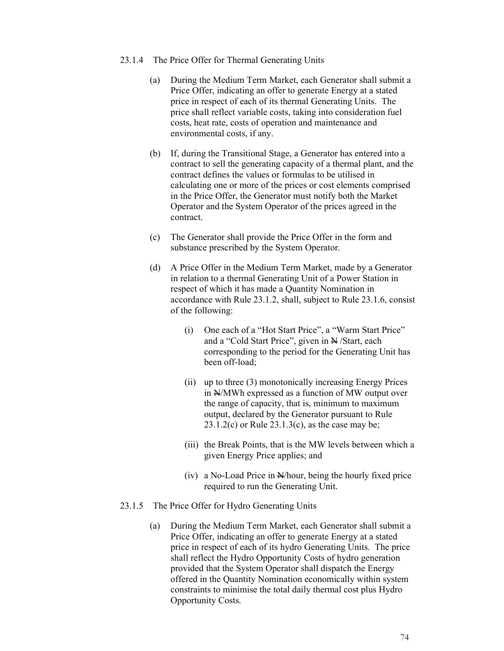- 23.1.4 The Price Offer for Thermal Generating Units
	- (a) During the Medium Term Market, each Generator shall submit a Price Offer, indicating an offer to generate Energy at a stated price in respect of each of its thermal Generating Units. The price shall reflect variable costs, taking into consideration fuel costs, heat rate, costs of operation and maintenance and environmental costs, if any.
	- (b) If, during the Transitional Stage, a Generator has entered into a contract to sell the generating capacity of a thermal plant, and the contract defines the values or formulas to be utilised in calculating one or more of the prices or cost elements comprised in the Price Offer, the Generator must notify both the Market Operator and the System Operator of the prices agreed in the contract.
	- (c) The Generator shall provide the Price Offer in the form and substance prescribed by the System Operator.
	- (d) A Price Offer in the Medium Term Market, made by a Generator in relation to a thermal Generating Unit of a Power Station in respect of which it has made a Quantity Nomination in accordance with Rule 23.1.2, shall, subject to Rule 23.1.6, consist of the following:
		- (i) One each of a "Hot Start Price", a "Warm Start Price" and a "Cold Start Price", given in  $\mathbb{H}/\mathsf{Start}$ , each corresponding to the period for the Generating Unit has been off-load;
		- (ii) up to three (3) monotonically increasing Energy Prices in  $N/MWh$  expressed as a function of MW output over the range of capacity, that is, minimum to maximum output, declared by the Generator pursuant to Rule  $23.1.2(c)$  or Rule  $23.1.3(c)$ , as the case may be;
		- (iii) the Break Points, that is the MW levels between which a given Energy Price applies; and
		- (iv) a No-Load Price in N/hour, being the hourly fixed price required to run the Generating Unit.
- 23.1.5 The Price Offer for Hydro Generating Units
	- (a) During the Medium Term Market, each Generator shall submit a Price Offer, indicating an offer to generate Energy at a stated price in respect of each of its hydro Generating Units. The price shall reflect the Hydro Opportunity Costs of hydro generation provided that the System Operator shall dispatch the Energy offered in the Quantity Nomination economically within system constraints to minimise the total daily thermal cost plus Hydro Opportunity Costs.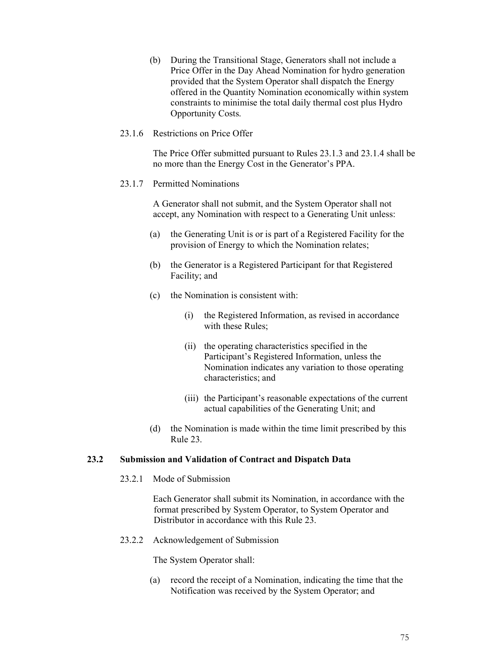(b) During the Transitional Stage, Generators shall not include a Price Offer in the Day Ahead Nomination for hydro generation provided that the System Operator shall dispatch the Energy offered in the Quantity Nomination economically within system constraints to minimise the total daily thermal cost plus Hydro Opportunity Costs.

#### 23.1.6 Restrictions on Price Offer

The Price Offer submitted pursuant to Rules 23.1.3 and 23.1.4 shall be no more than the Energy Cost in the Generator's PPA.

#### 23.1.7 Permitted Nominations

A Generator shall not submit, and the System Operator shall not accept, any Nomination with respect to a Generating Unit unless:

- (a) the Generating Unit is or is part of a Registered Facility for the provision of Energy to which the Nomination relates;
- (b) the Generator is a Registered Participant for that Registered Facility; and
- (c) the Nomination is consistent with:
	- (i) the Registered Information, as revised in accordance with these Rules;
	- (ii) the operating characteristics specified in the Participant's Registered Information, unless the Nomination indicates any variation to those operating characteristics; and
	- (iii) the Participant's reasonable expectations of the current actual capabilities of the Generating Unit; and
- (d) the Nomination is made within the time limit prescribed by this Rule 23.

#### **23.2 Submission and Validation of Contract and Dispatch Data**

23.2.1 Mode of Submission

Each Generator shall submit its Nomination, in accordance with the format prescribed by System Operator, to System Operator and Distributor in accordance with this Rule 23.

23.2.2 Acknowledgement of Submission

The System Operator shall:

(a) record the receipt of a Nomination, indicating the time that the Notification was received by the System Operator; and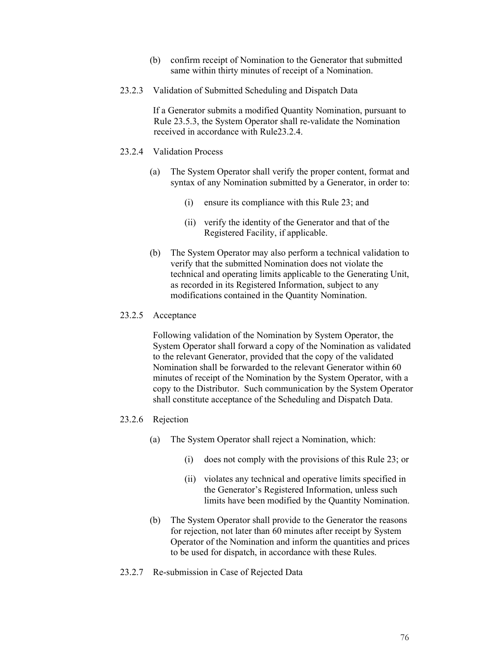- (b) confirm receipt of Nomination to the Generator that submitted same within thirty minutes of receipt of a Nomination.
- 23.2.3 Validation of Submitted Scheduling and Dispatch Data

If a Generator submits a modified Quantity Nomination, pursuant to Rule 23.5.3, the System Operator shall re-validate the Nomination received in accordance with Rule23.2.4.

- 23.2.4 Validation Process
	- (a) The System Operator shall verify the proper content, format and syntax of any Nomination submitted by a Generator, in order to:
		- (i) ensure its compliance with this Rule 23; and
		- (ii) verify the identity of the Generator and that of the Registered Facility, if applicable.
	- (b) The System Operator may also perform a technical validation to verify that the submitted Nomination does not violate the technical and operating limits applicable to the Generating Unit, as recorded in its Registered Information, subject to any modifications contained in the Quantity Nomination.

#### 23.2.5 Acceptance

Following validation of the Nomination by System Operator, the System Operator shall forward a copy of the Nomination as validated to the relevant Generator, provided that the copy of the validated Nomination shall be forwarded to the relevant Generator within 60 minutes of receipt of the Nomination by the System Operator, with a copy to the Distributor. Such communication by the System Operator shall constitute acceptance of the Scheduling and Dispatch Data.

#### 23.2.6 Rejection

- (a) The System Operator shall reject a Nomination, which:
	- (i) does not comply with the provisions of this Rule 23; or
	- (ii) violates any technical and operative limits specified in the Generator's Registered Information, unless such limits have been modified by the Quantity Nomination.
- (b) The System Operator shall provide to the Generator the reasons for rejection, not later than 60 minutes after receipt by System Operator of the Nomination and inform the quantities and prices to be used for dispatch, in accordance with these Rules.
- 23.2.7 Re-submission in Case of Rejected Data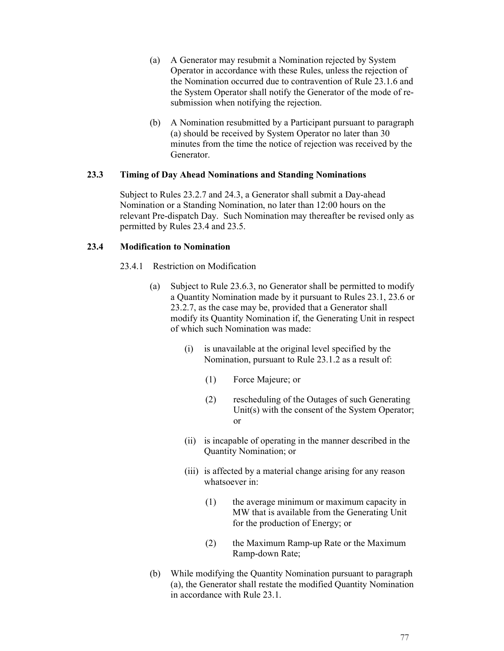- (a) A Generator may resubmit a Nomination rejected by System Operator in accordance with these Rules, unless the rejection of the Nomination occurred due to contravention of Rule 23.1.6 and the System Operator shall notify the Generator of the mode of resubmission when notifying the rejection.
- (b) A Nomination resubmitted by a Participant pursuant to paragraph (a) should be received by System Operator no later than 30 minutes from the time the notice of rejection was received by the Generator.

## **23.3 Timing of Day Ahead Nominations and Standing Nominations**

Subject to Rules 23.2.7 and 24.3, a Generator shall submit a Day-ahead Nomination or a Standing Nomination, no later than 12:00 hours on the relevant Pre-dispatch Day. Such Nomination may thereafter be revised only as permitted by Rules 23.4 and 23.5.

## **23.4 Modification to Nomination**

- 23.4.1 Restriction on Modification
	- (a) Subject to Rule 23.6.3, no Generator shall be permitted to modify a Quantity Nomination made by it pursuant to Rules 23.1, 23.6 or 23.2.7, as the case may be, provided that a Generator shall modify its Quantity Nomination if, the Generating Unit in respect of which such Nomination was made:
		- (i) is unavailable at the original level specified by the Nomination, pursuant to Rule 23.1.2 as a result of:
			- (1) Force Majeure; or
			- (2) rescheduling of the Outages of such Generating Unit(s) with the consent of the System Operator; or
		- (ii) is incapable of operating in the manner described in the Quantity Nomination; or
		- (iii) is affected by a material change arising for any reason whatsoever in:
			- (1) the average minimum or maximum capacity in MW that is available from the Generating Unit for the production of Energy; or
			- (2) the Maximum Ramp-up Rate or the Maximum Ramp-down Rate;
	- (b) While modifying the Quantity Nomination pursuant to paragraph (a), the Generator shall restate the modified Quantity Nomination in accordance with Rule 23.1.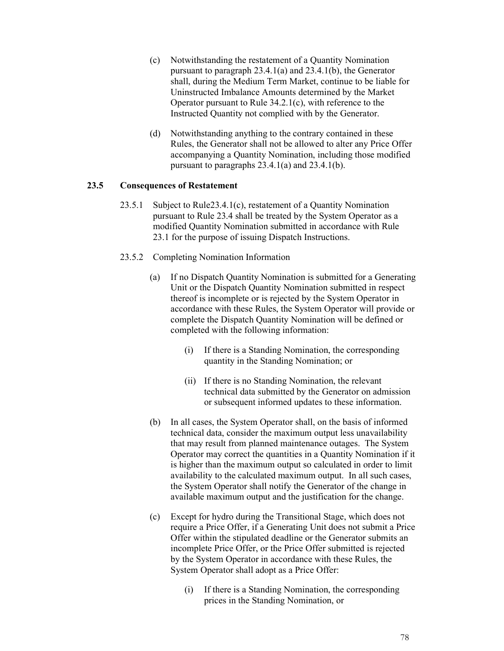- (c) Notwithstanding the restatement of a Quantity Nomination pursuant to paragraph 23.4.1(a) and 23.4.1(b), the Generator shall, during the Medium Term Market, continue to be liable for Uninstructed Imbalance Amounts determined by the Market Operator pursuant to Rule 34.2.1(c), with reference to the Instructed Quantity not complied with by the Generator.
- (d) Notwithstanding anything to the contrary contained in these Rules, the Generator shall not be allowed to alter any Price Offer accompanying a Quantity Nomination, including those modified pursuant to paragraphs 23.4.1(a) and 23.4.1(b).

## **23.5 Consequences of Restatement**

- 23.5.1 Subject to Rule23.4.1(c), restatement of a Quantity Nomination pursuant to Rule 23.4 shall be treated by the System Operator as a modified Quantity Nomination submitted in accordance with Rule 23.1 for the purpose of issuing Dispatch Instructions.
- 23.5.2 Completing Nomination Information
	- (a) If no Dispatch Quantity Nomination is submitted for a Generating Unit or the Dispatch Quantity Nomination submitted in respect thereof is incomplete or is rejected by the System Operator in accordance with these Rules, the System Operator will provide or complete the Dispatch Quantity Nomination will be defined or completed with the following information:
		- (i) If there is a Standing Nomination, the corresponding quantity in the Standing Nomination; or
		- (ii) If there is no Standing Nomination, the relevant technical data submitted by the Generator on admission or subsequent informed updates to these information.
	- (b) In all cases, the System Operator shall, on the basis of informed technical data, consider the maximum output less unavailability that may result from planned maintenance outages. The System Operator may correct the quantities in a Quantity Nomination if it is higher than the maximum output so calculated in order to limit availability to the calculated maximum output. In all such cases, the System Operator shall notify the Generator of the change in available maximum output and the justification for the change.
	- (c) Except for hydro during the Transitional Stage, which does not require a Price Offer, if a Generating Unit does not submit a Price Offer within the stipulated deadline or the Generator submits an incomplete Price Offer, or the Price Offer submitted is rejected by the System Operator in accordance with these Rules, the System Operator shall adopt as a Price Offer:
		- (i) If there is a Standing Nomination, the corresponding prices in the Standing Nomination, or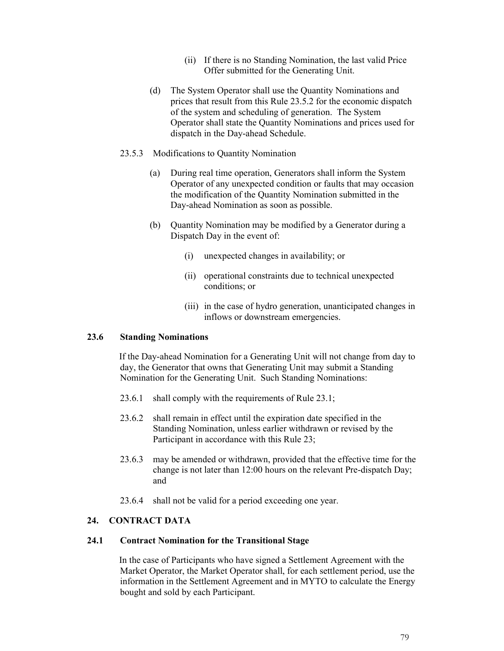- (ii) If there is no Standing Nomination, the last valid Price Offer submitted for the Generating Unit.
- (d) The System Operator shall use the Quantity Nominations and prices that result from this Rule 23.5.2 for the economic dispatch of the system and scheduling of generation. The System Operator shall state the Quantity Nominations and prices used for dispatch in the Day-ahead Schedule.
- 23.5.3 Modifications to Quantity Nomination
	- (a) During real time operation, Generators shall inform the System Operator of any unexpected condition or faults that may occasion the modification of the Quantity Nomination submitted in the Day-ahead Nomination as soon as possible.
	- (b) Quantity Nomination may be modified by a Generator during a Dispatch Day in the event of:
		- (i) unexpected changes in availability; or
		- (ii) operational constraints due to technical unexpected conditions; or
		- (iii) in the case of hydro generation, unanticipated changes in inflows or downstream emergencies.

#### **23.6 Standing Nominations**

If the Day-ahead Nomination for a Generating Unit will not change from day to day, the Generator that owns that Generating Unit may submit a Standing Nomination for the Generating Unit. Such Standing Nominations:

- 23.6.1 shall comply with the requirements of Rule 23.1;
- 23.6.2 shall remain in effect until the expiration date specified in the Standing Nomination, unless earlier withdrawn or revised by the Participant in accordance with this Rule 23;
- 23.6.3 may be amended or withdrawn, provided that the effective time for the change is not later than 12:00 hours on the relevant Pre-dispatch Day; and
- 23.6.4 shall not be valid for a period exceeding one year.

# **24. CONTRACT DATA**

#### **24.1 Contract Nomination for the Transitional Stage**

In the case of Participants who have signed a Settlement Agreement with the Market Operator, the Market Operator shall, for each settlement period, use the information in the Settlement Agreement and in MYTO to calculate the Energy bought and sold by each Participant.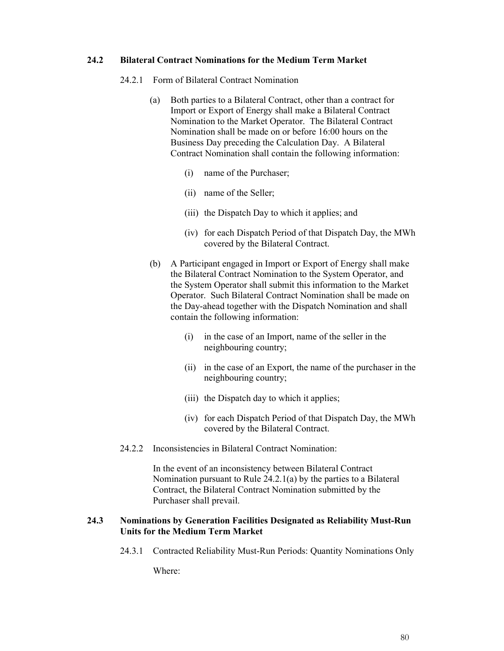# **24.2 Bilateral Contract Nominations for the Medium Term Market**

- 24.2.1 Form of Bilateral Contract Nomination
	- (a) Both parties to a Bilateral Contract, other than a contract for Import or Export of Energy shall make a Bilateral Contract Nomination to the Market Operator. The Bilateral Contract Nomination shall be made on or before 16:00 hours on the Business Day preceding the Calculation Day. A Bilateral Contract Nomination shall contain the following information:
		- (i) name of the Purchaser;
		- (ii) name of the Seller;
		- (iii) the Dispatch Day to which it applies; and
		- (iv) for each Dispatch Period of that Dispatch Day, the MWh covered by the Bilateral Contract.
	- (b) A Participant engaged in Import or Export of Energy shall make the Bilateral Contract Nomination to the System Operator, and the System Operator shall submit this information to the Market Operator. Such Bilateral Contract Nomination shall be made on the Day-ahead together with the Dispatch Nomination and shall contain the following information:
		- (i) in the case of an Import, name of the seller in the neighbouring country;
		- (ii) in the case of an Export, the name of the purchaser in the neighbouring country;
		- (iii) the Dispatch day to which it applies;
		- (iv) for each Dispatch Period of that Dispatch Day, the MWh covered by the Bilateral Contract.
- 24.2.2 Inconsistencies in Bilateral Contract Nomination:

In the event of an inconsistency between Bilateral Contract Nomination pursuant to Rule 24.2.1(a) by the parties to a Bilateral Contract, the Bilateral Contract Nomination submitted by the Purchaser shall prevail.

## **24.3 Nominations by Generation Facilities Designated as Reliability Must-Run Units for the Medium Term Market**

24.3.1 Contracted Reliability Must-Run Periods: Quantity Nominations Only

Where: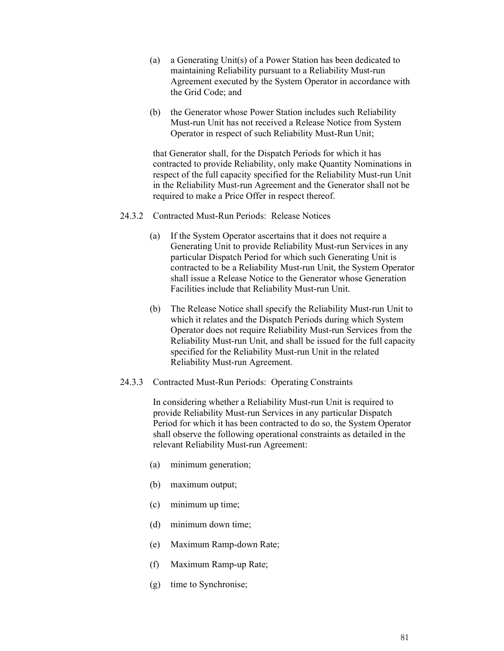- (a) a Generating Unit(s) of a Power Station has been dedicated to maintaining Reliability pursuant to a Reliability Must-run Agreement executed by the System Operator in accordance with the Grid Code; and
- (b) the Generator whose Power Station includes such Reliability Must-run Unit has not received a Release Notice from System Operator in respect of such Reliability Must-Run Unit;

that Generator shall, for the Dispatch Periods for which it has contracted to provide Reliability, only make Quantity Nominations in respect of the full capacity specified for the Reliability Must-run Unit in the Reliability Must-run Agreement and the Generator shall not be required to make a Price Offer in respect thereof.

- 24.3.2 Contracted Must-Run Periods: Release Notices
	- (a) If the System Operator ascertains that it does not require a Generating Unit to provide Reliability Must-run Services in any particular Dispatch Period for which such Generating Unit is contracted to be a Reliability Must-run Unit, the System Operator shall issue a Release Notice to the Generator whose Generation Facilities include that Reliability Must-run Unit.
	- (b) The Release Notice shall specify the Reliability Must-run Unit to which it relates and the Dispatch Periods during which System Operator does not require Reliability Must-run Services from the Reliability Must-run Unit, and shall be issued for the full capacity specified for the Reliability Must-run Unit in the related Reliability Must-run Agreement.
- 24.3.3 Contracted Must-Run Periods: Operating Constraints

In considering whether a Reliability Must-run Unit is required to provide Reliability Must-run Services in any particular Dispatch Period for which it has been contracted to do so, the System Operator shall observe the following operational constraints as detailed in the relevant Reliability Must-run Agreement:

- (a) minimum generation;
- (b) maximum output;
- (c) minimum up time;
- (d) minimum down time;
- (e) Maximum Ramp-down Rate;
- (f) Maximum Ramp-up Rate;
- (g) time to Synchronise;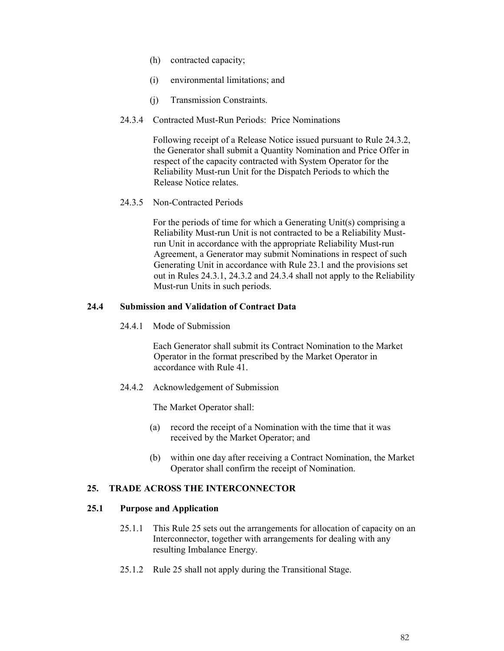- (h) contracted capacity;
- (i) environmental limitations; and
- (j) Transmission Constraints.
- 24.3.4 Contracted Must-Run Periods: Price Nominations

Following receipt of a Release Notice issued pursuant to Rule 24.3.2, the Generator shall submit a Quantity Nomination and Price Offer in respect of the capacity contracted with System Operator for the Reliability Must-run Unit for the Dispatch Periods to which the Release Notice relates.

24.3.5 Non-Contracted Periods

For the periods of time for which a Generating Unit(s) comprising a Reliability Must-run Unit is not contracted to be a Reliability Mustrun Unit in accordance with the appropriate Reliability Must-run Agreement, a Generator may submit Nominations in respect of such Generating Unit in accordance with Rule 23.1 and the provisions set out in Rules 24.3.1, 24.3.2 and 24.3.4 shall not apply to the Reliability Must-run Units in such periods.

## **24.4 Submission and Validation of Contract Data**

24.4.1 Mode of Submission

Each Generator shall submit its Contract Nomination to the Market Operator in the format prescribed by the Market Operator in accordance with Rule 41.

24.4.2 Acknowledgement of Submission

The Market Operator shall:

- (a) record the receipt of a Nomination with the time that it was received by the Market Operator; and
- (b) within one day after receiving a Contract Nomination, the Market Operator shall confirm the receipt of Nomination.

# **25. TRADE ACROSS THE INTERCONNECTOR**

#### **25.1 Purpose and Application**

- 25.1.1 This Rule 25 sets out the arrangements for allocation of capacity on an Interconnector, together with arrangements for dealing with any resulting Imbalance Energy.
- 25.1.2 Rule 25 shall not apply during the Transitional Stage.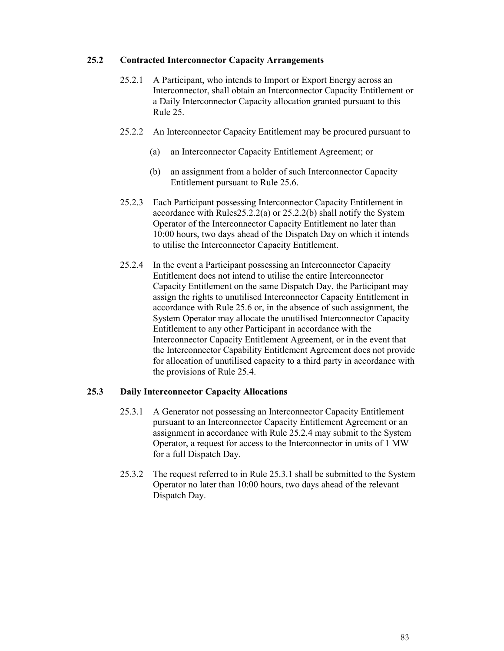## **25.2 Contracted Interconnector Capacity Arrangements**

- 25.2.1 A Participant, who intends to Import or Export Energy across an Interconnector, shall obtain an Interconnector Capacity Entitlement or a Daily Interconnector Capacity allocation granted pursuant to this Rule 25.
- 25.2.2 An Interconnector Capacity Entitlement may be procured pursuant to
	- (a) an Interconnector Capacity Entitlement Agreement; or
	- (b) an assignment from a holder of such Interconnector Capacity Entitlement pursuant to Rule 25.6.
- 25.2.3 Each Participant possessing Interconnector Capacity Entitlement in accordance with Rules25.2.2(a) or 25.2.2(b) shall notify the System Operator of the Interconnector Capacity Entitlement no later than 10:00 hours, two days ahead of the Dispatch Day on which it intends to utilise the Interconnector Capacity Entitlement.
- 25.2.4 In the event a Participant possessing an Interconnector Capacity Entitlement does not intend to utilise the entire Interconnector Capacity Entitlement on the same Dispatch Day, the Participant may assign the rights to unutilised Interconnector Capacity Entitlement in accordance with Rule 25.6 or, in the absence of such assignment, the System Operator may allocate the unutilised Interconnector Capacity Entitlement to any other Participant in accordance with the Interconnector Capacity Entitlement Agreement, or in the event that the Interconnector Capability Entitlement Agreement does not provide for allocation of unutilised capacity to a third party in accordance with the provisions of Rule 25.4.

# **25.3 Daily Interconnector Capacity Allocations**

- 25.3.1 A Generator not possessing an Interconnector Capacity Entitlement pursuant to an Interconnector Capacity Entitlement Agreement or an assignment in accordance with Rule 25.2.4 may submit to the System Operator, a request for access to the Interconnector in units of 1 MW for a full Dispatch Day.
- 25.3.2 The request referred to in Rule 25.3.1 shall be submitted to the System Operator no later than 10:00 hours, two days ahead of the relevant Dispatch Day.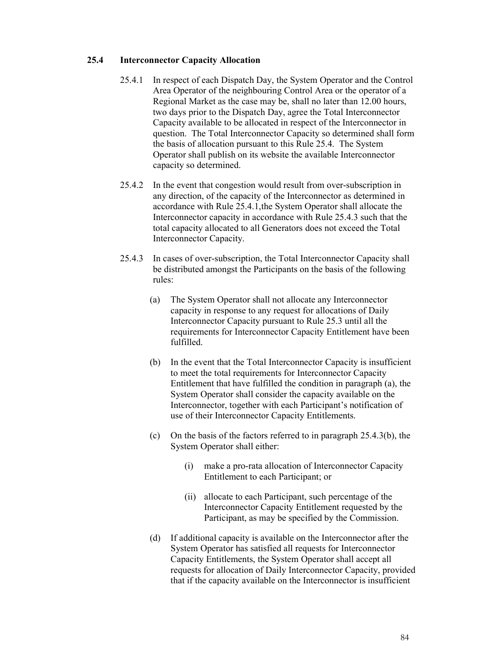## **25.4 Interconnector Capacity Allocation**

- 25.4.1 In respect of each Dispatch Day, the System Operator and the Control Area Operator of the neighbouring Control Area or the operator of a Regional Market as the case may be, shall no later than 12.00 hours, two days prior to the Dispatch Day, agree the Total Interconnector Capacity available to be allocated in respect of the Interconnector in question. The Total Interconnector Capacity so determined shall form the basis of allocation pursuant to this Rule 25.4. The System Operator shall publish on its website the available Interconnector capacity so determined.
- 25.4.2 In the event that congestion would result from over-subscription in any direction, of the capacity of the Interconnector as determined in accordance with Rule 25.4.1,the System Operator shall allocate the Interconnector capacity in accordance with Rule 25.4.3 such that the total capacity allocated to all Generators does not exceed the Total Interconnector Capacity.
- 25.4.3 In cases of over-subscription, the Total Interconnector Capacity shall be distributed amongst the Participants on the basis of the following rules:
	- (a) The System Operator shall not allocate any Interconnector capacity in response to any request for allocations of Daily Interconnector Capacity pursuant to Rule 25.3 until all the requirements for Interconnector Capacity Entitlement have been fulfilled.
	- (b) In the event that the Total Interconnector Capacity is insufficient to meet the total requirements for Interconnector Capacity Entitlement that have fulfilled the condition in paragraph (a), the System Operator shall consider the capacity available on the Interconnector, together with each Participant's notification of use of their Interconnector Capacity Entitlements.
	- (c) On the basis of the factors referred to in paragraph 25.4.3(b), the System Operator shall either:
		- (i) make a pro-rata allocation of Interconnector Capacity Entitlement to each Participant; or
		- (ii) allocate to each Participant, such percentage of the Interconnector Capacity Entitlement requested by the Participant, as may be specified by the Commission.
	- (d) If additional capacity is available on the Interconnector after the System Operator has satisfied all requests for Interconnector Capacity Entitlements, the System Operator shall accept all requests for allocation of Daily Interconnector Capacity, provided that if the capacity available on the Interconnector is insufficient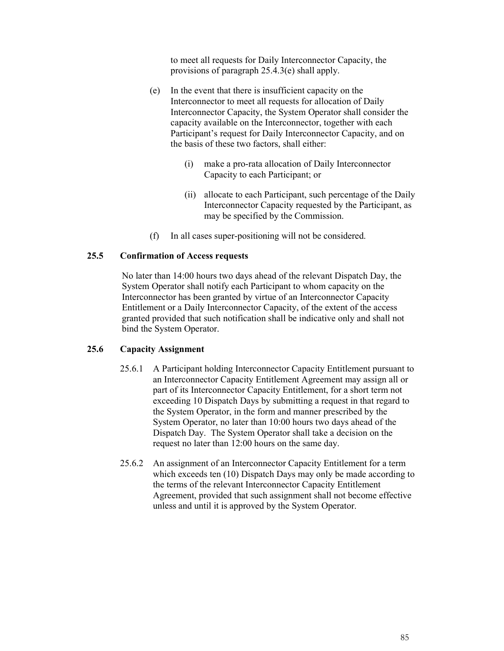to meet all requests for Daily Interconnector Capacity, the provisions of paragraph 25.4.3(e) shall apply.

- (e) In the event that there is insufficient capacity on the Interconnector to meet all requests for allocation of Daily Interconnector Capacity, the System Operator shall consider the capacity available on the Interconnector, together with each Participant's request for Daily Interconnector Capacity, and on the basis of these two factors, shall either:
	- (i) make a pro-rata allocation of Daily Interconnector Capacity to each Participant; or
	- (ii) allocate to each Participant, such percentage of the Daily Interconnector Capacity requested by the Participant, as may be specified by the Commission.
- (f) In all cases super-positioning will not be considered.

## **25.5 Confirmation of Access requests**

No later than 14:00 hours two days ahead of the relevant Dispatch Day, the System Operator shall notify each Participant to whom capacity on the Interconnector has been granted by virtue of an Interconnector Capacity Entitlement or a Daily Interconnector Capacity, of the extent of the access granted provided that such notification shall be indicative only and shall not bind the System Operator.

#### **25.6 Capacity Assignment**

- 25.6.1 A Participant holding Interconnector Capacity Entitlement pursuant to an Interconnector Capacity Entitlement Agreement may assign all or part of its Interconnector Capacity Entitlement, for a short term not exceeding 10 Dispatch Days by submitting a request in that regard to the System Operator, in the form and manner prescribed by the System Operator, no later than 10:00 hours two days ahead of the Dispatch Day. The System Operator shall take a decision on the request no later than 12:00 hours on the same day.
- 25.6.2 An assignment of an Interconnector Capacity Entitlement for a term which exceeds ten (10) Dispatch Days may only be made according to the terms of the relevant Interconnector Capacity Entitlement Agreement, provided that such assignment shall not become effective unless and until it is approved by the System Operator.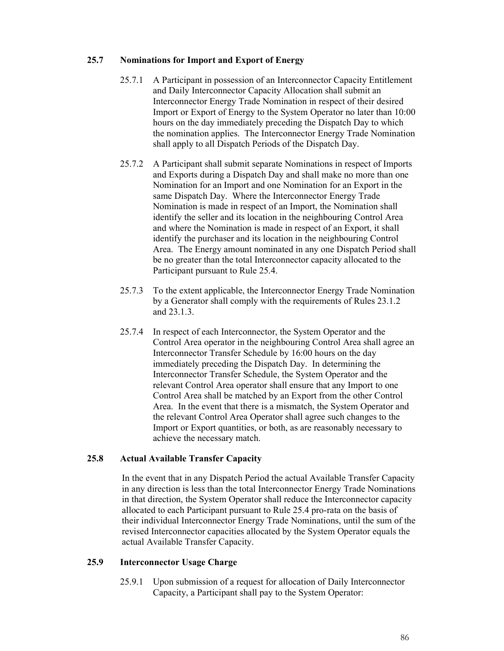## **25.7 Nominations for Import and Export of Energy**

- 25.7.1 A Participant in possession of an Interconnector Capacity Entitlement and Daily Interconnector Capacity Allocation shall submit an Interconnector Energy Trade Nomination in respect of their desired Import or Export of Energy to the System Operator no later than 10:00 hours on the day immediately preceding the Dispatch Day to which the nomination applies. The Interconnector Energy Trade Nomination shall apply to all Dispatch Periods of the Dispatch Day.
- 25.7.2 A Participant shall submit separate Nominations in respect of Imports and Exports during a Dispatch Day and shall make no more than one Nomination for an Import and one Nomination for an Export in the same Dispatch Day. Where the Interconnector Energy Trade Nomination is made in respect of an Import, the Nomination shall identify the seller and its location in the neighbouring Control Area and where the Nomination is made in respect of an Export, it shall identify the purchaser and its location in the neighbouring Control Area. The Energy amount nominated in any one Dispatch Period shall be no greater than the total Interconnector capacity allocated to the Participant pursuant to Rule 25.4.
- 25.7.3 To the extent applicable, the Interconnector Energy Trade Nomination by a Generator shall comply with the requirements of Rules 23.1.2 and 23.1.3.
- 25.7.4 In respect of each Interconnector, the System Operator and the Control Area operator in the neighbouring Control Area shall agree an Interconnector Transfer Schedule by 16:00 hours on the day immediately preceding the Dispatch Day. In determining the Interconnector Transfer Schedule, the System Operator and the relevant Control Area operator shall ensure that any Import to one Control Area shall be matched by an Export from the other Control Area. In the event that there is a mismatch, the System Operator and the relevant Control Area Operator shall agree such changes to the Import or Export quantities, or both, as are reasonably necessary to achieve the necessary match.

# **25.8 Actual Available Transfer Capacity**

In the event that in any Dispatch Period the actual Available Transfer Capacity in any direction is less than the total Interconnector Energy Trade Nominations in that direction, the System Operator shall reduce the Interconnector capacity allocated to each Participant pursuant to Rule 25.4 pro-rata on the basis of their individual Interconnector Energy Trade Nominations, until the sum of the revised Interconnector capacities allocated by the System Operator equals the actual Available Transfer Capacity.

#### **25.9 Interconnector Usage Charge**

25.9.1 Upon submission of a request for allocation of Daily Interconnector Capacity, a Participant shall pay to the System Operator: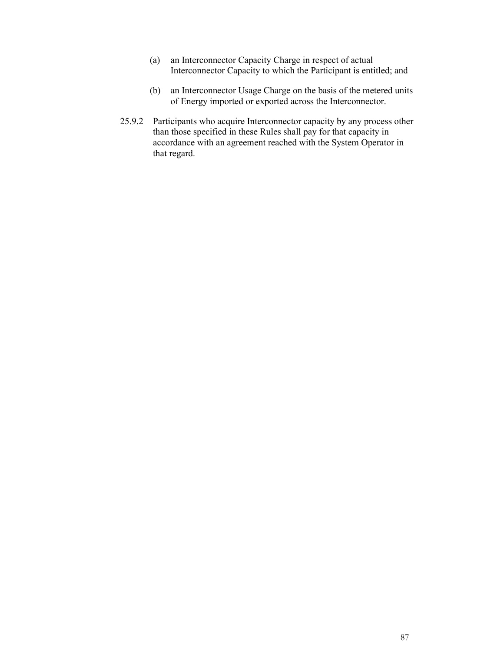- (a) an Interconnector Capacity Charge in respect of actual Interconnector Capacity to which the Participant is entitled; and
- (b) an Interconnector Usage Charge on the basis of the metered units of Energy imported or exported across the Interconnector.
- 25.9.2 Participants who acquire Interconnector capacity by any process other than those specified in these Rules shall pay for that capacity in accordance with an agreement reached with the System Operator in that regard.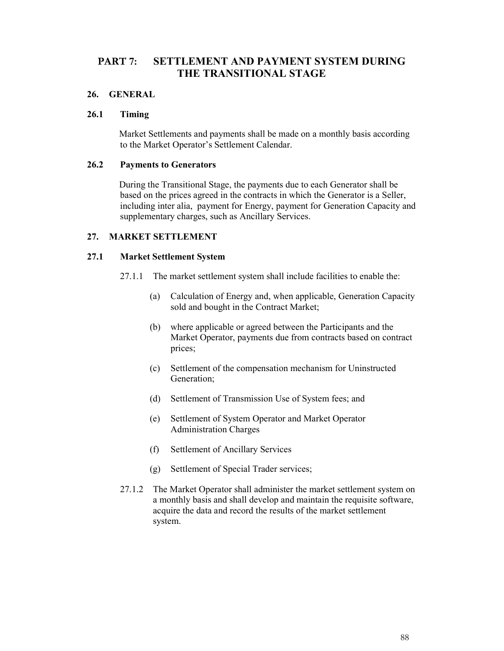# **PART 7: SETTLEMENT AND PAYMENT SYSTEM DURING THE TRANSITIONAL STAGE**

## **26. GENERAL**

## **26.1 Timing**

Market Settlements and payments shall be made on a monthly basis according to the Market Operator's Settlement Calendar.

# **26.2 Payments to Generators**

During the Transitional Stage, the payments due to each Generator shall be based on the prices agreed in the contracts in which the Generator is a Seller, including inter alia, payment for Energy, payment for Generation Capacity and supplementary charges, such as Ancillary Services.

## **27. MARKET SETTLEMENT**

## **27.1 Market Settlement System**

- 27.1.1 The market settlement system shall include facilities to enable the:
	- (a) Calculation of Energy and, when applicable, Generation Capacity sold and bought in the Contract Market;
	- (b) where applicable or agreed between the Participants and the Market Operator, payments due from contracts based on contract prices;
	- (c) Settlement of the compensation mechanism for Uninstructed Generation;
	- (d) Settlement of Transmission Use of System fees; and
	- (e) Settlement of System Operator and Market Operator Administration Charges
	- (f) Settlement of Ancillary Services
	- (g) Settlement of Special Trader services;
- 27.1.2 The Market Operator shall administer the market settlement system on a monthly basis and shall develop and maintain the requisite software, acquire the data and record the results of the market settlement system.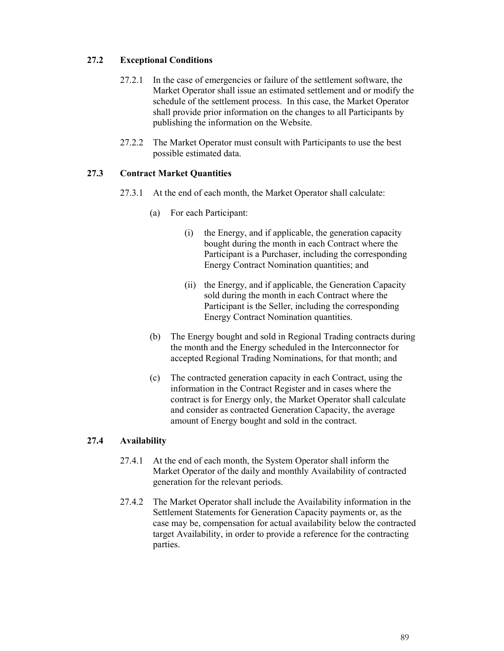# **27.2 Exceptional Conditions**

- 27.2.1 In the case of emergencies or failure of the settlement software, the Market Operator shall issue an estimated settlement and or modify the schedule of the settlement process. In this case, the Market Operator shall provide prior information on the changes to all Participants by publishing the information on the Website.
- 27.2.2 The Market Operator must consult with Participants to use the best possible estimated data.

# **27.3 Contract Market Quantities**

- 27.3.1 At the end of each month, the Market Operator shall calculate:
	- (a) For each Participant:
		- (i) the Energy, and if applicable, the generation capacity bought during the month in each Contract where the Participant is a Purchaser, including the corresponding Energy Contract Nomination quantities; and
		- (ii) the Energy, and if applicable, the Generation Capacity sold during the month in each Contract where the Participant is the Seller, including the corresponding Energy Contract Nomination quantities.
	- (b) The Energy bought and sold in Regional Trading contracts during the month and the Energy scheduled in the Interconnector for accepted Regional Trading Nominations, for that month; and
	- (c) The contracted generation capacity in each Contract, using the information in the Contract Register and in cases where the contract is for Energy only, the Market Operator shall calculate and consider as contracted Generation Capacity, the average amount of Energy bought and sold in the contract.

# **27.4 Availability**

- 27.4.1 At the end of each month, the System Operator shall inform the Market Operator of the daily and monthly Availability of contracted generation for the relevant periods.
- 27.4.2 The Market Operator shall include the Availability information in the Settlement Statements for Generation Capacity payments or, as the case may be, compensation for actual availability below the contracted target Availability, in order to provide a reference for the contracting parties.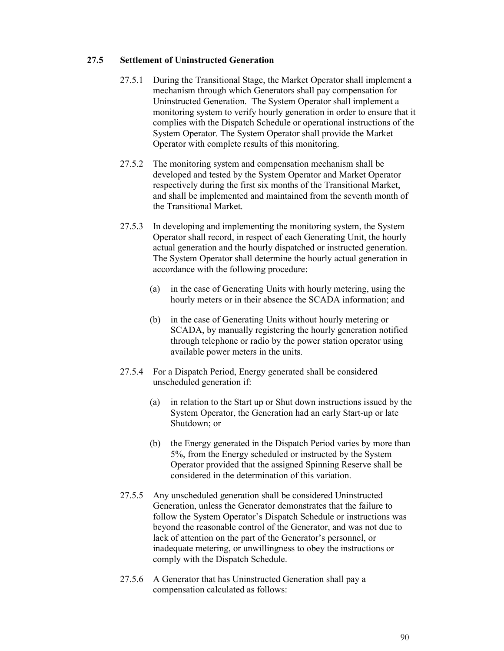# **27.5 Settlement of Uninstructed Generation**

- 27.5.1 During the Transitional Stage, the Market Operator shall implement a mechanism through which Generators shall pay compensation for Uninstructed Generation. The System Operator shall implement a monitoring system to verify hourly generation in order to ensure that it complies with the Dispatch Schedule or operational instructions of the System Operator. The System Operator shall provide the Market Operator with complete results of this monitoring.
- 27.5.2 The monitoring system and compensation mechanism shall be developed and tested by the System Operator and Market Operator respectively during the first six months of the Transitional Market, and shall be implemented and maintained from the seventh month of the Transitional Market.
- 27.5.3 In developing and implementing the monitoring system, the System Operator shall record, in respect of each Generating Unit, the hourly actual generation and the hourly dispatched or instructed generation. The System Operator shall determine the hourly actual generation in accordance with the following procedure:
	- (a) in the case of Generating Units with hourly metering, using the hourly meters or in their absence the SCADA information; and
	- (b) in the case of Generating Units without hourly metering or SCADA, by manually registering the hourly generation notified through telephone or radio by the power station operator using available power meters in the units.
- 27.5.4 For a Dispatch Period, Energy generated shall be considered unscheduled generation if:
	- (a) in relation to the Start up or Shut down instructions issued by the System Operator, the Generation had an early Start-up or late Shutdown; or
	- (b) the Energy generated in the Dispatch Period varies by more than 5%, from the Energy scheduled or instructed by the System Operator provided that the assigned Spinning Reserve shall be considered in the determination of this variation.
- 27.5.5 Any unscheduled generation shall be considered Uninstructed Generation, unless the Generator demonstrates that the failure to follow the System Operator's Dispatch Schedule or instructions was beyond the reasonable control of the Generator, and was not due to lack of attention on the part of the Generator's personnel, or inadequate metering, or unwillingness to obey the instructions or comply with the Dispatch Schedule.
- 27.5.6 A Generator that has Uninstructed Generation shall pay a compensation calculated as follows: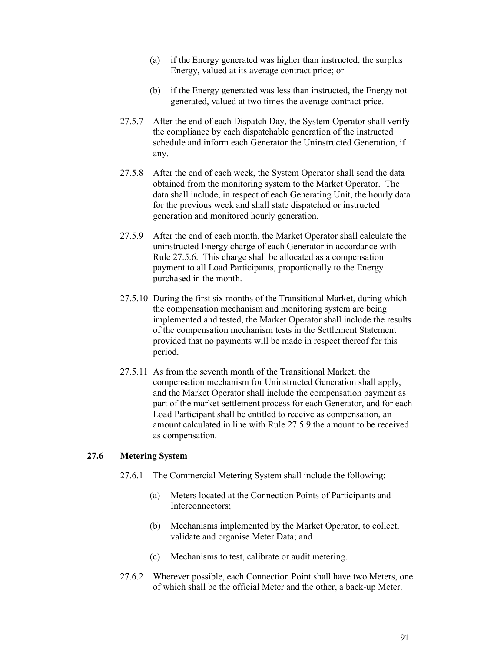- (a) if the Energy generated was higher than instructed, the surplus Energy, valued at its average contract price; or
- (b) if the Energy generated was less than instructed, the Energy not generated, valued at two times the average contract price.
- 27.5.7 After the end of each Dispatch Day, the System Operator shall verify the compliance by each dispatchable generation of the instructed schedule and inform each Generator the Uninstructed Generation, if any.
- 27.5.8 After the end of each week, the System Operator shall send the data obtained from the monitoring system to the Market Operator. The data shall include, in respect of each Generating Unit, the hourly data for the previous week and shall state dispatched or instructed generation and monitored hourly generation.
- 27.5.9 After the end of each month, the Market Operator shall calculate the uninstructed Energy charge of each Generator in accordance with Rule 27.5.6. This charge shall be allocated as a compensation payment to all Load Participants, proportionally to the Energy purchased in the month.
- 27.5.10 During the first six months of the Transitional Market, during which the compensation mechanism and monitoring system are being implemented and tested, the Market Operator shall include the results of the compensation mechanism tests in the Settlement Statement provided that no payments will be made in respect thereof for this period.
- 27.5.11 As from the seventh month of the Transitional Market, the compensation mechanism for Uninstructed Generation shall apply, and the Market Operator shall include the compensation payment as part of the market settlement process for each Generator, and for each Load Participant shall be entitled to receive as compensation, an amount calculated in line with Rule 27.5.9 the amount to be received as compensation.

#### **27.6 Metering System**

- 27.6.1 The Commercial Metering System shall include the following:
	- (a) Meters located at the Connection Points of Participants and Interconnectors;
	- (b) Mechanisms implemented by the Market Operator, to collect, validate and organise Meter Data; and
	- (c) Mechanisms to test, calibrate or audit metering.
- 27.6.2 Wherever possible, each Connection Point shall have two Meters, one of which shall be the official Meter and the other, a back-up Meter.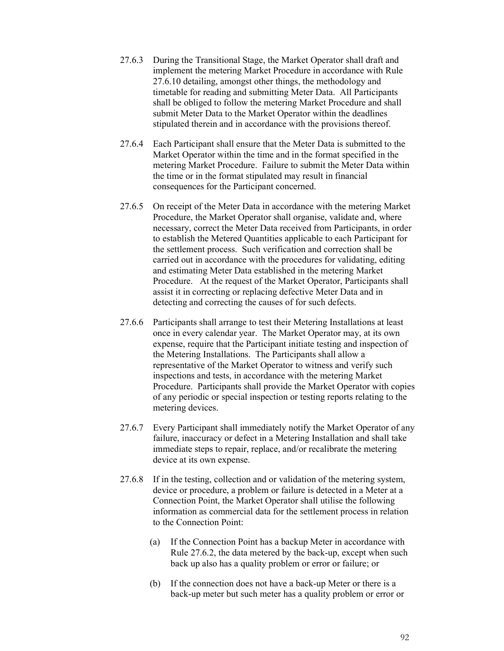- 27.6.3 During the Transitional Stage, the Market Operator shall draft and implement the metering Market Procedure in accordance with Rule 27.6.10 detailing, amongst other things, the methodology and timetable for reading and submitting Meter Data. All Participants shall be obliged to follow the metering Market Procedure and shall submit Meter Data to the Market Operator within the deadlines stipulated therein and in accordance with the provisions thereof.
- 27.6.4 Each Participant shall ensure that the Meter Data is submitted to the Market Operator within the time and in the format specified in the metering Market Procedure. Failure to submit the Meter Data within the time or in the format stipulated may result in financial consequences for the Participant concerned.
- 27.6.5 On receipt of the Meter Data in accordance with the metering Market Procedure, the Market Operator shall organise, validate and, where necessary, correct the Meter Data received from Participants, in order to establish the Metered Quantities applicable to each Participant for the settlement process. Such verification and correction shall be carried out in accordance with the procedures for validating, editing and estimating Meter Data established in the metering Market Procedure. At the request of the Market Operator, Participants shall assist it in correcting or replacing defective Meter Data and in detecting and correcting the causes of for such defects.
- 27.6.6 Participants shall arrange to test their Metering Installations at least once in every calendar year. The Market Operator may, at its own expense, require that the Participant initiate testing and inspection of the Metering Installations. The Participants shall allow a representative of the Market Operator to witness and verify such inspections and tests, in accordance with the metering Market Procedure. Participants shall provide the Market Operator with copies of any periodic or special inspection or testing reports relating to the metering devices.
- 27.6.7 Every Participant shall immediately notify the Market Operator of any failure, inaccuracy or defect in a Metering Installation and shall take immediate steps to repair, replace, and/or recalibrate the metering device at its own expense.
- 27.6.8 If in the testing, collection and or validation of the metering system, device or procedure, a problem or failure is detected in a Meter at a Connection Point, the Market Operator shall utilise the following information as commercial data for the settlement process in relation to the Connection Point:
	- (a) If the Connection Point has a backup Meter in accordance with Rule 27.6.2, the data metered by the back-up, except when such back up also has a quality problem or error or failure; or
	- (b) If the connection does not have a back-up Meter or there is a back-up meter but such meter has a quality problem or error or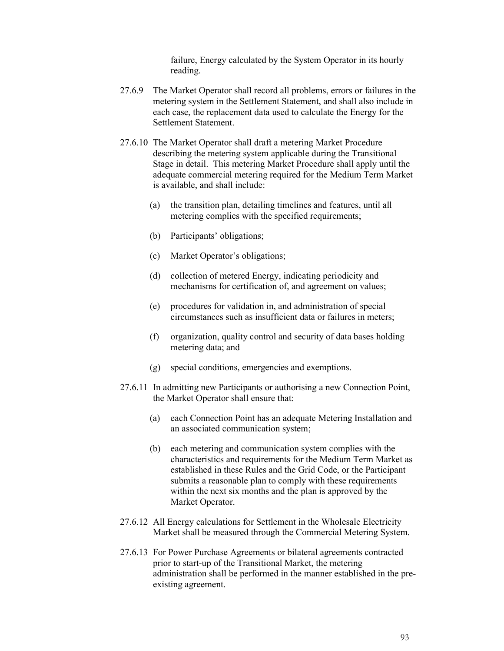failure, Energy calculated by the System Operator in its hourly reading.

- 27.6.9 The Market Operator shall record all problems, errors or failures in the metering system in the Settlement Statement, and shall also include in each case, the replacement data used to calculate the Energy for the Settlement Statement.
- 27.6.10 The Market Operator shall draft a metering Market Procedure describing the metering system applicable during the Transitional Stage in detail. This metering Market Procedure shall apply until the adequate commercial metering required for the Medium Term Market is available, and shall include:
	- (a) the transition plan, detailing timelines and features, until all metering complies with the specified requirements;
	- (b) Participants' obligations;
	- (c) Market Operator's obligations;
	- (d) collection of metered Energy, indicating periodicity and mechanisms for certification of, and agreement on values;
	- (e) procedures for validation in, and administration of special circumstances such as insufficient data or failures in meters;
	- (f) organization, quality control and security of data bases holding metering data; and
	- (g) special conditions, emergencies and exemptions.
- 27.6.11 In admitting new Participants or authorising a new Connection Point, the Market Operator shall ensure that:
	- (a) each Connection Point has an adequate Metering Installation and an associated communication system;
	- (b) each metering and communication system complies with the characteristics and requirements for the Medium Term Market as established in these Rules and the Grid Code, or the Participant submits a reasonable plan to comply with these requirements within the next six months and the plan is approved by the Market Operator.
- 27.6.12 All Energy calculations for Settlement in the Wholesale Electricity Market shall be measured through the Commercial Metering System.
- 27.6.13 For Power Purchase Agreements or bilateral agreements contracted prior to start-up of the Transitional Market, the metering administration shall be performed in the manner established in the preexisting agreement.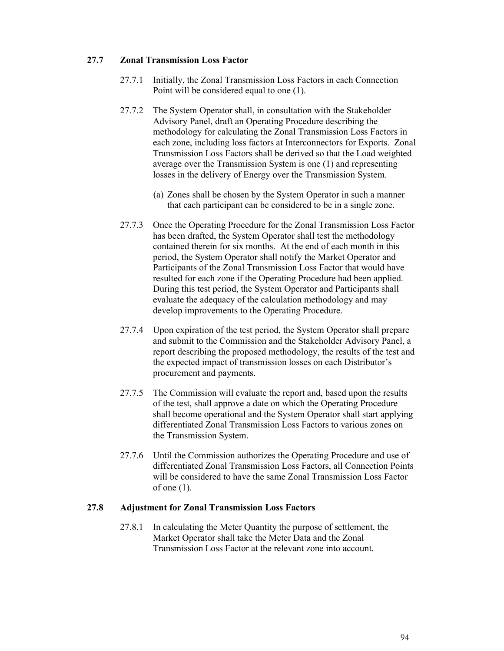# **27.7 Zonal Transmission Loss Factor**

- 27.7.1 Initially, the Zonal Transmission Loss Factors in each Connection Point will be considered equal to one (1).
- 27.7.2 The System Operator shall, in consultation with the Stakeholder Advisory Panel, draft an Operating Procedure describing the methodology for calculating the Zonal Transmission Loss Factors in each zone, including loss factors at Interconnectors for Exports. Zonal Transmission Loss Factors shall be derived so that the Load weighted average over the Transmission System is one (1) and representing losses in the delivery of Energy over the Transmission System.
	- (a) Zones shall be chosen by the System Operator in such a manner that each participant can be considered to be in a single zone.
- 27.7.3 Once the Operating Procedure for the Zonal Transmission Loss Factor has been drafted, the System Operator shall test the methodology contained therein for six months. At the end of each month in this period, the System Operator shall notify the Market Operator and Participants of the Zonal Transmission Loss Factor that would have resulted for each zone if the Operating Procedure had been applied. During this test period, the System Operator and Participants shall evaluate the adequacy of the calculation methodology and may develop improvements to the Operating Procedure.
- 27.7.4 Upon expiration of the test period, the System Operator shall prepare and submit to the Commission and the Stakeholder Advisory Panel, a report describing the proposed methodology, the results of the test and the expected impact of transmission losses on each Distributor's procurement and payments.
- 27.7.5 The Commission will evaluate the report and, based upon the results of the test, shall approve a date on which the Operating Procedure shall become operational and the System Operator shall start applying differentiated Zonal Transmission Loss Factors to various zones on the Transmission System.
- 27.7.6 Until the Commission authorizes the Operating Procedure and use of differentiated Zonal Transmission Loss Factors, all Connection Points will be considered to have the same Zonal Transmission Loss Factor of one  $(1)$ .

#### **27.8 Adjustment for Zonal Transmission Loss Factors**

27.8.1 In calculating the Meter Quantity the purpose of settlement, the Market Operator shall take the Meter Data and the Zonal Transmission Loss Factor at the relevant zone into account.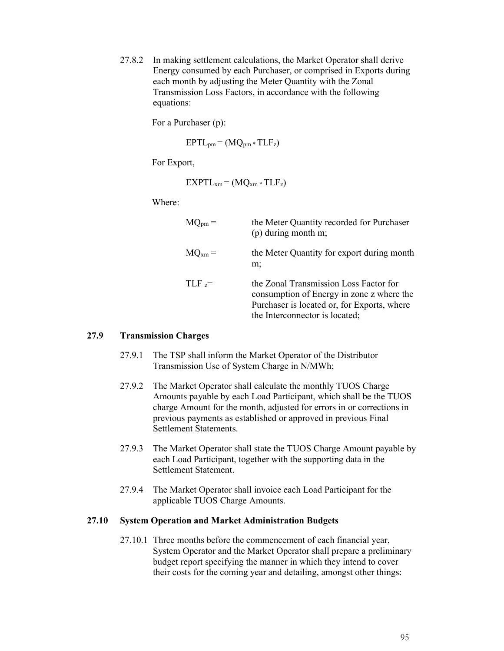27.8.2 In making settlement calculations, the Market Operator shall derive Energy consumed by each Purchaser, or comprised in Exports during each month by adjusting the Meter Quantity with the Zonal Transmission Loss Factors, in accordance with the following equations:

For a Purchaser (p):

 $EPTL_{pm} = (MQ_{pm} * TLF_{z})$ 

For Export,

 $EXPTL<sub>xm</sub> = (MQ<sub>xm</sub> * TLF<sub>z</sub>)$ 

Where:

| $MQ_{pm} =$ | the Meter Quantity recorded for Purchaser<br>$(p)$ during month m;                                                                                                   |
|-------------|----------------------------------------------------------------------------------------------------------------------------------------------------------------------|
| $MQ_{xm} =$ | the Meter Quantity for export during month<br>m;                                                                                                                     |
| $TLF =$     | the Zonal Transmission Loss Factor for<br>consumption of Energy in zone z where the<br>Purchaser is located or, for Exports, where<br>the Interconnector is located; |

#### **27.9 Transmission Charges**

- 27.9.1 The TSP shall inform the Market Operator of the Distributor Transmission Use of System Charge in N/MWh;
- 27.9.2 The Market Operator shall calculate the monthly TUOS Charge Amounts payable by each Load Participant, which shall be the TUOS charge Amount for the month, adjusted for errors in or corrections in previous payments as established or approved in previous Final Settlement Statements.
- 27.9.3 The Market Operator shall state the TUOS Charge Amount payable by each Load Participant, together with the supporting data in the Settlement Statement.
- 27.9.4 The Market Operator shall invoice each Load Participant for the applicable TUOS Charge Amounts.

#### **27.10 System Operation and Market Administration Budgets**

27.10.1 Three months before the commencement of each financial year, System Operator and the Market Operator shall prepare a preliminary budget report specifying the manner in which they intend to cover their costs for the coming year and detailing, amongst other things: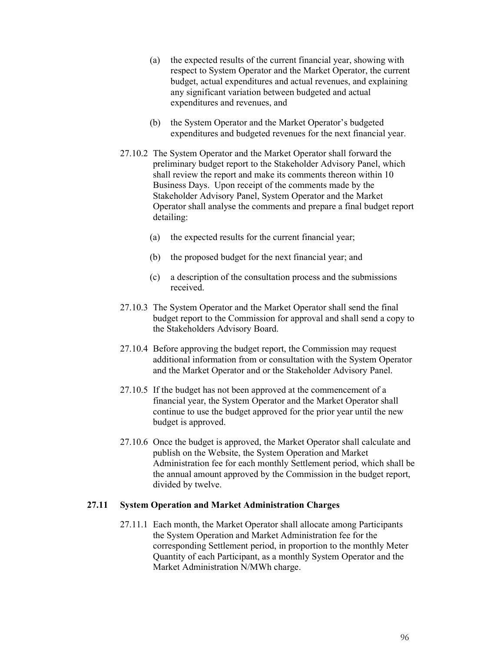- (a) the expected results of the current financial year, showing with respect to System Operator and the Market Operator, the current budget, actual expenditures and actual revenues, and explaining any significant variation between budgeted and actual expenditures and revenues, and
- (b) the System Operator and the Market Operator's budgeted expenditures and budgeted revenues for the next financial year.
- 27.10.2 The System Operator and the Market Operator shall forward the preliminary budget report to the Stakeholder Advisory Panel, which shall review the report and make its comments thereon within 10 Business Days. Upon receipt of the comments made by the Stakeholder Advisory Panel, System Operator and the Market Operator shall analyse the comments and prepare a final budget report detailing:
	- (a) the expected results for the current financial year;
	- (b) the proposed budget for the next financial year; and
	- (c) a description of the consultation process and the submissions received.
- 27.10.3 The System Operator and the Market Operator shall send the final budget report to the Commission for approval and shall send a copy to the Stakeholders Advisory Board.
- 27.10.4 Before approving the budget report, the Commission may request additional information from or consultation with the System Operator and the Market Operator and or the Stakeholder Advisory Panel.
- 27.10.5 If the budget has not been approved at the commencement of a financial year, the System Operator and the Market Operator shall continue to use the budget approved for the prior year until the new budget is approved.
- 27.10.6 Once the budget is approved, the Market Operator shall calculate and publish on the Website, the System Operation and Market Administration fee for each monthly Settlement period, which shall be the annual amount approved by the Commission in the budget report, divided by twelve.

#### **27.11 System Operation and Market Administration Charges**

27.11.1 Each month, the Market Operator shall allocate among Participants the System Operation and Market Administration fee for the corresponding Settlement period, in proportion to the monthly Meter Quantity of each Participant, as a monthly System Operator and the Market Administration N/MWh charge.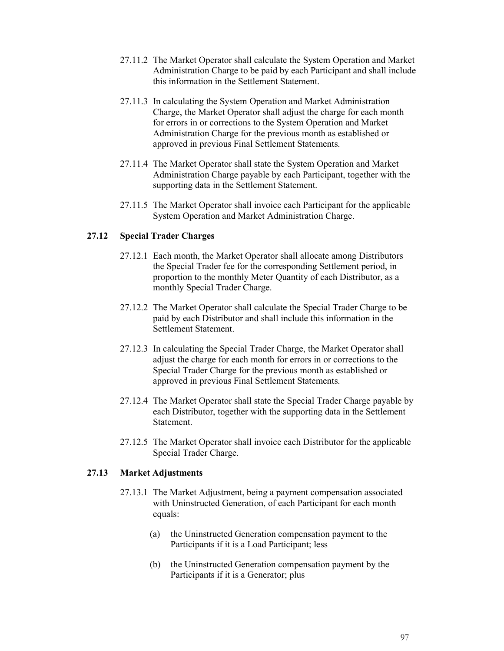- 27.11.2 The Market Operator shall calculate the System Operation and Market Administration Charge to be paid by each Participant and shall include this information in the Settlement Statement.
- 27.11.3 In calculating the System Operation and Market Administration Charge, the Market Operator shall adjust the charge for each month for errors in or corrections to the System Operation and Market Administration Charge for the previous month as established or approved in previous Final Settlement Statements.
- 27.11.4 The Market Operator shall state the System Operation and Market Administration Charge payable by each Participant, together with the supporting data in the Settlement Statement.
- 27.11.5 The Market Operator shall invoice each Participant for the applicable System Operation and Market Administration Charge.

## **27.12 Special Trader Charges**

- 27.12.1 Each month, the Market Operator shall allocate among Distributors the Special Trader fee for the corresponding Settlement period, in proportion to the monthly Meter Quantity of each Distributor, as a monthly Special Trader Charge.
- 27.12.2 The Market Operator shall calculate the Special Trader Charge to be paid by each Distributor and shall include this information in the Settlement Statement.
- 27.12.3 In calculating the Special Trader Charge, the Market Operator shall adjust the charge for each month for errors in or corrections to the Special Trader Charge for the previous month as established or approved in previous Final Settlement Statements.
- 27.12.4 The Market Operator shall state the Special Trader Charge payable by each Distributor, together with the supporting data in the Settlement Statement.
- 27.12.5 The Market Operator shall invoice each Distributor for the applicable Special Trader Charge.

#### **27.13 Market Adjustments**

- 27.13.1 The Market Adjustment, being a payment compensation associated with Uninstructed Generation, of each Participant for each month equals:
	- (a) the Uninstructed Generation compensation payment to the Participants if it is a Load Participant; less
	- (b) the Uninstructed Generation compensation payment by the Participants if it is a Generator; plus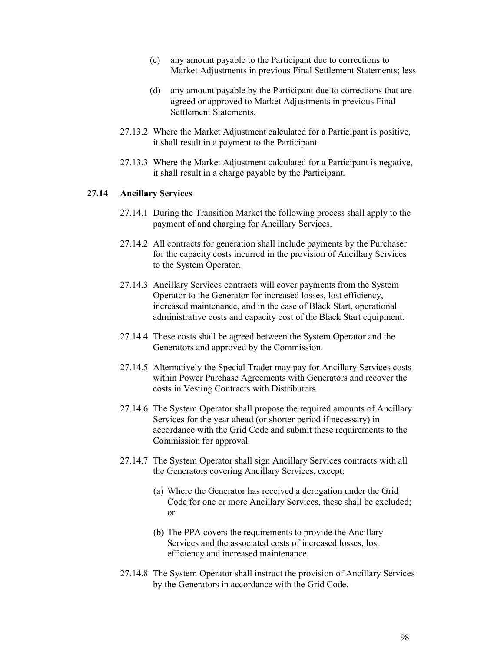- (c) any amount payable to the Participant due to corrections to Market Adjustments in previous Final Settlement Statements; less
- (d) any amount payable by the Participant due to corrections that are agreed or approved to Market Adjustments in previous Final Settlement Statements.
- 27.13.2 Where the Market Adjustment calculated for a Participant is positive, it shall result in a payment to the Participant.
- 27.13.3 Where the Market Adjustment calculated for a Participant is negative, it shall result in a charge payable by the Participant.

#### **27.14 Ancillary Services**

- 27.14.1 During the Transition Market the following process shall apply to the payment of and charging for Ancillary Services.
- 27.14.2 All contracts for generation shall include payments by the Purchaser for the capacity costs incurred in the provision of Ancillary Services to the System Operator.
- 27.14.3 Ancillary Services contracts will cover payments from the System Operator to the Generator for increased losses, lost efficiency, increased maintenance, and in the case of Black Start, operational administrative costs and capacity cost of the Black Start equipment.
- 27.14.4 These costs shall be agreed between the System Operator and the Generators and approved by the Commission.
- 27.14.5 Alternatively the Special Trader may pay for Ancillary Services costs within Power Purchase Agreements with Generators and recover the costs in Vesting Contracts with Distributors.
- 27.14.6 The System Operator shall propose the required amounts of Ancillary Services for the year ahead (or shorter period if necessary) in accordance with the Grid Code and submit these requirements to the Commission for approval.
- 27.14.7 The System Operator shall sign Ancillary Services contracts with all the Generators covering Ancillary Services, except:
	- (a) Where the Generator has received a derogation under the Grid Code for one or more Ancillary Services, these shall be excluded; or
	- (b) The PPA covers the requirements to provide the Ancillary Services and the associated costs of increased losses, lost efficiency and increased maintenance.
- 27.14.8 The System Operator shall instruct the provision of Ancillary Services by the Generators in accordance with the Grid Code.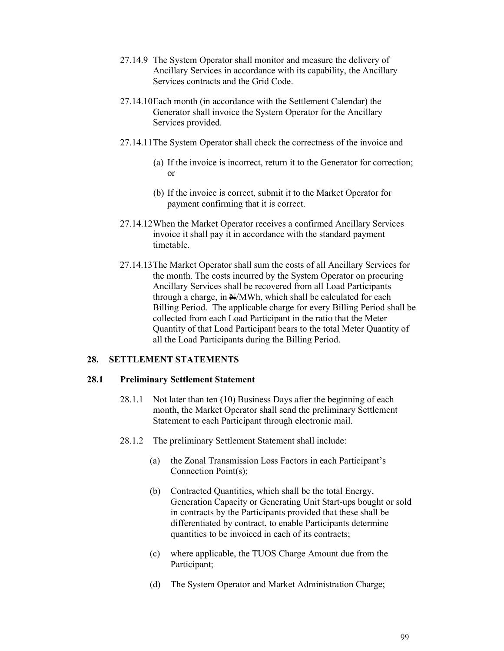- 27.14.9 The System Operator shall monitor and measure the delivery of Ancillary Services in accordance with its capability, the Ancillary Services contracts and the Grid Code.
- 27.14.10Each month (in accordance with the Settlement Calendar) the Generator shall invoice the System Operator for the Ancillary Services provided.
- 27.14.11The System Operator shall check the correctness of the invoice and
	- (a) If the invoice is incorrect, return it to the Generator for correction; or
	- (b) If the invoice is correct, submit it to the Market Operator for payment confirming that it is correct.
- 27.14.12When the Market Operator receives a confirmed Ancillary Services invoice it shall pay it in accordance with the standard payment timetable.
- 27.14.13The Market Operator shall sum the costs of all Ancillary Services for the month. The costs incurred by the System Operator on procuring Ancillary Services shall be recovered from all Load Participants through a charge, in  $N/MWh$ , which shall be calculated for each Billing Period. The applicable charge for every Billing Period shall be collected from each Load Participant in the ratio that the Meter Quantity of that Load Participant bears to the total Meter Quantity of all the Load Participants during the Billing Period.

#### **28. SETTLEMENT STATEMENTS**

#### **28.1 Preliminary Settlement Statement**

- 28.1.1 Not later than ten (10) Business Days after the beginning of each month, the Market Operator shall send the preliminary Settlement Statement to each Participant through electronic mail.
- 28.1.2 The preliminary Settlement Statement shall include:
	- (a) the Zonal Transmission Loss Factors in each Participant's Connection Point(s);
	- (b) Contracted Quantities, which shall be the total Energy, Generation Capacity or Generating Unit Start-ups bought or sold in contracts by the Participants provided that these shall be differentiated by contract, to enable Participants determine quantities to be invoiced in each of its contracts;
	- (c) where applicable, the TUOS Charge Amount due from the Participant;
	- (d) The System Operator and Market Administration Charge;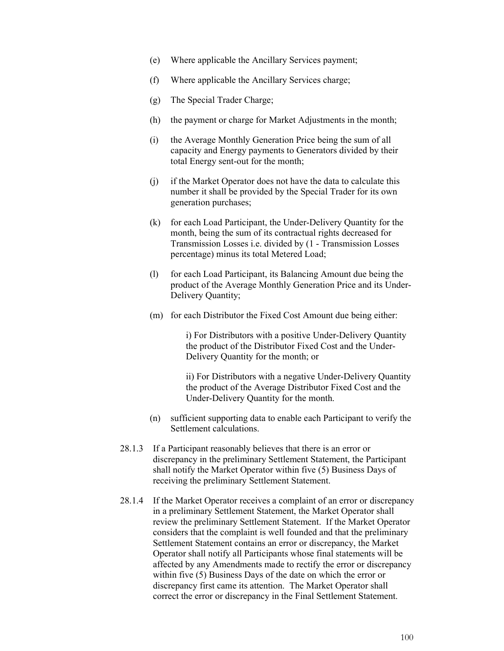- (e) Where applicable the Ancillary Services payment;
- (f) Where applicable the Ancillary Services charge;
- (g) The Special Trader Charge;
- (h) the payment or charge for Market Adjustments in the month;
- (i) the Average Monthly Generation Price being the sum of all capacity and Energy payments to Generators divided by their total Energy sent-out for the month;
- (j) if the Market Operator does not have the data to calculate this number it shall be provided by the Special Trader for its own generation purchases;
- (k) for each Load Participant, the Under-Delivery Quantity for the month, being the sum of its contractual rights decreased for Transmission Losses i.e. divided by (1 - Transmission Losses percentage) minus its total Metered Load;
- (l) for each Load Participant, its Balancing Amount due being the product of the Average Monthly Generation Price and its Under-Delivery Quantity;
- (m) for each Distributor the Fixed Cost Amount due being either:

i) For Distributors with a positive Under-Delivery Quantity the product of the Distributor Fixed Cost and the Under-Delivery Quantity for the month; or

ii) For Distributors with a negative Under-Delivery Quantity the product of the Average Distributor Fixed Cost and the Under-Delivery Quantity for the month.

- (n) sufficient supporting data to enable each Participant to verify the Settlement calculations.
- 28.1.3 If a Participant reasonably believes that there is an error or discrepancy in the preliminary Settlement Statement, the Participant shall notify the Market Operator within five (5) Business Days of receiving the preliminary Settlement Statement.
- 28.1.4 If the Market Operator receives a complaint of an error or discrepancy in a preliminary Settlement Statement, the Market Operator shall review the preliminary Settlement Statement. If the Market Operator considers that the complaint is well founded and that the preliminary Settlement Statement contains an error or discrepancy, the Market Operator shall notify all Participants whose final statements will be affected by any Amendments made to rectify the error or discrepancy within five (5) Business Days of the date on which the error or discrepancy first came its attention. The Market Operator shall correct the error or discrepancy in the Final Settlement Statement.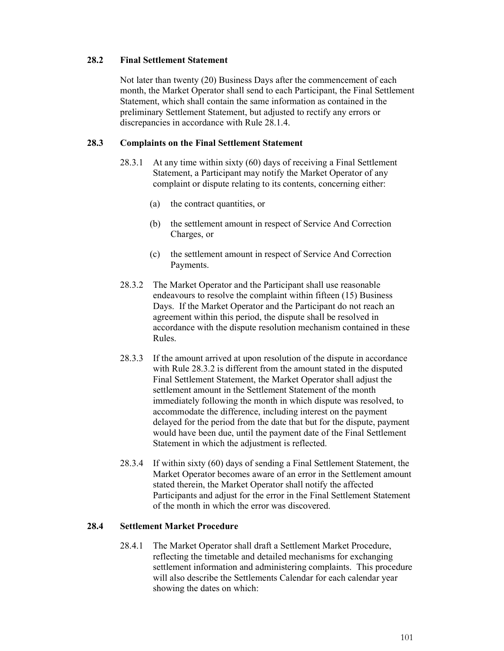# **28.2 Final Settlement Statement**

Not later than twenty (20) Business Days after the commencement of each month, the Market Operator shall send to each Participant, the Final Settlement Statement, which shall contain the same information as contained in the preliminary Settlement Statement, but adjusted to rectify any errors or discrepancies in accordance with Rule 28.1.4.

## **28.3 Complaints on the Final Settlement Statement**

- 28.3.1 At any time within sixty (60) days of receiving a Final Settlement Statement, a Participant may notify the Market Operator of any complaint or dispute relating to its contents, concerning either:
	- (a) the contract quantities, or
	- (b) the settlement amount in respect of Service And Correction Charges, or
	- (c) the settlement amount in respect of Service And Correction Payments.
- 28.3.2 The Market Operator and the Participant shall use reasonable endeavours to resolve the complaint within fifteen (15) Business Days. If the Market Operator and the Participant do not reach an agreement within this period, the dispute shall be resolved in accordance with the dispute resolution mechanism contained in these Rules.
- 28.3.3 If the amount arrived at upon resolution of the dispute in accordance with Rule 28.3.2 is different from the amount stated in the disputed Final Settlement Statement, the Market Operator shall adjust the settlement amount in the Settlement Statement of the month immediately following the month in which dispute was resolved, to accommodate the difference, including interest on the payment delayed for the period from the date that but for the dispute, payment would have been due, until the payment date of the Final Settlement Statement in which the adjustment is reflected.
- 28.3.4 If within sixty (60) days of sending a Final Settlement Statement, the Market Operator becomes aware of an error in the Settlement amount stated therein, the Market Operator shall notify the affected Participants and adjust for the error in the Final Settlement Statement of the month in which the error was discovered.

# **28.4 Settlement Market Procedure**

28.4.1 The Market Operator shall draft a Settlement Market Procedure, reflecting the timetable and detailed mechanisms for exchanging settlement information and administering complaints. This procedure will also describe the Settlements Calendar for each calendar year showing the dates on which: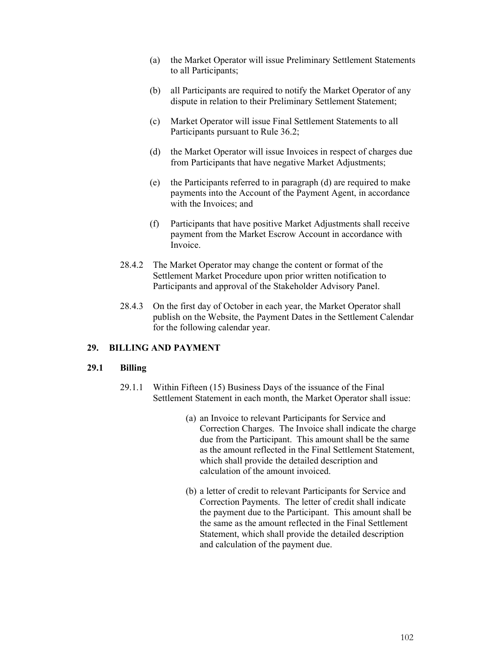- (a) the Market Operator will issue Preliminary Settlement Statements to all Participants;
- (b) all Participants are required to notify the Market Operator of any dispute in relation to their Preliminary Settlement Statement;
- (c) Market Operator will issue Final Settlement Statements to all Participants pursuant to Rule 36.2;
- (d) the Market Operator will issue Invoices in respect of charges due from Participants that have negative Market Adjustments;
- (e) the Participants referred to in paragraph (d) are required to make payments into the Account of the Payment Agent, in accordance with the Invoices; and
- (f) Participants that have positive Market Adjustments shall receive payment from the Market Escrow Account in accordance with Invoice.
- 28.4.2 The Market Operator may change the content or format of the Settlement Market Procedure upon prior written notification to Participants and approval of the Stakeholder Advisory Panel.
- 28.4.3 On the first day of October in each year, the Market Operator shall publish on the Website, the Payment Dates in the Settlement Calendar for the following calendar year.

# **29. BILLING AND PAYMENT**

#### **29.1 Billing**

- 29.1.1 Within Fifteen (15) Business Days of the issuance of the Final Settlement Statement in each month, the Market Operator shall issue:
	- (a) an Invoice to relevant Participants for Service and Correction Charges. The Invoice shall indicate the charge due from the Participant. This amount shall be the same as the amount reflected in the Final Settlement Statement, which shall provide the detailed description and calculation of the amount invoiced.
	- (b) a letter of credit to relevant Participants for Service and Correction Payments. The letter of credit shall indicate the payment due to the Participant. This amount shall be the same as the amount reflected in the Final Settlement Statement, which shall provide the detailed description and calculation of the payment due.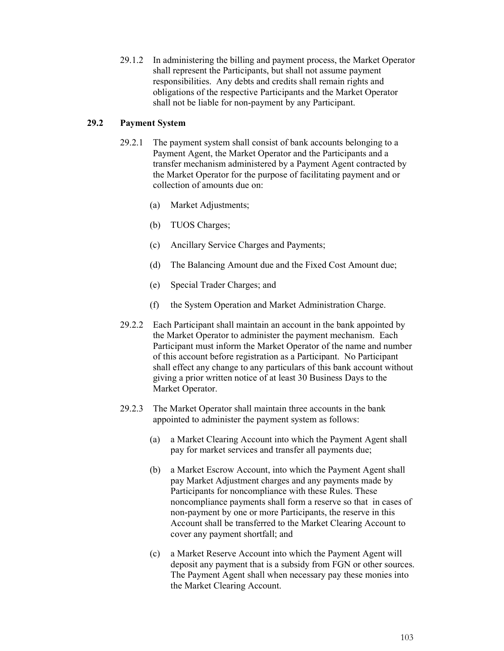29.1.2 In administering the billing and payment process, the Market Operator shall represent the Participants, but shall not assume payment responsibilities. Any debts and credits shall remain rights and obligations of the respective Participants and the Market Operator shall not be liable for non-payment by any Participant.

## **29.2 Payment System**

- 29.2.1 The payment system shall consist of bank accounts belonging to a Payment Agent, the Market Operator and the Participants and a transfer mechanism administered by a Payment Agent contracted by the Market Operator for the purpose of facilitating payment and or collection of amounts due on:
	- (a) Market Adjustments;
	- (b) TUOS Charges;
	- (c) Ancillary Service Charges and Payments;
	- (d) The Balancing Amount due and the Fixed Cost Amount due;
	- (e) Special Trader Charges; and
	- (f) the System Operation and Market Administration Charge.
- 29.2.2 Each Participant shall maintain an account in the bank appointed by the Market Operator to administer the payment mechanism. Each Participant must inform the Market Operator of the name and number of this account before registration as a Participant. No Participant shall effect any change to any particulars of this bank account without giving a prior written notice of at least 30 Business Days to the Market Operator.
- 29.2.3 The Market Operator shall maintain three accounts in the bank appointed to administer the payment system as follows:
	- (a) a Market Clearing Account into which the Payment Agent shall pay for market services and transfer all payments due;
	- (b) a Market Escrow Account, into which the Payment Agent shall pay Market Adjustment charges and any payments made by Participants for noncompliance with these Rules. These noncompliance payments shall form a reserve so that in cases of non-payment by one or more Participants, the reserve in this Account shall be transferred to the Market Clearing Account to cover any payment shortfall; and
	- (c) a Market Reserve Account into which the Payment Agent will deposit any payment that is a subsidy from FGN or other sources. The Payment Agent shall when necessary pay these monies into the Market Clearing Account.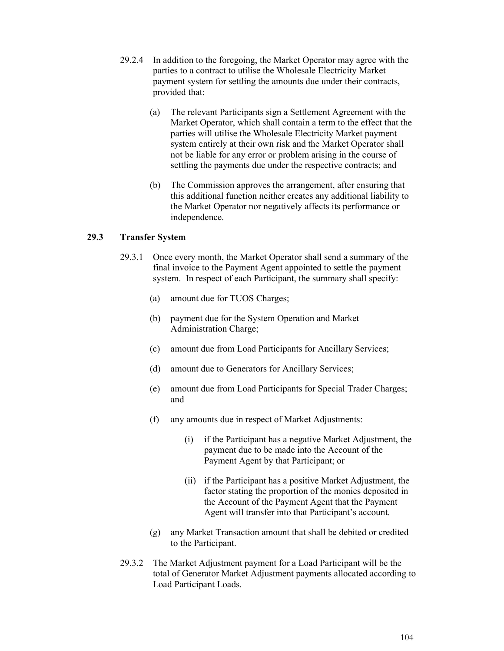- 29.2.4 In addition to the foregoing, the Market Operator may agree with the parties to a contract to utilise the Wholesale Electricity Market payment system for settling the amounts due under their contracts, provided that:
	- (a) The relevant Participants sign a Settlement Agreement with the Market Operator, which shall contain a term to the effect that the parties will utilise the Wholesale Electricity Market payment system entirely at their own risk and the Market Operator shall not be liable for any error or problem arising in the course of settling the payments due under the respective contracts; and
	- (b) The Commission approves the arrangement, after ensuring that this additional function neither creates any additional liability to the Market Operator nor negatively affects its performance or independence.

# **29.3 Transfer System**

- 29.3.1 Once every month, the Market Operator shall send a summary of the final invoice to the Payment Agent appointed to settle the payment system. In respect of each Participant, the summary shall specify:
	- (a) amount due for TUOS Charges;
	- (b) payment due for the System Operation and Market Administration Charge;
	- (c) amount due from Load Participants for Ancillary Services;
	- (d) amount due to Generators for Ancillary Services;
	- (e) amount due from Load Participants for Special Trader Charges; and
	- (f) any amounts due in respect of Market Adjustments:
		- (i) if the Participant has a negative Market Adjustment, the payment due to be made into the Account of the Payment Agent by that Participant; or
		- (ii) if the Participant has a positive Market Adjustment, the factor stating the proportion of the monies deposited in the Account of the Payment Agent that the Payment Agent will transfer into that Participant's account.
	- (g) any Market Transaction amount that shall be debited or credited to the Participant.
- 29.3.2 The Market Adjustment payment for a Load Participant will be the total of Generator Market Adjustment payments allocated according to Load Participant Loads.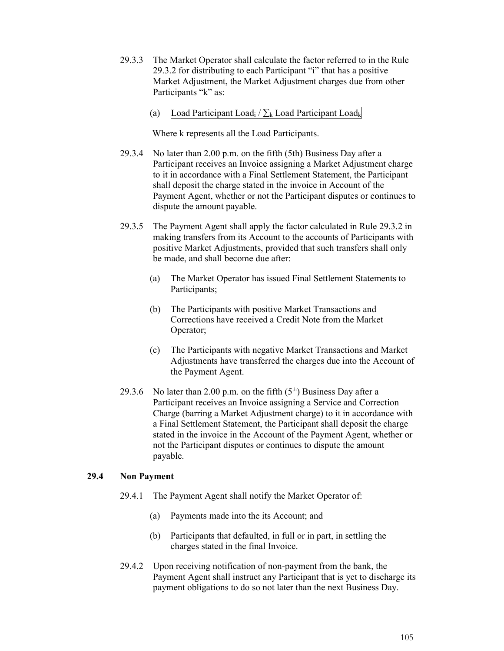- 29.3.3 The Market Operator shall calculate the factor referred to in the Rule 29.3.2 for distributing to each Participant "i" that has a positive Market Adjustment, the Market Adjustment charges due from other Participants "k" as:
	- (a) Load Participant Load<sub>i</sub> /  $\Sigma_k$  Load Participant Load<sub>k</sub>

Where k represents all the Load Participants.

- 29.3.4 No later than 2.00 p.m. on the fifth (5th) Business Day after a Participant receives an Invoice assigning a Market Adjustment charge to it in accordance with a Final Settlement Statement, the Participant shall deposit the charge stated in the invoice in Account of the Payment Agent, whether or not the Participant disputes or continues to dispute the amount payable.
- 29.3.5 The Payment Agent shall apply the factor calculated in Rule 29.3.2 in making transfers from its Account to the accounts of Participants with positive Market Adjustments, provided that such transfers shall only be made, and shall become due after:
	- (a) The Market Operator has issued Final Settlement Statements to Participants;
	- (b) The Participants with positive Market Transactions and Corrections have received a Credit Note from the Market Operator;
	- (c) The Participants with negative Market Transactions and Market Adjustments have transferred the charges due into the Account of the Payment Agent.
- 29.3.6 No later than 2.00 p.m. on the fifth  $(5<sup>th</sup>)$  Business Day after a Participant receives an Invoice assigning a Service and Correction Charge (barring a Market Adjustment charge) to it in accordance with a Final Settlement Statement, the Participant shall deposit the charge stated in the invoice in the Account of the Payment Agent, whether or not the Participant disputes or continues to dispute the amount payable.

# **29.4 Non Payment**

- 29.4.1 The Payment Agent shall notify the Market Operator of:
	- (a) Payments made into the its Account; and
	- (b) Participants that defaulted, in full or in part, in settling the charges stated in the final Invoice.
- 29.4.2 Upon receiving notification of non-payment from the bank, the Payment Agent shall instruct any Participant that is yet to discharge its payment obligations to do so not later than the next Business Day.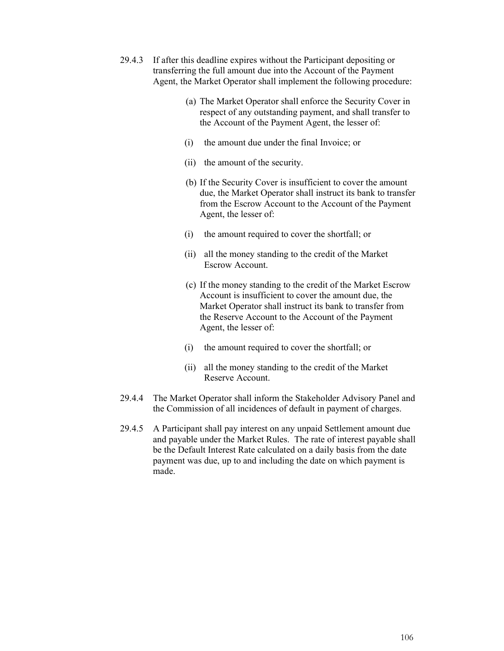- 29.4.3 If after this deadline expires without the Participant depositing or transferring the full amount due into the Account of the Payment Agent, the Market Operator shall implement the following procedure:
	- (a) The Market Operator shall enforce the Security Cover in respect of any outstanding payment, and shall transfer to the Account of the Payment Agent, the lesser of:
	- (i) the amount due under the final Invoice; or
	- (ii) the amount of the security.
	- (b) If the Security Cover is insufficient to cover the amount due, the Market Operator shall instruct its bank to transfer from the Escrow Account to the Account of the Payment Agent, the lesser of:
	- (i) the amount required to cover the shortfall; or
	- (ii) all the money standing to the credit of the Market Escrow Account.
	- (c) If the money standing to the credit of the Market Escrow Account is insufficient to cover the amount due, the Market Operator shall instruct its bank to transfer from the Reserve Account to the Account of the Payment Agent, the lesser of:
	- (i) the amount required to cover the shortfall; or
	- (ii) all the money standing to the credit of the Market Reserve Account.
- 29.4.4 The Market Operator shall inform the Stakeholder Advisory Panel and the Commission of all incidences of default in payment of charges.
- 29.4.5 A Participant shall pay interest on any unpaid Settlement amount due and payable under the Market Rules. The rate of interest payable shall be the Default Interest Rate calculated on a daily basis from the date payment was due, up to and including the date on which payment is made.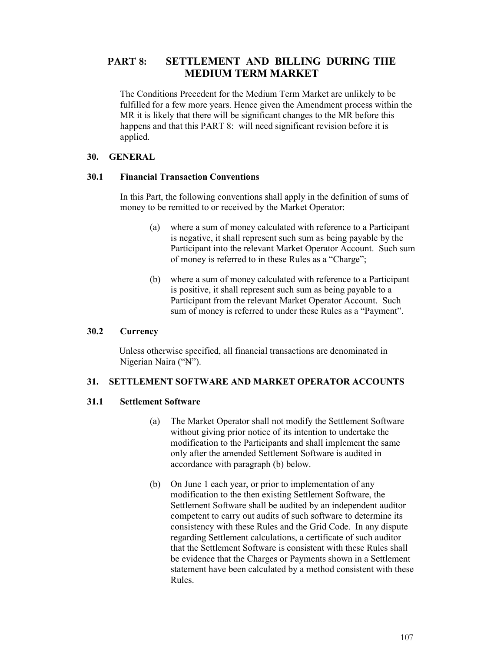# **PART 8: SETTLEMENT AND BILLING DURING THE MEDIUM TERM MARKET**

The Conditions Precedent for the Medium Term Market are unlikely to be fulfilled for a few more years. Hence given the Amendment process within the MR it is likely that there will be significant changes to the MR before this happens and that this PART 8: will need significant revision before it is applied.

## **30. GENERAL**

## **30.1 Financial Transaction Conventions**

In this Part, the following conventions shall apply in the definition of sums of money to be remitted to or received by the Market Operator:

- (a) where a sum of money calculated with reference to a Participant is negative, it shall represent such sum as being payable by the Participant into the relevant Market Operator Account. Such sum of money is referred to in these Rules as a "Charge";
- (b) where a sum of money calculated with reference to a Participant is positive, it shall represent such sum as being payable to a Participant from the relevant Market Operator Account. Such sum of money is referred to under these Rules as a "Payment".

# **30.2 Currency**

Unless otherwise specified, all financial transactions are denominated in Nigerian Naira ("N").

# **31. SETTLEMENT SOFTWARE AND MARKET OPERATOR ACCOUNTS**

# **31.1 Settlement Software**

- (a) The Market Operator shall not modify the Settlement Software without giving prior notice of its intention to undertake the modification to the Participants and shall implement the same only after the amended Settlement Software is audited in accordance with paragraph (b) below.
- (b) On June 1 each year, or prior to implementation of any modification to the then existing Settlement Software, the Settlement Software shall be audited by an independent auditor competent to carry out audits of such software to determine its consistency with these Rules and the Grid Code. In any dispute regarding Settlement calculations, a certificate of such auditor that the Settlement Software is consistent with these Rules shall be evidence that the Charges or Payments shown in a Settlement statement have been calculated by a method consistent with these Rules.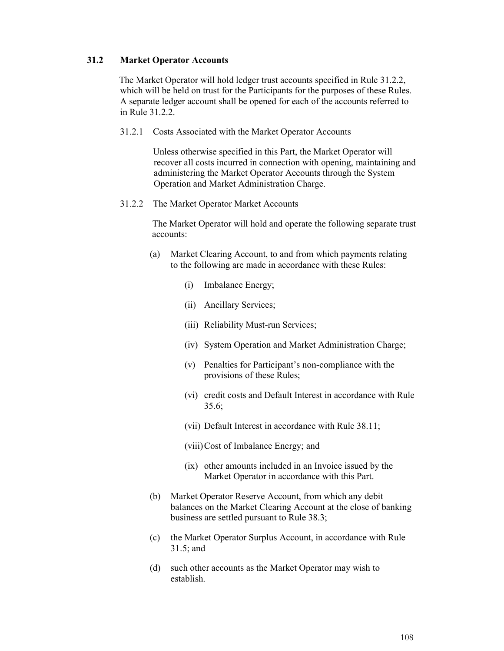## **31.2 Market Operator Accounts**

The Market Operator will hold ledger trust accounts specified in Rule 31.2.2, which will be held on trust for the Participants for the purposes of these Rules. A separate ledger account shall be opened for each of the accounts referred to in Rule 31.2.2.

31.2.1 Costs Associated with the Market Operator Accounts

Unless otherwise specified in this Part, the Market Operator will recover all costs incurred in connection with opening, maintaining and administering the Market Operator Accounts through the System Operation and Market Administration Charge.

31.2.2 The Market Operator Market Accounts

The Market Operator will hold and operate the following separate trust accounts:

- (a) Market Clearing Account, to and from which payments relating to the following are made in accordance with these Rules:
	- (i) Imbalance Energy;
	- (ii) Ancillary Services;
	- (iii) Reliability Must-run Services;
	- (iv) System Operation and Market Administration Charge;
	- (v) Penalties for Participant's non-compliance with the provisions of these Rules;
	- (vi) credit costs and Default Interest in accordance with Rule 35.6;
	- (vii) Default Interest in accordance with Rule 38.11;
	- (viii)Cost of Imbalance Energy; and
	- (ix) other amounts included in an Invoice issued by the Market Operator in accordance with this Part.
- (b) Market Operator Reserve Account, from which any debit balances on the Market Clearing Account at the close of banking business are settled pursuant to Rule 38.3;
- (c) the Market Operator Surplus Account, in accordance with Rule 31.5; and
- (d) such other accounts as the Market Operator may wish to establish.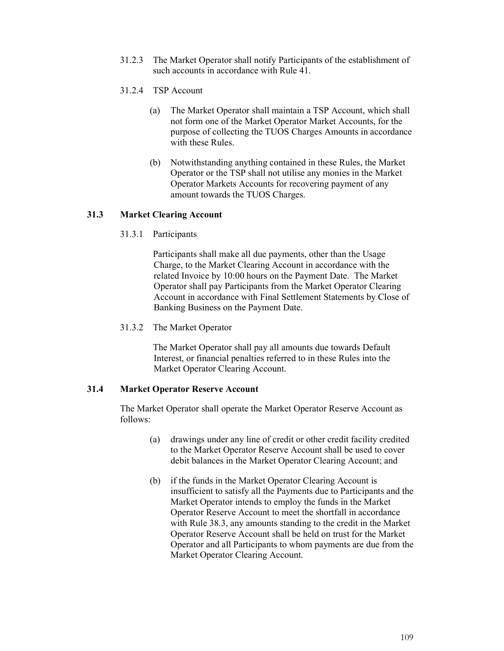- 31.2.3 The Market Operator shall notify Participants of the establishment of such accounts in accordance with Rule 41.
- 31.2.4 TSP Account
	- (a) The Market Operator shall maintain a TSP Account, which shall not form one of the Market Operator Market Accounts, for the purpose of collecting the TUOS Charges Amounts in accordance with these Rules.
	- (b) Notwithstanding anything contained in these Rules, the Market Operator or the TSP shall not utilise any monies in the Market Operator Markets Accounts for recovering payment of any amount towards the TUOS Charges.

## **31.3 Market Clearing Account**

31.3.1 Participants

Participants shall make all due payments, other than the Usage Charge, to the Market Clearing Account in accordance with the related Invoice by 10:00 hours on the Payment Date. The Market Operator shall pay Participants from the Market Operator Clearing Account in accordance with Final Settlement Statements by Close of Banking Business on the Payment Date.

31.3.2 The Market Operator

The Market Operator shall pay all amounts due towards Default Interest, or financial penalties referred to in these Rules into the Market Operator Clearing Account.

## **31.4 Market Operator Reserve Account**

The Market Operator shall operate the Market Operator Reserve Account as follows:

- (a) drawings under any line of credit or other credit facility credited to the Market Operator Reserve Account shall be used to cover debit balances in the Market Operator Clearing Account; and
- (b) if the funds in the Market Operator Clearing Account is insufficient to satisfy all the Payments due to Participants and the Market Operator intends to employ the funds in the Market Operator Reserve Account to meet the shortfall in accordance with Rule 38.3, any amounts standing to the credit in the Market Operator Reserve Account shall be held on trust for the Market Operator and all Participants to whom payments are due from the Market Operator Clearing Account.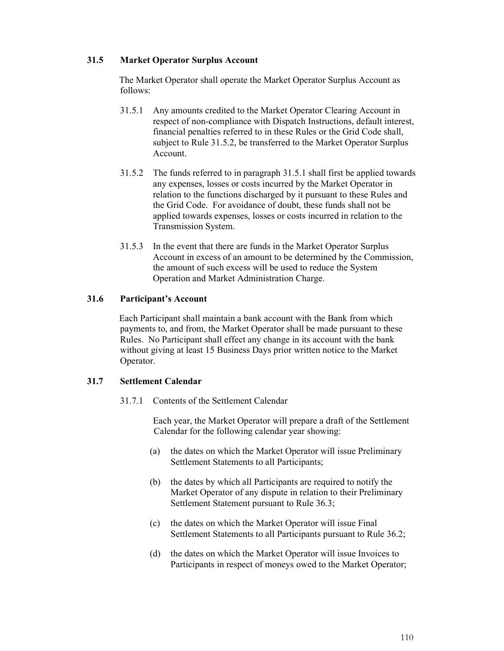## **31.5 Market Operator Surplus Account**

The Market Operator shall operate the Market Operator Surplus Account as follows:

- 31.5.1 Any amounts credited to the Market Operator Clearing Account in respect of non-compliance with Dispatch Instructions, default interest, financial penalties referred to in these Rules or the Grid Code shall, subject to Rule 31.5.2, be transferred to the Market Operator Surplus Account.
- 31.5.2 The funds referred to in paragraph 31.5.1 shall first be applied towards any expenses, losses or costs incurred by the Market Operator in relation to the functions discharged by it pursuant to these Rules and the Grid Code. For avoidance of doubt, these funds shall not be applied towards expenses, losses or costs incurred in relation to the Transmission System.
- 31.5.3 In the event that there are funds in the Market Operator Surplus Account in excess of an amount to be determined by the Commission, the amount of such excess will be used to reduce the System Operation and Market Administration Charge.

#### **31.6 Participant's Account**

Each Participant shall maintain a bank account with the Bank from which payments to, and from, the Market Operator shall be made pursuant to these Rules. No Participant shall effect any change in its account with the bank without giving at least 15 Business Days prior written notice to the Market Operator.

#### **31.7 Settlement Calendar**

31.7.1 Contents of the Settlement Calendar

Each year, the Market Operator will prepare a draft of the Settlement Calendar for the following calendar year showing:

- (a) the dates on which the Market Operator will issue Preliminary Settlement Statements to all Participants;
- (b) the dates by which all Participants are required to notify the Market Operator of any dispute in relation to their Preliminary Settlement Statement pursuant to Rule 36.3;
- (c) the dates on which the Market Operator will issue Final Settlement Statements to all Participants pursuant to Rule 36.2;
- (d) the dates on which the Market Operator will issue Invoices to Participants in respect of moneys owed to the Market Operator;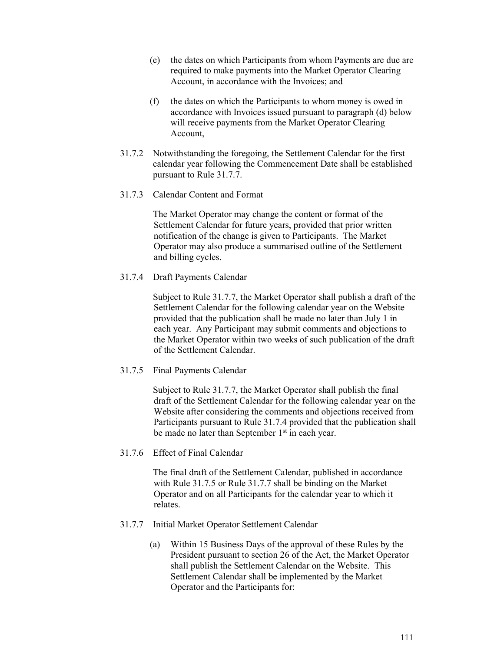- (e) the dates on which Participants from whom Payments are due are required to make payments into the Market Operator Clearing Account, in accordance with the Invoices; and
- (f) the dates on which the Participants to whom money is owed in accordance with Invoices issued pursuant to paragraph (d) below will receive payments from the Market Operator Clearing Account,
- 31.7.2 Notwithstanding the foregoing, the Settlement Calendar for the first calendar year following the Commencement Date shall be established pursuant to Rule 31.7.7.
- 31.7.3 Calendar Content and Format

The Market Operator may change the content or format of the Settlement Calendar for future years, provided that prior written notification of the change is given to Participants. The Market Operator may also produce a summarised outline of the Settlement and billing cycles.

31.7.4 Draft Payments Calendar

Subject to Rule 31.7.7, the Market Operator shall publish a draft of the Settlement Calendar for the following calendar year on the Website provided that the publication shall be made no later than July 1 in each year. Any Participant may submit comments and objections to the Market Operator within two weeks of such publication of the draft of the Settlement Calendar.

31.7.5 Final Payments Calendar

Subject to Rule 31.7.7, the Market Operator shall publish the final draft of the Settlement Calendar for the following calendar year on the Website after considering the comments and objections received from Participants pursuant to Rule 31.7.4 provided that the publication shall be made no later than September 1<sup>st</sup> in each year.

31.7.6 Effect of Final Calendar

The final draft of the Settlement Calendar, published in accordance with Rule 31.7.5 or Rule 31.7.7 shall be binding on the Market Operator and on all Participants for the calendar year to which it relates.

- 31.7.7 Initial Market Operator Settlement Calendar
	- (a) Within 15 Business Days of the approval of these Rules by the President pursuant to section 26 of the Act, the Market Operator shall publish the Settlement Calendar on the Website. This Settlement Calendar shall be implemented by the Market Operator and the Participants for: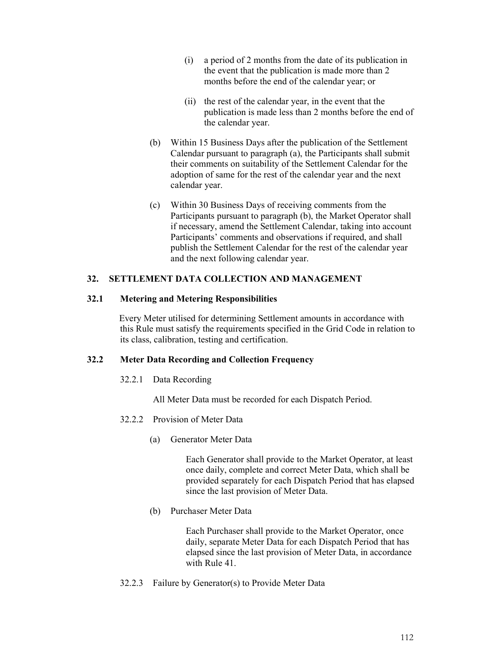- (i) a period of 2 months from the date of its publication in the event that the publication is made more than 2 months before the end of the calendar year; or
- (ii) the rest of the calendar year, in the event that the publication is made less than 2 months before the end of the calendar year.
- (b) Within 15 Business Days after the publication of the Settlement Calendar pursuant to paragraph (a), the Participants shall submit their comments on suitability of the Settlement Calendar for the adoption of same for the rest of the calendar year and the next calendar year.
- (c) Within 30 Business Days of receiving comments from the Participants pursuant to paragraph (b), the Market Operator shall if necessary, amend the Settlement Calendar, taking into account Participants' comments and observations if required, and shall publish the Settlement Calendar for the rest of the calendar year and the next following calendar year.

## **32. SETTLEMENT DATA COLLECTION AND MANAGEMENT**

#### **32.1 Metering and Metering Responsibilities**

Every Meter utilised for determining Settlement amounts in accordance with this Rule must satisfy the requirements specified in the Grid Code in relation to its class, calibration, testing and certification.

#### **32.2 Meter Data Recording and Collection Frequency**

32.2.1 Data Recording

All Meter Data must be recorded for each Dispatch Period.

- 32.2.2 Provision of Meter Data
	- (a) Generator Meter Data

Each Generator shall provide to the Market Operator, at least once daily, complete and correct Meter Data, which shall be provided separately for each Dispatch Period that has elapsed since the last provision of Meter Data.

(b) Purchaser Meter Data

Each Purchaser shall provide to the Market Operator, once daily, separate Meter Data for each Dispatch Period that has elapsed since the last provision of Meter Data, in accordance with Rule 41.

32.2.3 Failure by Generator(s) to Provide Meter Data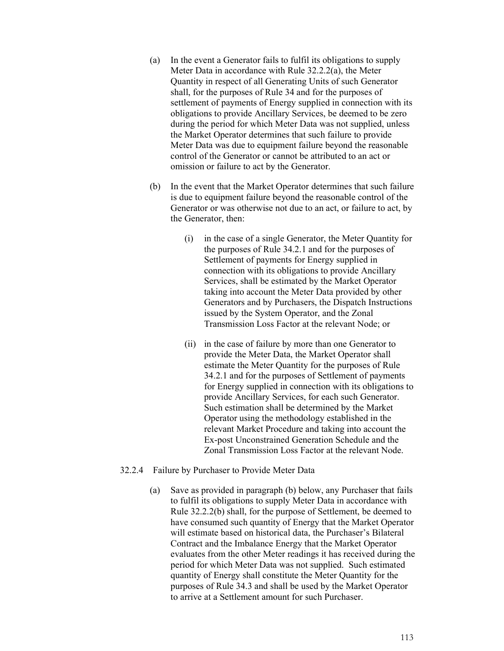- (a) In the event a Generator fails to fulfil its obligations to supply Meter Data in accordance with Rule 32.2.2(a), the Meter Quantity in respect of all Generating Units of such Generator shall, for the purposes of Rule 34 and for the purposes of settlement of payments of Energy supplied in connection with its obligations to provide Ancillary Services, be deemed to be zero during the period for which Meter Data was not supplied, unless the Market Operator determines that such failure to provide Meter Data was due to equipment failure beyond the reasonable control of the Generator or cannot be attributed to an act or omission or failure to act by the Generator.
- (b) In the event that the Market Operator determines that such failure is due to equipment failure beyond the reasonable control of the Generator or was otherwise not due to an act, or failure to act, by the Generator, then:
	- (i) in the case of a single Generator, the Meter Quantity for the purposes of Rule 34.2.1 and for the purposes of Settlement of payments for Energy supplied in connection with its obligations to provide Ancillary Services, shall be estimated by the Market Operator taking into account the Meter Data provided by other Generators and by Purchasers, the Dispatch Instructions issued by the System Operator, and the Zonal Transmission Loss Factor at the relevant Node; or
	- (ii) in the case of failure by more than one Generator to provide the Meter Data, the Market Operator shall estimate the Meter Quantity for the purposes of Rule 34.2.1 and for the purposes of Settlement of payments for Energy supplied in connection with its obligations to provide Ancillary Services, for each such Generator. Such estimation shall be determined by the Market Operator using the methodology established in the relevant Market Procedure and taking into account the Ex-post Unconstrained Generation Schedule and the Zonal Transmission Loss Factor at the relevant Node.
- 32.2.4 Failure by Purchaser to Provide Meter Data
	- (a) Save as provided in paragraph (b) below, any Purchaser that fails to fulfil its obligations to supply Meter Data in accordance with Rule 32.2.2(b) shall, for the purpose of Settlement, be deemed to have consumed such quantity of Energy that the Market Operator will estimate based on historical data, the Purchaser's Bilateral Contract and the Imbalance Energy that the Market Operator evaluates from the other Meter readings it has received during the period for which Meter Data was not supplied. Such estimated quantity of Energy shall constitute the Meter Quantity for the purposes of Rule 34.3 and shall be used by the Market Operator to arrive at a Settlement amount for such Purchaser.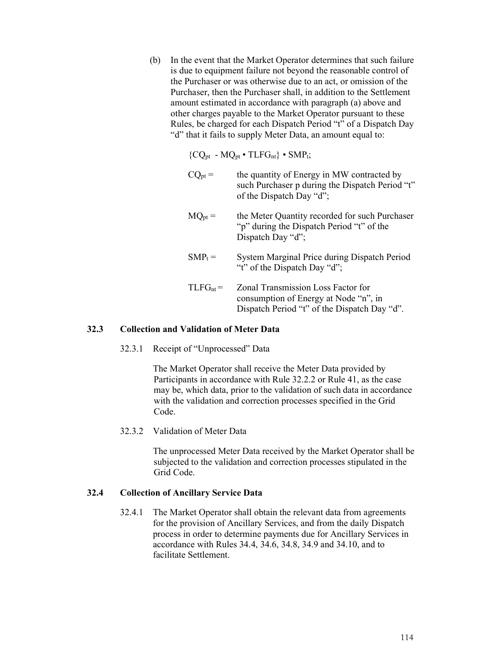(b) In the event that the Market Operator determines that such failure is due to equipment failure not beyond the reasonable control of the Purchaser or was otherwise due to an act, or omission of the Purchaser, then the Purchaser shall, in addition to the Settlement amount estimated in accordance with paragraph (a) above and other charges payable to the Market Operator pursuant to these Rules, be charged for each Dispatch Period "t" of a Dispatch Day "d" that it fails to supply Meter Data, an amount equal to:

 ${CQ_{pt} - MQ_{pt} \cdot TLFG_{nt}} \cdot SMP_{t};$ 

 $CQ_{pt}$  = the quantity of Energy in MW contracted by such Purchaser p during the Dispatch Period "t" of the Dispatch Day "d";  $MQ<sub>pt</sub>$  = the Meter Quantity recorded for such Purchaser "p" during the Dispatch Period "t" of the Dispatch Day "d";  $SMP_t =$  System Marginal Price during Dispatch Period "t" of the Dispatch Day "d";  $TLFG<sub>nt</sub> = Zonal Transmission Loss Factor for$ consumption of Energy at Node "n", in Dispatch Period "t" of the Dispatch Day "d".

#### **32.3 Collection and Validation of Meter Data**

32.3.1 Receipt of "Unprocessed" Data

The Market Operator shall receive the Meter Data provided by Participants in accordance with Rule 32.2.2 or Rule 41, as the case may be, which data, prior to the validation of such data in accordance with the validation and correction processes specified in the Grid Code.

32.3.2 Validation of Meter Data

The unprocessed Meter Data received by the Market Operator shall be subjected to the validation and correction processes stipulated in the Grid Code.

#### **32.4 Collection of Ancillary Service Data**

32.4.1 The Market Operator shall obtain the relevant data from agreements for the provision of Ancillary Services, and from the daily Dispatch process in order to determine payments due for Ancillary Services in accordance with Rules 34.4, 34.6, 34.8, 34.9 and 34.10, and to facilitate Settlement.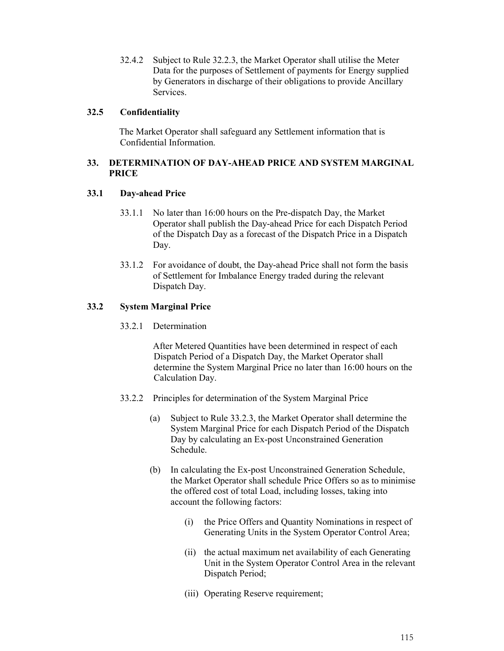32.4.2 Subject to Rule 32.2.3, the Market Operator shall utilise the Meter Data for the purposes of Settlement of payments for Energy supplied by Generators in discharge of their obligations to provide Ancillary Services.

## **32.5 Confidentiality**

The Market Operator shall safeguard any Settlement information that is Confidential Information.

# **33. DETERMINATION OF DAY-AHEAD PRICE AND SYSTEM MARGINAL PRICE**

## **33.1 Day-ahead Price**

- 33.1.1 No later than 16:00 hours on the Pre-dispatch Day, the Market Operator shall publish the Day-ahead Price for each Dispatch Period of the Dispatch Day as a forecast of the Dispatch Price in a Dispatch Day.
- 33.1.2 For avoidance of doubt, the Day-ahead Price shall not form the basis of Settlement for Imbalance Energy traded during the relevant Dispatch Day.

# **33.2 System Marginal Price**

33.2.1 Determination

After Metered Quantities have been determined in respect of each Dispatch Period of a Dispatch Day, the Market Operator shall determine the System Marginal Price no later than 16:00 hours on the Calculation Day.

- 33.2.2 Principles for determination of the System Marginal Price
	- (a) Subject to Rule 33.2.3, the Market Operator shall determine the System Marginal Price for each Dispatch Period of the Dispatch Day by calculating an Ex-post Unconstrained Generation Schedule.
	- (b) In calculating the Ex-post Unconstrained Generation Schedule, the Market Operator shall schedule Price Offers so as to minimise the offered cost of total Load, including losses, taking into account the following factors:
		- (i) the Price Offers and Quantity Nominations in respect of Generating Units in the System Operator Control Area;
		- (ii) the actual maximum net availability of each Generating Unit in the System Operator Control Area in the relevant Dispatch Period;
		- (iii) Operating Reserve requirement;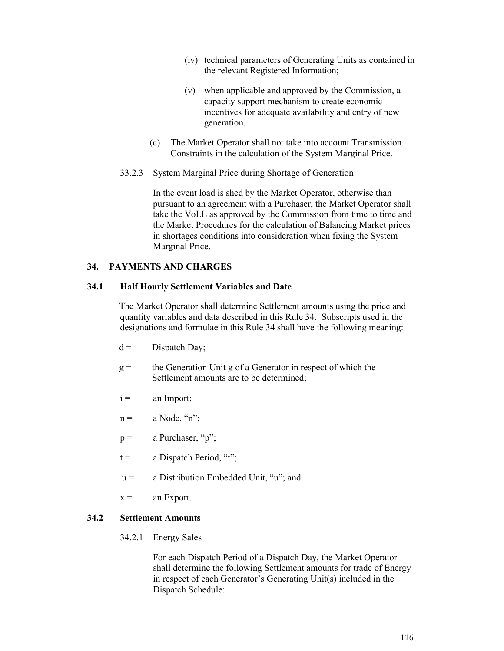- (iv) technical parameters of Generating Units as contained in the relevant Registered Information;
- (v) when applicable and approved by the Commission, a capacity support mechanism to create economic incentives for adequate availability and entry of new generation.
- (c) The Market Operator shall not take into account Transmission Constraints in the calculation of the System Marginal Price.
- 33.2.3 System Marginal Price during Shortage of Generation

In the event load is shed by the Market Operator, otherwise than pursuant to an agreement with a Purchaser, the Market Operator shall take the VoLL as approved by the Commission from time to time and the Market Procedures for the calculation of Balancing Market prices in shortages conditions into consideration when fixing the System Marginal Price.

# **34. PAYMENTS AND CHARGES**

# **34.1 Half Hourly Settlement Variables and Date**

The Market Operator shall determine Settlement amounts using the price and quantity variables and data described in this Rule 34. Subscripts used in the designations and formulae in this Rule 34 shall have the following meaning:

- $d =$  Dispatch Day;
- $g =$  the Generation Unit g of a Generator in respect of which the Settlement amounts are to be determined;
- $i =$  an Import;
- $n =$  a Node, "n";
- $p =$  a Purchaser, "p";
- $t =$  a Dispatch Period, "t";
- $u = a$  Distribution Embedded Unit, "u"; and
- $x =$  an Export.

# **34.2 Settlement Amounts**

34.2.1 Energy Sales

For each Dispatch Period of a Dispatch Day, the Market Operator shall determine the following Settlement amounts for trade of Energy in respect of each Generator's Generating Unit(s) included in the Dispatch Schedule: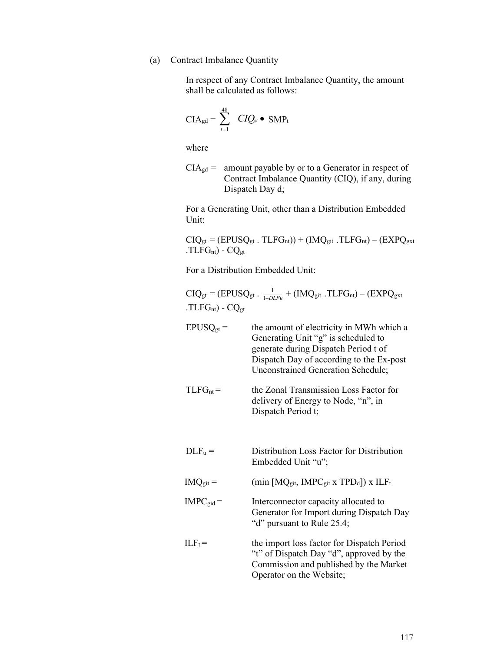# (a) Contract Imbalance Quantity

In respect of any Contract Imbalance Quantity, the amount shall be calculated as follows:

$$
CIA_{gd} = \sum_{t=1}^{48} \quad CIQ_{gt} \bullet \text{ SMP}_{t}
$$

where

 $CIA_{gd}$  = amount payable by or to a Generator in respect of Contract Imbalance Quantity (CIQ), if any, during Dispatch Day d;

For a Generating Unit, other than a Distribution Embedded Unit:

$$
CIQ_{gt} = (EPUSQ_{gt} . TLFG_{nt})) + (IMQ_{git} . TLFG_{nt}) - (EXPQ_{gxt} . TLFG_{nt}) - CQ_{gt}
$$

For a Distribution Embedded Unit:

| $CIQ_{gt} = (EPUSQ_{gt} \cdot \frac{1}{1-DLEu} + (IMQ_{gt} \cdot TLFG_{nt}) - (EXPQ_{gt} \cdot$<br>$.TLFGnt$ ) - $CQgt$ |                                                                                                                                                                                                                  |
|-------------------------------------------------------------------------------------------------------------------------|------------------------------------------------------------------------------------------------------------------------------------------------------------------------------------------------------------------|
| $EPUSQ_{gt}$                                                                                                            | the amount of electricity in MWh which a<br>Generating Unit "g" is scheduled to<br>generate during Dispatch Period t of<br>Dispatch Day of according to the Ex-post<br><b>Unconstrained Generation Schedule;</b> |
| $TLFG_{nt} =$                                                                                                           | the Zonal Transmission Loss Factor for<br>delivery of Energy to Node, "n", in<br>Dispatch Period t;                                                                                                              |
| DLF <sub>u</sub>                                                                                                        | Distribution Loss Factor for Distribution<br>Embedded Unit "u";                                                                                                                                                  |
| $IMQ_{git} =$                                                                                                           | (min $[MQ_{git}$ , IMPC <sub>git</sub> x TPD <sub>d</sub> ]) x ILF <sub>t</sub>                                                                                                                                  |
| $IMPC_{gid} =$                                                                                                          | Interconnector capacity allocated to<br>Generator for Import during Dispatch Day<br>"d" pursuant to Rule 25.4;                                                                                                   |
| $ILF_t =$                                                                                                               | the import loss factor for Dispatch Period<br>"t" of Dispatch Day "d", approved by the<br>Commission and published by the Market<br>Operator on the Website;                                                     |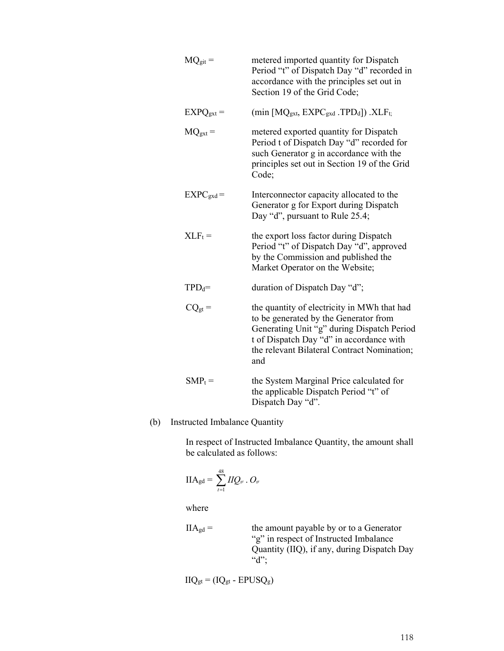| $MQ_{git} =$          | metered imported quantity for Dispatch<br>Period "t" of Dispatch Day "d" recorded in<br>accordance with the principles set out in<br>Section 19 of the Grid Code;                                                                    |
|-----------------------|--------------------------------------------------------------------------------------------------------------------------------------------------------------------------------------------------------------------------------------|
| $EXPQ_{\text{gxt}} =$ | (min $[MQ_{\text{gxt}}$ , EXPC <sub>gxd</sub> .TPD <sub>d</sub> ]) .XLF <sub>t;</sub>                                                                                                                                                |
| $MQ_{\text{gxt}} =$   | metered exported quantity for Dispatch<br>Period t of Dispatch Day "d" recorded for<br>such Generator g in accordance with the<br>principles set out in Section 19 of the Grid<br>Code;                                              |
| $EXPC_{\text{gxd}} =$ | Interconnector capacity allocated to the<br>Generator g for Export during Dispatch<br>Day "d", pursuant to Rule 25.4;                                                                                                                |
| $XLF_t =$             | the export loss factor during Dispatch<br>Period "t" of Dispatch Day "d", approved<br>by the Commission and published the<br>Market Operator on the Website;                                                                         |
| $TPD_d =$             | duration of Dispatch Day "d";                                                                                                                                                                                                        |
| $CQ_{gt}$             | the quantity of electricity in MWh that had<br>to be generated by the Generator from<br>Generating Unit "g" during Dispatch Period<br>t of Dispatch Day "d" in accordance with<br>the relevant Bilateral Contract Nomination;<br>and |
| $SMP_t =$             | the System Marginal Price calculated for<br>the applicable Dispatch Period "t" of<br>Dispatch Day "d".                                                                                                                               |

# (b) Instructed Imbalance Quantity

In respect of Instructed Imbalance Quantity, the amount shall be calculated as follows:

$$
\text{IIA}_{\text{gd}} = \sum_{t=1}^{48} \text{IIQ}_{\text{gr}} \cdot O_{\text{gr}}
$$

where

 $IIA_{gd} =$  the amount payable by or to a Generator "g" in respect of Instructed Imbalance Quantity (IIQ), if any, during Dispatch Day  $\alpha$ <sup>"</sup>d";

$$
IIQ_{gt} = (IQ_{gt} - EPUSQ_g)
$$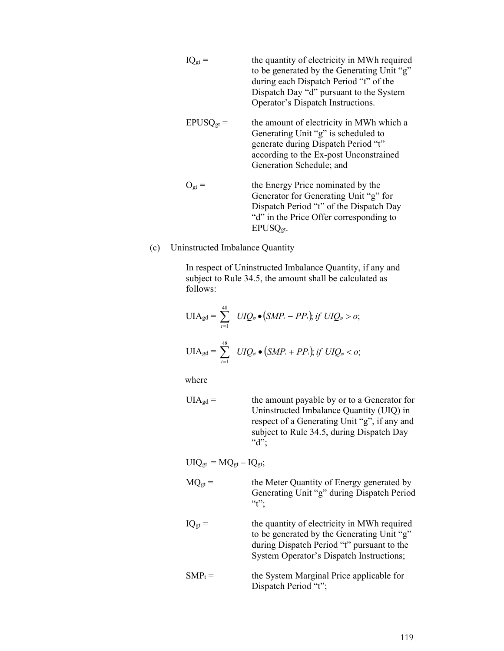|              | the quantity of electricity in MWh required<br>to be generated by the Generating Unit "g"<br>during each Dispatch Period "t" of the<br>Dispatch Day "d" pursuant to the System<br>Operator's Dispatch Instructions. |
|--------------|---------------------------------------------------------------------------------------------------------------------------------------------------------------------------------------------------------------------|
| $EPUSQ_{gt}$ | the amount of electricity in MWh which a<br>Generating Unit "g" is scheduled to<br>generate during Dispatch Period "t"<br>according to the Ex-post Unconstrained<br>Generation Schedule; and                        |
| $U_{gt}$ =   | the Energy Price nominated by the<br>Generator for Generating Unit "g" for<br>Dispatch Period "t" of the Dispatch Day<br>"d" in the Price Offer corresponding to<br>EPUSQ <sub>gt</sub> .                           |

(c) Uninstructed Imbalance Quantity

In respect of Uninstructed Imbalance Quantity, if any and subject to Rule 34.5, the amount shall be calculated as follows:

$$
UIA_{gd} = \sum_{t=1}^{48} UIQ_{st} \bullet (SMP_t - PP_t); \text{ if } UIQ_{st} > 0;
$$
  

$$
UIA_{gd} = \sum_{t=1}^{48} UIQ_{st} \bullet (SMP_t + PP_t); \text{ if } UIQ_{st} < 0;
$$

where

| $UIA_{gd} =$ | the amount payable by or to a Generator for  |
|--------------|----------------------------------------------|
|              | Uninstructed Imbalance Quantity (UIQ) in     |
|              | respect of a Generating Unit "g", if any and |
|              | subject to Rule 34.5, during Dispatch Day    |
|              | " $d$ ":                                     |

 $UIQ<sub>gt</sub> = MQ<sub>gt</sub> - IQ<sub>gt</sub>;$ 

| $\mathrm{MO}_{\mathrm{gt}}$ = | the Meter Quantity of Energy generated by  |
|-------------------------------|--------------------------------------------|
|                               | Generating Unit "g" during Dispatch Period |
|                               | $4$ <sup>2</sup>                           |

- $IQ_{gt}$  = the quantity of electricity in MWh required to be generated by the Generating Unit "g" during Dispatch Period "t" pursuant to the System Operator's Dispatch Instructions;
- $SMP_t =$  the System Marginal Price applicable for Dispatch Period "t";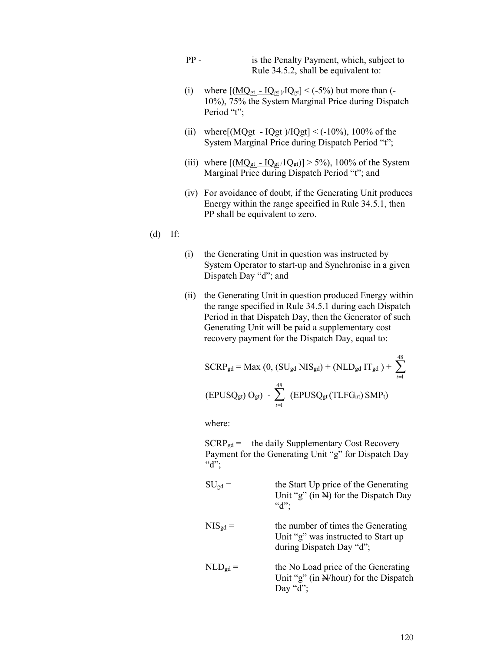- PP is the Penalty Payment, which, subject to Rule 34.5.2, shall be equivalent to:
- (i) where  $[(MQ<sub>gt</sub> IQ<sub>gt</sub>)/IQ<sub>gt</sub>] < (-5%)$  but more than (-10%), 75% the System Marginal Price during Dispatch Period "t";
- (ii) where  $[ (MQgt IQgt)/IQgt] < (-10\%)$ , 100% of the System Marginal Price during Dispatch Period "t";
- (iii) where  $[(\underline{MQ}_{gt} IQ_{gt}/1Q_{gt})] > 5\%$ ), 100% of the System Marginal Price during Dispatch Period "t"; and
- (iv) For avoidance of doubt, if the Generating Unit produces Energy within the range specified in Rule 34.5.1, then PP shall be equivalent to zero.

#### (d) If:

- (i) the Generating Unit in question was instructed by System Operator to start-up and Synchronise in a given Dispatch Day "d"; and
- (ii) the Generating Unit in question produced Energy within the range specified in Rule 34.5.1 during each Dispatch Period in that Dispatch Day, then the Generator of such Generating Unit will be paid a supplementary cost recovery payment for the Dispatch Day, equal to:

$$
SCRP_{gd} = Max (0, (SU_{gd} NIS_{gd}) + (NLD_{gd} IT_{gd}) + \sum_{t=1}^{48}
$$
  
(EPUSQ<sub>gt</sub>) O<sub>gt</sub>) -  $\sum_{t=1}^{48}$  (EPUSQ<sub>gt</sub> (TLFG<sub>nt</sub>) SMP<sub>t</sub>)

where:

 $SCRP_{gd}$  = the daily Supplementary Cost Recovery Payment for the Generating Unit "g" for Dispatch Day " $d$ ";

- $SU<sub>gd</sub>$  = the Start Up price of the Generating Unit "g" (in  $\mathbb{H}$ ) for the Dispatch Day "d";
- $NIS_{gd} =$  the number of times the Generating Unit "g" was instructed to Start up during Dispatch Day "d";
- $NLD<sub>gd</sub>$  = the No Load price of the Generating Unit "g" (in N/hour) for the Dispatch Day "d";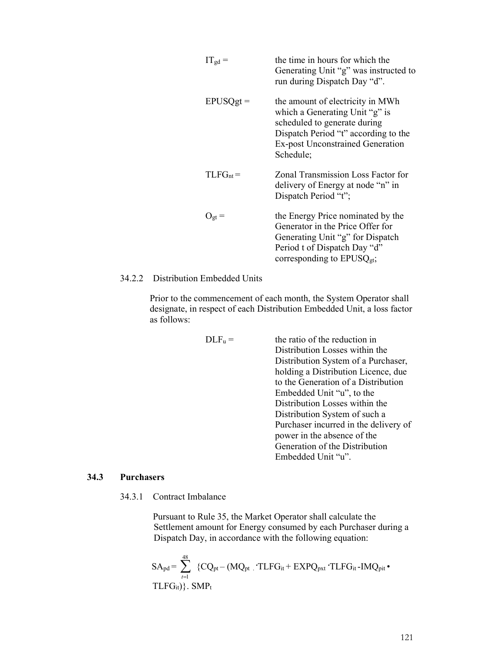| $IT_{gd} =$   | the time in hours for which the<br>Generating Unit "g" was instructed to<br>run during Dispatch Day "d".                                                                                           |
|---------------|----------------------------------------------------------------------------------------------------------------------------------------------------------------------------------------------------|
| $EPUSQgt =$   | the amount of electricity in MWh<br>which a Generating Unit "g" is<br>scheduled to generate during<br>Dispatch Period "t" according to the<br><b>Ex-post Unconstrained Generation</b><br>Schedule; |
| $TLFG_{nt} =$ | Zonal Transmission Loss Factor for<br>delivery of Energy at node "n" in<br>Dispatch Period "t";                                                                                                    |
| $O_{gt} =$    | the Energy Price nominated by the<br>Generator in the Price Offer for<br>Generating Unit "g" for Dispatch<br>Period t of Dispatch Day "d"<br>corresponding to $EPUSQ_{gt}$ ,                       |

34.2.2 Distribution Embedded Units

Prior to the commencement of each month, the System Operator shall designate, in respect of each Distribution Embedded Unit, a loss factor as follows:

| $DLF_u =$ | the ratio of the reduction in         |
|-----------|---------------------------------------|
|           | Distribution Losses within the        |
|           | Distribution System of a Purchaser,   |
|           | holding a Distribution Licence, due   |
|           | to the Generation of a Distribution   |
|           | Embedded Unit "u", to the             |
|           | Distribution Losses within the        |
|           | Distribution System of such a         |
|           | Purchaser incurred in the delivery of |
|           | power in the absence of the           |
|           | Generation of the Distribution        |
|           | Embedded Unit "u".                    |

#### **34.3 Purchasers**

34.3.1 Contract Imbalance

Pursuant to Rule 35, the Market Operator shall calculate the Settlement amount for Energy consumed by each Purchaser during a Dispatch Day, in accordance with the following equation:

$$
SA_{pd} = \sum_{\mathit{t} = 1}^{48} \{CQ_{pt} - (MQ_{pt} \cdot \text{TLFG}_{it} + EXPQ_{pxt} \cdot \text{TLFG}_{it} \text{-}IMQ_{pit} \bullet \text{TLFG}_{it})\}.
$$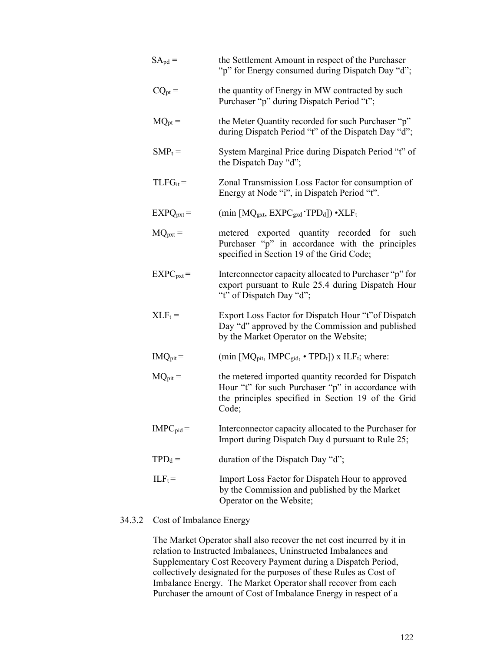| $SA_{pd} =$         | the Settlement Amount in respect of the Purchaser<br>"p" for Energy consumed during Dispatch Day "d";                                                                    |
|---------------------|--------------------------------------------------------------------------------------------------------------------------------------------------------------------------|
| $CQ_{pt} =$         | the quantity of Energy in MW contracted by such<br>Purchaser "p" during Dispatch Period "t";                                                                             |
| $MQ_{pt} =$         | the Meter Quantity recorded for such Purchaser "p"<br>during Dispatch Period "t" of the Dispatch Day "d";                                                                |
| $SMP_t =$           | System Marginal Price during Dispatch Period "t" of<br>the Dispatch Day "d";                                                                                             |
| $TLFG_{it} =$       | Zonal Transmission Loss Factor for consumption of<br>Energy at Node "i", in Dispatch Period "t".                                                                         |
| $EXPQpxt =$         | (min [MQ <sub>gxt,</sub> EXPC <sub>gxd</sub> TPD <sub>d</sub> ]) • XLF <sub>t</sub>                                                                                      |
| $MQ_{\text{pxt}} =$ | metered exported quantity recorded for such<br>Purchaser "p" in accordance with the principles<br>specified in Section 19 of the Grid Code;                              |
| $EXPC_{pxt}$ =      | Interconnector capacity allocated to Purchaser "p" for<br>export pursuant to Rule 25.4 during Dispatch Hour<br>"t" of Dispatch Day "d";                                  |
| $XLF_t =$           | Export Loss Factor for Dispatch Hour "t" of Dispatch<br>Day "d" approved by the Commission and published<br>by the Market Operator on the Website;                       |
| $IMQ_{pit} =$       | (min [MQ <sub>pit</sub> , IMPC <sub>gid</sub> , $\cdot$ TPD <sub>t</sub> ]) x ILF <sub>t</sub> ; where:                                                                  |
| $MQ_{pit} =$        | the metered imported quantity recorded for Dispatch<br>Hour "t" for such Purchaser "p" in accordance with<br>the principles specified in Section 19 of the Grid<br>Code; |
| $IMPC_{pid} =$      | Interconnector capacity allocated to the Purchaser for<br>Import during Dispatch Day d pursuant to Rule 25;                                                              |
| $TPD_d =$           | duration of the Dispatch Day "d";                                                                                                                                        |
| $ILF_t =$           | Import Loss Factor for Dispatch Hour to approved<br>by the Commission and published by the Market<br>Operator on the Website;                                            |

# 34.3.2 Cost of Imbalance Energy

The Market Operator shall also recover the net cost incurred by it in relation to Instructed Imbalances, Uninstructed Imbalances and Supplementary Cost Recovery Payment during a Dispatch Period, collectively designated for the purposes of these Rules as Cost of Imbalance Energy. The Market Operator shall recover from each Purchaser the amount of Cost of Imbalance Energy in respect of a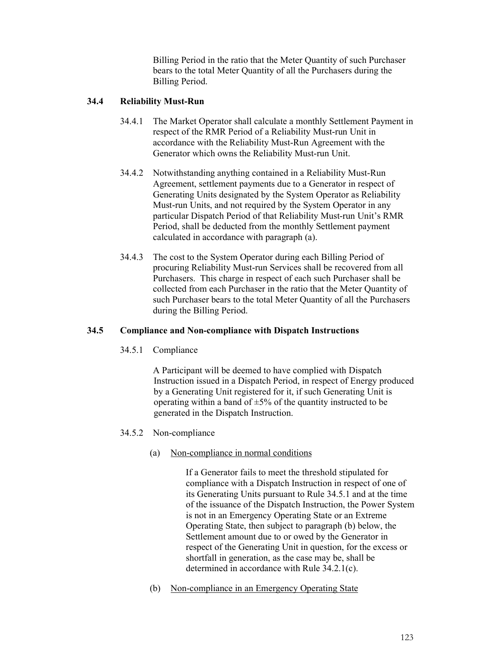Billing Period in the ratio that the Meter Quantity of such Purchaser bears to the total Meter Quantity of all the Purchasers during the Billing Period.

# **34.4 Reliability Must-Run**

- 34.4.1 The Market Operator shall calculate a monthly Settlement Payment in respect of the RMR Period of a Reliability Must-run Unit in accordance with the Reliability Must-Run Agreement with the Generator which owns the Reliability Must-run Unit.
- 34.4.2 Notwithstanding anything contained in a Reliability Must-Run Agreement, settlement payments due to a Generator in respect of Generating Units designated by the System Operator as Reliability Must-run Units, and not required by the System Operator in any particular Dispatch Period of that Reliability Must-run Unit's RMR Period, shall be deducted from the monthly Settlement payment calculated in accordance with paragraph (a).
- 34.4.3 The cost to the System Operator during each Billing Period of procuring Reliability Must-run Services shall be recovered from all Purchasers. This charge in respect of each such Purchaser shall be collected from each Purchaser in the ratio that the Meter Quantity of such Purchaser bears to the total Meter Quantity of all the Purchasers during the Billing Period.

# **34.5 Compliance and Non-compliance with Dispatch Instructions**

34.5.1 Compliance

A Participant will be deemed to have complied with Dispatch Instruction issued in a Dispatch Period, in respect of Energy produced by a Generating Unit registered for it, if such Generating Unit is operating within a band of  $\pm 5\%$  of the quantity instructed to be generated in the Dispatch Instruction.

# 34.5.2 Non-compliance

# (a) Non-compliance in normal conditions

If a Generator fails to meet the threshold stipulated for compliance with a Dispatch Instruction in respect of one of its Generating Units pursuant to Rule 34.5.1 and at the time of the issuance of the Dispatch Instruction, the Power System is not in an Emergency Operating State or an Extreme Operating State, then subject to paragraph (b) below, the Settlement amount due to or owed by the Generator in respect of the Generating Unit in question, for the excess or shortfall in generation, as the case may be, shall be determined in accordance with Rule 34.2.1(c).

(b) Non-compliance in an Emergency Operating State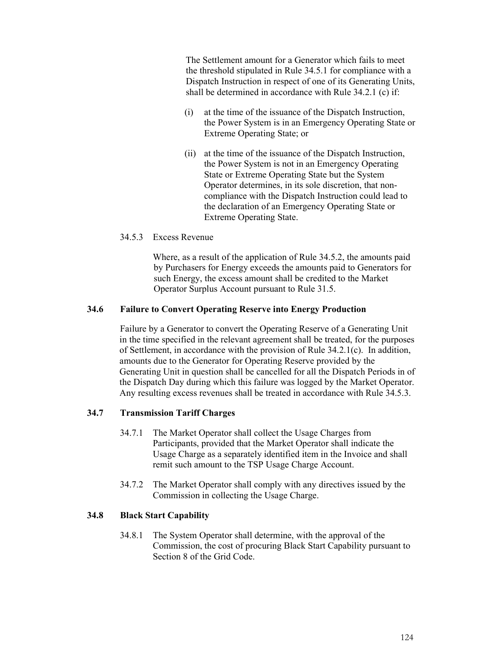The Settlement amount for a Generator which fails to meet the threshold stipulated in Rule 34.5.1 for compliance with a Dispatch Instruction in respect of one of its Generating Units, shall be determined in accordance with Rule 34.2.1 (c) if:

- (i) at the time of the issuance of the Dispatch Instruction, the Power System is in an Emergency Operating State or Extreme Operating State; or
- (ii) at the time of the issuance of the Dispatch Instruction, the Power System is not in an Emergency Operating State or Extreme Operating State but the System Operator determines, in its sole discretion, that noncompliance with the Dispatch Instruction could lead to the declaration of an Emergency Operating State or Extreme Operating State.

#### 34.5.3 Excess Revenue

Where, as a result of the application of Rule 34.5.2, the amounts paid by Purchasers for Energy exceeds the amounts paid to Generators for such Energy, the excess amount shall be credited to the Market Operator Surplus Account pursuant to Rule 31.5.

## **34.6 Failure to Convert Operating Reserve into Energy Production**

Failure by a Generator to convert the Operating Reserve of a Generating Unit in the time specified in the relevant agreement shall be treated, for the purposes of Settlement, in accordance with the provision of Rule 34.2.1(c). In addition, amounts due to the Generator for Operating Reserve provided by the Generating Unit in question shall be cancelled for all the Dispatch Periods in of the Dispatch Day during which this failure was logged by the Market Operator. Any resulting excess revenues shall be treated in accordance with Rule 34.5.3.

# **34.7 Transmission Tariff Charges**

- 34.7.1 The Market Operator shall collect the Usage Charges from Participants, provided that the Market Operator shall indicate the Usage Charge as a separately identified item in the Invoice and shall remit such amount to the TSP Usage Charge Account.
- 34.7.2 The Market Operator shall comply with any directives issued by the Commission in collecting the Usage Charge.

# **34.8 Black Start Capability**

34.8.1 The System Operator shall determine, with the approval of the Commission, the cost of procuring Black Start Capability pursuant to Section 8 of the Grid Code.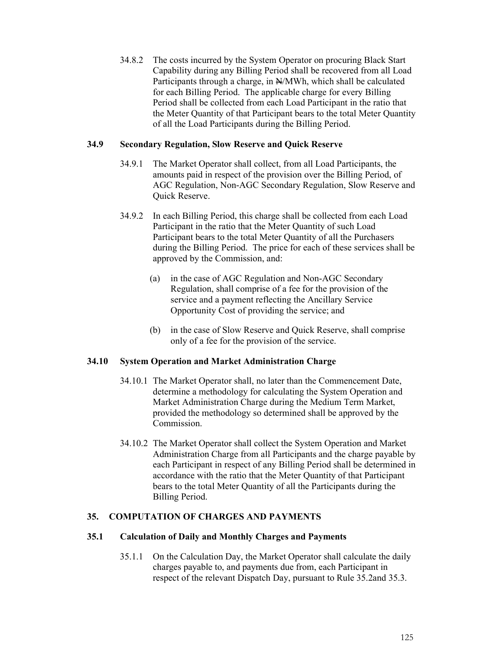34.8.2 The costs incurred by the System Operator on procuring Black Start Capability during any Billing Period shall be recovered from all Load Participants through a charge, in  $\frac{N}{M}$  Wh, which shall be calculated for each Billing Period. The applicable charge for every Billing Period shall be collected from each Load Participant in the ratio that the Meter Quantity of that Participant bears to the total Meter Quantity of all the Load Participants during the Billing Period.

## **34.9 Secondary Regulation, Slow Reserve and Quick Reserve**

- 34.9.1 The Market Operator shall collect, from all Load Participants, the amounts paid in respect of the provision over the Billing Period, of AGC Regulation, Non-AGC Secondary Regulation, Slow Reserve and Quick Reserve.
- 34.9.2 In each Billing Period, this charge shall be collected from each Load Participant in the ratio that the Meter Quantity of such Load Participant bears to the total Meter Quantity of all the Purchasers during the Billing Period. The price for each of these services shall be approved by the Commission, and:
	- (a) in the case of AGC Regulation and Non-AGC Secondary Regulation, shall comprise of a fee for the provision of the service and a payment reflecting the Ancillary Service Opportunity Cost of providing the service; and
	- (b) in the case of Slow Reserve and Quick Reserve, shall comprise only of a fee for the provision of the service.

#### **34.10 System Operation and Market Administration Charge**

- 34.10.1 The Market Operator shall, no later than the Commencement Date, determine a methodology for calculating the System Operation and Market Administration Charge during the Medium Term Market, provided the methodology so determined shall be approved by the **Commission**
- 34.10.2 The Market Operator shall collect the System Operation and Market Administration Charge from all Participants and the charge payable by each Participant in respect of any Billing Period shall be determined in accordance with the ratio that the Meter Quantity of that Participant bears to the total Meter Quantity of all the Participants during the Billing Period.

#### **35. COMPUTATION OF CHARGES AND PAYMENTS**

#### **35.1 Calculation of Daily and Monthly Charges and Payments**

35.1.1 On the Calculation Day, the Market Operator shall calculate the daily charges payable to, and payments due from, each Participant in respect of the relevant Dispatch Day, pursuant to Rule 35.2and 35.3.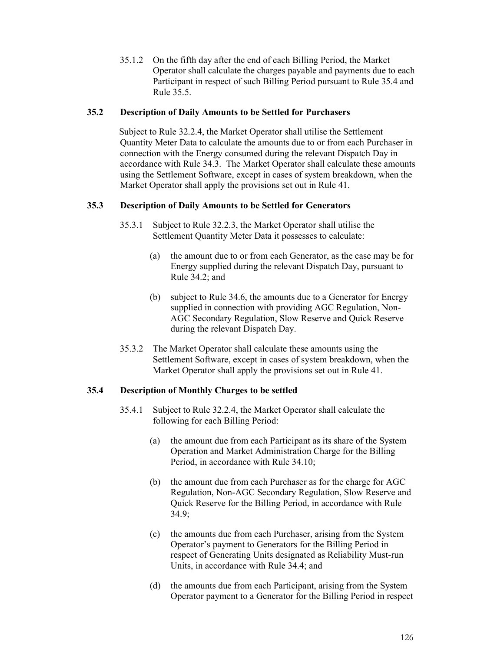35.1.2 On the fifth day after the end of each Billing Period, the Market Operator shall calculate the charges payable and payments due to each Participant in respect of such Billing Period pursuant to Rule 35.4 and Rule 35.5.

## **35.2 Description of Daily Amounts to be Settled for Purchasers**

Subject to Rule 32.2.4, the Market Operator shall utilise the Settlement Quantity Meter Data to calculate the amounts due to or from each Purchaser in connection with the Energy consumed during the relevant Dispatch Day in accordance with Rule 34.3. The Market Operator shall calculate these amounts using the Settlement Software, except in cases of system breakdown, when the Market Operator shall apply the provisions set out in Rule 41.

# **35.3 Description of Daily Amounts to be Settled for Generators**

- 35.3.1 Subject to Rule 32.2.3, the Market Operator shall utilise the Settlement Quantity Meter Data it possesses to calculate:
	- (a) the amount due to or from each Generator, as the case may be for Energy supplied during the relevant Dispatch Day, pursuant to Rule 34.2; and
	- (b) subject to Rule 34.6, the amounts due to a Generator for Energy supplied in connection with providing AGC Regulation, Non-AGC Secondary Regulation, Slow Reserve and Quick Reserve during the relevant Dispatch Day.
- 35.3.2 The Market Operator shall calculate these amounts using the Settlement Software, except in cases of system breakdown, when the Market Operator shall apply the provisions set out in Rule 41.

# **35.4 Description of Monthly Charges to be settled**

- 35.4.1 Subject to Rule 32.2.4, the Market Operator shall calculate the following for each Billing Period:
	- (a) the amount due from each Participant as its share of the System Operation and Market Administration Charge for the Billing Period, in accordance with Rule 34.10;
	- (b) the amount due from each Purchaser as for the charge for AGC Regulation, Non-AGC Secondary Regulation, Slow Reserve and Quick Reserve for the Billing Period, in accordance with Rule 34.9;
	- (c) the amounts due from each Purchaser, arising from the System Operator's payment to Generators for the Billing Period in respect of Generating Units designated as Reliability Must-run Units, in accordance with Rule 34.4; and
	- (d) the amounts due from each Participant, arising from the System Operator payment to a Generator for the Billing Period in respect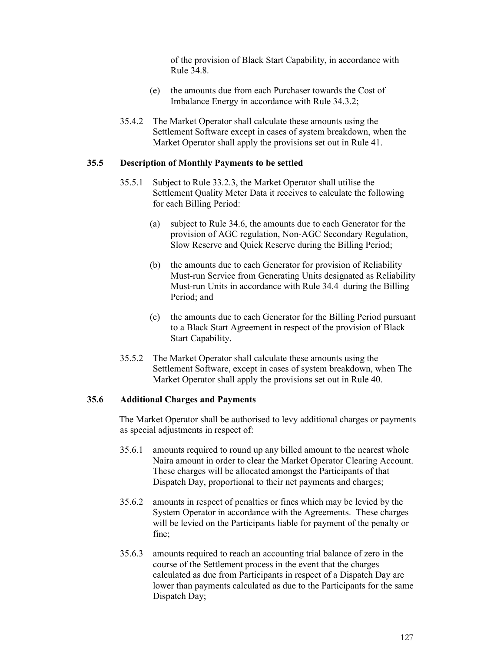of the provision of Black Start Capability, in accordance with Rule 34.8.

- (e) the amounts due from each Purchaser towards the Cost of Imbalance Energy in accordance with Rule 34.3.2;
- 35.4.2 The Market Operator shall calculate these amounts using the Settlement Software except in cases of system breakdown, when the Market Operator shall apply the provisions set out in Rule 41.

#### **35.5 Description of Monthly Payments to be settled**

- 35.5.1 Subject to Rule 33.2.3, the Market Operator shall utilise the Settlement Quality Meter Data it receives to calculate the following for each Billing Period:
	- (a) subject to Rule 34.6, the amounts due to each Generator for the provision of AGC regulation, Non-AGC Secondary Regulation, Slow Reserve and Quick Reserve during the Billing Period;
	- (b) the amounts due to each Generator for provision of Reliability Must-run Service from Generating Units designated as Reliability Must-run Units in accordance with Rule 34.4 during the Billing Period; and
	- (c) the amounts due to each Generator for the Billing Period pursuant to a Black Start Agreement in respect of the provision of Black Start Capability.
- 35.5.2 The Market Operator shall calculate these amounts using the Settlement Software, except in cases of system breakdown, when The Market Operator shall apply the provisions set out in Rule 40.

## **35.6 Additional Charges and Payments**

The Market Operator shall be authorised to levy additional charges or payments as special adjustments in respect of:

- 35.6.1 amounts required to round up any billed amount to the nearest whole Naira amount in order to clear the Market Operator Clearing Account. These charges will be allocated amongst the Participants of that Dispatch Day, proportional to their net payments and charges;
- 35.6.2 amounts in respect of penalties or fines which may be levied by the System Operator in accordance with the Agreements. These charges will be levied on the Participants liable for payment of the penalty or fine;
- 35.6.3 amounts required to reach an accounting trial balance of zero in the course of the Settlement process in the event that the charges calculated as due from Participants in respect of a Dispatch Day are lower than payments calculated as due to the Participants for the same Dispatch Day;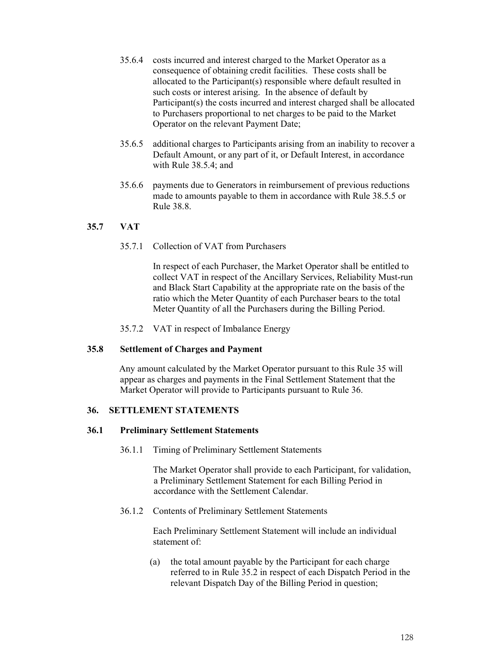- 35.6.4 costs incurred and interest charged to the Market Operator as a consequence of obtaining credit facilities. These costs shall be allocated to the Participant(s) responsible where default resulted in such costs or interest arising. In the absence of default by Participant(s) the costs incurred and interest charged shall be allocated to Purchasers proportional to net charges to be paid to the Market Operator on the relevant Payment Date;
- 35.6.5 additional charges to Participants arising from an inability to recover a Default Amount, or any part of it, or Default Interest, in accordance with Rule 38.5.4; and
- 35.6.6 payments due to Generators in reimbursement of previous reductions made to amounts payable to them in accordance with Rule 38.5.5 or Rule 38.8.

# **35.7 VAT**

35.7.1 Collection of VAT from Purchasers

In respect of each Purchaser, the Market Operator shall be entitled to collect VAT in respect of the Ancillary Services, Reliability Must-run and Black Start Capability at the appropriate rate on the basis of the ratio which the Meter Quantity of each Purchaser bears to the total Meter Quantity of all the Purchasers during the Billing Period.

35.7.2 VAT in respect of Imbalance Energy

#### **35.8 Settlement of Charges and Payment**

Any amount calculated by the Market Operator pursuant to this Rule 35 will appear as charges and payments in the Final Settlement Statement that the Market Operator will provide to Participants pursuant to Rule 36.

#### **36. SETTLEMENT STATEMENTS**

#### **36.1 Preliminary Settlement Statements**

36.1.1 Timing of Preliminary Settlement Statements

The Market Operator shall provide to each Participant, for validation, a Preliminary Settlement Statement for each Billing Period in accordance with the Settlement Calendar.

36.1.2 Contents of Preliminary Settlement Statements

Each Preliminary Settlement Statement will include an individual statement of:

(a) the total amount payable by the Participant for each charge referred to in Rule 35.2 in respect of each Dispatch Period in the relevant Dispatch Day of the Billing Period in question;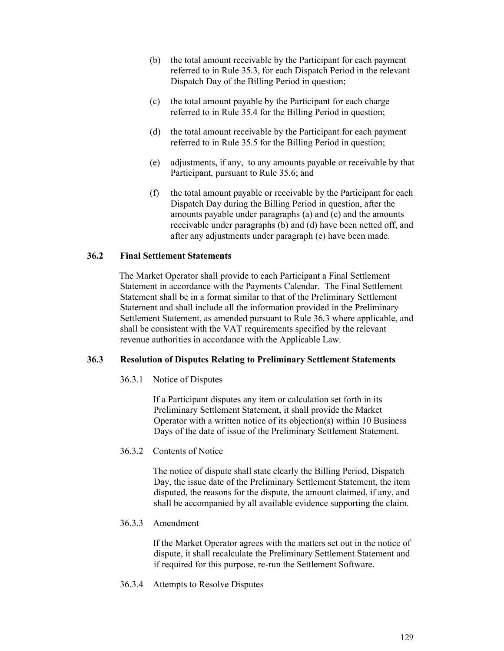- (b) the total amount receivable by the Participant for each payment referred to in Rule 35.3, for each Dispatch Period in the relevant Dispatch Day of the Billing Period in question;
- (c) the total amount payable by the Participant for each charge referred to in Rule 35.4 for the Billing Period in question;
- (d) the total amount receivable by the Participant for each payment referred to in Rule 35.5 for the Billing Period in question;
- (e) adjustments, if any, to any amounts payable or receivable by that Participant, pursuant to Rule 35.6; and
- (f) the total amount payable or receivable by the Participant for each Dispatch Day during the Billing Period in question, after the amounts payable under paragraphs (a) and (c) and the amounts receivable under paragraphs (b) and (d) have been netted off, and after any adjustments under paragraph (e) have been made.

## **36.2 Final Settlement Statements**

The Market Operator shall provide to each Participant a Final Settlement Statement in accordance with the Payments Calendar. The Final Settlement Statement shall be in a format similar to that of the Preliminary Settlement Statement and shall include all the information provided in the Preliminary Settlement Statement, as amended pursuant to Rule 36.3 where applicable, and shall be consistent with the VAT requirements specified by the relevant revenue authorities in accordance with the Applicable Law.

#### **36.3 Resolution of Disputes Relating to Preliminary Settlement Statements**

36.3.1 Notice of Disputes

If a Participant disputes any item or calculation set forth in its Preliminary Settlement Statement, it shall provide the Market Operator with a written notice of its objection(s) within 10 Business Days of the date of issue of the Preliminary Settlement Statement.

36.3.2 Contents of Notice

The notice of dispute shall state clearly the Billing Period, Dispatch Day, the issue date of the Preliminary Settlement Statement, the item disputed, the reasons for the dispute, the amount claimed, if any, and shall be accompanied by all available evidence supporting the claim.

36.3.3 Amendment

If the Market Operator agrees with the matters set out in the notice of dispute, it shall recalculate the Preliminary Settlement Statement and if required for this purpose, re-run the Settlement Software.

36.3.4 Attempts to Resolve Disputes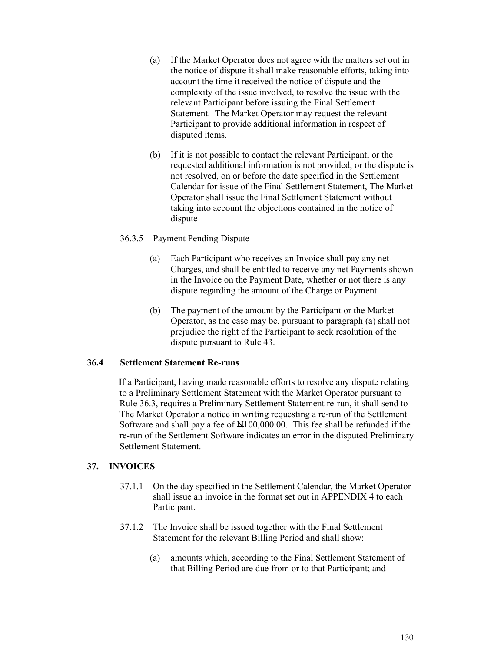- (a) If the Market Operator does not agree with the matters set out in the notice of dispute it shall make reasonable efforts, taking into account the time it received the notice of dispute and the complexity of the issue involved, to resolve the issue with the relevant Participant before issuing the Final Settlement Statement. The Market Operator may request the relevant Participant to provide additional information in respect of disputed items.
- (b) If it is not possible to contact the relevant Participant, or the requested additional information is not provided, or the dispute is not resolved, on or before the date specified in the Settlement Calendar for issue of the Final Settlement Statement, The Market Operator shall issue the Final Settlement Statement without taking into account the objections contained in the notice of dispute

## 36.3.5 Payment Pending Dispute

- (a) Each Participant who receives an Invoice shall pay any net Charges, and shall be entitled to receive any net Payments shown in the Invoice on the Payment Date, whether or not there is any dispute regarding the amount of the Charge or Payment.
- (b) The payment of the amount by the Participant or the Market Operator, as the case may be, pursuant to paragraph (a) shall not prejudice the right of the Participant to seek resolution of the dispute pursuant to Rule 43.

#### **36.4 Settlement Statement Re-runs**

If a Participant, having made reasonable efforts to resolve any dispute relating to a Preliminary Settlement Statement with the Market Operator pursuant to Rule 36.3, requires a Preliminary Settlement Statement re-run, it shall send to The Market Operator a notice in writing requesting a re-run of the Settlement Software and shall pay a fee of  $\frac{N100,000.00}{N}$ . This fee shall be refunded if the re-run of the Settlement Software indicates an error in the disputed Preliminary Settlement Statement.

# **37. INVOICES**

- 37.1.1 On the day specified in the Settlement Calendar, the Market Operator shall issue an invoice in the format set out in APPENDIX 4 to each Participant.
- 37.1.2 The Invoice shall be issued together with the Final Settlement Statement for the relevant Billing Period and shall show:
	- (a) amounts which, according to the Final Settlement Statement of that Billing Period are due from or to that Participant; and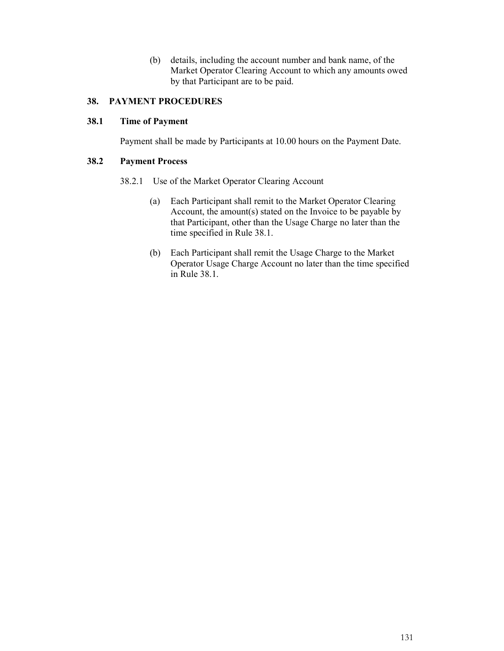(b) details, including the account number and bank name, of the Market Operator Clearing Account to which any amounts owed by that Participant are to be paid.

## **38. PAYMENT PROCEDURES**

#### **38.1 Time of Payment**

Payment shall be made by Participants at 10.00 hours on the Payment Date.

#### **38.2 Payment Process**

- 38.2.1 Use of the Market Operator Clearing Account
	- (a) Each Participant shall remit to the Market Operator Clearing Account, the amount(s) stated on the Invoice to be payable by that Participant, other than the Usage Charge no later than the time specified in Rule 38.1.
	- (b) Each Participant shall remit the Usage Charge to the Market Operator Usage Charge Account no later than the time specified in Rule 38.1.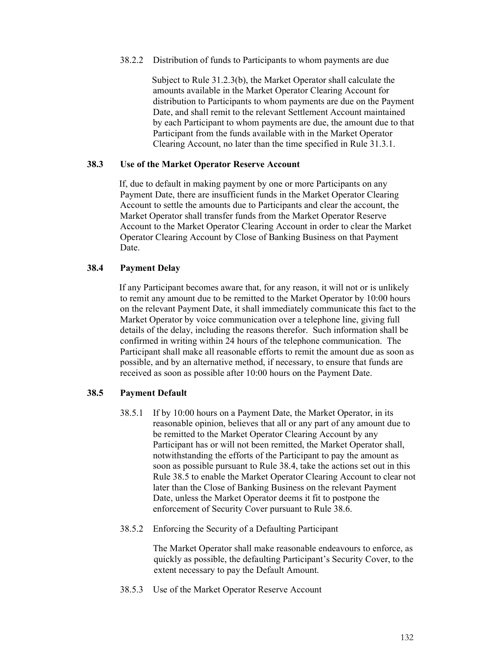#### 38.2.2 Distribution of funds to Participants to whom payments are due

Subject to Rule 31.2.3(b), the Market Operator shall calculate the amounts available in the Market Operator Clearing Account for distribution to Participants to whom payments are due on the Payment Date, and shall remit to the relevant Settlement Account maintained by each Participant to whom payments are due, the amount due to that Participant from the funds available with in the Market Operator Clearing Account, no later than the time specified in Rule 31.3.1.

### **38.3 Use of the Market Operator Reserve Account**

If, due to default in making payment by one or more Participants on any Payment Date, there are insufficient funds in the Market Operator Clearing Account to settle the amounts due to Participants and clear the account, the Market Operator shall transfer funds from the Market Operator Reserve Account to the Market Operator Clearing Account in order to clear the Market Operator Clearing Account by Close of Banking Business on that Payment Date.

### **38.4 Payment Delay**

If any Participant becomes aware that, for any reason, it will not or is unlikely to remit any amount due to be remitted to the Market Operator by 10:00 hours on the relevant Payment Date, it shall immediately communicate this fact to the Market Operator by voice communication over a telephone line, giving full details of the delay, including the reasons therefor. Such information shall be confirmed in writing within 24 hours of the telephone communication. The Participant shall make all reasonable efforts to remit the amount due as soon as possible, and by an alternative method, if necessary, to ensure that funds are received as soon as possible after 10:00 hours on the Payment Date.

#### **38.5 Payment Default**

- 38.5.1 If by 10:00 hours on a Payment Date, the Market Operator, in its reasonable opinion, believes that all or any part of any amount due to be remitted to the Market Operator Clearing Account by any Participant has or will not been remitted, the Market Operator shall, notwithstanding the efforts of the Participant to pay the amount as soon as possible pursuant to Rule 38.4, take the actions set out in this Rule 38.5 to enable the Market Operator Clearing Account to clear not later than the Close of Banking Business on the relevant Payment Date, unless the Market Operator deems it fit to postpone the enforcement of Security Cover pursuant to Rule 38.6.
- 38.5.2 Enforcing the Security of a Defaulting Participant

The Market Operator shall make reasonable endeavours to enforce, as quickly as possible, the defaulting Participant's Security Cover, to the extent necessary to pay the Default Amount.

38.5.3 Use of the Market Operator Reserve Account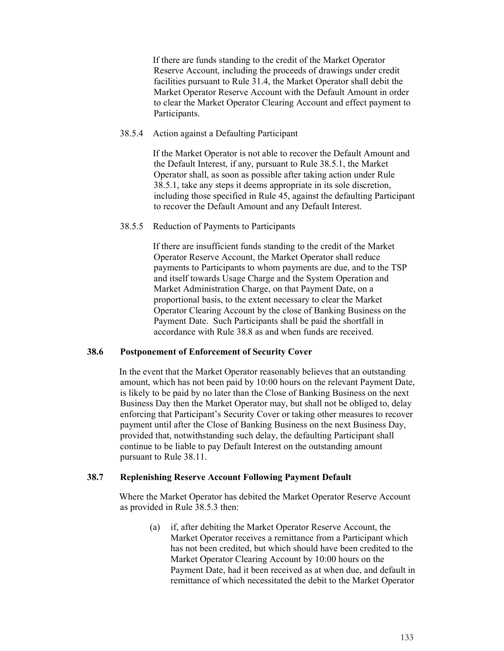If there are funds standing to the credit of the Market Operator Reserve Account, including the proceeds of drawings under credit facilities pursuant to Rule 31.4, the Market Operator shall debit the Market Operator Reserve Account with the Default Amount in order to clear the Market Operator Clearing Account and effect payment to Participants.

## 38.5.4 Action against a Defaulting Participant

If the Market Operator is not able to recover the Default Amount and the Default Interest, if any, pursuant to Rule 38.5.1, the Market Operator shall, as soon as possible after taking action under Rule 38.5.1, take any steps it deems appropriate in its sole discretion, including those specified in Rule 45, against the defaulting Participant to recover the Default Amount and any Default Interest.

## 38.5.5 Reduction of Payments to Participants

If there are insufficient funds standing to the credit of the Market Operator Reserve Account, the Market Operator shall reduce payments to Participants to whom payments are due, and to the TSP and itself towards Usage Charge and the System Operation and Market Administration Charge, on that Payment Date, on a proportional basis, to the extent necessary to clear the Market Operator Clearing Account by the close of Banking Business on the Payment Date. Such Participants shall be paid the shortfall in accordance with Rule 38.8 as and when funds are received.

#### **38.6 Postponement of Enforcement of Security Cover**

In the event that the Market Operator reasonably believes that an outstanding amount, which has not been paid by 10:00 hours on the relevant Payment Date, is likely to be paid by no later than the Close of Banking Business on the next Business Day then the Market Operator may, but shall not be obliged to, delay enforcing that Participant's Security Cover or taking other measures to recover payment until after the Close of Banking Business on the next Business Day, provided that, notwithstanding such delay, the defaulting Participant shall continue to be liable to pay Default Interest on the outstanding amount pursuant to Rule 38.11.

# **38.7 Replenishing Reserve Account Following Payment Default**

Where the Market Operator has debited the Market Operator Reserve Account as provided in Rule 38.5.3 then:

> (a) if, after debiting the Market Operator Reserve Account, the Market Operator receives a remittance from a Participant which has not been credited, but which should have been credited to the Market Operator Clearing Account by 10:00 hours on the Payment Date, had it been received as at when due, and default in remittance of which necessitated the debit to the Market Operator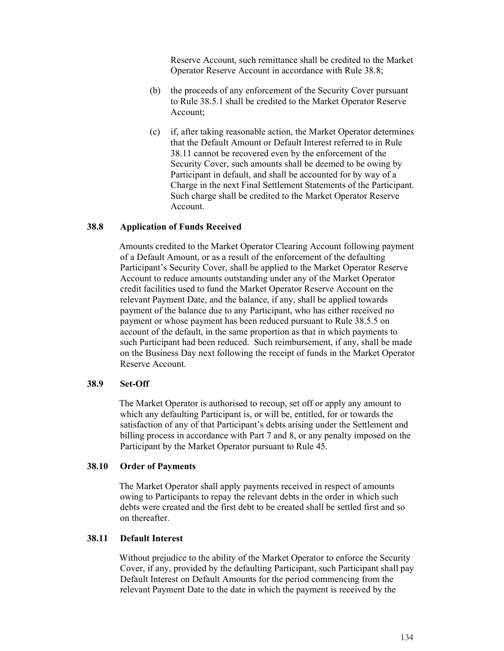Reserve Account, such remittance shall be credited to the Market Operator Reserve Account in accordance with Rule 38.8;

- (b) the proceeds of any enforcement of the Security Cover pursuant to Rule 38.5.1 shall be credited to the Market Operator Reserve Account;
- (c) if, after taking reasonable action, the Market Operator determines that the Default Amount or Default Interest referred to in Rule 38.11 cannot be recovered even by the enforcement of the Security Cover, such amounts shall be deemed to be owing by Participant in default, and shall be accounted for by way of a Charge in the next Final Settlement Statements of the Participant. Such charge shall be credited to the Market Operator Reserve Account.

#### **38.8 Application of Funds Received**

Amounts credited to the Market Operator Clearing Account following payment of a Default Amount, or as a result of the enforcement of the defaulting Participant's Security Cover, shall be applied to the Market Operator Reserve Account to reduce amounts outstanding under any of the Market Operator credit facilities used to fund the Market Operator Reserve Account on the relevant Payment Date, and the balance, if any, shall be applied towards payment of the balance due to any Participant, who has either received no payment or whose payment has been reduced pursuant to Rule 38.5.5 on account of the default, in the same proportion as that in which payments to such Participant had been reduced. Such reimbursement, if any, shall be made on the Business Day next following the receipt of funds in the Market Operator Reserve Account.

#### **38.9 Set-Off**

The Market Operator is authorised to recoup, set off or apply any amount to which any defaulting Participant is, or will be, entitled, for or towards the satisfaction of any of that Participant's debts arising under the Settlement and billing process in accordance with Part 7 and 8, or any penalty imposed on the Participant by the Market Operator pursuant to Rule 45.

#### **38.10 Order of Payments**

The Market Operator shall apply payments received in respect of amounts owing to Participants to repay the relevant debts in the order in which such debts were created and the first debt to be created shall be settled first and so on thereafter.

### **38.11 Default Interest**

Without prejudice to the ability of the Market Operator to enforce the Security Cover, if any, provided by the defaulting Participant, such Participant shall pay Default Interest on Default Amounts for the period commencing from the relevant Payment Date to the date in which the payment is received by the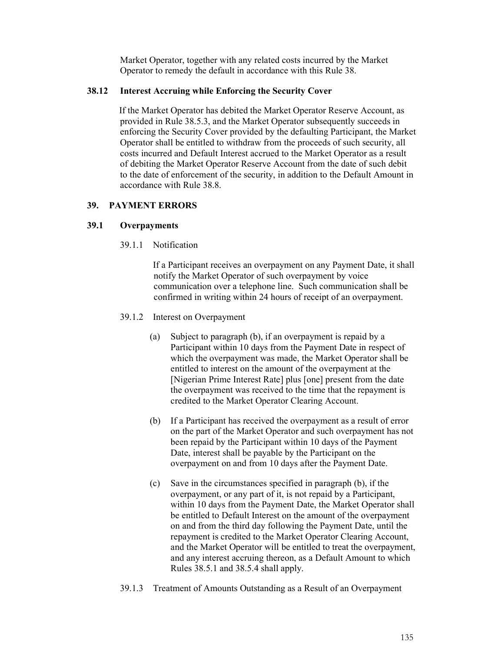Market Operator, together with any related costs incurred by the Market Operator to remedy the default in accordance with this Rule 38.

## **38.12 Interest Accruing while Enforcing the Security Cover**

If the Market Operator has debited the Market Operator Reserve Account, as provided in Rule 38.5.3, and the Market Operator subsequently succeeds in enforcing the Security Cover provided by the defaulting Participant, the Market Operator shall be entitled to withdraw from the proceeds of such security, all costs incurred and Default Interest accrued to the Market Operator as a result of debiting the Market Operator Reserve Account from the date of such debit to the date of enforcement of the security, in addition to the Default Amount in accordance with Rule 38.8.

## **39. PAYMENT ERRORS**

## **39.1 Overpayments**

39.1.1 Notification

If a Participant receives an overpayment on any Payment Date, it shall notify the Market Operator of such overpayment by voice communication over a telephone line. Such communication shall be confirmed in writing within 24 hours of receipt of an overpayment.

- 39.1.2 Interest on Overpayment
	- (a) Subject to paragraph (b), if an overpayment is repaid by a Participant within 10 days from the Payment Date in respect of which the overpayment was made, the Market Operator shall be entitled to interest on the amount of the overpayment at the [Nigerian Prime Interest Rate] plus [one] present from the date the overpayment was received to the time that the repayment is credited to the Market Operator Clearing Account.
	- (b) If a Participant has received the overpayment as a result of error on the part of the Market Operator and such overpayment has not been repaid by the Participant within 10 days of the Payment Date, interest shall be payable by the Participant on the overpayment on and from 10 days after the Payment Date.
	- (c) Save in the circumstances specified in paragraph (b), if the overpayment, or any part of it, is not repaid by a Participant, within 10 days from the Payment Date, the Market Operator shall be entitled to Default Interest on the amount of the overpayment on and from the third day following the Payment Date, until the repayment is credited to the Market Operator Clearing Account, and the Market Operator will be entitled to treat the overpayment, and any interest accruing thereon, as a Default Amount to which Rules 38.5.1 and 38.5.4 shall apply.
- 39.1.3 Treatment of Amounts Outstanding as a Result of an Overpayment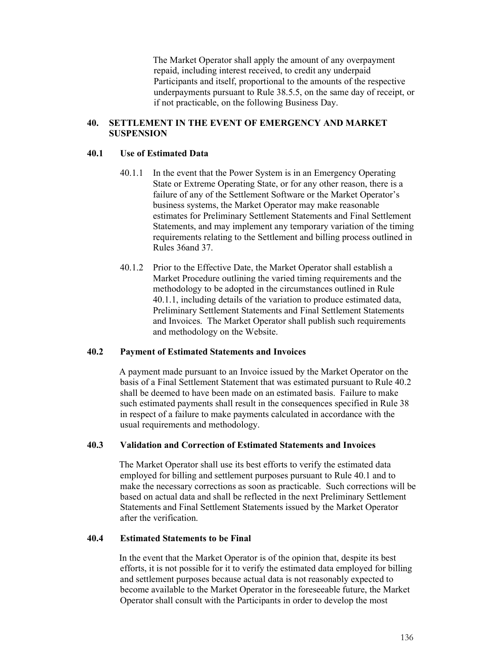The Market Operator shall apply the amount of any overpayment repaid, including interest received, to credit any underpaid Participants and itself, proportional to the amounts of the respective underpayments pursuant to Rule 38.5.5, on the same day of receipt, or if not practicable, on the following Business Day.

## **40. SETTLEMENT IN THE EVENT OF EMERGENCY AND MARKET SUSPENSION**

## **40.1 Use of Estimated Data**

- 40.1.1 In the event that the Power System is in an Emergency Operating State or Extreme Operating State, or for any other reason, there is a failure of any of the Settlement Software or the Market Operator's business systems, the Market Operator may make reasonable estimates for Preliminary Settlement Statements and Final Settlement Statements, and may implement any temporary variation of the timing requirements relating to the Settlement and billing process outlined in Rules 36and 37.
- 40.1.2 Prior to the Effective Date, the Market Operator shall establish a Market Procedure outlining the varied timing requirements and the methodology to be adopted in the circumstances outlined in Rule 40.1.1, including details of the variation to produce estimated data, Preliminary Settlement Statements and Final Settlement Statements and Invoices. The Market Operator shall publish such requirements and methodology on the Website.

### **40.2 Payment of Estimated Statements and Invoices**

A payment made pursuant to an Invoice issued by the Market Operator on the basis of a Final Settlement Statement that was estimated pursuant to Rule 40.2 shall be deemed to have been made on an estimated basis. Failure to make such estimated payments shall result in the consequences specified in Rule 38 in respect of a failure to make payments calculated in accordance with the usual requirements and methodology.

### **40.3 Validation and Correction of Estimated Statements and Invoices**

The Market Operator shall use its best efforts to verify the estimated data employed for billing and settlement purposes pursuant to Rule 40.1 and to make the necessary corrections as soon as practicable. Such corrections will be based on actual data and shall be reflected in the next Preliminary Settlement Statements and Final Settlement Statements issued by the Market Operator after the verification.

### **40.4 Estimated Statements to be Final**

In the event that the Market Operator is of the opinion that, despite its best efforts, it is not possible for it to verify the estimated data employed for billing and settlement purposes because actual data is not reasonably expected to become available to the Market Operator in the foreseeable future, the Market Operator shall consult with the Participants in order to develop the most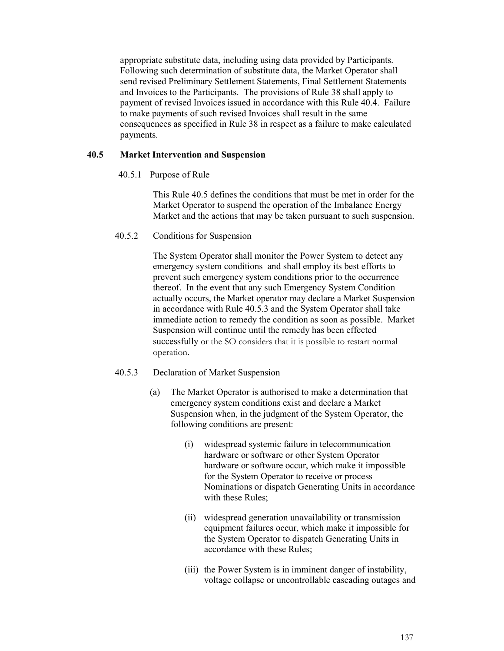appropriate substitute data, including using data provided by Participants. Following such determination of substitute data, the Market Operator shall send revised Preliminary Settlement Statements, Final Settlement Statements and Invoices to the Participants. The provisions of Rule 38 shall apply to payment of revised Invoices issued in accordance with this Rule 40.4. Failure to make payments of such revised Invoices shall result in the same consequences as specified in Rule 38 in respect as a failure to make calculated payments.

## **40.5 Market Intervention and Suspension**

40.5.1 Purpose of Rule

This Rule 40.5 defines the conditions that must be met in order for the Market Operator to suspend the operation of the Imbalance Energy Market and the actions that may be taken pursuant to such suspension.

40.5.2 Conditions for Suspension

The System Operator shall monitor the Power System to detect any emergency system conditions and shall employ its best efforts to prevent such emergency system conditions prior to the occurrence thereof. In the event that any such Emergency System Condition actually occurs, the Market operator may declare a Market Suspension in accordance with Rule 40.5.3 and the System Operator shall take immediate action to remedy the condition as soon as possible. Market Suspension will continue until the remedy has been effected successfully or the SO considers that it is possible to restart normal operation.

### 40.5.3 Declaration of Market Suspension

- (a) The Market Operator is authorised to make a determination that emergency system conditions exist and declare a Market Suspension when, in the judgment of the System Operator, the following conditions are present:
	- (i) widespread systemic failure in telecommunication hardware or software or other System Operator hardware or software occur, which make it impossible for the System Operator to receive or process Nominations or dispatch Generating Units in accordance with these Rules;
	- (ii) widespread generation unavailability or transmission equipment failures occur, which make it impossible for the System Operator to dispatch Generating Units in accordance with these Rules;
	- (iii) the Power System is in imminent danger of instability, voltage collapse or uncontrollable cascading outages and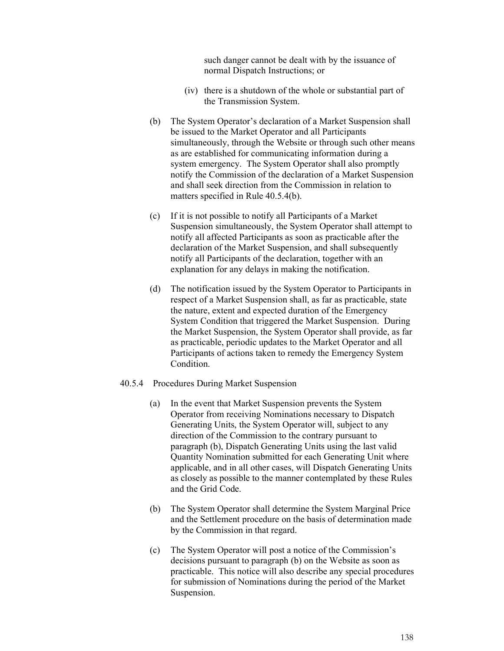such danger cannot be dealt with by the issuance of normal Dispatch Instructions; or

- (iv) there is a shutdown of the whole or substantial part of the Transmission System.
- (b) The System Operator's declaration of a Market Suspension shall be issued to the Market Operator and all Participants simultaneously, through the Website or through such other means as are established for communicating information during a system emergency. The System Operator shall also promptly notify the Commission of the declaration of a Market Suspension and shall seek direction from the Commission in relation to matters specified in Rule 40.5.4(b).
- (c) If it is not possible to notify all Participants of a Market Suspension simultaneously, the System Operator shall attempt to notify all affected Participants as soon as practicable after the declaration of the Market Suspension, and shall subsequently notify all Participants of the declaration, together with an explanation for any delays in making the notification.
- (d) The notification issued by the System Operator to Participants in respect of a Market Suspension shall, as far as practicable, state the nature, extent and expected duration of the Emergency System Condition that triggered the Market Suspension. During the Market Suspension, the System Operator shall provide, as far as practicable, periodic updates to the Market Operator and all Participants of actions taken to remedy the Emergency System Condition.
- 40.5.4 Procedures During Market Suspension
	- (a) In the event that Market Suspension prevents the System Operator from receiving Nominations necessary to Dispatch Generating Units, the System Operator will, subject to any direction of the Commission to the contrary pursuant to paragraph (b), Dispatch Generating Units using the last valid Quantity Nomination submitted for each Generating Unit where applicable, and in all other cases, will Dispatch Generating Units as closely as possible to the manner contemplated by these Rules and the Grid Code.
	- (b) The System Operator shall determine the System Marginal Price and the Settlement procedure on the basis of determination made by the Commission in that regard.
	- (c) The System Operator will post a notice of the Commission's decisions pursuant to paragraph (b) on the Website as soon as practicable. This notice will also describe any special procedures for submission of Nominations during the period of the Market Suspension.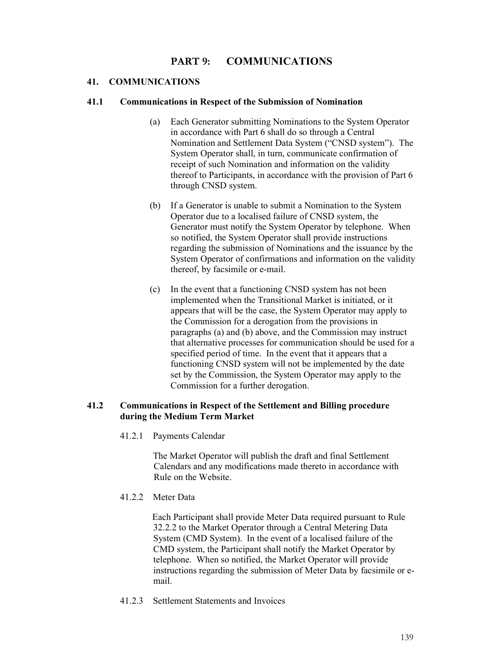# **PART 9: COMMUNICATIONS**

### **41. COMMUNICATIONS**

#### **41.1 Communications in Respect of the Submission of Nomination**

- (a) Each Generator submitting Nominations to the System Operator in accordance with Part 6 shall do so through a Central Nomination and Settlement Data System ("CNSD system"). The System Operator shall, in turn, communicate confirmation of receipt of such Nomination and information on the validity thereof to Participants, in accordance with the provision of Part 6 through CNSD system.
- (b) If a Generator is unable to submit a Nomination to the System Operator due to a localised failure of CNSD system, the Generator must notify the System Operator by telephone. When so notified, the System Operator shall provide instructions regarding the submission of Nominations and the issuance by the System Operator of confirmations and information on the validity thereof, by facsimile or e-mail.
- (c) In the event that a functioning CNSD system has not been implemented when the Transitional Market is initiated, or it appears that will be the case, the System Operator may apply to the Commission for a derogation from the provisions in paragraphs (a) and (b) above, and the Commission may instruct that alternative processes for communication should be used for a specified period of time. In the event that it appears that a functioning CNSD system will not be implemented by the date set by the Commission, the System Operator may apply to the Commission for a further derogation.

### **41.2 Communications in Respect of the Settlement and Billing procedure during the Medium Term Market**

41.2.1 Payments Calendar

The Market Operator will publish the draft and final Settlement Calendars and any modifications made thereto in accordance with Rule on the Website.

41.2.2 Meter Data

Each Participant shall provide Meter Data required pursuant to Rule 32.2.2 to the Market Operator through a Central Metering Data System (CMD System). In the event of a localised failure of the CMD system, the Participant shall notify the Market Operator by telephone. When so notified, the Market Operator will provide instructions regarding the submission of Meter Data by facsimile or email.

41.2.3 Settlement Statements and Invoices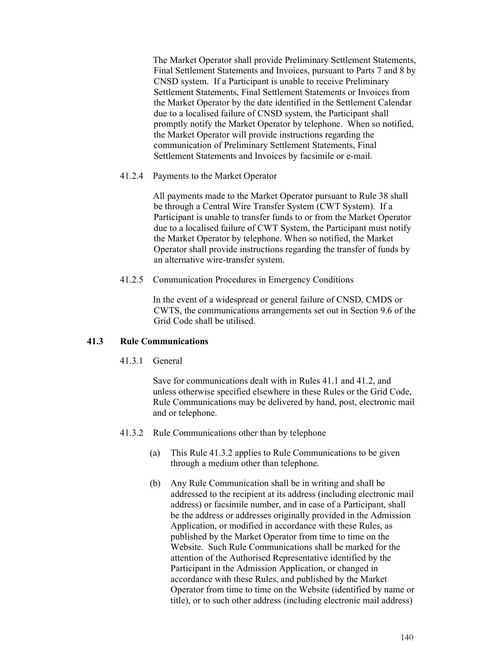The Market Operator shall provide Preliminary Settlement Statements, Final Settlement Statements and Invoices, pursuant to Parts 7 and 8 by CNSD system. If a Participant is unable to receive Preliminary Settlement Statements, Final Settlement Statements or Invoices from the Market Operator by the date identified in the Settlement Calendar due to a localised failure of CNSD system, the Participant shall promptly notify the Market Operator by telephone. When so notified, the Market Operator will provide instructions regarding the communication of Preliminary Settlement Statements, Final Settlement Statements and Invoices by facsimile or e-mail.

### 41.2.4 Payments to the Market Operator

All payments made to the Market Operator pursuant to Rule 38 shall be through a Central Wire Transfer System (CWT System). If a Participant is unable to transfer funds to or from the Market Operator due to a localised failure of CWT System, the Participant must notify the Market Operator by telephone. When so notified, the Market Operator shall provide instructions regarding the transfer of funds by an alternative wire-transfer system.

## 41.2.5 Communication Procedures in Emergency Conditions

In the event of a widespread or general failure of CNSD, CMDS or CWTS, the communications arrangements set out in Section 9.6 of the Grid Code shall be utilised.

### **41.3 Rule Communications**

41.3.1 General

Save for communications dealt with in Rules 41.1 and 41.2, and unless otherwise specified elsewhere in these Rules or the Grid Code, Rule Communications may be delivered by hand, post, electronic mail and or telephone.

- 41.3.2 Rule Communications other than by telephone
	- (a) This Rule 41.3.2 applies to Rule Communications to be given through a medium other than telephone.
	- (b) Any Rule Communication shall be in writing and shall be addressed to the recipient at its address (including electronic mail address) or facsimile number, and in case of a Participant, shall be the address or addresses originally provided in the Admission Application, or modified in accordance with these Rules, as published by the Market Operator from time to time on the Website. Such Rule Communications shall be marked for the attention of the Authorised Representative identified by the Participant in the Admission Application, or changed in accordance with these Rules, and published by the Market Operator from time to time on the Website (identified by name or title), or to such other address (including electronic mail address)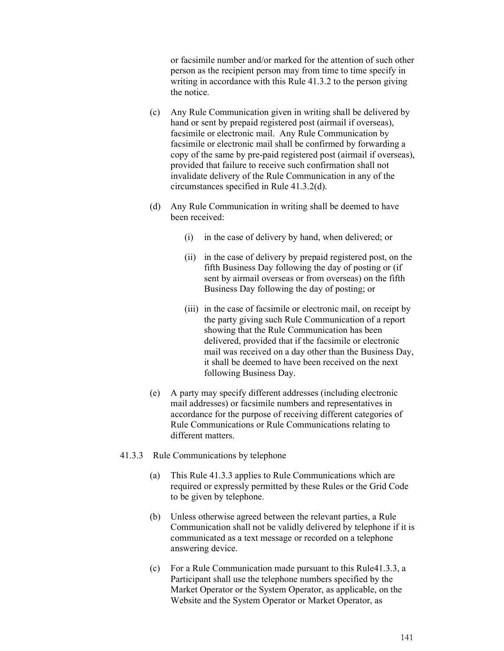or facsimile number and/or marked for the attention of such other person as the recipient person may from time to time specify in writing in accordance with this Rule 41.3.2 to the person giving the notice.

- (c) Any Rule Communication given in writing shall be delivered by hand or sent by prepaid registered post (airmail if overseas), facsimile or electronic mail. Any Rule Communication by facsimile or electronic mail shall be confirmed by forwarding a copy of the same by pre-paid registered post (airmail if overseas), provided that failure to receive such confirmation shall not invalidate delivery of the Rule Communication in any of the circumstances specified in Rule 41.3.2(d).
- (d) Any Rule Communication in writing shall be deemed to have been received:
	- (i) in the case of delivery by hand, when delivered; or
	- (ii) in the case of delivery by prepaid registered post, on the fifth Business Day following the day of posting or (if sent by airmail overseas or from overseas) on the fifth Business Day following the day of posting; or
	- (iii) in the case of facsimile or electronic mail, on receipt by the party giving such Rule Communication of a report showing that the Rule Communication has been delivered, provided that if the facsimile or electronic mail was received on a day other than the Business Day, it shall be deemed to have been received on the next following Business Day.
- (e) A party may specify different addresses (including electronic mail addresses) or facsimile numbers and representatives in accordance for the purpose of receiving different categories of Rule Communications or Rule Communications relating to different matters.
- 41.3.3 Rule Communications by telephone
	- (a) This Rule 41.3.3 applies to Rule Communications which are required or expressly permitted by these Rules or the Grid Code to be given by telephone.
	- (b) Unless otherwise agreed between the relevant parties, a Rule Communication shall not be validly delivered by telephone if it is communicated as a text message or recorded on a telephone answering device.
	- (c) For a Rule Communication made pursuant to this Rule41.3.3, a Participant shall use the telephone numbers specified by the Market Operator or the System Operator, as applicable, on the Website and the System Operator or Market Operator, as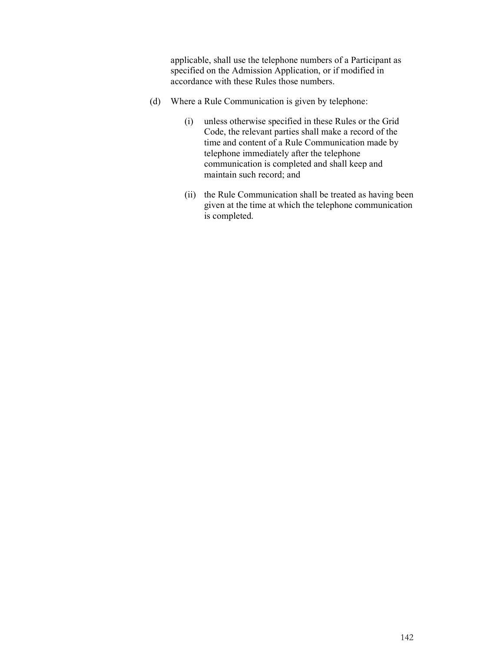applicable, shall use the telephone numbers of a Participant as specified on the Admission Application, or if modified in accordance with these Rules those numbers.

- (d) Where a Rule Communication is given by telephone:
	- (i) unless otherwise specified in these Rules or the Grid Code, the relevant parties shall make a record of the time and content of a Rule Communication made by telephone immediately after the telephone communication is completed and shall keep and maintain such record; and
	- (ii) the Rule Communication shall be treated as having been given at the time at which the telephone communication is completed.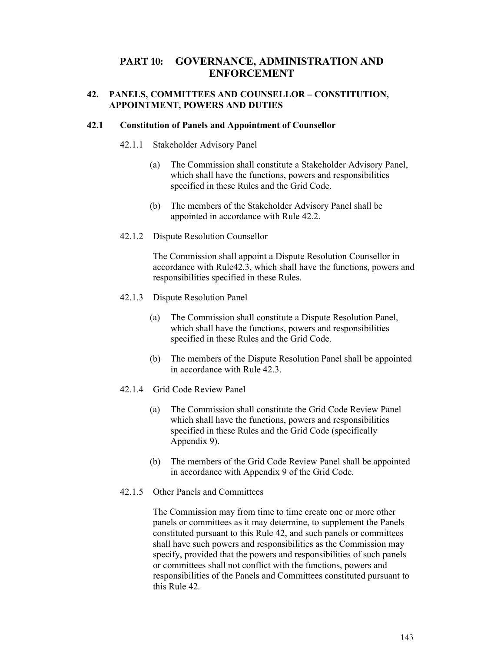# **PART 10: GOVERNANCE, ADMINISTRATION AND ENFORCEMENT**

## **42. PANELS, COMMITTEES AND COUNSELLOR – CONSTITUTION, APPOINTMENT, POWERS AND DUTIES**

### **42.1 Constitution of Panels and Appointment of Counsellor**

### 42.1.1 Stakeholder Advisory Panel

- (a) The Commission shall constitute a Stakeholder Advisory Panel, which shall have the functions, powers and responsibilities specified in these Rules and the Grid Code.
- (b) The members of the Stakeholder Advisory Panel shall be appointed in accordance with Rule 42.2.
- 42.1.2 Dispute Resolution Counsellor

The Commission shall appoint a Dispute Resolution Counsellor in accordance with Rule42.3, which shall have the functions, powers and responsibilities specified in these Rules.

- 42.1.3 Dispute Resolution Panel
	- (a) The Commission shall constitute a Dispute Resolution Panel, which shall have the functions, powers and responsibilities specified in these Rules and the Grid Code.
	- (b) The members of the Dispute Resolution Panel shall be appointed in accordance with Rule 42.3.
- 42.1.4 Grid Code Review Panel
	- (a) The Commission shall constitute the Grid Code Review Panel which shall have the functions, powers and responsibilities specified in these Rules and the Grid Code (specifically Appendix 9).
	- (b) The members of the Grid Code Review Panel shall be appointed in accordance with Appendix 9 of the Grid Code.
- 42.1.5 Other Panels and Committees

The Commission may from time to time create one or more other panels or committees as it may determine, to supplement the Panels constituted pursuant to this Rule 42, and such panels or committees shall have such powers and responsibilities as the Commission may specify, provided that the powers and responsibilities of such panels or committees shall not conflict with the functions, powers and responsibilities of the Panels and Committees constituted pursuant to this Rule 42.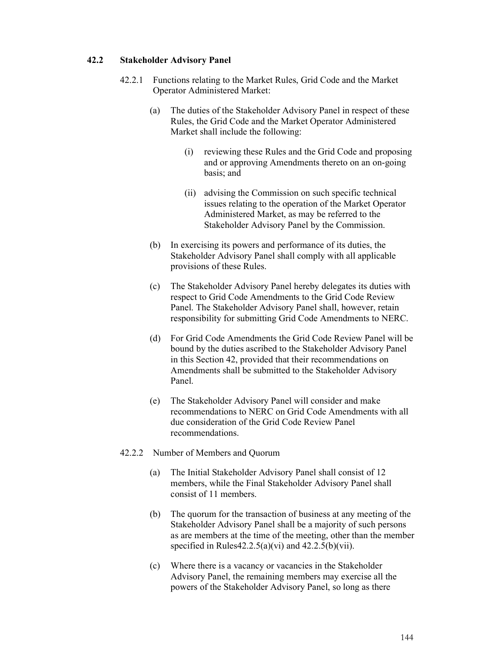## **42.2 Stakeholder Advisory Panel**

- 42.2.1 Functions relating to the Market Rules, Grid Code and the Market Operator Administered Market:
	- (a) The duties of the Stakeholder Advisory Panel in respect of these Rules, the Grid Code and the Market Operator Administered Market shall include the following:
		- (i) reviewing these Rules and the Grid Code and proposing and or approving Amendments thereto on an on-going basis; and
		- (ii) advising the Commission on such specific technical issues relating to the operation of the Market Operator Administered Market, as may be referred to the Stakeholder Advisory Panel by the Commission.
	- (b) In exercising its powers and performance of its duties, the Stakeholder Advisory Panel shall comply with all applicable provisions of these Rules.
	- (c) The Stakeholder Advisory Panel hereby delegates its duties with respect to Grid Code Amendments to the Grid Code Review Panel. The Stakeholder Advisory Panel shall, however, retain responsibility for submitting Grid Code Amendments to NERC.
	- (d) For Grid Code Amendments the Grid Code Review Panel will be bound by the duties ascribed to the Stakeholder Advisory Panel in this Section 42, provided that their recommendations on Amendments shall be submitted to the Stakeholder Advisory Panel.
	- (e) The Stakeholder Advisory Panel will consider and make recommendations to NERC on Grid Code Amendments with all due consideration of the Grid Code Review Panel recommendations.
- 42.2.2 Number of Members and Quorum
	- (a) The Initial Stakeholder Advisory Panel shall consist of 12 members, while the Final Stakeholder Advisory Panel shall consist of 11 members.
	- (b) The quorum for the transaction of business at any meeting of the Stakeholder Advisory Panel shall be a majority of such persons as are members at the time of the meeting, other than the member specified in Rules $42.2.5(a)(vi)$  and  $42.2.5(b)(vii)$ .
	- (c) Where there is a vacancy or vacancies in the Stakeholder Advisory Panel, the remaining members may exercise all the powers of the Stakeholder Advisory Panel, so long as there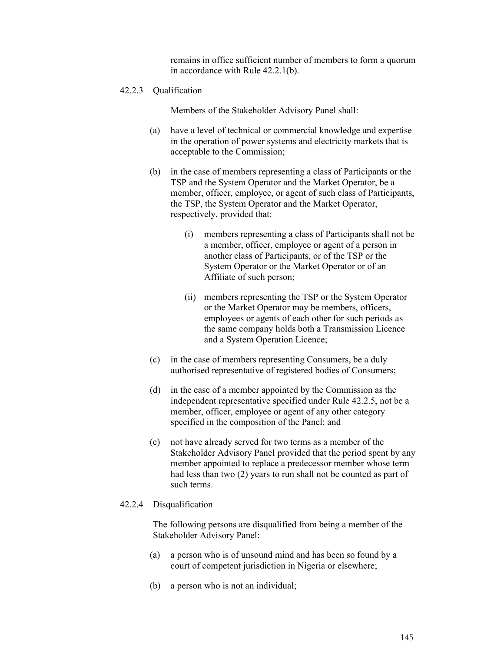remains in office sufficient number of members to form a quorum in accordance with Rule 42.2.1(b).

#### 42.2.3 Qualification

Members of the Stakeholder Advisory Panel shall:

- (a) have a level of technical or commercial knowledge and expertise in the operation of power systems and electricity markets that is acceptable to the Commission;
- (b) in the case of members representing a class of Participants or the TSP and the System Operator and the Market Operator, be a member, officer, employee, or agent of such class of Participants, the TSP, the System Operator and the Market Operator, respectively, provided that:
	- (i) members representing a class of Participants shall not be a member, officer, employee or agent of a person in another class of Participants, or of the TSP or the System Operator or the Market Operator or of an Affiliate of such person;
	- (ii) members representing the TSP or the System Operator or the Market Operator may be members, officers, employees or agents of each other for such periods as the same company holds both a Transmission Licence and a System Operation Licence;
- (c) in the case of members representing Consumers, be a duly authorised representative of registered bodies of Consumers;
- (d) in the case of a member appointed by the Commission as the independent representative specified under Rule 42.2.5, not be a member, officer, employee or agent of any other category specified in the composition of the Panel; and
- (e) not have already served for two terms as a member of the Stakeholder Advisory Panel provided that the period spent by any member appointed to replace a predecessor member whose term had less than two (2) years to run shall not be counted as part of such terms.

#### 42.2.4 Disqualification

The following persons are disqualified from being a member of the Stakeholder Advisory Panel:

- (a) a person who is of unsound mind and has been so found by a court of competent jurisdiction in Nigeria or elsewhere;
- (b) a person who is not an individual;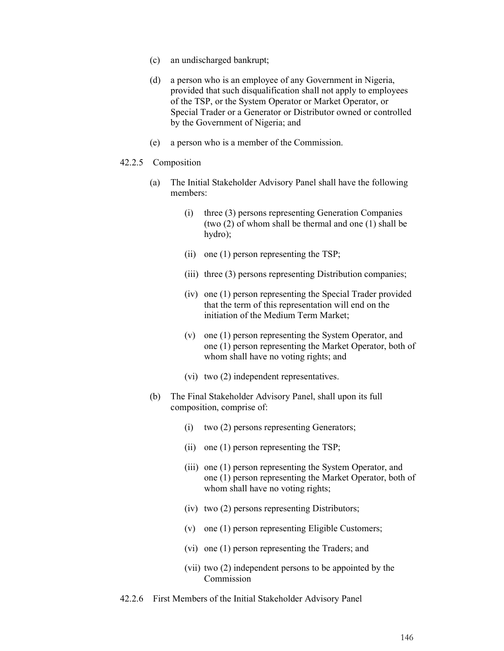- (c) an undischarged bankrupt;
- (d) a person who is an employee of any Government in Nigeria, provided that such disqualification shall not apply to employees of the TSP, or the System Operator or Market Operator, or Special Trader or a Generator or Distributor owned or controlled by the Government of Nigeria; and
- (e) a person who is a member of the Commission.

#### 42.2.5 Composition

- (a) The Initial Stakeholder Advisory Panel shall have the following members:
	- (i) three (3) persons representing Generation Companies (two (2) of whom shall be thermal and one (1) shall be hydro);
	- (ii) one (1) person representing the TSP;
	- (iii) three (3) persons representing Distribution companies;
	- (iv) one (1) person representing the Special Trader provided that the term of this representation will end on the initiation of the Medium Term Market;
	- (v) one (1) person representing the System Operator, and one (1) person representing the Market Operator, both of whom shall have no voting rights; and
	- (vi) two (2) independent representatives.
- (b) The Final Stakeholder Advisory Panel, shall upon its full composition, comprise of:
	- (i) two (2) persons representing Generators;
	- (ii) one (1) person representing the TSP;
	- (iii) one (1) person representing the System Operator, and one (1) person representing the Market Operator, both of whom shall have no voting rights;
	- (iv) two (2) persons representing Distributors;
	- (v) one (1) person representing Eligible Customers;
	- (vi) one (1) person representing the Traders; and
	- (vii) two (2) independent persons to be appointed by the Commission
- 42.2.6 First Members of the Initial Stakeholder Advisory Panel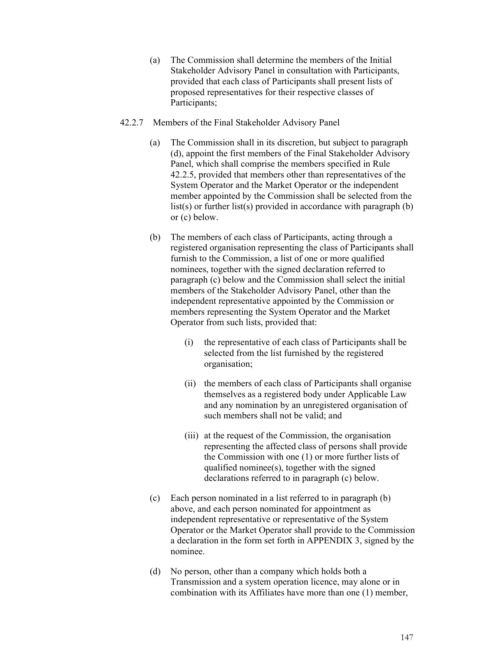- (a) The Commission shall determine the members of the Initial Stakeholder Advisory Panel in consultation with Participants, provided that each class of Participants shall present lists of proposed representatives for their respective classes of Participants;
- 42.2.7 Members of the Final Stakeholder Advisory Panel
	- (a) The Commission shall in its discretion, but subject to paragraph (d), appoint the first members of the Final Stakeholder Advisory Panel, which shall comprise the members specified in Rule 42.2.5, provided that members other than representatives of the System Operator and the Market Operator or the independent member appointed by the Commission shall be selected from the list(s) or further list(s) provided in accordance with paragraph (b) or (c) below.
	- (b) The members of each class of Participants, acting through a registered organisation representing the class of Participants shall furnish to the Commission, a list of one or more qualified nominees, together with the signed declaration referred to paragraph (c) below and the Commission shall select the initial members of the Stakeholder Advisory Panel, other than the independent representative appointed by the Commission or members representing the System Operator and the Market Operator from such lists, provided that:
		- (i) the representative of each class of Participants shall be selected from the list furnished by the registered organisation;
		- (ii) the members of each class of Participants shall organise themselves as a registered body under Applicable Law and any nomination by an unregistered organisation of such members shall not be valid; and
		- (iii) at the request of the Commission, the organisation representing the affected class of persons shall provide the Commission with one (1) or more further lists of qualified nominee(s), together with the signed declarations referred to in paragraph (c) below.
	- (c) Each person nominated in a list referred to in paragraph (b) above, and each person nominated for appointment as independent representative or representative of the System Operator or the Market Operator shall provide to the Commission a declaration in the form set forth in APPENDIX 3, signed by the nominee.
	- (d) No person, other than a company which holds both a Transmission and a system operation licence, may alone or in combination with its Affiliates have more than one (1) member,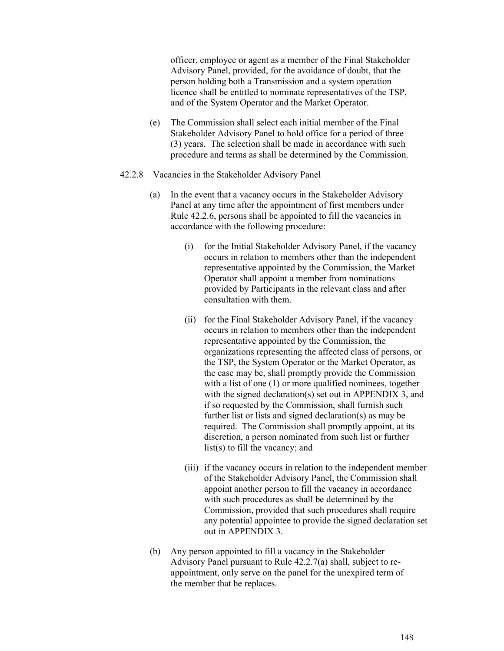officer, employee or agent as a member of the Final Stakeholder Advisory Panel, provided, for the avoidance of doubt, that the person holding both a Transmission and a system operation licence shall be entitled to nominate representatives of the TSP, and of the System Operator and the Market Operator.

- (e) The Commission shall select each initial member of the Final Stakeholder Advisory Panel to hold office for a period of three (3) years. The selection shall be made in accordance with such procedure and terms as shall be determined by the Commission.
- 42.2.8 Vacancies in the Stakeholder Advisory Panel
	- (a) In the event that a vacancy occurs in the Stakeholder Advisory Panel at any time after the appointment of first members under Rule 42.2.6, persons shall be appointed to fill the vacancies in accordance with the following procedure:
		- (i) for the Initial Stakeholder Advisory Panel, if the vacancy occurs in relation to members other than the independent representative appointed by the Commission, the Market Operator shall appoint a member from nominations provided by Participants in the relevant class and after consultation with them.
		- (ii) for the Final Stakeholder Advisory Panel, if the vacancy occurs in relation to members other than the independent representative appointed by the Commission, the organizations representing the affected class of persons, or the TSP, the System Operator or the Market Operator, as the case may be, shall promptly provide the Commission with a list of one (1) or more qualified nominees, together with the signed declaration(s) set out in APPENDIX 3, and if so requested by the Commission, shall furnish such further list or lists and signed declaration(s) as may be required. The Commission shall promptly appoint, at its discretion, a person nominated from such list or further list(s) to fill the vacancy; and
		- (iii) if the vacancy occurs in relation to the independent member of the Stakeholder Advisory Panel, the Commission shall appoint another person to fill the vacancy in accordance with such procedures as shall be determined by the Commission, provided that such procedures shall require any potential appointee to provide the signed declaration set out in APPENDIX 3.
	- (b) Any person appointed to fill a vacancy in the Stakeholder Advisory Panel pursuant to Rule 42.2.7(a) shall, subject to reappointment, only serve on the panel for the unexpired term of the member that he replaces.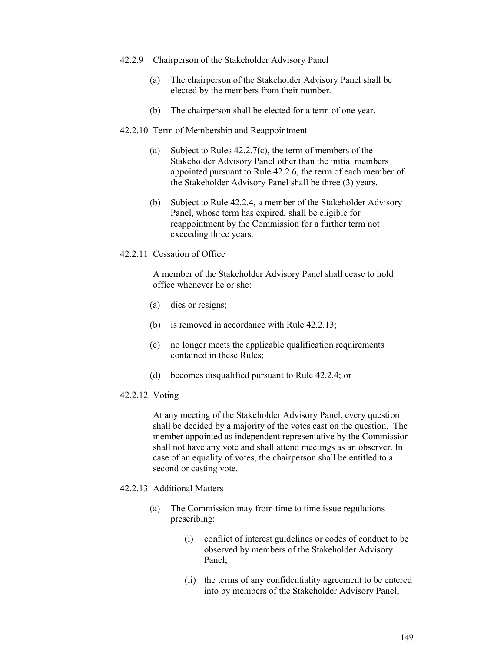- 42.2.9 Chairperson of the Stakeholder Advisory Panel
	- (a) The chairperson of the Stakeholder Advisory Panel shall be elected by the members from their number.
	- (b) The chairperson shall be elected for a term of one year.

### 42.2.10 Term of Membership and Reappointment

- (a) Subject to Rules 42.2.7(c), the term of members of the Stakeholder Advisory Panel other than the initial members appointed pursuant to Rule 42.2.6, the term of each member of the Stakeholder Advisory Panel shall be three (3) years.
- (b) Subject to Rule 42.2.4, a member of the Stakeholder Advisory Panel, whose term has expired, shall be eligible for reappointment by the Commission for a further term not exceeding three years.
- 42.2.11 Cessation of Office

A member of the Stakeholder Advisory Panel shall cease to hold office whenever he or she:

- (a) dies or resigns;
- (b) is removed in accordance with Rule 42.2.13;
- (c) no longer meets the applicable qualification requirements contained in these Rules;
- (d) becomes disqualified pursuant to Rule 42.2.4; or
- 42.2.12 Voting

At any meeting of the Stakeholder Advisory Panel, every question shall be decided by a majority of the votes cast on the question. The member appointed as independent representative by the Commission shall not have any vote and shall attend meetings as an observer. In case of an equality of votes, the chairperson shall be entitled to a second or casting vote.

### 42.2.13 Additional Matters

- (a) The Commission may from time to time issue regulations prescribing:
	- (i) conflict of interest guidelines or codes of conduct to be observed by members of the Stakeholder Advisory Panel;
	- (ii) the terms of any confidentiality agreement to be entered into by members of the Stakeholder Advisory Panel;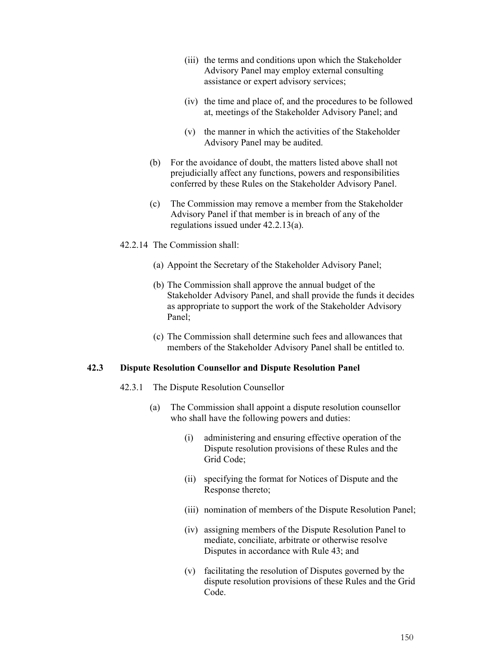- (iii) the terms and conditions upon which the Stakeholder Advisory Panel may employ external consulting assistance or expert advisory services;
- (iv) the time and place of, and the procedures to be followed at, meetings of the Stakeholder Advisory Panel; and
- (v) the manner in which the activities of the Stakeholder Advisory Panel may be audited.
- (b) For the avoidance of doubt, the matters listed above shall not prejudicially affect any functions, powers and responsibilities conferred by these Rules on the Stakeholder Advisory Panel.
- (c) The Commission may remove a member from the Stakeholder Advisory Panel if that member is in breach of any of the regulations issued under 42.2.13(a).
- 42.2.14 The Commission shall:
	- (a) Appoint the Secretary of the Stakeholder Advisory Panel;
	- (b) The Commission shall approve the annual budget of the Stakeholder Advisory Panel, and shall provide the funds it decides as appropriate to support the work of the Stakeholder Advisory Panel;
	- (c) The Commission shall determine such fees and allowances that members of the Stakeholder Advisory Panel shall be entitled to.

#### **42.3 Dispute Resolution Counsellor and Dispute Resolution Panel**

- 42.3.1 The Dispute Resolution Counsellor
	- (a) The Commission shall appoint a dispute resolution counsellor who shall have the following powers and duties:
		- (i) administering and ensuring effective operation of the Dispute resolution provisions of these Rules and the Grid Code;
		- (ii) specifying the format for Notices of Dispute and the Response thereto;
		- (iii) nomination of members of the Dispute Resolution Panel;
		- (iv) assigning members of the Dispute Resolution Panel to mediate, conciliate, arbitrate or otherwise resolve Disputes in accordance with Rule 43; and
		- (v) facilitating the resolution of Disputes governed by the dispute resolution provisions of these Rules and the Grid Code.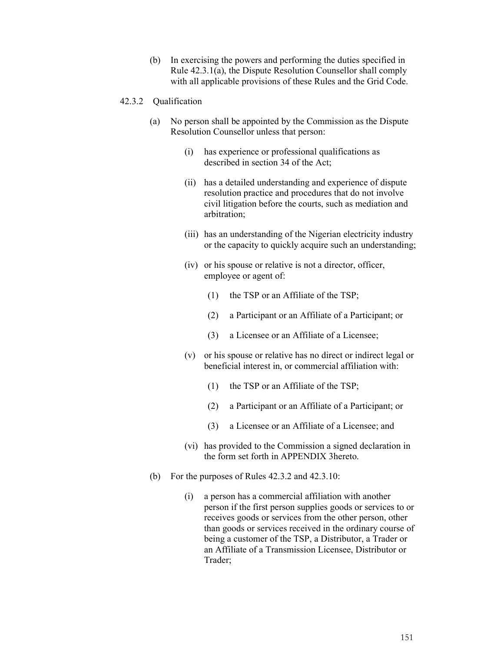(b) In exercising the powers and performing the duties specified in Rule 42.3.1(a), the Dispute Resolution Counsellor shall comply with all applicable provisions of these Rules and the Grid Code.

### 42.3.2 Qualification

- (a) No person shall be appointed by the Commission as the Dispute Resolution Counsellor unless that person:
	- (i) has experience or professional qualifications as described in section 34 of the Act;
	- (ii) has a detailed understanding and experience of dispute resolution practice and procedures that do not involve civil litigation before the courts, such as mediation and arbitration;
	- (iii) has an understanding of the Nigerian electricity industry or the capacity to quickly acquire such an understanding;
	- (iv) or his spouse or relative is not a director, officer, employee or agent of:
		- (1) the TSP or an Affiliate of the TSP;
		- (2) a Participant or an Affiliate of a Participant; or
		- (3) a Licensee or an Affiliate of a Licensee;
	- (v) or his spouse or relative has no direct or indirect legal or beneficial interest in, or commercial affiliation with:
		- (1) the TSP or an Affiliate of the TSP;
		- (2) a Participant or an Affiliate of a Participant; or
		- (3) a Licensee or an Affiliate of a Licensee; and
	- (vi) has provided to the Commission a signed declaration in the form set forth in APPENDIX 3hereto.
- (b) For the purposes of Rules 42.3.2 and 42.3.10:
	- (i) a person has a commercial affiliation with another person if the first person supplies goods or services to or receives goods or services from the other person, other than goods or services received in the ordinary course of being a customer of the TSP, a Distributor, a Trader or an Affiliate of a Transmission Licensee, Distributor or Trader;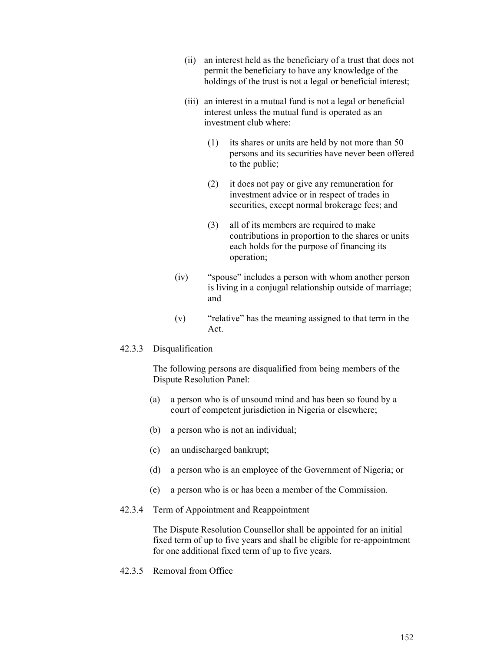- (ii) an interest held as the beneficiary of a trust that does not permit the beneficiary to have any knowledge of the holdings of the trust is not a legal or beneficial interest;
- (iii) an interest in a mutual fund is not a legal or beneficial interest unless the mutual fund is operated as an investment club where:
	- (1) its shares or units are held by not more than 50 persons and its securities have never been offered to the public;
	- (2) it does not pay or give any remuneration for investment advice or in respect of trades in securities, except normal brokerage fees; and
	- (3) all of its members are required to make contributions in proportion to the shares or units each holds for the purpose of financing its operation;
- (iv) "spouse" includes a person with whom another person is living in a conjugal relationship outside of marriage; and
- (v) "relative" has the meaning assigned to that term in the Act.

### 42.3.3 Disqualification

The following persons are disqualified from being members of the Dispute Resolution Panel:

- (a) a person who is of unsound mind and has been so found by a court of competent jurisdiction in Nigeria or elsewhere;
- (b) a person who is not an individual;
- (c) an undischarged bankrupt;
- (d) a person who is an employee of the Government of Nigeria; or
- (e) a person who is or has been a member of the Commission.

#### 42.3.4 Term of Appointment and Reappointment

The Dispute Resolution Counsellor shall be appointed for an initial fixed term of up to five years and shall be eligible for re-appointment for one additional fixed term of up to five years.

42.3.5 Removal from Office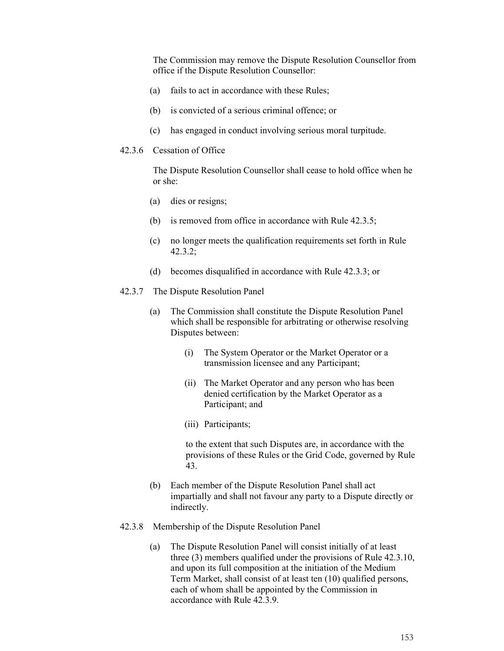The Commission may remove the Dispute Resolution Counsellor from office if the Dispute Resolution Counsellor:

- (a) fails to act in accordance with these Rules;
- (b) is convicted of a serious criminal offence; or
- (c) has engaged in conduct involving serious moral turpitude.

#### 42.3.6 Cessation of Office

The Dispute Resolution Counsellor shall cease to hold office when he or she:

- (a) dies or resigns;
- (b) is removed from office in accordance with Rule 42.3.5;
- (c) no longer meets the qualification requirements set forth in Rule 42.3.2;
- (d) becomes disqualified in accordance with Rule 42.3.3; or
- 42.3.7 The Dispute Resolution Panel
	- (a) The Commission shall constitute the Dispute Resolution Panel which shall be responsible for arbitrating or otherwise resolving Disputes between:
		- (i) The System Operator or the Market Operator or a transmission licensee and any Participant;
		- (ii) The Market Operator and any person who has been denied certification by the Market Operator as a Participant; and
		- (iii) Participants;

to the extent that such Disputes are, in accordance with the provisions of these Rules or the Grid Code, governed by Rule 43.

- (b) Each member of the Dispute Resolution Panel shall act impartially and shall not favour any party to a Dispute directly or indirectly.
- 42.3.8 Membership of the Dispute Resolution Panel
	- (a) The Dispute Resolution Panel will consist initially of at least three (3) members qualified under the provisions of Rule 42.3.10, and upon its full composition at the initiation of the Medium Term Market, shall consist of at least ten (10) qualified persons, each of whom shall be appointed by the Commission in accordance with Rule 42.3.9.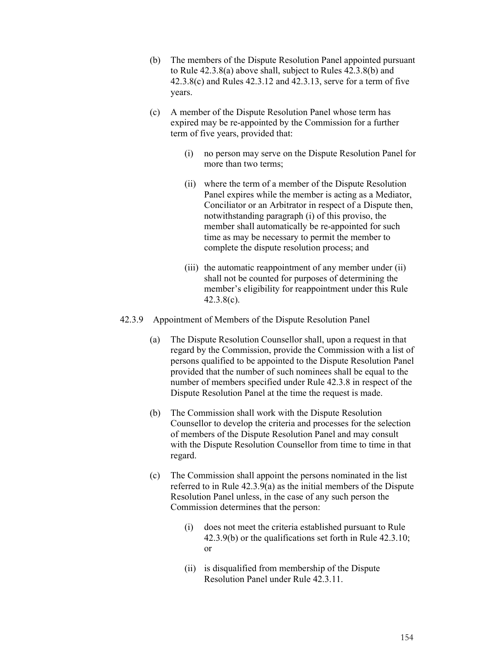- (b) The members of the Dispute Resolution Panel appointed pursuant to Rule 42.3.8(a) above shall, subject to Rules 42.3.8(b) and 42.3.8(c) and Rules 42.3.12 and 42.3.13, serve for a term of five years.
- (c) A member of the Dispute Resolution Panel whose term has expired may be re-appointed by the Commission for a further term of five years, provided that:
	- (i) no person may serve on the Dispute Resolution Panel for more than two terms;
	- (ii) where the term of a member of the Dispute Resolution Panel expires while the member is acting as a Mediator, Conciliator or an Arbitrator in respect of a Dispute then, notwithstanding paragraph (i) of this proviso, the member shall automatically be re-appointed for such time as may be necessary to permit the member to complete the dispute resolution process; and
	- (iii) the automatic reappointment of any member under (ii) shall not be counted for purposes of determining the member's eligibility for reappointment under this Rule 42.3.8(c).
- 42.3.9 Appointment of Members of the Dispute Resolution Panel
	- (a) The Dispute Resolution Counsellor shall, upon a request in that regard by the Commission, provide the Commission with a list of persons qualified to be appointed to the Dispute Resolution Panel provided that the number of such nominees shall be equal to the number of members specified under Rule 42.3.8 in respect of the Dispute Resolution Panel at the time the request is made.
	- (b) The Commission shall work with the Dispute Resolution Counsellor to develop the criteria and processes for the selection of members of the Dispute Resolution Panel and may consult with the Dispute Resolution Counsellor from time to time in that regard.
	- (c) The Commission shall appoint the persons nominated in the list referred to in Rule 42.3.9(a) as the initial members of the Dispute Resolution Panel unless, in the case of any such person the Commission determines that the person:
		- (i) does not meet the criteria established pursuant to Rule 42.3.9(b) or the qualifications set forth in Rule 42.3.10; or
		- (ii) is disqualified from membership of the Dispute Resolution Panel under Rule 42.3.11.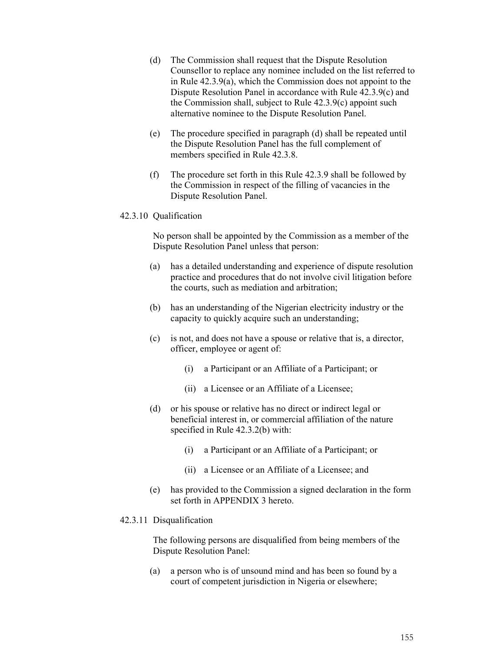- (d) The Commission shall request that the Dispute Resolution Counsellor to replace any nominee included on the list referred to in Rule 42.3.9(a), which the Commission does not appoint to the Dispute Resolution Panel in accordance with Rule 42.3.9(c) and the Commission shall, subject to Rule 42.3.9(c) appoint such alternative nominee to the Dispute Resolution Panel.
- (e) The procedure specified in paragraph (d) shall be repeated until the Dispute Resolution Panel has the full complement of members specified in Rule 42.3.8.
- (f) The procedure set forth in this Rule 42.3.9 shall be followed by the Commission in respect of the filling of vacancies in the Dispute Resolution Panel.

#### 42.3.10 Qualification

No person shall be appointed by the Commission as a member of the Dispute Resolution Panel unless that person:

- (a) has a detailed understanding and experience of dispute resolution practice and procedures that do not involve civil litigation before the courts, such as mediation and arbitration;
- (b) has an understanding of the Nigerian electricity industry or the capacity to quickly acquire such an understanding;
- (c) is not, and does not have a spouse or relative that is, a director, officer, employee or agent of:
	- (i) a Participant or an Affiliate of a Participant; or
	- (ii) a Licensee or an Affiliate of a Licensee;
- (d) or his spouse or relative has no direct or indirect legal or beneficial interest in, or commercial affiliation of the nature specified in Rule 42.3.2(b) with:
	- (i) a Participant or an Affiliate of a Participant; or
	- (ii) a Licensee or an Affiliate of a Licensee; and
- (e) has provided to the Commission a signed declaration in the form set forth in APPENDIX 3 hereto.

### 42.3.11 Disqualification

The following persons are disqualified from being members of the Dispute Resolution Panel:

(a) a person who is of unsound mind and has been so found by a court of competent jurisdiction in Nigeria or elsewhere;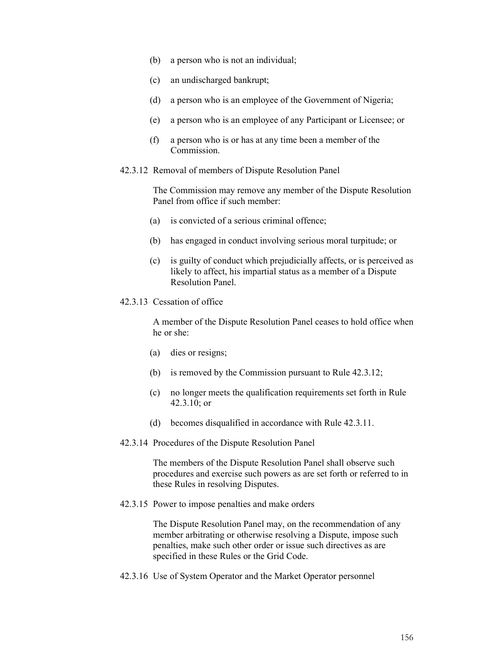- (b) a person who is not an individual;
- (c) an undischarged bankrupt;
- (d) a person who is an employee of the Government of Nigeria;
- (e) a person who is an employee of any Participant or Licensee; or
- (f) a person who is or has at any time been a member of the Commission.
- 42.3.12 Removal of members of Dispute Resolution Panel

The Commission may remove any member of the Dispute Resolution Panel from office if such member:

- (a) is convicted of a serious criminal offence;
- (b) has engaged in conduct involving serious moral turpitude; or
- (c) is guilty of conduct which prejudicially affects, or is perceived as likely to affect, his impartial status as a member of a Dispute Resolution Panel.
- 42.3.13 Cessation of office

A member of the Dispute Resolution Panel ceases to hold office when he or she:

- (a) dies or resigns;
- (b) is removed by the Commission pursuant to Rule 42.3.12;
- (c) no longer meets the qualification requirements set forth in Rule 42.3.10; or
- (d) becomes disqualified in accordance with Rule 42.3.11.
- 42.3.14 Procedures of the Dispute Resolution Panel

The members of the Dispute Resolution Panel shall observe such procedures and exercise such powers as are set forth or referred to in these Rules in resolving Disputes.

42.3.15 Power to impose penalties and make orders

The Dispute Resolution Panel may, on the recommendation of any member arbitrating or otherwise resolving a Dispute, impose such penalties, make such other order or issue such directives as are specified in these Rules or the Grid Code.

42.3.16 Use of System Operator and the Market Operator personnel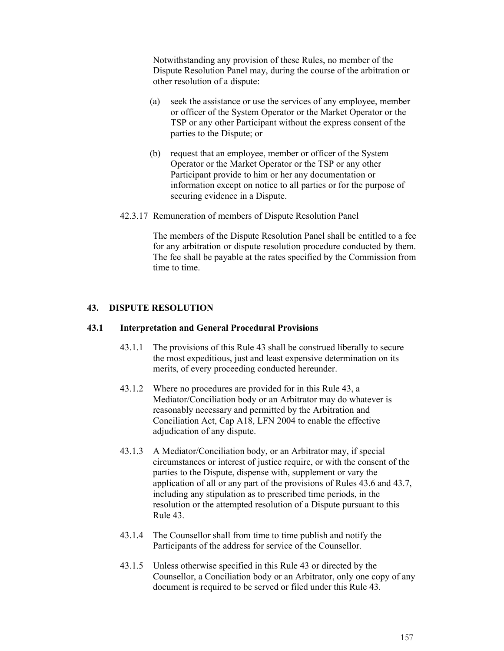Notwithstanding any provision of these Rules, no member of the Dispute Resolution Panel may, during the course of the arbitration or other resolution of a dispute:

- (a) seek the assistance or use the services of any employee, member or officer of the System Operator or the Market Operator or the TSP or any other Participant without the express consent of the parties to the Dispute; or
- (b) request that an employee, member or officer of the System Operator or the Market Operator or the TSP or any other Participant provide to him or her any documentation or information except on notice to all parties or for the purpose of securing evidence in a Dispute.
- 42.3.17 Remuneration of members of Dispute Resolution Panel

The members of the Dispute Resolution Panel shall be entitled to a fee for any arbitration or dispute resolution procedure conducted by them. The fee shall be payable at the rates specified by the Commission from time to time.

## **43. DISPUTE RESOLUTION**

### **43.1 Interpretation and General Procedural Provisions**

- 43.1.1 The provisions of this Rule 43 shall be construed liberally to secure the most expeditious, just and least expensive determination on its merits, of every proceeding conducted hereunder.
- 43.1.2 Where no procedures are provided for in this Rule 43, a Mediator/Conciliation body or an Arbitrator may do whatever is reasonably necessary and permitted by the Arbitration and Conciliation Act, Cap A18, LFN 2004 to enable the effective adjudication of any dispute.
- 43.1.3 A Mediator/Conciliation body, or an Arbitrator may, if special circumstances or interest of justice require, or with the consent of the parties to the Dispute, dispense with, supplement or vary the application of all or any part of the provisions of Rules 43.6 and 43.7, including any stipulation as to prescribed time periods, in the resolution or the attempted resolution of a Dispute pursuant to this Rule 43.
- 43.1.4 The Counsellor shall from time to time publish and notify the Participants of the address for service of the Counsellor.
- 43.1.5 Unless otherwise specified in this Rule 43 or directed by the Counsellor, a Conciliation body or an Arbitrator, only one copy of any document is required to be served or filed under this Rule 43.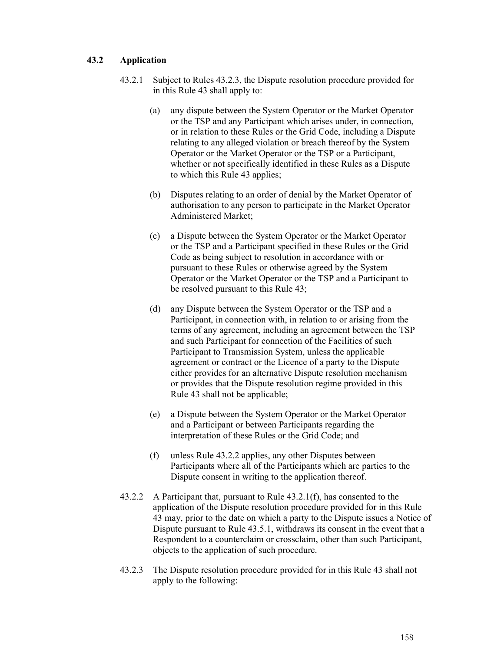## **43.2 Application**

- 43.2.1 Subject to Rules 43.2.3, the Dispute resolution procedure provided for in this Rule 43 shall apply to:
	- (a) any dispute between the System Operator or the Market Operator or the TSP and any Participant which arises under, in connection, or in relation to these Rules or the Grid Code, including a Dispute relating to any alleged violation or breach thereof by the System Operator or the Market Operator or the TSP or a Participant, whether or not specifically identified in these Rules as a Dispute to which this Rule 43 applies;
	- (b) Disputes relating to an order of denial by the Market Operator of authorisation to any person to participate in the Market Operator Administered Market;
	- (c) a Dispute between the System Operator or the Market Operator or the TSP and a Participant specified in these Rules or the Grid Code as being subject to resolution in accordance with or pursuant to these Rules or otherwise agreed by the System Operator or the Market Operator or the TSP and a Participant to be resolved pursuant to this Rule 43;
	- (d) any Dispute between the System Operator or the TSP and a Participant, in connection with, in relation to or arising from the terms of any agreement, including an agreement between the TSP and such Participant for connection of the Facilities of such Participant to Transmission System, unless the applicable agreement or contract or the Licence of a party to the Dispute either provides for an alternative Dispute resolution mechanism or provides that the Dispute resolution regime provided in this Rule 43 shall not be applicable;
	- (e) a Dispute between the System Operator or the Market Operator and a Participant or between Participants regarding the interpretation of these Rules or the Grid Code; and
	- (f) unless Rule 43.2.2 applies, any other Disputes between Participants where all of the Participants which are parties to the Dispute consent in writing to the application thereof.
- 43.2.2 A Participant that, pursuant to Rule 43.2.1(f), has consented to the application of the Dispute resolution procedure provided for in this Rule 43 may, prior to the date on which a party to the Dispute issues a Notice of Dispute pursuant to Rule 43.5.1, withdraws its consent in the event that a Respondent to a counterclaim or crossclaim, other than such Participant, objects to the application of such procedure.
- 43.2.3 The Dispute resolution procedure provided for in this Rule 43 shall not apply to the following: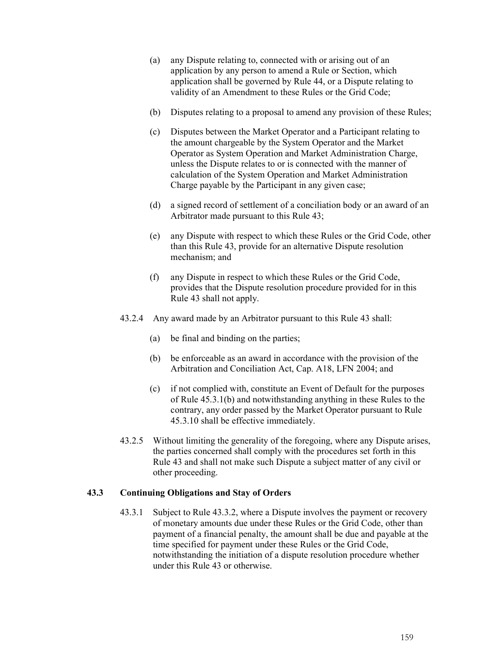- (a) any Dispute relating to, connected with or arising out of an application by any person to amend a Rule or Section, which application shall be governed by Rule 44, or a Dispute relating to validity of an Amendment to these Rules or the Grid Code;
- (b) Disputes relating to a proposal to amend any provision of these Rules;
- (c) Disputes between the Market Operator and a Participant relating to the amount chargeable by the System Operator and the Market Operator as System Operation and Market Administration Charge, unless the Dispute relates to or is connected with the manner of calculation of the System Operation and Market Administration Charge payable by the Participant in any given case;
- (d) a signed record of settlement of a conciliation body or an award of an Arbitrator made pursuant to this Rule 43;
- (e) any Dispute with respect to which these Rules or the Grid Code, other than this Rule 43, provide for an alternative Dispute resolution mechanism; and
- (f) any Dispute in respect to which these Rules or the Grid Code, provides that the Dispute resolution procedure provided for in this Rule 43 shall not apply.
- 43.2.4 Any award made by an Arbitrator pursuant to this Rule 43 shall:
	- (a) be final and binding on the parties;
	- (b) be enforceable as an award in accordance with the provision of the Arbitration and Conciliation Act, Cap. A18, LFN 2004; and
	- (c) if not complied with, constitute an Event of Default for the purposes of Rule 45.3.1(b) and notwithstanding anything in these Rules to the contrary, any order passed by the Market Operator pursuant to Rule 45.3.10 shall be effective immediately.
- 43.2.5 Without limiting the generality of the foregoing, where any Dispute arises, the parties concerned shall comply with the procedures set forth in this Rule 43 and shall not make such Dispute a subject matter of any civil or other proceeding.

## **43.3 Continuing Obligations and Stay of Orders**

43.3.1 Subject to Rule 43.3.2, where a Dispute involves the payment or recovery of monetary amounts due under these Rules or the Grid Code, other than payment of a financial penalty, the amount shall be due and payable at the time specified for payment under these Rules or the Grid Code, notwithstanding the initiation of a dispute resolution procedure whether under this Rule 43 or otherwise.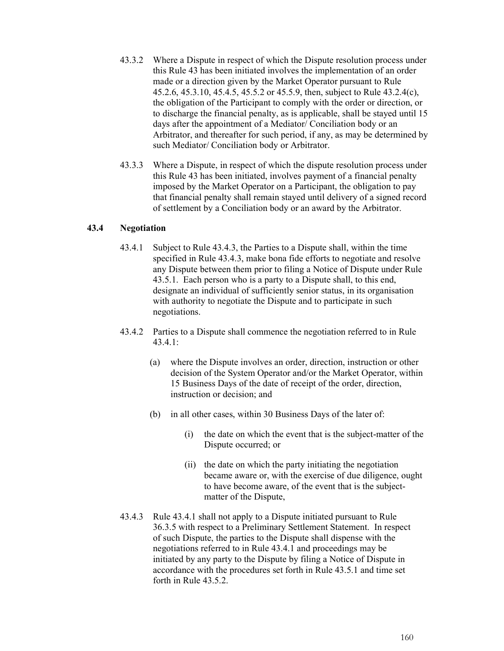- 43.3.2 Where a Dispute in respect of which the Dispute resolution process under this Rule 43 has been initiated involves the implementation of an order made or a direction given by the Market Operator pursuant to Rule 45.2.6, 45.3.10, 45.4.5, 45.5.2 or 45.5.9, then, subject to Rule 43.2.4(c), the obligation of the Participant to comply with the order or direction, or to discharge the financial penalty, as is applicable, shall be stayed until 15 days after the appointment of a Mediator/ Conciliation body or an Arbitrator, and thereafter for such period, if any, as may be determined by such Mediator/ Conciliation body or Arbitrator.
- 43.3.3 Where a Dispute, in respect of which the dispute resolution process under this Rule 43 has been initiated, involves payment of a financial penalty imposed by the Market Operator on a Participant, the obligation to pay that financial penalty shall remain stayed until delivery of a signed record of settlement by a Conciliation body or an award by the Arbitrator.

## **43.4 Negotiation**

- 43.4.1 Subject to Rule 43.4.3, the Parties to a Dispute shall, within the time specified in Rule 43.4.3, make bona fide efforts to negotiate and resolve any Dispute between them prior to filing a Notice of Dispute under Rule 43.5.1. Each person who is a party to a Dispute shall, to this end, designate an individual of sufficiently senior status, in its organisation with authority to negotiate the Dispute and to participate in such negotiations.
- 43.4.2 Parties to a Dispute shall commence the negotiation referred to in Rule 43.4.1:
	- (a) where the Dispute involves an order, direction, instruction or other decision of the System Operator and/or the Market Operator, within 15 Business Days of the date of receipt of the order, direction, instruction or decision; and
	- (b) in all other cases, within 30 Business Days of the later of:
		- (i) the date on which the event that is the subject-matter of the Dispute occurred; or
		- (ii) the date on which the party initiating the negotiation became aware or, with the exercise of due diligence, ought to have become aware, of the event that is the subjectmatter of the Dispute,
- 43.4.3 Rule 43.4.1 shall not apply to a Dispute initiated pursuant to Rule 36.3.5 with respect to a Preliminary Settlement Statement. In respect of such Dispute, the parties to the Dispute shall dispense with the negotiations referred to in Rule 43.4.1 and proceedings may be initiated by any party to the Dispute by filing a Notice of Dispute in accordance with the procedures set forth in Rule 43.5.1 and time set forth in Rule 43.5.2.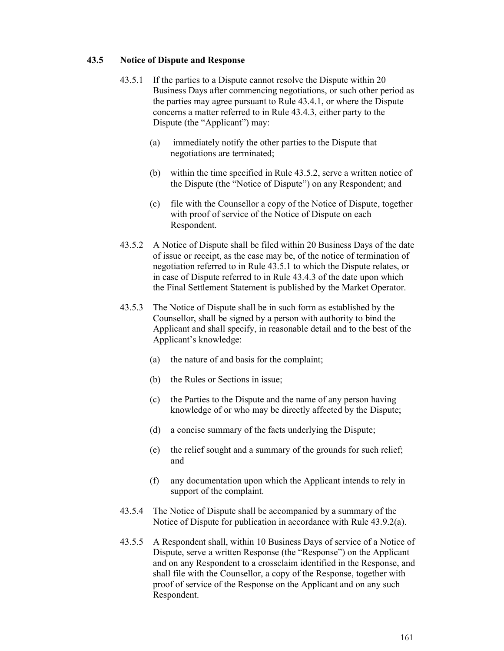### **43.5 Notice of Dispute and Response**

- 43.5.1 If the parties to a Dispute cannot resolve the Dispute within 20 Business Days after commencing negotiations, or such other period as the parties may agree pursuant to Rule 43.4.1, or where the Dispute concerns a matter referred to in Rule 43.4.3, either party to the Dispute (the "Applicant") may:
	- (a) immediately notify the other parties to the Dispute that negotiations are terminated;
	- (b) within the time specified in Rule 43.5.2, serve a written notice of the Dispute (the "Notice of Dispute") on any Respondent; and
	- (c) file with the Counsellor a copy of the Notice of Dispute, together with proof of service of the Notice of Dispute on each Respondent.
- 43.5.2 A Notice of Dispute shall be filed within 20 Business Days of the date of issue or receipt, as the case may be, of the notice of termination of negotiation referred to in Rule 43.5.1 to which the Dispute relates, or in case of Dispute referred to in Rule 43.4.3 of the date upon which the Final Settlement Statement is published by the Market Operator.
- 43.5.3 The Notice of Dispute shall be in such form as established by the Counsellor, shall be signed by a person with authority to bind the Applicant and shall specify, in reasonable detail and to the best of the Applicant's knowledge:
	- (a) the nature of and basis for the complaint;
	- (b) the Rules or Sections in issue;
	- (c) the Parties to the Dispute and the name of any person having knowledge of or who may be directly affected by the Dispute;
	- (d) a concise summary of the facts underlying the Dispute;
	- (e) the relief sought and a summary of the grounds for such relief; and
	- (f) any documentation upon which the Applicant intends to rely in support of the complaint.
- 43.5.4 The Notice of Dispute shall be accompanied by a summary of the Notice of Dispute for publication in accordance with Rule 43.9.2(a).
- 43.5.5 A Respondent shall, within 10 Business Days of service of a Notice of Dispute, serve a written Response (the "Response") on the Applicant and on any Respondent to a crossclaim identified in the Response, and shall file with the Counsellor, a copy of the Response, together with proof of service of the Response on the Applicant and on any such Respondent.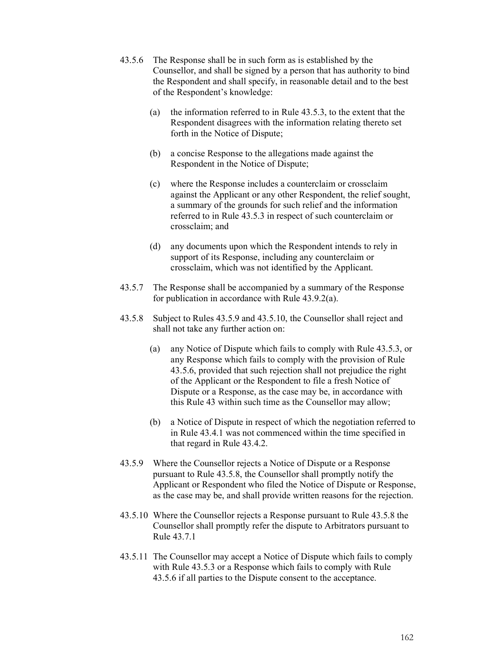- 43.5.6 The Response shall be in such form as is established by the Counsellor, and shall be signed by a person that has authority to bind the Respondent and shall specify, in reasonable detail and to the best of the Respondent's knowledge:
	- (a) the information referred to in Rule 43.5.3, to the extent that the Respondent disagrees with the information relating thereto set forth in the Notice of Dispute;
	- (b) a concise Response to the allegations made against the Respondent in the Notice of Dispute;
	- (c) where the Response includes a counterclaim or crossclaim against the Applicant or any other Respondent, the relief sought, a summary of the grounds for such relief and the information referred to in Rule 43.5.3 in respect of such counterclaim or crossclaim; and
	- (d) any documents upon which the Respondent intends to rely in support of its Response, including any counterclaim or crossclaim, which was not identified by the Applicant.
- 43.5.7 The Response shall be accompanied by a summary of the Response for publication in accordance with Rule 43.9.2(a).
- 43.5.8 Subject to Rules 43.5.9 and 43.5.10, the Counsellor shall reject and shall not take any further action on:
	- (a) any Notice of Dispute which fails to comply with Rule 43.5.3, or any Response which fails to comply with the provision of Rule 43.5.6, provided that such rejection shall not prejudice the right of the Applicant or the Respondent to file a fresh Notice of Dispute or a Response, as the case may be, in accordance with this Rule 43 within such time as the Counsellor may allow;
	- (b) a Notice of Dispute in respect of which the negotiation referred to in Rule 43.4.1 was not commenced within the time specified in that regard in Rule 43.4.2.
- 43.5.9 Where the Counsellor rejects a Notice of Dispute or a Response pursuant to Rule 43.5.8, the Counsellor shall promptly notify the Applicant or Respondent who filed the Notice of Dispute or Response, as the case may be, and shall provide written reasons for the rejection.
- 43.5.10 Where the Counsellor rejects a Response pursuant to Rule 43.5.8 the Counsellor shall promptly refer the dispute to Arbitrators pursuant to Rule 43.7.1
- 43.5.11 The Counsellor may accept a Notice of Dispute which fails to comply with Rule 43.5.3 or a Response which fails to comply with Rule 43.5.6 if all parties to the Dispute consent to the acceptance.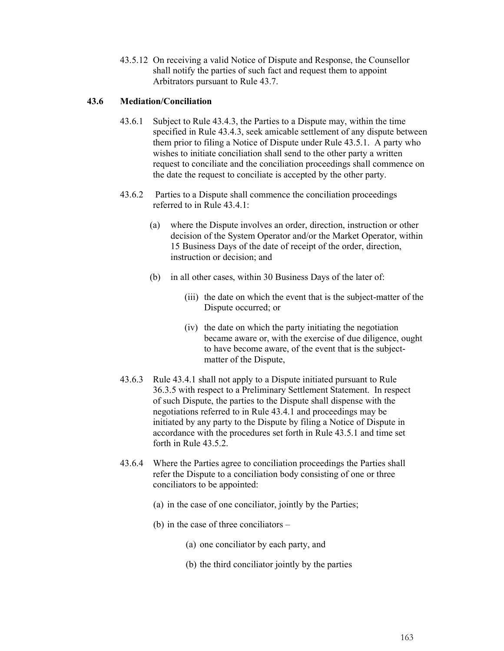43.5.12 On receiving a valid Notice of Dispute and Response, the Counsellor shall notify the parties of such fact and request them to appoint Arbitrators pursuant to Rule 43.7.

## **43.6 Mediation/Conciliation**

- 43.6.1 Subject to Rule 43.4.3, the Parties to a Dispute may, within the time specified in Rule 43.4.3, seek amicable settlement of any dispute between them prior to filing a Notice of Dispute under Rule 43.5.1. A party who wishes to initiate conciliation shall send to the other party a written request to conciliate and the conciliation proceedings shall commence on the date the request to conciliate is accepted by the other party.
- 43.6.2 Parties to a Dispute shall commence the conciliation proceedings referred to in Rule 43.4.1:
	- (a) where the Dispute involves an order, direction, instruction or other decision of the System Operator and/or the Market Operator, within 15 Business Days of the date of receipt of the order, direction, instruction or decision; and
	- (b) in all other cases, within 30 Business Days of the later of:
		- (iii) the date on which the event that is the subject-matter of the Dispute occurred; or
		- (iv) the date on which the party initiating the negotiation became aware or, with the exercise of due diligence, ought to have become aware, of the event that is the subjectmatter of the Dispute,
- 43.6.3 Rule 43.4.1 shall not apply to a Dispute initiated pursuant to Rule 36.3.5 with respect to a Preliminary Settlement Statement. In respect of such Dispute, the parties to the Dispute shall dispense with the negotiations referred to in Rule 43.4.1 and proceedings may be initiated by any party to the Dispute by filing a Notice of Dispute in accordance with the procedures set forth in Rule 43.5.1 and time set forth in Rule 43.5.2.
- 43.6.4 Where the Parties agree to conciliation proceedings the Parties shall refer the Dispute to a conciliation body consisting of one or three conciliators to be appointed:
	- (a) in the case of one conciliator, jointly by the Parties;
	- (b) in the case of three conciliators
		- (a) one conciliator by each party, and
		- (b) the third conciliator jointly by the parties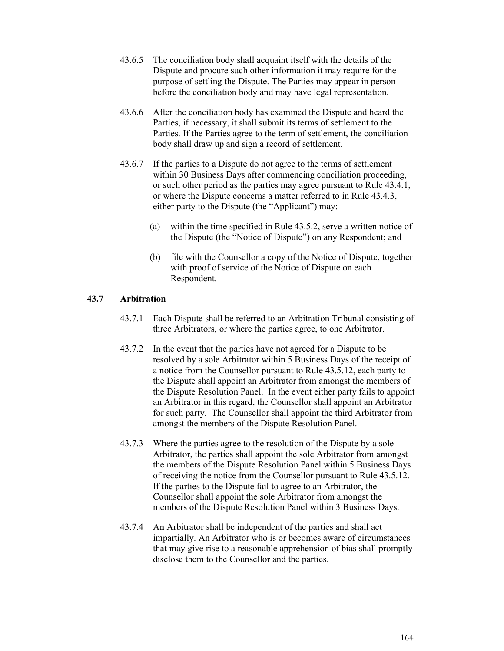- 43.6.5 The conciliation body shall acquaint itself with the details of the Dispute and procure such other information it may require for the purpose of settling the Dispute. The Parties may appear in person before the conciliation body and may have legal representation.
- 43.6.6 After the conciliation body has examined the Dispute and heard the Parties, if necessary, it shall submit its terms of settlement to the Parties. If the Parties agree to the term of settlement, the conciliation body shall draw up and sign a record of settlement.
- 43.6.7 If the parties to a Dispute do not agree to the terms of settlement within 30 Business Days after commencing conciliation proceeding, or such other period as the parties may agree pursuant to Rule 43.4.1, or where the Dispute concerns a matter referred to in Rule 43.4.3, either party to the Dispute (the "Applicant") may:
	- (a) within the time specified in Rule 43.5.2, serve a written notice of the Dispute (the "Notice of Dispute") on any Respondent; and
	- (b) file with the Counsellor a copy of the Notice of Dispute, together with proof of service of the Notice of Dispute on each Respondent.

## **43.7 Arbitration**

- 43.7.1 Each Dispute shall be referred to an Arbitration Tribunal consisting of three Arbitrators, or where the parties agree, to one Arbitrator.
- 43.7.2 In the event that the parties have not agreed for a Dispute to be resolved by a sole Arbitrator within 5 Business Days of the receipt of a notice from the Counsellor pursuant to Rule 43.5.12, each party to the Dispute shall appoint an Arbitrator from amongst the members of the Dispute Resolution Panel. In the event either party fails to appoint an Arbitrator in this regard, the Counsellor shall appoint an Arbitrator for such party. The Counsellor shall appoint the third Arbitrator from amongst the members of the Dispute Resolution Panel.
- 43.7.3 Where the parties agree to the resolution of the Dispute by a sole Arbitrator, the parties shall appoint the sole Arbitrator from amongst the members of the Dispute Resolution Panel within 5 Business Days of receiving the notice from the Counsellor pursuant to Rule 43.5.12. If the parties to the Dispute fail to agree to an Arbitrator, the Counsellor shall appoint the sole Arbitrator from amongst the members of the Dispute Resolution Panel within 3 Business Days.
- 43.7.4 An Arbitrator shall be independent of the parties and shall act impartially. An Arbitrator who is or becomes aware of circumstances that may give rise to a reasonable apprehension of bias shall promptly disclose them to the Counsellor and the parties.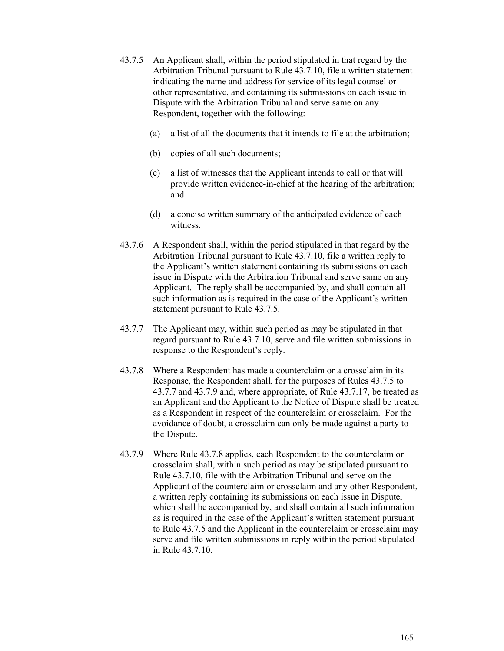- 43.7.5 An Applicant shall, within the period stipulated in that regard by the Arbitration Tribunal pursuant to Rule 43.7.10, file a written statement indicating the name and address for service of its legal counsel or other representative, and containing its submissions on each issue in Dispute with the Arbitration Tribunal and serve same on any Respondent, together with the following:
	- (a) a list of all the documents that it intends to file at the arbitration;
	- (b) copies of all such documents;
	- (c) a list of witnesses that the Applicant intends to call or that will provide written evidence-in-chief at the hearing of the arbitration; and
	- (d) a concise written summary of the anticipated evidence of each witness.
- 43.7.6 A Respondent shall, within the period stipulated in that regard by the Arbitration Tribunal pursuant to Rule 43.7.10, file a written reply to the Applicant's written statement containing its submissions on each issue in Dispute with the Arbitration Tribunal and serve same on any Applicant. The reply shall be accompanied by, and shall contain all such information as is required in the case of the Applicant's written statement pursuant to Rule 43.7.5.
- 43.7.7 The Applicant may, within such period as may be stipulated in that regard pursuant to Rule 43.7.10, serve and file written submissions in response to the Respondent's reply.
- 43.7.8 Where a Respondent has made a counterclaim or a crossclaim in its Response, the Respondent shall, for the purposes of Rules 43.7.5 to 43.7.7 and 43.7.9 and, where appropriate, of Rule 43.7.17, be treated as an Applicant and the Applicant to the Notice of Dispute shall be treated as a Respondent in respect of the counterclaim or crossclaim. For the avoidance of doubt, a crossclaim can only be made against a party to the Dispute.
- 43.7.9 Where Rule 43.7.8 applies, each Respondent to the counterclaim or crossclaim shall, within such period as may be stipulated pursuant to Rule 43.7.10, file with the Arbitration Tribunal and serve on the Applicant of the counterclaim or crossclaim and any other Respondent, a written reply containing its submissions on each issue in Dispute, which shall be accompanied by, and shall contain all such information as is required in the case of the Applicant's written statement pursuant to Rule 43.7.5 and the Applicant in the counterclaim or crossclaim may serve and file written submissions in reply within the period stipulated in Rule 43.7.10.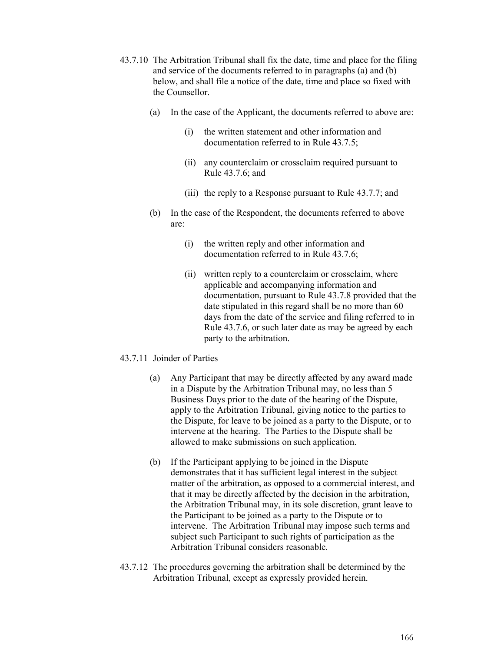- 43.7.10 The Arbitration Tribunal shall fix the date, time and place for the filing and service of the documents referred to in paragraphs (a) and (b) below, and shall file a notice of the date, time and place so fixed with the Counsellor.
	- (a) In the case of the Applicant, the documents referred to above are:
		- (i) the written statement and other information and documentation referred to in Rule 43.7.5;
		- (ii) any counterclaim or crossclaim required pursuant to Rule 43.7.6; and
		- (iii) the reply to a Response pursuant to Rule 43.7.7; and
	- (b) In the case of the Respondent, the documents referred to above are:
		- (i) the written reply and other information and documentation referred to in Rule 43.7.6;
		- (ii) written reply to a counterclaim or crossclaim, where applicable and accompanying information and documentation, pursuant to Rule 43.7.8 provided that the date stipulated in this regard shall be no more than 60 days from the date of the service and filing referred to in Rule 43.7.6, or such later date as may be agreed by each party to the arbitration.

### 43.7.11 Joinder of Parties

- (a) Any Participant that may be directly affected by any award made in a Dispute by the Arbitration Tribunal may, no less than 5 Business Days prior to the date of the hearing of the Dispute, apply to the Arbitration Tribunal, giving notice to the parties to the Dispute, for leave to be joined as a party to the Dispute, or to intervene at the hearing. The Parties to the Dispute shall be allowed to make submissions on such application.
- (b) If the Participant applying to be joined in the Dispute demonstrates that it has sufficient legal interest in the subject matter of the arbitration, as opposed to a commercial interest, and that it may be directly affected by the decision in the arbitration, the Arbitration Tribunal may, in its sole discretion, grant leave to the Participant to be joined as a party to the Dispute or to intervene. The Arbitration Tribunal may impose such terms and subject such Participant to such rights of participation as the Arbitration Tribunal considers reasonable.
- 43.7.12 The procedures governing the arbitration shall be determined by the Arbitration Tribunal, except as expressly provided herein.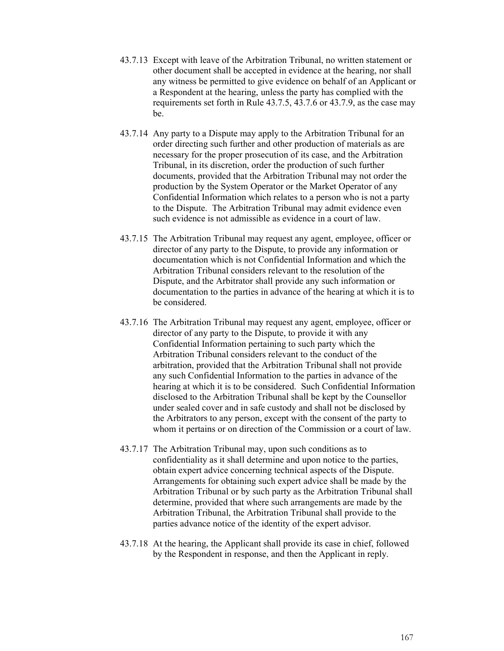- 43.7.13 Except with leave of the Arbitration Tribunal, no written statement or other document shall be accepted in evidence at the hearing, nor shall any witness be permitted to give evidence on behalf of an Applicant or a Respondent at the hearing, unless the party has complied with the requirements set forth in Rule 43.7.5, 43.7.6 or 43.7.9, as the case may be.
- 43.7.14 Any party to a Dispute may apply to the Arbitration Tribunal for an order directing such further and other production of materials as are necessary for the proper prosecution of its case, and the Arbitration Tribunal, in its discretion, order the production of such further documents, provided that the Arbitration Tribunal may not order the production by the System Operator or the Market Operator of any Confidential Information which relates to a person who is not a party to the Dispute. The Arbitration Tribunal may admit evidence even such evidence is not admissible as evidence in a court of law.
- 43.7.15 The Arbitration Tribunal may request any agent, employee, officer or director of any party to the Dispute, to provide any information or documentation which is not Confidential Information and which the Arbitration Tribunal considers relevant to the resolution of the Dispute, and the Arbitrator shall provide any such information or documentation to the parties in advance of the hearing at which it is to be considered.
- 43.7.16 The Arbitration Tribunal may request any agent, employee, officer or director of any party to the Dispute, to provide it with any Confidential Information pertaining to such party which the Arbitration Tribunal considers relevant to the conduct of the arbitration, provided that the Arbitration Tribunal shall not provide any such Confidential Information to the parties in advance of the hearing at which it is to be considered. Such Confidential Information disclosed to the Arbitration Tribunal shall be kept by the Counsellor under sealed cover and in safe custody and shall not be disclosed by the Arbitrators to any person, except with the consent of the party to whom it pertains or on direction of the Commission or a court of law.
- 43.7.17 The Arbitration Tribunal may, upon such conditions as to confidentiality as it shall determine and upon notice to the parties, obtain expert advice concerning technical aspects of the Dispute. Arrangements for obtaining such expert advice shall be made by the Arbitration Tribunal or by such party as the Arbitration Tribunal shall determine, provided that where such arrangements are made by the Arbitration Tribunal, the Arbitration Tribunal shall provide to the parties advance notice of the identity of the expert advisor.
- 43.7.18 At the hearing, the Applicant shall provide its case in chief, followed by the Respondent in response, and then the Applicant in reply.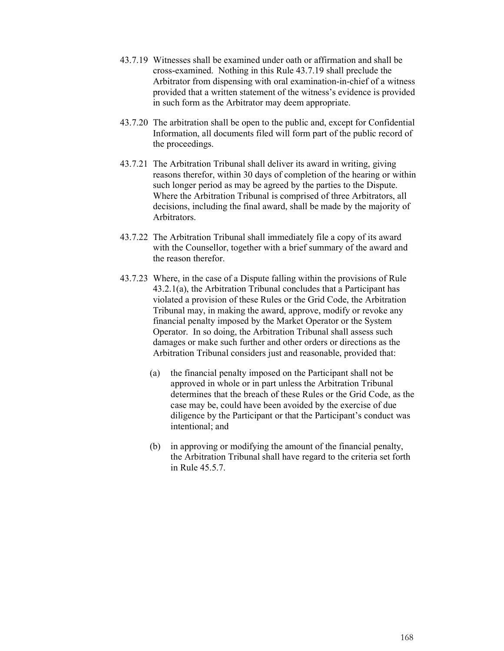- 43.7.19 Witnesses shall be examined under oath or affirmation and shall be cross-examined. Nothing in this Rule 43.7.19 shall preclude the Arbitrator from dispensing with oral examination-in-chief of a witness provided that a written statement of the witness's evidence is provided in such form as the Arbitrator may deem appropriate.
- 43.7.20 The arbitration shall be open to the public and, except for Confidential Information, all documents filed will form part of the public record of the proceedings.
- 43.7.21 The Arbitration Tribunal shall deliver its award in writing, giving reasons therefor, within 30 days of completion of the hearing or within such longer period as may be agreed by the parties to the Dispute. Where the Arbitration Tribunal is comprised of three Arbitrators, all decisions, including the final award, shall be made by the majority of Arbitrators.
- 43.7.22 The Arbitration Tribunal shall immediately file a copy of its award with the Counsellor, together with a brief summary of the award and the reason therefor.
- 43.7.23 Where, in the case of a Dispute falling within the provisions of Rule 43.2.1(a), the Arbitration Tribunal concludes that a Participant has violated a provision of these Rules or the Grid Code, the Arbitration Tribunal may, in making the award, approve, modify or revoke any financial penalty imposed by the Market Operator or the System Operator. In so doing, the Arbitration Tribunal shall assess such damages or make such further and other orders or directions as the Arbitration Tribunal considers just and reasonable, provided that:
	- (a) the financial penalty imposed on the Participant shall not be approved in whole or in part unless the Arbitration Tribunal determines that the breach of these Rules or the Grid Code, as the case may be, could have been avoided by the exercise of due diligence by the Participant or that the Participant's conduct was intentional; and
	- (b) in approving or modifying the amount of the financial penalty, the Arbitration Tribunal shall have regard to the criteria set forth in Rule 45.5.7.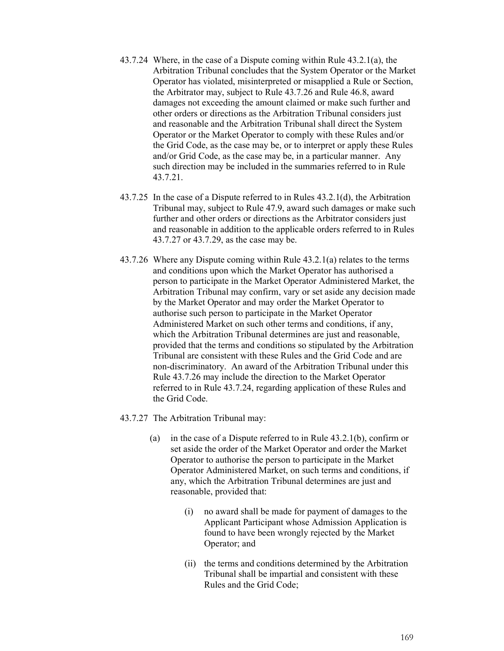- 43.7.24 Where, in the case of a Dispute coming within Rule 43.2.1(a), the Arbitration Tribunal concludes that the System Operator or the Market Operator has violated, misinterpreted or misapplied a Rule or Section, the Arbitrator may, subject to Rule 43.7.26 and Rule 46.8, award damages not exceeding the amount claimed or make such further and other orders or directions as the Arbitration Tribunal considers just and reasonable and the Arbitration Tribunal shall direct the System Operator or the Market Operator to comply with these Rules and/or the Grid Code, as the case may be, or to interpret or apply these Rules and/or Grid Code, as the case may be, in a particular manner. Any such direction may be included in the summaries referred to in Rule 43.7.21.
- 43.7.25 In the case of a Dispute referred to in Rules 43.2.1(d), the Arbitration Tribunal may, subject to Rule 47.9, award such damages or make such further and other orders or directions as the Arbitrator considers just and reasonable in addition to the applicable orders referred to in Rules 43.7.27 or 43.7.29, as the case may be.
- 43.7.26 Where any Dispute coming within Rule 43.2.1(a) relates to the terms and conditions upon which the Market Operator has authorised a person to participate in the Market Operator Administered Market, the Arbitration Tribunal may confirm, vary or set aside any decision made by the Market Operator and may order the Market Operator to authorise such person to participate in the Market Operator Administered Market on such other terms and conditions, if any, which the Arbitration Tribunal determines are just and reasonable, provided that the terms and conditions so stipulated by the Arbitration Tribunal are consistent with these Rules and the Grid Code and are non-discriminatory. An award of the Arbitration Tribunal under this Rule 43.7.26 may include the direction to the Market Operator referred to in Rule 43.7.24, regarding application of these Rules and the Grid Code.
- 43.7.27 The Arbitration Tribunal may:
	- (a) in the case of a Dispute referred to in Rule 43.2.1(b), confirm or set aside the order of the Market Operator and order the Market Operator to authorise the person to participate in the Market Operator Administered Market, on such terms and conditions, if any, which the Arbitration Tribunal determines are just and reasonable, provided that:
		- (i) no award shall be made for payment of damages to the Applicant Participant whose Admission Application is found to have been wrongly rejected by the Market Operator; and
		- (ii) the terms and conditions determined by the Arbitration Tribunal shall be impartial and consistent with these Rules and the Grid Code;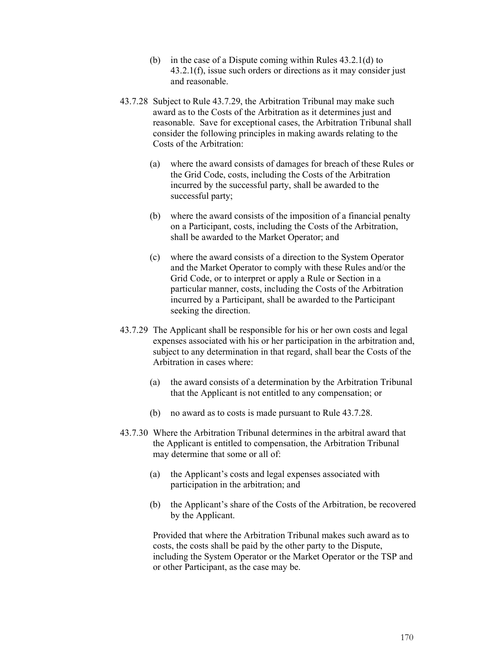- (b) in the case of a Dispute coming within Rules 43.2.1(d) to 43.2.1(f), issue such orders or directions as it may consider just and reasonable.
- 43.7.28 Subject to Rule 43.7.29, the Arbitration Tribunal may make such award as to the Costs of the Arbitration as it determines just and reasonable. Save for exceptional cases, the Arbitration Tribunal shall consider the following principles in making awards relating to the Costs of the Arbitration:
	- (a) where the award consists of damages for breach of these Rules or the Grid Code, costs, including the Costs of the Arbitration incurred by the successful party, shall be awarded to the successful party;
	- (b) where the award consists of the imposition of a financial penalty on a Participant, costs, including the Costs of the Arbitration, shall be awarded to the Market Operator; and
	- (c) where the award consists of a direction to the System Operator and the Market Operator to comply with these Rules and/or the Grid Code, or to interpret or apply a Rule or Section in a particular manner, costs, including the Costs of the Arbitration incurred by a Participant, shall be awarded to the Participant seeking the direction.
- 43.7.29 The Applicant shall be responsible for his or her own costs and legal expenses associated with his or her participation in the arbitration and, subject to any determination in that regard, shall bear the Costs of the Arbitration in cases where:
	- (a) the award consists of a determination by the Arbitration Tribunal that the Applicant is not entitled to any compensation; or
	- (b) no award as to costs is made pursuant to Rule 43.7.28.
- 43.7.30 Where the Arbitration Tribunal determines in the arbitral award that the Applicant is entitled to compensation, the Arbitration Tribunal may determine that some or all of:
	- (a) the Applicant's costs and legal expenses associated with participation in the arbitration; and
	- (b) the Applicant's share of the Costs of the Arbitration, be recovered by the Applicant.

Provided that where the Arbitration Tribunal makes such award as to costs, the costs shall be paid by the other party to the Dispute, including the System Operator or the Market Operator or the TSP and or other Participant, as the case may be.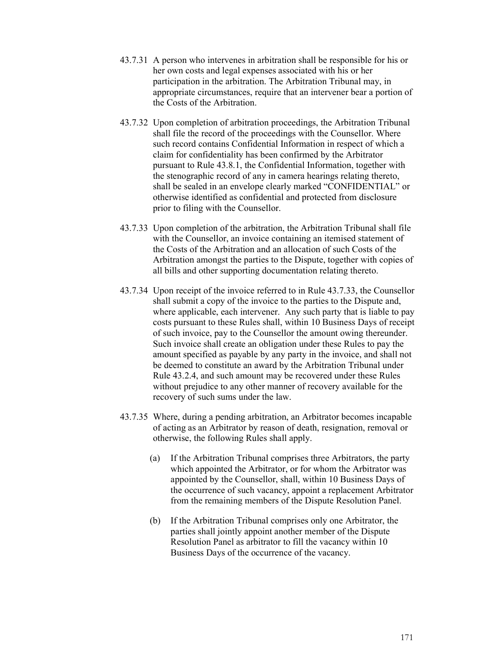- 43.7.31 A person who intervenes in arbitration shall be responsible for his or her own costs and legal expenses associated with his or her participation in the arbitration. The Arbitration Tribunal may, in appropriate circumstances, require that an intervener bear a portion of the Costs of the Arbitration.
- 43.7.32 Upon completion of arbitration proceedings, the Arbitration Tribunal shall file the record of the proceedings with the Counsellor. Where such record contains Confidential Information in respect of which a claim for confidentiality has been confirmed by the Arbitrator pursuant to Rule 43.8.1, the Confidential Information, together with the stenographic record of any in camera hearings relating thereto, shall be sealed in an envelope clearly marked "CONFIDENTIAL" or otherwise identified as confidential and protected from disclosure prior to filing with the Counsellor.
- 43.7.33 Upon completion of the arbitration, the Arbitration Tribunal shall file with the Counsellor, an invoice containing an itemised statement of the Costs of the Arbitration and an allocation of such Costs of the Arbitration amongst the parties to the Dispute, together with copies of all bills and other supporting documentation relating thereto.
- 43.7.34 Upon receipt of the invoice referred to in Rule 43.7.33, the Counsellor shall submit a copy of the invoice to the parties to the Dispute and, where applicable, each intervener. Any such party that is liable to pay costs pursuant to these Rules shall, within 10 Business Days of receipt of such invoice, pay to the Counsellor the amount owing thereunder. Such invoice shall create an obligation under these Rules to pay the amount specified as payable by any party in the invoice, and shall not be deemed to constitute an award by the Arbitration Tribunal under Rule 43.2.4, and such amount may be recovered under these Rules without prejudice to any other manner of recovery available for the recovery of such sums under the law.
- 43.7.35 Where, during a pending arbitration, an Arbitrator becomes incapable of acting as an Arbitrator by reason of death, resignation, removal or otherwise, the following Rules shall apply.
	- (a) If the Arbitration Tribunal comprises three Arbitrators, the party which appointed the Arbitrator, or for whom the Arbitrator was appointed by the Counsellor, shall, within 10 Business Days of the occurrence of such vacancy, appoint a replacement Arbitrator from the remaining members of the Dispute Resolution Panel.
	- (b) If the Arbitration Tribunal comprises only one Arbitrator, the parties shall jointly appoint another member of the Dispute Resolution Panel as arbitrator to fill the vacancy within 10 Business Days of the occurrence of the vacancy.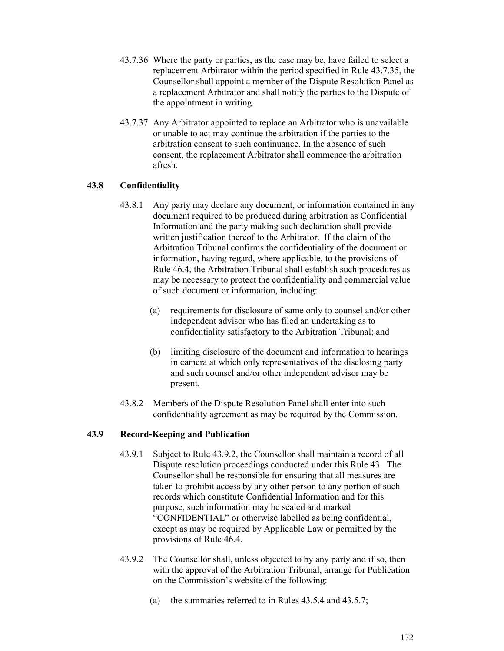- 43.7.36 Where the party or parties, as the case may be, have failed to select a replacement Arbitrator within the period specified in Rule 43.7.35, the Counsellor shall appoint a member of the Dispute Resolution Panel as a replacement Arbitrator and shall notify the parties to the Dispute of the appointment in writing.
- 43.7.37 Any Arbitrator appointed to replace an Arbitrator who is unavailable or unable to act may continue the arbitration if the parties to the arbitration consent to such continuance. In the absence of such consent, the replacement Arbitrator shall commence the arbitration afresh.

## **43.8 Confidentiality**

- 43.8.1 Any party may declare any document, or information contained in any document required to be produced during arbitration as Confidential Information and the party making such declaration shall provide written justification thereof to the Arbitrator. If the claim of the Arbitration Tribunal confirms the confidentiality of the document or information, having regard, where applicable, to the provisions of Rule 46.4, the Arbitration Tribunal shall establish such procedures as may be necessary to protect the confidentiality and commercial value of such document or information, including:
	- (a) requirements for disclosure of same only to counsel and/or other independent advisor who has filed an undertaking as to confidentiality satisfactory to the Arbitration Tribunal; and
	- (b) limiting disclosure of the document and information to hearings in camera at which only representatives of the disclosing party and such counsel and/or other independent advisor may be present.
- 43.8.2 Members of the Dispute Resolution Panel shall enter into such confidentiality agreement as may be required by the Commission.

### **43.9 Record-Keeping and Publication**

- 43.9.1 Subject to Rule 43.9.2, the Counsellor shall maintain a record of all Dispute resolution proceedings conducted under this Rule 43. The Counsellor shall be responsible for ensuring that all measures are taken to prohibit access by any other person to any portion of such records which constitute Confidential Information and for this purpose, such information may be sealed and marked "CONFIDENTIAL" or otherwise labelled as being confidential, except as may be required by Applicable Law or permitted by the provisions of Rule 46.4.
- 43.9.2 The Counsellor shall, unless objected to by any party and if so, then with the approval of the Arbitration Tribunal, arrange for Publication on the Commission's website of the following:
	- (a) the summaries referred to in Rules 43.5.4 and 43.5.7;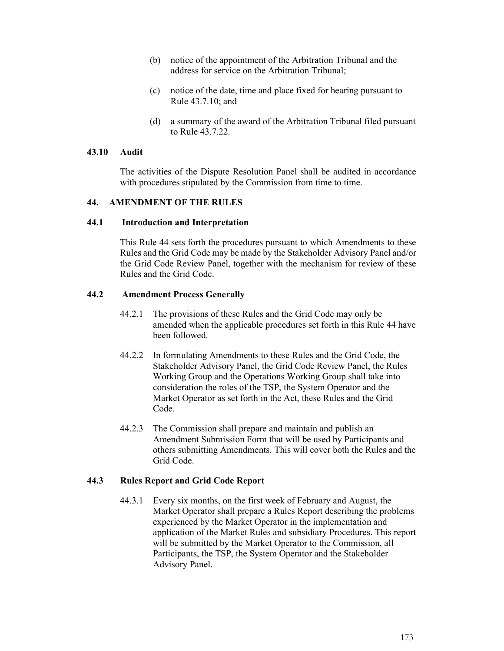- (b) notice of the appointment of the Arbitration Tribunal and the address for service on the Arbitration Tribunal;
- (c) notice of the date, time and place fixed for hearing pursuant to Rule 43.7.10; and
- (d) a summary of the award of the Arbitration Tribunal filed pursuant to Rule 43.7.22.

### **43.10 Audit**

The activities of the Dispute Resolution Panel shall be audited in accordance with procedures stipulated by the Commission from time to time.

### **44. AMENDMENT OF THE RULES**

### **44.1 Introduction and Interpretation**

This Rule 44 sets forth the procedures pursuant to which Amendments to these Rules and the Grid Code may be made by the Stakeholder Advisory Panel and/or the Grid Code Review Panel, together with the mechanism for review of these Rules and the Grid Code.

## **44.2 Amendment Process Generally**

- 44.2.1 The provisions of these Rules and the Grid Code may only be amended when the applicable procedures set forth in this Rule 44 have been followed.
- 44.2.2 In formulating Amendments to these Rules and the Grid Code, the Stakeholder Advisory Panel, the Grid Code Review Panel, the Rules Working Group and the Operations Working Group shall take into consideration the roles of the TSP, the System Operator and the Market Operator as set forth in the Act, these Rules and the Grid Code.
- 44.2.3 The Commission shall prepare and maintain and publish an Amendment Submission Form that will be used by Participants and others submitting Amendments. This will cover both the Rules and the Grid Code.

### **44.3 Rules Report and Grid Code Report**

44.3.1 Every six months, on the first week of February and August, the Market Operator shall prepare a Rules Report describing the problems experienced by the Market Operator in the implementation and application of the Market Rules and subsidiary Procedures. This report will be submitted by the Market Operator to the Commission, all Participants, the TSP, the System Operator and the Stakeholder Advisory Panel.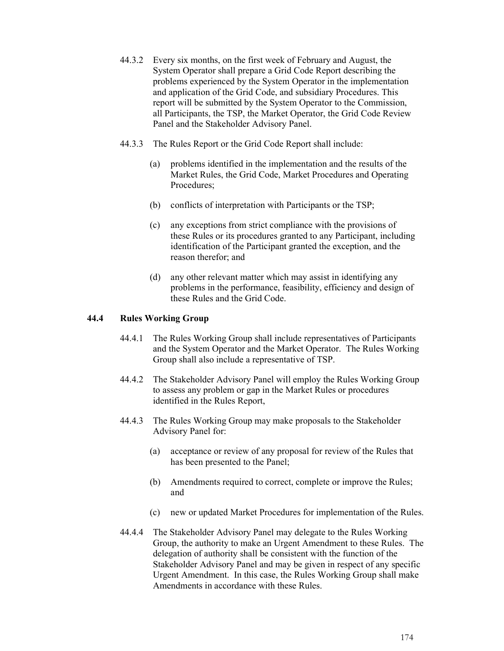- 44.3.2 Every six months, on the first week of February and August, the System Operator shall prepare a Grid Code Report describing the problems experienced by the System Operator in the implementation and application of the Grid Code, and subsidiary Procedures. This report will be submitted by the System Operator to the Commission, all Participants, the TSP, the Market Operator, the Grid Code Review Panel and the Stakeholder Advisory Panel.
- 44.3.3 The Rules Report or the Grid Code Report shall include:
	- (a) problems identified in the implementation and the results of the Market Rules, the Grid Code, Market Procedures and Operating Procedures;
	- (b) conflicts of interpretation with Participants or the TSP;
	- (c) any exceptions from strict compliance with the provisions of these Rules or its procedures granted to any Participant, including identification of the Participant granted the exception, and the reason therefor; and
	- (d) any other relevant matter which may assist in identifying any problems in the performance, feasibility, efficiency and design of these Rules and the Grid Code.

### **44.4 Rules Working Group**

- 44.4.1 The Rules Working Group shall include representatives of Participants and the System Operator and the Market Operator. The Rules Working Group shall also include a representative of TSP.
- 44.4.2 The Stakeholder Advisory Panel will employ the Rules Working Group to assess any problem or gap in the Market Rules or procedures identified in the Rules Report,
- 44.4.3 The Rules Working Group may make proposals to the Stakeholder Advisory Panel for:
	- (a) acceptance or review of any proposal for review of the Rules that has been presented to the Panel;
	- (b) Amendments required to correct, complete or improve the Rules; and
	- (c) new or updated Market Procedures for implementation of the Rules.
- 44.4.4 The Stakeholder Advisory Panel may delegate to the Rules Working Group, the authority to make an Urgent Amendment to these Rules. The delegation of authority shall be consistent with the function of the Stakeholder Advisory Panel and may be given in respect of any specific Urgent Amendment. In this case, the Rules Working Group shall make Amendments in accordance with these Rules.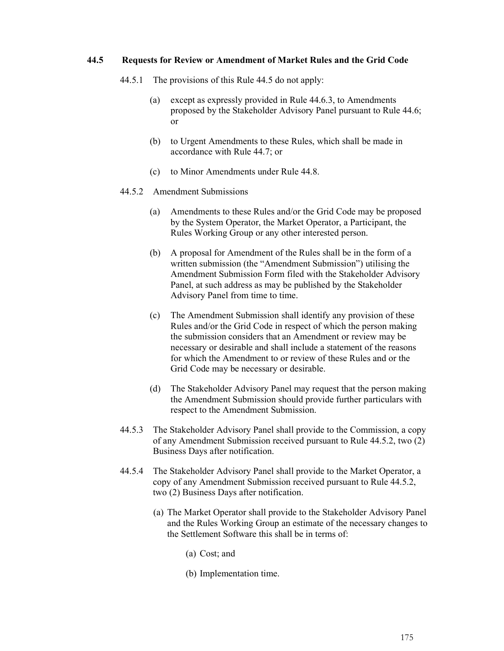### **44.5 Requests for Review or Amendment of Market Rules and the Grid Code**

- 44.5.1 The provisions of this Rule 44.5 do not apply:
	- (a) except as expressly provided in Rule 44.6.3, to Amendments proposed by the Stakeholder Advisory Panel pursuant to Rule 44.6; or
	- (b) to Urgent Amendments to these Rules, which shall be made in accordance with Rule 44.7; or
	- (c) to Minor Amendments under Rule 44.8.
- 44.5.2 Amendment Submissions
	- (a) Amendments to these Rules and/or the Grid Code may be proposed by the System Operator, the Market Operator, a Participant, the Rules Working Group or any other interested person.
	- (b) A proposal for Amendment of the Rules shall be in the form of a written submission (the "Amendment Submission") utilising the Amendment Submission Form filed with the Stakeholder Advisory Panel, at such address as may be published by the Stakeholder Advisory Panel from time to time.
	- (c) The Amendment Submission shall identify any provision of these Rules and/or the Grid Code in respect of which the person making the submission considers that an Amendment or review may be necessary or desirable and shall include a statement of the reasons for which the Amendment to or review of these Rules and or the Grid Code may be necessary or desirable.
	- (d) The Stakeholder Advisory Panel may request that the person making the Amendment Submission should provide further particulars with respect to the Amendment Submission.
- 44.5.3 The Stakeholder Advisory Panel shall provide to the Commission, a copy of any Amendment Submission received pursuant to Rule 44.5.2, two (2) Business Days after notification.
- 44.5.4 The Stakeholder Advisory Panel shall provide to the Market Operator, a copy of any Amendment Submission received pursuant to Rule 44.5.2, two (2) Business Days after notification.
	- (a) The Market Operator shall provide to the Stakeholder Advisory Panel and the Rules Working Group an estimate of the necessary changes to the Settlement Software this shall be in terms of:
		- (a) Cost; and
		- (b) Implementation time.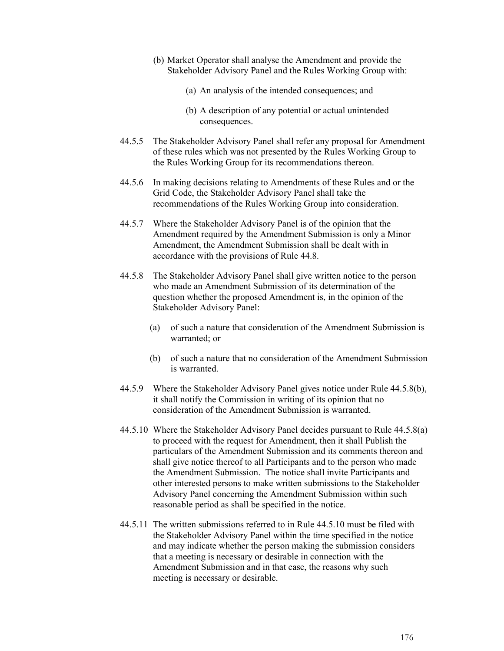- (b) Market Operator shall analyse the Amendment and provide the Stakeholder Advisory Panel and the Rules Working Group with:
	- (a) An analysis of the intended consequences; and
	- (b) A description of any potential or actual unintended consequences.
- 44.5.5 The Stakeholder Advisory Panel shall refer any proposal for Amendment of these rules which was not presented by the Rules Working Group to the Rules Working Group for its recommendations thereon.
- 44.5.6 In making decisions relating to Amendments of these Rules and or the Grid Code, the Stakeholder Advisory Panel shall take the recommendations of the Rules Working Group into consideration.
- 44.5.7 Where the Stakeholder Advisory Panel is of the opinion that the Amendment required by the Amendment Submission is only a Minor Amendment, the Amendment Submission shall be dealt with in accordance with the provisions of Rule 44.8.
- 44.5.8 The Stakeholder Advisory Panel shall give written notice to the person who made an Amendment Submission of its determination of the question whether the proposed Amendment is, in the opinion of the Stakeholder Advisory Panel:
	- (a) of such a nature that consideration of the Amendment Submission is warranted; or
	- (b) of such a nature that no consideration of the Amendment Submission is warranted.
- 44.5.9 Where the Stakeholder Advisory Panel gives notice under Rule 44.5.8(b), it shall notify the Commission in writing of its opinion that no consideration of the Amendment Submission is warranted.
- 44.5.10 Where the Stakeholder Advisory Panel decides pursuant to Rule 44.5.8(a) to proceed with the request for Amendment, then it shall Publish the particulars of the Amendment Submission and its comments thereon and shall give notice thereof to all Participants and to the person who made the Amendment Submission. The notice shall invite Participants and other interested persons to make written submissions to the Stakeholder Advisory Panel concerning the Amendment Submission within such reasonable period as shall be specified in the notice.
- 44.5.11 The written submissions referred to in Rule 44.5.10 must be filed with the Stakeholder Advisory Panel within the time specified in the notice and may indicate whether the person making the submission considers that a meeting is necessary or desirable in connection with the Amendment Submission and in that case, the reasons why such meeting is necessary or desirable.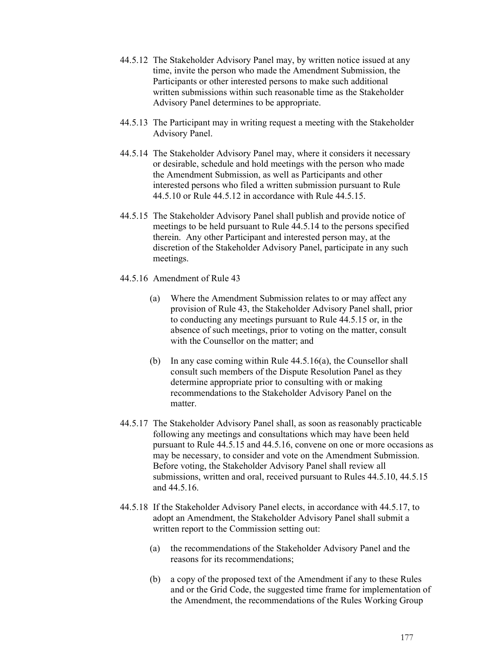- 44.5.12 The Stakeholder Advisory Panel may, by written notice issued at any time, invite the person who made the Amendment Submission, the Participants or other interested persons to make such additional written submissions within such reasonable time as the Stakeholder Advisory Panel determines to be appropriate.
- 44.5.13 The Participant may in writing request a meeting with the Stakeholder Advisory Panel.
- 44.5.14 The Stakeholder Advisory Panel may, where it considers it necessary or desirable, schedule and hold meetings with the person who made the Amendment Submission, as well as Participants and other interested persons who filed a written submission pursuant to Rule 44.5.10 or Rule 44.5.12 in accordance with Rule 44.5.15.
- 44.5.15 The Stakeholder Advisory Panel shall publish and provide notice of meetings to be held pursuant to Rule 44.5.14 to the persons specified therein. Any other Participant and interested person may, at the discretion of the Stakeholder Advisory Panel, participate in any such meetings.
- 44.5.16 Amendment of Rule 43
	- (a) Where the Amendment Submission relates to or may affect any provision of Rule 43, the Stakeholder Advisory Panel shall, prior to conducting any meetings pursuant to Rule 44.5.15 or, in the absence of such meetings, prior to voting on the matter, consult with the Counsellor on the matter; and
	- (b) In any case coming within Rule 44.5.16(a), the Counsellor shall consult such members of the Dispute Resolution Panel as they determine appropriate prior to consulting with or making recommendations to the Stakeholder Advisory Panel on the matter.
- 44.5.17 The Stakeholder Advisory Panel shall, as soon as reasonably practicable following any meetings and consultations which may have been held pursuant to Rule 44.5.15 and 44.5.16, convene on one or more occasions as may be necessary, to consider and vote on the Amendment Submission. Before voting, the Stakeholder Advisory Panel shall review all submissions, written and oral, received pursuant to Rules 44.5.10, 44.5.15 and 44.5.16.
- 44.5.18 If the Stakeholder Advisory Panel elects, in accordance with 44.5.17, to adopt an Amendment, the Stakeholder Advisory Panel shall submit a written report to the Commission setting out:
	- (a) the recommendations of the Stakeholder Advisory Panel and the reasons for its recommendations;
	- (b) a copy of the proposed text of the Amendment if any to these Rules and or the Grid Code, the suggested time frame for implementation of the Amendment, the recommendations of the Rules Working Group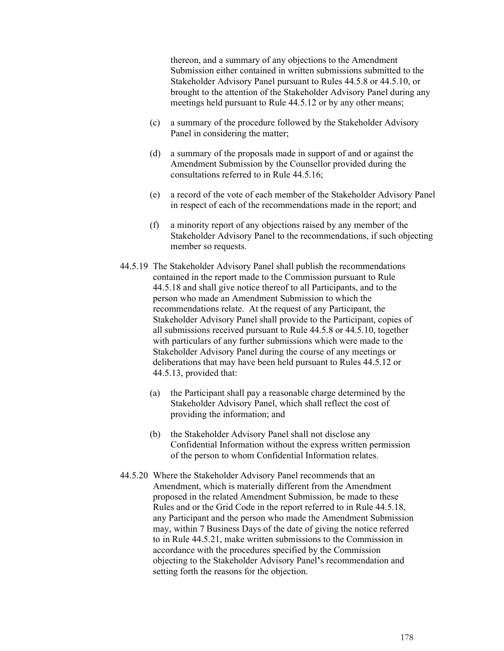thereon, and a summary of any objections to the Amendment Submission either contained in written submissions submitted to the Stakeholder Advisory Panel pursuant to Rules 44.5.8 or 44.5.10, or brought to the attention of the Stakeholder Advisory Panel during any meetings held pursuant to Rule 44.5.12 or by any other means;

- (c) a summary of the procedure followed by the Stakeholder Advisory Panel in considering the matter;
- (d) a summary of the proposals made in support of and or against the Amendment Submission by the Counsellor provided during the consultations referred to in Rule 44.5.16;
- (e) a record of the vote of each member of the Stakeholder Advisory Panel in respect of each of the recommendations made in the report; and
- (f) a minority report of any objections raised by any member of the Stakeholder Advisory Panel to the recommendations, if such objecting member so requests.
- 44.5.19 The Stakeholder Advisory Panel shall publish the recommendations contained in the report made to the Commission pursuant to Rule 44.5.18 and shall give notice thereof to all Participants, and to the person who made an Amendment Submission to which the recommendations relate. At the request of any Participant, the Stakeholder Advisory Panel shall provide to the Participant, copies of all submissions received pursuant to Rule 44.5.8 or 44.5.10, together with particulars of any further submissions which were made to the Stakeholder Advisory Panel during the course of any meetings or deliberations that may have been held pursuant to Rules 44.5.12 or 44.5.13, provided that:
	- (a) the Participant shall pay a reasonable charge determined by the Stakeholder Advisory Panel, which shall reflect the cost of providing the information; and
	- (b) the Stakeholder Advisory Panel shall not disclose any Confidential Information without the express written permission of the person to whom Confidential Information relates.
- 44.5.20 Where the Stakeholder Advisory Panel recommends that an Amendment, which is materially different from the Amendment proposed in the related Amendment Submission, be made to these Rules and or the Grid Code in the report referred to in Rule 44.5.18, any Participant and the person who made the Amendment Submission may, within 7 Business Days of the date of giving the notice referred to in Rule 44.5.21, make written submissions to the Commission in accordance with the procedures specified by the Commission objecting to the Stakeholder Advisory Panel**'**s recommendation and setting forth the reasons for the objection.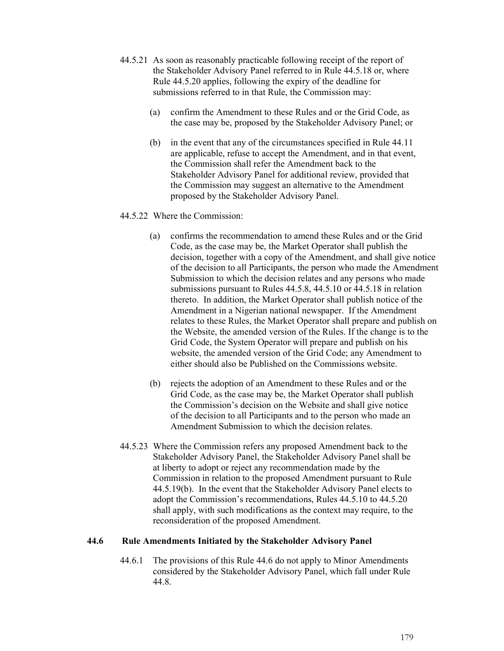- 44.5.21 As soon as reasonably practicable following receipt of the report of the Stakeholder Advisory Panel referred to in Rule 44.5.18 or, where Rule 44.5.20 applies, following the expiry of the deadline for submissions referred to in that Rule, the Commission may:
	- (a) confirm the Amendment to these Rules and or the Grid Code, as the case may be, proposed by the Stakeholder Advisory Panel; or
	- (b) in the event that any of the circumstances specified in Rule 44.11 are applicable, refuse to accept the Amendment, and in that event, the Commission shall refer the Amendment back to the Stakeholder Advisory Panel for additional review, provided that the Commission may suggest an alternative to the Amendment proposed by the Stakeholder Advisory Panel.

### 44.5.22 Where the Commission:

- (a) confirms the recommendation to amend these Rules and or the Grid Code, as the case may be, the Market Operator shall publish the decision, together with a copy of the Amendment, and shall give notice of the decision to all Participants, the person who made the Amendment Submission to which the decision relates and any persons who made submissions pursuant to Rules 44.5.8, 44.5.10 or 44.5.18 in relation thereto. In addition, the Market Operator shall publish notice of the Amendment in a Nigerian national newspaper. If the Amendment relates to these Rules, the Market Operator shall prepare and publish on the Website, the amended version of the Rules. If the change is to the Grid Code, the System Operator will prepare and publish on his website, the amended version of the Grid Code; any Amendment to either should also be Published on the Commissions website.
- (b) rejects the adoption of an Amendment to these Rules and or the Grid Code, as the case may be, the Market Operator shall publish the Commission's decision on the Website and shall give notice of the decision to all Participants and to the person who made an Amendment Submission to which the decision relates.
- 44.5.23 Where the Commission refers any proposed Amendment back to the Stakeholder Advisory Panel, the Stakeholder Advisory Panel shall be at liberty to adopt or reject any recommendation made by the Commission in relation to the proposed Amendment pursuant to Rule 44.5.19(b). In the event that the Stakeholder Advisory Panel elects to adopt the Commission's recommendations, Rules 44.5.10 to 44.5.20 shall apply, with such modifications as the context may require, to the reconsideration of the proposed Amendment.

### **44.6 Rule Amendments Initiated by the Stakeholder Advisory Panel**

44.6.1 The provisions of this Rule 44.6 do not apply to Minor Amendments considered by the Stakeholder Advisory Panel, which fall under Rule 44.8.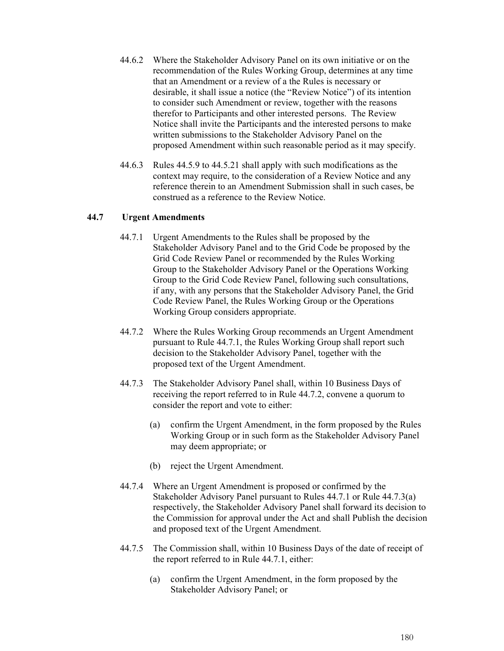- 44.6.2 Where the Stakeholder Advisory Panel on its own initiative or on the recommendation of the Rules Working Group, determines at any time that an Amendment or a review of a the Rules is necessary or desirable, it shall issue a notice (the "Review Notice") of its intention to consider such Amendment or review, together with the reasons therefor to Participants and other interested persons. The Review Notice shall invite the Participants and the interested persons to make written submissions to the Stakeholder Advisory Panel on the proposed Amendment within such reasonable period as it may specify.
- 44.6.3 Rules 44.5.9 to 44.5.21 shall apply with such modifications as the context may require, to the consideration of a Review Notice and any reference therein to an Amendment Submission shall in such cases, be construed as a reference to the Review Notice.

### **44.7 Urgent Amendments**

- 44.7.1 Urgent Amendments to the Rules shall be proposed by the Stakeholder Advisory Panel and to the Grid Code be proposed by the Grid Code Review Panel or recommended by the Rules Working Group to the Stakeholder Advisory Panel or the Operations Working Group to the Grid Code Review Panel, following such consultations, if any, with any persons that the Stakeholder Advisory Panel, the Grid Code Review Panel, the Rules Working Group or the Operations Working Group considers appropriate.
- 44.7.2 Where the Rules Working Group recommends an Urgent Amendment pursuant to Rule 44.7.1, the Rules Working Group shall report such decision to the Stakeholder Advisory Panel, together with the proposed text of the Urgent Amendment.
- 44.7.3 The Stakeholder Advisory Panel shall, within 10 Business Days of receiving the report referred to in Rule 44.7.2, convene a quorum to consider the report and vote to either:
	- (a) confirm the Urgent Amendment, in the form proposed by the Rules Working Group or in such form as the Stakeholder Advisory Panel may deem appropriate; or
	- (b) reject the Urgent Amendment.
- 44.7.4 Where an Urgent Amendment is proposed or confirmed by the Stakeholder Advisory Panel pursuant to Rules 44.7.1 or Rule 44.7.3(a) respectively, the Stakeholder Advisory Panel shall forward its decision to the Commission for approval under the Act and shall Publish the decision and proposed text of the Urgent Amendment.
- 44.7.5 The Commission shall, within 10 Business Days of the date of receipt of the report referred to in Rule 44.7.1, either:
	- (a) confirm the Urgent Amendment, in the form proposed by the Stakeholder Advisory Panel; or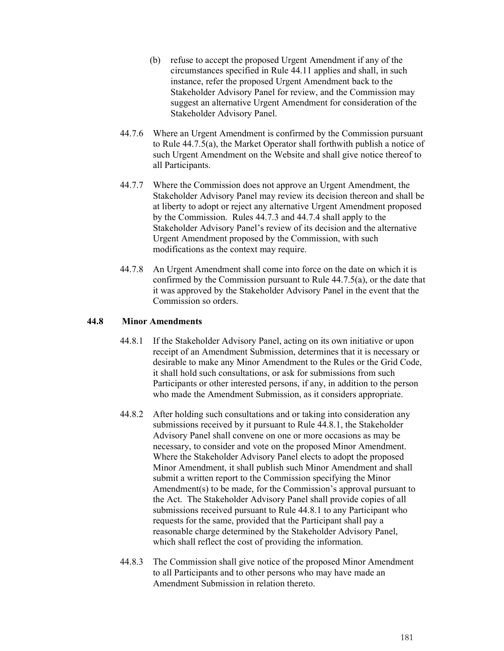- (b) refuse to accept the proposed Urgent Amendment if any of the circumstances specified in Rule 44.11 applies and shall, in such instance, refer the proposed Urgent Amendment back to the Stakeholder Advisory Panel for review, and the Commission may suggest an alternative Urgent Amendment for consideration of the Stakeholder Advisory Panel.
- 44.7.6 Where an Urgent Amendment is confirmed by the Commission pursuant to Rule 44.7.5(a), the Market Operator shall forthwith publish a notice of such Urgent Amendment on the Website and shall give notice thereof to all Participants.
- 44.7.7 Where the Commission does not approve an Urgent Amendment, the Stakeholder Advisory Panel may review its decision thereon and shall be at liberty to adopt or reject any alternative Urgent Amendment proposed by the Commission. Rules 44.7.3 and 44.7.4 shall apply to the Stakeholder Advisory Panel's review of its decision and the alternative Urgent Amendment proposed by the Commission, with such modifications as the context may require.
- 44.7.8 An Urgent Amendment shall come into force on the date on which it is confirmed by the Commission pursuant to Rule 44.7.5(a), or the date that it was approved by the Stakeholder Advisory Panel in the event that the Commission so orders.

## **44.8 Minor Amendments**

- 44.8.1 If the Stakeholder Advisory Panel, acting on its own initiative or upon receipt of an Amendment Submission, determines that it is necessary or desirable to make any Minor Amendment to the Rules or the Grid Code, it shall hold such consultations, or ask for submissions from such Participants or other interested persons, if any, in addition to the person who made the Amendment Submission, as it considers appropriate.
- 44.8.2 After holding such consultations and or taking into consideration any submissions received by it pursuant to Rule 44.8.1, the Stakeholder Advisory Panel shall convene on one or more occasions as may be necessary, to consider and vote on the proposed Minor Amendment. Where the Stakeholder Advisory Panel elects to adopt the proposed Minor Amendment, it shall publish such Minor Amendment and shall submit a written report to the Commission specifying the Minor Amendment(s) to be made, for the Commission's approval pursuant to the Act. The Stakeholder Advisory Panel shall provide copies of all submissions received pursuant to Rule 44.8.1 to any Participant who requests for the same, provided that the Participant shall pay a reasonable charge determined by the Stakeholder Advisory Panel, which shall reflect the cost of providing the information.
- 44.8.3 The Commission shall give notice of the proposed Minor Amendment to all Participants and to other persons who may have made an Amendment Submission in relation thereto.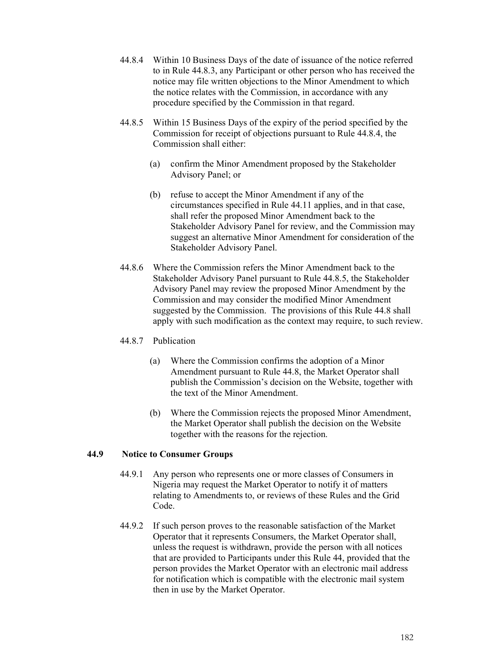- 44.8.4 Within 10 Business Days of the date of issuance of the notice referred to in Rule 44.8.3, any Participant or other person who has received the notice may file written objections to the Minor Amendment to which the notice relates with the Commission, in accordance with any procedure specified by the Commission in that regard.
- 44.8.5 Within 15 Business Days of the expiry of the period specified by the Commission for receipt of objections pursuant to Rule 44.8.4, the Commission shall either:
	- (a) confirm the Minor Amendment proposed by the Stakeholder Advisory Panel; or
	- (b) refuse to accept the Minor Amendment if any of the circumstances specified in Rule 44.11 applies, and in that case, shall refer the proposed Minor Amendment back to the Stakeholder Advisory Panel for review, and the Commission may suggest an alternative Minor Amendment for consideration of the Stakeholder Advisory Panel.
- 44.8.6 Where the Commission refers the Minor Amendment back to the Stakeholder Advisory Panel pursuant to Rule 44.8.5, the Stakeholder Advisory Panel may review the proposed Minor Amendment by the Commission and may consider the modified Minor Amendment suggested by the Commission. The provisions of this Rule 44.8 shall apply with such modification as the context may require, to such review.

### 44.8.7 Publication

- (a) Where the Commission confirms the adoption of a Minor Amendment pursuant to Rule 44.8, the Market Operator shall publish the Commission's decision on the Website, together with the text of the Minor Amendment.
- (b) Where the Commission rejects the proposed Minor Amendment, the Market Operator shall publish the decision on the Website together with the reasons for the rejection.

## **44.9 Notice to Consumer Groups**

- 44.9.1 Any person who represents one or more classes of Consumers in Nigeria may request the Market Operator to notify it of matters relating to Amendments to, or reviews of these Rules and the Grid Code.
- 44.9.2 If such person proves to the reasonable satisfaction of the Market Operator that it represents Consumers, the Market Operator shall, unless the request is withdrawn, provide the person with all notices that are provided to Participants under this Rule 44, provided that the person provides the Market Operator with an electronic mail address for notification which is compatible with the electronic mail system then in use by the Market Operator.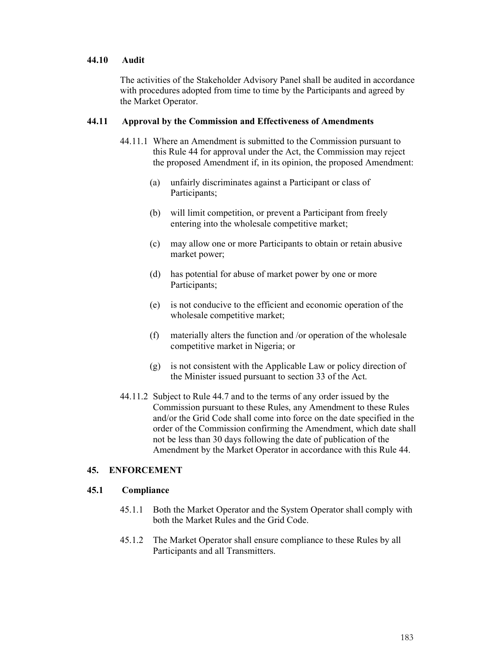### **44.10 Audit**

The activities of the Stakeholder Advisory Panel shall be audited in accordance with procedures adopted from time to time by the Participants and agreed by the Market Operator.

### **44.11 Approval by the Commission and Effectiveness of Amendments**

- 44.11.1 Where an Amendment is submitted to the Commission pursuant to this Rule 44 for approval under the Act, the Commission may reject the proposed Amendment if, in its opinion, the proposed Amendment:
	- (a) unfairly discriminates against a Participant or class of Participants;
	- (b) will limit competition, or prevent a Participant from freely entering into the wholesale competitive market;
	- (c) may allow one or more Participants to obtain or retain abusive market power;
	- (d) has potential for abuse of market power by one or more Participants;
	- (e) is not conducive to the efficient and economic operation of the wholesale competitive market;
	- (f) materially alters the function and /or operation of the wholesale competitive market in Nigeria; or
	- (g) is not consistent with the Applicable Law or policy direction of the Minister issued pursuant to section 33 of the Act.
- 44.11.2 Subject to Rule 44.7 and to the terms of any order issued by the Commission pursuant to these Rules, any Amendment to these Rules and/or the Grid Code shall come into force on the date specified in the order of the Commission confirming the Amendment, which date shall not be less than 30 days following the date of publication of the Amendment by the Market Operator in accordance with this Rule 44.

### **45. ENFORCEMENT**

### **45.1 Compliance**

- 45.1.1 Both the Market Operator and the System Operator shall comply with both the Market Rules and the Grid Code.
- 45.1.2 The Market Operator shall ensure compliance to these Rules by all Participants and all Transmitters.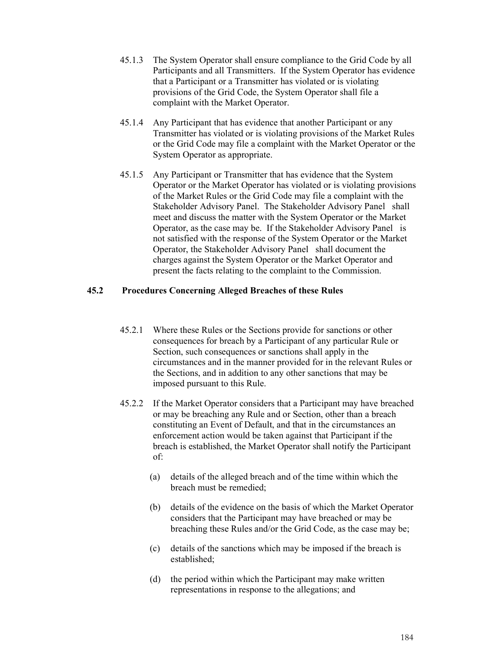- 45.1.3 The System Operator shall ensure compliance to the Grid Code by all Participants and all Transmitters. If the System Operator has evidence that a Participant or a Transmitter has violated or is violating provisions of the Grid Code, the System Operator shall file a complaint with the Market Operator.
- 45.1.4 Any Participant that has evidence that another Participant or any Transmitter has violated or is violating provisions of the Market Rules or the Grid Code may file a complaint with the Market Operator or the System Operator as appropriate.
- 45.1.5 Any Participant or Transmitter that has evidence that the System Operator or the Market Operator has violated or is violating provisions of the Market Rules or the Grid Code may file a complaint with the Stakeholder Advisory Panel. The Stakeholder Advisory Panel shall meet and discuss the matter with the System Operator or the Market Operator, as the case may be. If the Stakeholder Advisory Panel is not satisfied with the response of the System Operator or the Market Operator, the Stakeholder Advisory Panel shall document the charges against the System Operator or the Market Operator and present the facts relating to the complaint to the Commission.

### **45.2 Procedures Concerning Alleged Breaches of these Rules**

- 45.2.1 Where these Rules or the Sections provide for sanctions or other consequences for breach by a Participant of any particular Rule or Section, such consequences or sanctions shall apply in the circumstances and in the manner provided for in the relevant Rules or the Sections, and in addition to any other sanctions that may be imposed pursuant to this Rule.
- 45.2.2 If the Market Operator considers that a Participant may have breached or may be breaching any Rule and or Section, other than a breach constituting an Event of Default, and that in the circumstances an enforcement action would be taken against that Participant if the breach is established, the Market Operator shall notify the Participant of:
	- (a) details of the alleged breach and of the time within which the breach must be remedied;
	- (b) details of the evidence on the basis of which the Market Operator considers that the Participant may have breached or may be breaching these Rules and/or the Grid Code, as the case may be;
	- (c) details of the sanctions which may be imposed if the breach is established;
	- (d) the period within which the Participant may make written representations in response to the allegations; and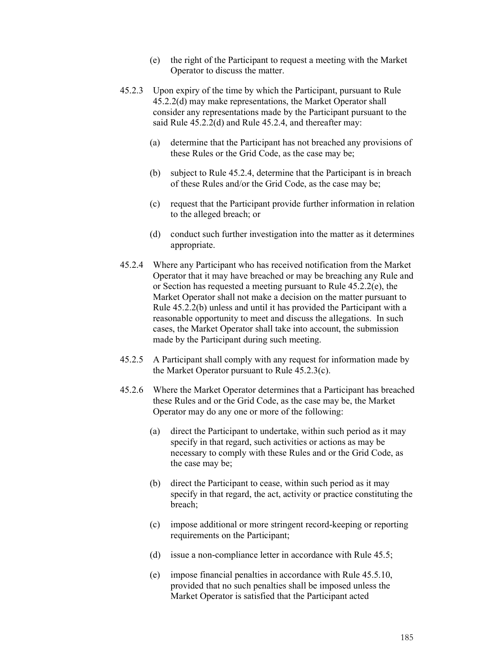- (e) the right of the Participant to request a meeting with the Market Operator to discuss the matter.
- 45.2.3 Upon expiry of the time by which the Participant, pursuant to Rule 45.2.2(d) may make representations, the Market Operator shall consider any representations made by the Participant pursuant to the said Rule 45.2.2(d) and Rule 45.2.4, and thereafter may:
	- (a) determine that the Participant has not breached any provisions of these Rules or the Grid Code, as the case may be;
	- (b) subject to Rule 45.2.4, determine that the Participant is in breach of these Rules and/or the Grid Code, as the case may be;
	- (c) request that the Participant provide further information in relation to the alleged breach; or
	- (d) conduct such further investigation into the matter as it determines appropriate.
- 45.2.4 Where any Participant who has received notification from the Market Operator that it may have breached or may be breaching any Rule and or Section has requested a meeting pursuant to Rule 45.2.2(e), the Market Operator shall not make a decision on the matter pursuant to Rule 45.2.2(b) unless and until it has provided the Participant with a reasonable opportunity to meet and discuss the allegations. In such cases, the Market Operator shall take into account, the submission made by the Participant during such meeting.
- 45.2.5 A Participant shall comply with any request for information made by the Market Operator pursuant to Rule 45.2.3(c).
- 45.2.6 Where the Market Operator determines that a Participant has breached these Rules and or the Grid Code, as the case may be, the Market Operator may do any one or more of the following:
	- (a) direct the Participant to undertake, within such period as it may specify in that regard, such activities or actions as may be necessary to comply with these Rules and or the Grid Code, as the case may be;
	- (b) direct the Participant to cease, within such period as it may specify in that regard, the act, activity or practice constituting the breach;
	- (c) impose additional or more stringent record-keeping or reporting requirements on the Participant;
	- (d) issue a non-compliance letter in accordance with Rule 45.5;
	- (e) impose financial penalties in accordance with Rule 45.5.10, provided that no such penalties shall be imposed unless the Market Operator is satisfied that the Participant acted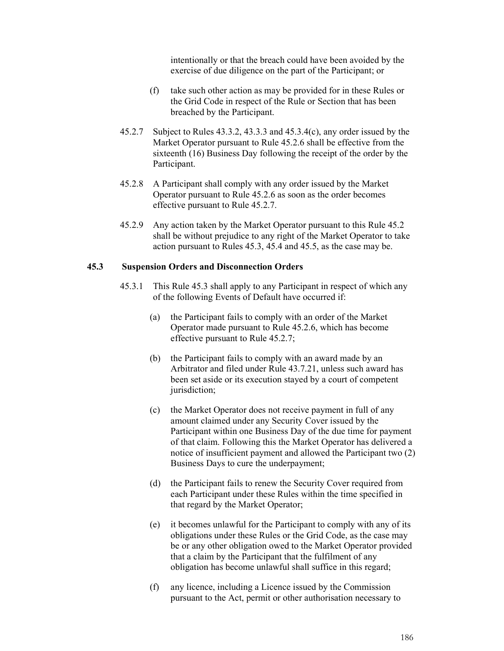intentionally or that the breach could have been avoided by the exercise of due diligence on the part of the Participant; or

- (f) take such other action as may be provided for in these Rules or the Grid Code in respect of the Rule or Section that has been breached by the Participant.
- 45.2.7 Subject to Rules 43.3.2, 43.3.3 and 45.3.4(c), any order issued by the Market Operator pursuant to Rule 45.2.6 shall be effective from the sixteenth (16) Business Day following the receipt of the order by the Participant.
- 45.2.8 A Participant shall comply with any order issued by the Market Operator pursuant to Rule 45.2.6 as soon as the order becomes effective pursuant to Rule 45.2.7.
- 45.2.9 Any action taken by the Market Operator pursuant to this Rule 45.2 shall be without prejudice to any right of the Market Operator to take action pursuant to Rules 45.3, 45.4 and 45.5, as the case may be.

### **45.3 Suspension Orders and Disconnection Orders**

- 45.3.1 This Rule 45.3 shall apply to any Participant in respect of which any of the following Events of Default have occurred if:
	- (a) the Participant fails to comply with an order of the Market Operator made pursuant to Rule 45.2.6, which has become effective pursuant to Rule 45.2.7;
	- (b) the Participant fails to comply with an award made by an Arbitrator and filed under Rule 43.7.21, unless such award has been set aside or its execution stayed by a court of competent jurisdiction:
	- (c) the Market Operator does not receive payment in full of any amount claimed under any Security Cover issued by the Participant within one Business Day of the due time for payment of that claim. Following this the Market Operator has delivered a notice of insufficient payment and allowed the Participant two (2) Business Days to cure the underpayment;
	- (d) the Participant fails to renew the Security Cover required from each Participant under these Rules within the time specified in that regard by the Market Operator;
	- (e) it becomes unlawful for the Participant to comply with any of its obligations under these Rules or the Grid Code, as the case may be or any other obligation owed to the Market Operator provided that a claim by the Participant that the fulfilment of any obligation has become unlawful shall suffice in this regard;
	- (f) any licence, including a Licence issued by the Commission pursuant to the Act, permit or other authorisation necessary to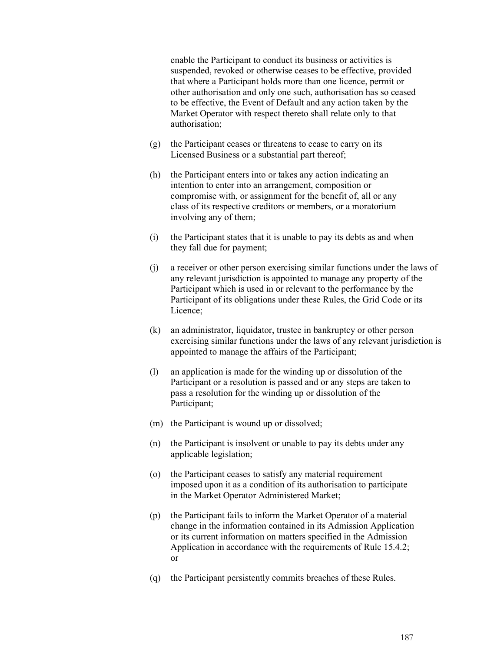enable the Participant to conduct its business or activities is suspended, revoked or otherwise ceases to be effective, provided that where a Participant holds more than one licence, permit or other authorisation and only one such, authorisation has so ceased to be effective, the Event of Default and any action taken by the Market Operator with respect thereto shall relate only to that authorisation;

- (g) the Participant ceases or threatens to cease to carry on its Licensed Business or a substantial part thereof;
- (h) the Participant enters into or takes any action indicating an intention to enter into an arrangement, composition or compromise with, or assignment for the benefit of, all or any class of its respective creditors or members, or a moratorium involving any of them;
- (i) the Participant states that it is unable to pay its debts as and when they fall due for payment;
- (j) a receiver or other person exercising similar functions under the laws of any relevant jurisdiction is appointed to manage any property of the Participant which is used in or relevant to the performance by the Participant of its obligations under these Rules, the Grid Code or its Licence;
- (k) an administrator, liquidator, trustee in bankruptcy or other person exercising similar functions under the laws of any relevant jurisdiction is appointed to manage the affairs of the Participant;
- (l) an application is made for the winding up or dissolution of the Participant or a resolution is passed and or any steps are taken to pass a resolution for the winding up or dissolution of the Participant;
- (m) the Participant is wound up or dissolved;
- (n) the Participant is insolvent or unable to pay its debts under any applicable legislation;
- (o) the Participant ceases to satisfy any material requirement imposed upon it as a condition of its authorisation to participate in the Market Operator Administered Market;
- (p) the Participant fails to inform the Market Operator of a material change in the information contained in its Admission Application or its current information on matters specified in the Admission Application in accordance with the requirements of Rule 15.4.2; or
- (q) the Participant persistently commits breaches of these Rules.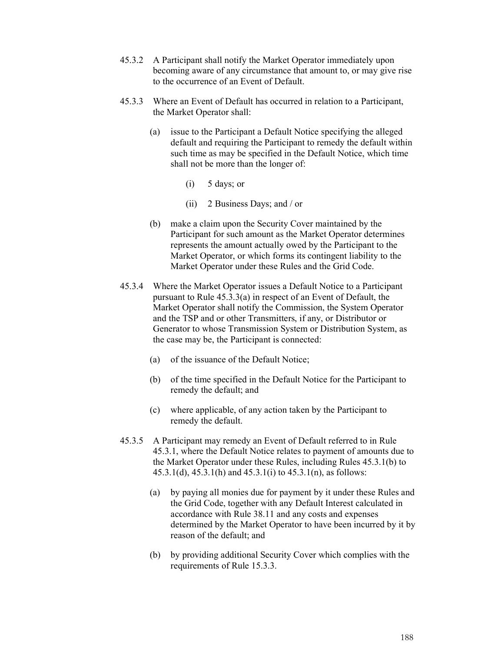- 45.3.2 A Participant shall notify the Market Operator immediately upon becoming aware of any circumstance that amount to, or may give rise to the occurrence of an Event of Default.
- 45.3.3 Where an Event of Default has occurred in relation to a Participant, the Market Operator shall:
	- (a) issue to the Participant a Default Notice specifying the alleged default and requiring the Participant to remedy the default within such time as may be specified in the Default Notice, which time shall not be more than the longer of:
		- $(i)$  5 days; or
		- (ii) 2 Business Days; and / or
	- (b) make a claim upon the Security Cover maintained by the Participant for such amount as the Market Operator determines represents the amount actually owed by the Participant to the Market Operator, or which forms its contingent liability to the Market Operator under these Rules and the Grid Code.
- 45.3.4 Where the Market Operator issues a Default Notice to a Participant pursuant to Rule 45.3.3(a) in respect of an Event of Default, the Market Operator shall notify the Commission, the System Operator and the TSP and or other Transmitters, if any, or Distributor or Generator to whose Transmission System or Distribution System, as the case may be, the Participant is connected:
	- (a) of the issuance of the Default Notice;
	- (b) of the time specified in the Default Notice for the Participant to remedy the default; and
	- (c) where applicable, of any action taken by the Participant to remedy the default.
- 45.3.5 A Participant may remedy an Event of Default referred to in Rule 45.3.1, where the Default Notice relates to payment of amounts due to the Market Operator under these Rules, including Rules 45.3.1(b) to 45.3.1(d), 45.3.1(h) and 45.3.1(i) to 45.3.1(n), as follows:
	- (a) by paying all monies due for payment by it under these Rules and the Grid Code, together with any Default Interest calculated in accordance with Rule 38.11 and any costs and expenses determined by the Market Operator to have been incurred by it by reason of the default; and
	- (b) by providing additional Security Cover which complies with the requirements of Rule 15.3.3.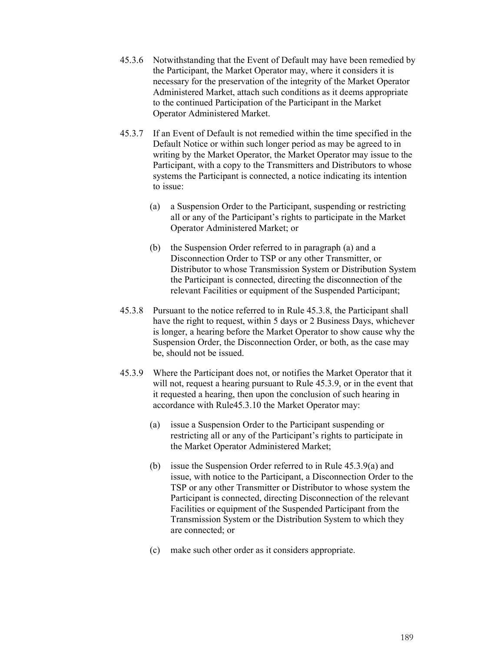- 45.3.6 Notwithstanding that the Event of Default may have been remedied by the Participant, the Market Operator may, where it considers it is necessary for the preservation of the integrity of the Market Operator Administered Market, attach such conditions as it deems appropriate to the continued Participation of the Participant in the Market Operator Administered Market.
- 45.3.7 If an Event of Default is not remedied within the time specified in the Default Notice or within such longer period as may be agreed to in writing by the Market Operator, the Market Operator may issue to the Participant, with a copy to the Transmitters and Distributors to whose systems the Participant is connected, a notice indicating its intention to issue:
	- (a) a Suspension Order to the Participant, suspending or restricting all or any of the Participant's rights to participate in the Market Operator Administered Market; or
	- (b) the Suspension Order referred to in paragraph (a) and a Disconnection Order to TSP or any other Transmitter, or Distributor to whose Transmission System or Distribution System the Participant is connected, directing the disconnection of the relevant Facilities or equipment of the Suspended Participant;
- 45.3.8 Pursuant to the notice referred to in Rule 45.3.8, the Participant shall have the right to request, within 5 days or 2 Business Days, whichever is longer, a hearing before the Market Operator to show cause why the Suspension Order, the Disconnection Order, or both, as the case may be, should not be issued.
- 45.3.9 Where the Participant does not, or notifies the Market Operator that it will not, request a hearing pursuant to Rule 45.3.9, or in the event that it requested a hearing, then upon the conclusion of such hearing in accordance with Rule45.3.10 the Market Operator may:
	- (a) issue a Suspension Order to the Participant suspending or restricting all or any of the Participant's rights to participate in the Market Operator Administered Market;
	- (b) issue the Suspension Order referred to in Rule 45.3.9(a) and issue, with notice to the Participant, a Disconnection Order to the TSP or any other Transmitter or Distributor to whose system the Participant is connected, directing Disconnection of the relevant Facilities or equipment of the Suspended Participant from the Transmission System or the Distribution System to which they are connected; or
	- (c) make such other order as it considers appropriate.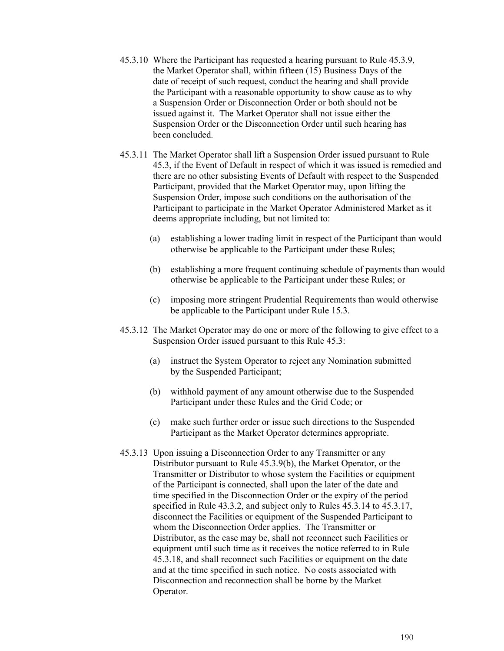- 45.3.10 Where the Participant has requested a hearing pursuant to Rule 45.3.9, the Market Operator shall, within fifteen (15) Business Days of the date of receipt of such request, conduct the hearing and shall provide the Participant with a reasonable opportunity to show cause as to why a Suspension Order or Disconnection Order or both should not be issued against it. The Market Operator shall not issue either the Suspension Order or the Disconnection Order until such hearing has been concluded.
- 45.3.11 The Market Operator shall lift a Suspension Order issued pursuant to Rule 45.3, if the Event of Default in respect of which it was issued is remedied and there are no other subsisting Events of Default with respect to the Suspended Participant, provided that the Market Operator may, upon lifting the Suspension Order, impose such conditions on the authorisation of the Participant to participate in the Market Operator Administered Market as it deems appropriate including, but not limited to:
	- (a) establishing a lower trading limit in respect of the Participant than would otherwise be applicable to the Participant under these Rules;
	- (b) establishing a more frequent continuing schedule of payments than would otherwise be applicable to the Participant under these Rules; or
	- (c) imposing more stringent Prudential Requirements than would otherwise be applicable to the Participant under Rule 15.3.
- 45.3.12 The Market Operator may do one or more of the following to give effect to a Suspension Order issued pursuant to this Rule 45.3:
	- (a) instruct the System Operator to reject any Nomination submitted by the Suspended Participant;
	- (b) withhold payment of any amount otherwise due to the Suspended Participant under these Rules and the Grid Code; or
	- (c) make such further order or issue such directions to the Suspended Participant as the Market Operator determines appropriate.
- 45.3.13 Upon issuing a Disconnection Order to any Transmitter or any Distributor pursuant to Rule 45.3.9(b), the Market Operator, or the Transmitter or Distributor to whose system the Facilities or equipment of the Participant is connected, shall upon the later of the date and time specified in the Disconnection Order or the expiry of the period specified in Rule 43.3.2, and subject only to Rules 45.3.14 to 45.3.17, disconnect the Facilities or equipment of the Suspended Participant to whom the Disconnection Order applies. The Transmitter or Distributor, as the case may be, shall not reconnect such Facilities or equipment until such time as it receives the notice referred to in Rule 45.3.18, and shall reconnect such Facilities or equipment on the date and at the time specified in such notice. No costs associated with Disconnection and reconnection shall be borne by the Market Operator.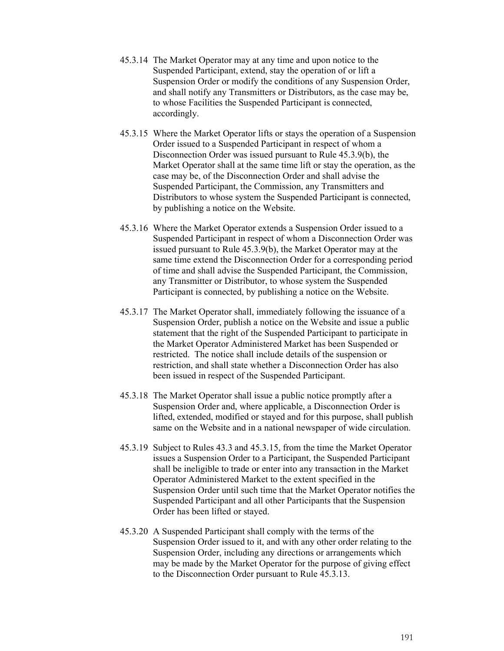- 45.3.14 The Market Operator may at any time and upon notice to the Suspended Participant, extend, stay the operation of or lift a Suspension Order or modify the conditions of any Suspension Order, and shall notify any Transmitters or Distributors, as the case may be, to whose Facilities the Suspended Participant is connected, accordingly.
- 45.3.15 Where the Market Operator lifts or stays the operation of a Suspension Order issued to a Suspended Participant in respect of whom a Disconnection Order was issued pursuant to Rule 45.3.9(b), the Market Operator shall at the same time lift or stay the operation, as the case may be, of the Disconnection Order and shall advise the Suspended Participant, the Commission, any Transmitters and Distributors to whose system the Suspended Participant is connected, by publishing a notice on the Website.
- 45.3.16 Where the Market Operator extends a Suspension Order issued to a Suspended Participant in respect of whom a Disconnection Order was issued pursuant to Rule 45.3.9(b), the Market Operator may at the same time extend the Disconnection Order for a corresponding period of time and shall advise the Suspended Participant, the Commission, any Transmitter or Distributor, to whose system the Suspended Participant is connected, by publishing a notice on the Website.
- 45.3.17 The Market Operator shall, immediately following the issuance of a Suspension Order, publish a notice on the Website and issue a public statement that the right of the Suspended Participant to participate in the Market Operator Administered Market has been Suspended or restricted. The notice shall include details of the suspension or restriction, and shall state whether a Disconnection Order has also been issued in respect of the Suspended Participant.
- 45.3.18 The Market Operator shall issue a public notice promptly after a Suspension Order and, where applicable, a Disconnection Order is lifted, extended, modified or stayed and for this purpose, shall publish same on the Website and in a national newspaper of wide circulation.
- 45.3.19 Subject to Rules 43.3 and 45.3.15, from the time the Market Operator issues a Suspension Order to a Participant, the Suspended Participant shall be ineligible to trade or enter into any transaction in the Market Operator Administered Market to the extent specified in the Suspension Order until such time that the Market Operator notifies the Suspended Participant and all other Participants that the Suspension Order has been lifted or stayed.
- 45.3.20 A Suspended Participant shall comply with the terms of the Suspension Order issued to it, and with any other order relating to the Suspension Order, including any directions or arrangements which may be made by the Market Operator for the purpose of giving effect to the Disconnection Order pursuant to Rule 45.3.13.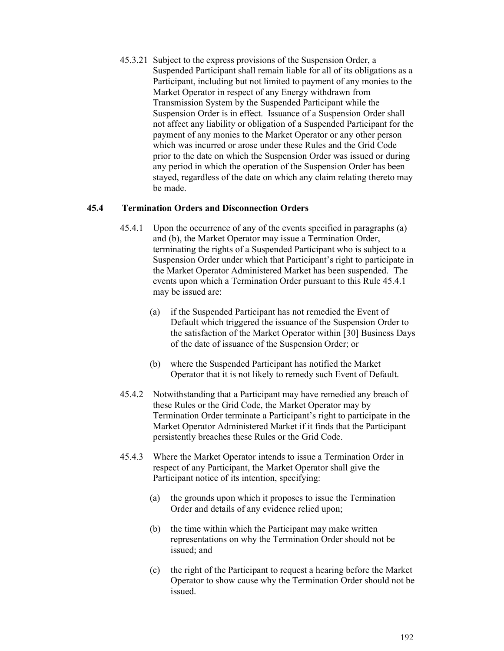45.3.21 Subject to the express provisions of the Suspension Order, a Suspended Participant shall remain liable for all of its obligations as a Participant, including but not limited to payment of any monies to the Market Operator in respect of any Energy withdrawn from Transmission System by the Suspended Participant while the Suspension Order is in effect. Issuance of a Suspension Order shall not affect any liability or obligation of a Suspended Participant for the payment of any monies to the Market Operator or any other person which was incurred or arose under these Rules and the Grid Code prior to the date on which the Suspension Order was issued or during any period in which the operation of the Suspension Order has been stayed, regardless of the date on which any claim relating thereto may be made.

### **45.4 Termination Orders and Disconnection Orders**

- 45.4.1 Upon the occurrence of any of the events specified in paragraphs (a) and (b), the Market Operator may issue a Termination Order, terminating the rights of a Suspended Participant who is subject to a Suspension Order under which that Participant's right to participate in the Market Operator Administered Market has been suspended. The events upon which a Termination Order pursuant to this Rule 45.4.1 may be issued are:
	- (a) if the Suspended Participant has not remedied the Event of Default which triggered the issuance of the Suspension Order to the satisfaction of the Market Operator within [30] Business Days of the date of issuance of the Suspension Order; or
	- (b) where the Suspended Participant has notified the Market Operator that it is not likely to remedy such Event of Default.
- 45.4.2 Notwithstanding that a Participant may have remedied any breach of these Rules or the Grid Code, the Market Operator may by Termination Order terminate a Participant's right to participate in the Market Operator Administered Market if it finds that the Participant persistently breaches these Rules or the Grid Code.
- 45.4.3 Where the Market Operator intends to issue a Termination Order in respect of any Participant, the Market Operator shall give the Participant notice of its intention, specifying:
	- (a) the grounds upon which it proposes to issue the Termination Order and details of any evidence relied upon;
	- (b) the time within which the Participant may make written representations on why the Termination Order should not be issued; and
	- (c) the right of the Participant to request a hearing before the Market Operator to show cause why the Termination Order should not be issued.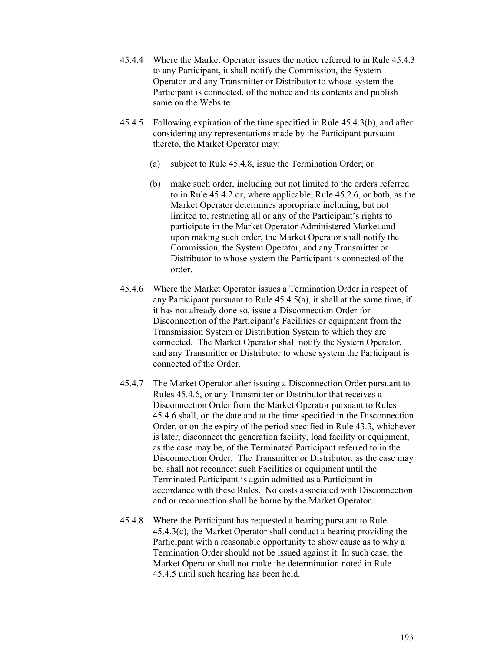- 45.4.4 Where the Market Operator issues the notice referred to in Rule 45.4.3 to any Participant, it shall notify the Commission, the System Operator and any Transmitter or Distributor to whose system the Participant is connected, of the notice and its contents and publish same on the Website.
- 45.4.5 Following expiration of the time specified in Rule 45.4.3(b), and after considering any representations made by the Participant pursuant thereto, the Market Operator may:
	- (a) subject to Rule 45.4.8, issue the Termination Order; or
	- (b) make such order, including but not limited to the orders referred to in Rule 45.4.2 or, where applicable, Rule 45.2.6, or both, as the Market Operator determines appropriate including, but not limited to, restricting all or any of the Participant's rights to participate in the Market Operator Administered Market and upon making such order, the Market Operator shall notify the Commission, the System Operator, and any Transmitter or Distributor to whose system the Participant is connected of the order.
- 45.4.6 Where the Market Operator issues a Termination Order in respect of any Participant pursuant to Rule 45.4.5(a), it shall at the same time, if it has not already done so, issue a Disconnection Order for Disconnection of the Participant's Facilities or equipment from the Transmission System or Distribution System to which they are connected. The Market Operator shall notify the System Operator, and any Transmitter or Distributor to whose system the Participant is connected of the Order.
- 45.4.7 The Market Operator after issuing a Disconnection Order pursuant to Rules 45.4.6, or any Transmitter or Distributor that receives a Disconnection Order from the Market Operator pursuant to Rules 45.4.6 shall, on the date and at the time specified in the Disconnection Order, or on the expiry of the period specified in Rule 43.3, whichever is later, disconnect the generation facility, load facility or equipment, as the case may be, of the Terminated Participant referred to in the Disconnection Order. The Transmitter or Distributor, as the case may be, shall not reconnect such Facilities or equipment until the Terminated Participant is again admitted as a Participant in accordance with these Rules. No costs associated with Disconnection and or reconnection shall be borne by the Market Operator.
- 45.4.8 Where the Participant has requested a hearing pursuant to Rule 45.4.3(c), the Market Operator shall conduct a hearing providing the Participant with a reasonable opportunity to show cause as to why a Termination Order should not be issued against it. In such case, the Market Operator shall not make the determination noted in Rule 45.4.5 until such hearing has been held.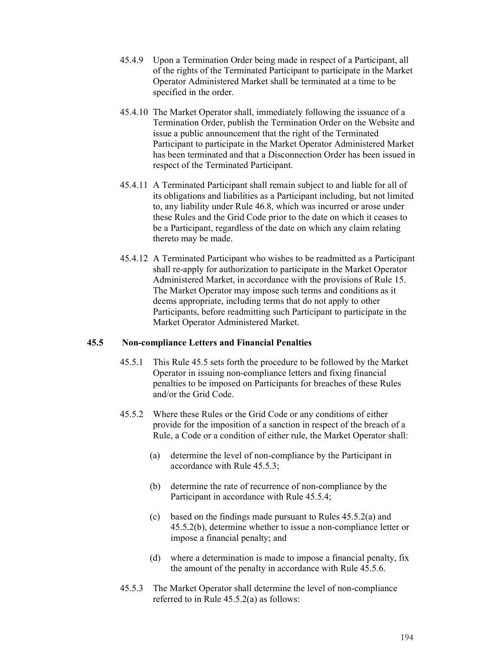- 45.4.9 Upon a Termination Order being made in respect of a Participant, all of the rights of the Terminated Participant to participate in the Market Operator Administered Market shall be terminated at a time to be specified in the order.
- 45.4.10 The Market Operator shall, immediately following the issuance of a Termination Order, publish the Termination Order on the Website and issue a public announcement that the right of the Terminated Participant to participate in the Market Operator Administered Market has been terminated and that a Disconnection Order has been issued in respect of the Terminated Participant.
- 45.4.11 A Terminated Participant shall remain subject to and liable for all of its obligations and liabilities as a Participant including, but not limited to, any liability under Rule 46.8, which was incurred or arose under these Rules and the Grid Code prior to the date on which it ceases to be a Participant, regardless of the date on which any claim relating thereto may be made.
- 45.4.12 A Terminated Participant who wishes to be readmitted as a Participant shall re-apply for authorization to participate in the Market Operator Administered Market, in accordance with the provisions of Rule 15. The Market Operator may impose such terms and conditions as it deems appropriate, including terms that do not apply to other Participants, before readmitting such Participant to participate in the Market Operator Administered Market.

## **45.5 Non-compliance Letters and Financial Penalties**

- 45.5.1 This Rule 45.5 sets forth the procedure to be followed by the Market Operator in issuing non-compliance letters and fixing financial penalties to be imposed on Participants for breaches of these Rules and/or the Grid Code.
- 45.5.2 Where these Rules or the Grid Code or any conditions of either provide for the imposition of a sanction in respect of the breach of a Rule, a Code or a condition of either rule, the Market Operator shall:
	- (a) determine the level of non-compliance by the Participant in accordance with Rule 45.5.3;
	- (b) determine the rate of recurrence of non-compliance by the Participant in accordance with Rule 45.5.4;
	- (c) based on the findings made pursuant to Rules 45.5.2(a) and 45.5.2(b), determine whether to issue a non-compliance letter or impose a financial penalty; and
	- (d) where a determination is made to impose a financial penalty, fix the amount of the penalty in accordance with Rule 45.5.6.
- 45.5.3 The Market Operator shall determine the level of non-compliance referred to in Rule 45.5.2(a) as follows: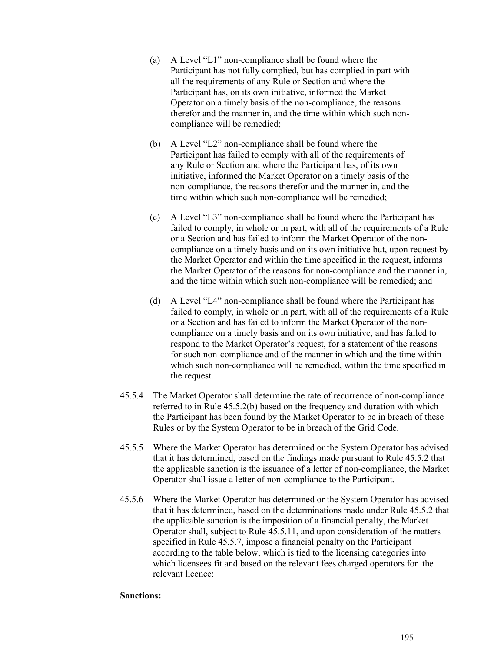- (a) A Level "L1" non-compliance shall be found where the Participant has not fully complied, but has complied in part with all the requirements of any Rule or Section and where the Participant has, on its own initiative, informed the Market Operator on a timely basis of the non-compliance, the reasons therefor and the manner in, and the time within which such noncompliance will be remedied;
- (b) A Level "L2" non-compliance shall be found where the Participant has failed to comply with all of the requirements of any Rule or Section and where the Participant has, of its own initiative, informed the Market Operator on a timely basis of the non-compliance, the reasons therefor and the manner in, and the time within which such non-compliance will be remedied;
- (c) A Level "L3" non-compliance shall be found where the Participant has failed to comply, in whole or in part, with all of the requirements of a Rule or a Section and has failed to inform the Market Operator of the noncompliance on a timely basis and on its own initiative but, upon request by the Market Operator and within the time specified in the request, informs the Market Operator of the reasons for non-compliance and the manner in, and the time within which such non-compliance will be remedied; and
- (d) A Level "L4" non-compliance shall be found where the Participant has failed to comply, in whole or in part, with all of the requirements of a Rule or a Section and has failed to inform the Market Operator of the noncompliance on a timely basis and on its own initiative, and has failed to respond to the Market Operator's request, for a statement of the reasons for such non-compliance and of the manner in which and the time within which such non-compliance will be remedied, within the time specified in the request.
- 45.5.4 The Market Operator shall determine the rate of recurrence of non-compliance referred to in Rule 45.5.2(b) based on the frequency and duration with which the Participant has been found by the Market Operator to be in breach of these Rules or by the System Operator to be in breach of the Grid Code.
- 45.5.5 Where the Market Operator has determined or the System Operator has advised that it has determined, based on the findings made pursuant to Rule 45.5.2 that the applicable sanction is the issuance of a letter of non-compliance, the Market Operator shall issue a letter of non-compliance to the Participant.
- 45.5.6 Where the Market Operator has determined or the System Operator has advised that it has determined, based on the determinations made under Rule 45.5.2 that the applicable sanction is the imposition of a financial penalty, the Market Operator shall, subject to Rule 45.5.11, and upon consideration of the matters specified in Rule 45.5.7, impose a financial penalty on the Participant according to the table below, which is tied to the licensing categories into which licensees fit and based on the relevant fees charged operators for the relevant licence:

### **Sanctions:**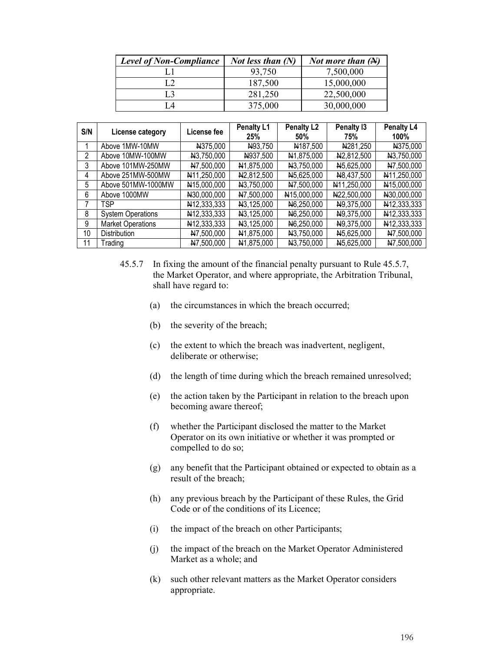| <b>Level of Non-Compliance</b> | <i>Not less than</i> $(N)$ | <i>Not more than</i> $(A)$ |  |
|--------------------------------|----------------------------|----------------------------|--|
|                                | 93,750                     | 7,500,000                  |  |
|                                | 187,500                    | 15,000,000                 |  |
|                                | 281,250                    | 22,500,000                 |  |
|                                | 375,000                    | 30,000,000                 |  |

| S/N | License category         | License fee | Penalty L1<br>25%       | <b>Penalty L2</b><br>50% | Penalty 13<br>75% | Penalty L4<br>100% |
|-----|--------------------------|-------------|-------------------------|--------------------------|-------------------|--------------------|
|     | Above 1MW-10MW           | N375,000    | N93,750                 | N187,500                 | N281,250          | N375,000           |
| 2   | Above 10MW-100MW         | N3.750,000  | N937,500                | N1,875,000               | N2,812,500        | N3,750,000         |
| 3   | Above 101MW-250MW        | N7,500,000  | N1,875,000              | N3,750,000               | N5,625,000        | N7.500,000         |
| 4   | Above 251MW-500MW        | N11,250,000 | N <sub>2</sub> ,812,500 | N <sub>5</sub> ,625,000  | N8,437,500        | N11,250,000        |
| 5   | Above 501MW-1000MW       | N15,000,000 | N3,750,000              | N7,500,000               | N11,250,000       | N15,000,000        |
| 6   | Above 1000MW             | N30,000,000 | N7,500,000              | N15,000,000              | N22,500,000       | N30,000,000        |
|     | TSP                      | N12,333,333 | N3,125,000              | N <sub>6</sub> ,250,000  | N9,375,000        | N12,333,333        |
| 8   | <b>System Operations</b> | N12,333,333 | N3,125,000              | N6,250,000               | N9,375,000        | N12,333,333        |
| 9   | <b>Market Operations</b> | N12,333,333 | N3,125,000              | N <sub>6</sub> ,250,000  | N9,375,000        | N12,333,333        |
| 10  | <b>Distribution</b>      | N7,500,000  | N <sub>1</sub> ,875,000 | N3,750,000               | N5,625,000        | N7,500,000         |
| 11  | Trading                  | N7,500,000  | N <sub>1</sub> ,875,000 | N3,750,000               | N5,625,000        | N7,500,000         |

- 45.5.7 In fixing the amount of the financial penalty pursuant to Rule 45.5.7, the Market Operator, and where appropriate, the Arbitration Tribunal, shall have regard to:
	- (a) the circumstances in which the breach occurred;
	- (b) the severity of the breach;
	- (c) the extent to which the breach was inadvertent, negligent, deliberate or otherwise;
	- (d) the length of time during which the breach remained unresolved;
	- (e) the action taken by the Participant in relation to the breach upon becoming aware thereof;
	- (f) whether the Participant disclosed the matter to the Market Operator on its own initiative or whether it was prompted or compelled to do so;
	- (g) any benefit that the Participant obtained or expected to obtain as a result of the breach;
	- (h) any previous breach by the Participant of these Rules, the Grid Code or of the conditions of its Licence;
	- (i) the impact of the breach on other Participants;
	- (j) the impact of the breach on the Market Operator Administered Market as a whole; and
	- (k) such other relevant matters as the Market Operator considers appropriate.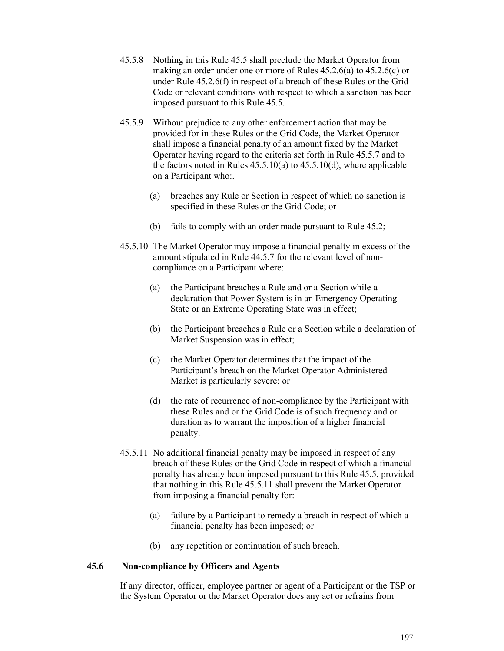- 45.5.8 Nothing in this Rule 45.5 shall preclude the Market Operator from making an order under one or more of Rules 45.2.6(a) to 45.2.6(c) or under Rule 45.2.6(f) in respect of a breach of these Rules or the Grid Code or relevant conditions with respect to which a sanction has been imposed pursuant to this Rule 45.5.
- 45.5.9 Without prejudice to any other enforcement action that may be provided for in these Rules or the Grid Code, the Market Operator shall impose a financial penalty of an amount fixed by the Market Operator having regard to the criteria set forth in Rule 45.5.7 and to the factors noted in Rules  $45.5.10(a)$  to  $45.5.10(d)$ , where applicable on a Participant who:.
	- (a) breaches any Rule or Section in respect of which no sanction is specified in these Rules or the Grid Code; or
	- (b) fails to comply with an order made pursuant to Rule 45.2;
- 45.5.10 The Market Operator may impose a financial penalty in excess of the amount stipulated in Rule 44.5.7 for the relevant level of noncompliance on a Participant where:
	- (a) the Participant breaches a Rule and or a Section while a declaration that Power System is in an Emergency Operating State or an Extreme Operating State was in effect;
	- (b) the Participant breaches a Rule or a Section while a declaration of Market Suspension was in effect;
	- (c) the Market Operator determines that the impact of the Participant's breach on the Market Operator Administered Market is particularly severe; or
	- (d) the rate of recurrence of non-compliance by the Participant with these Rules and or the Grid Code is of such frequency and or duration as to warrant the imposition of a higher financial penalty.
- 45.5.11 No additional financial penalty may be imposed in respect of any breach of these Rules or the Grid Code in respect of which a financial penalty has already been imposed pursuant to this Rule 45.5, provided that nothing in this Rule 45.5.11 shall prevent the Market Operator from imposing a financial penalty for:
	- (a) failure by a Participant to remedy a breach in respect of which a financial penalty has been imposed; or
	- (b) any repetition or continuation of such breach.

## **45.6 Non-compliance by Officers and Agents**

If any director, officer, employee partner or agent of a Participant or the TSP or the System Operator or the Market Operator does any act or refrains from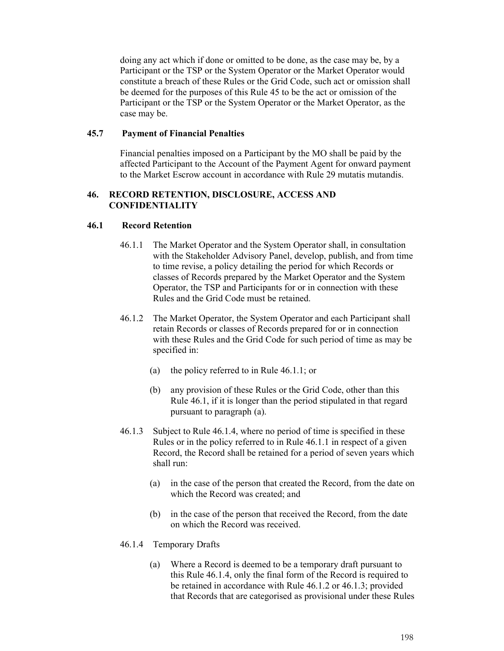doing any act which if done or omitted to be done, as the case may be, by a Participant or the TSP or the System Operator or the Market Operator would constitute a breach of these Rules or the Grid Code, such act or omission shall be deemed for the purposes of this Rule 45 to be the act or omission of the Participant or the TSP or the System Operator or the Market Operator, as the case may be.

### **45.7 Payment of Financial Penalties**

Financial penalties imposed on a Participant by the MO shall be paid by the affected Participant to the Account of the Payment Agent for onward payment to the Market Escrow account in accordance with Rule 29 mutatis mutandis.

### **46. RECORD RETENTION, DISCLOSURE, ACCESS AND CONFIDENTIALITY**

### **46.1 Record Retention**

- 46.1.1 The Market Operator and the System Operator shall, in consultation with the Stakeholder Advisory Panel, develop, publish, and from time to time revise, a policy detailing the period for which Records or classes of Records prepared by the Market Operator and the System Operator, the TSP and Participants for or in connection with these Rules and the Grid Code must be retained.
- 46.1.2 The Market Operator, the System Operator and each Participant shall retain Records or classes of Records prepared for or in connection with these Rules and the Grid Code for such period of time as may be specified in:
	- (a) the policy referred to in Rule 46.1.1; or
	- (b) any provision of these Rules or the Grid Code, other than this Rule 46.1, if it is longer than the period stipulated in that regard pursuant to paragraph (a).
- 46.1.3 Subject to Rule 46.1.4, where no period of time is specified in these Rules or in the policy referred to in Rule 46.1.1 in respect of a given Record, the Record shall be retained for a period of seven years which shall run:
	- (a) in the case of the person that created the Record, from the date on which the Record was created; and
	- (b) in the case of the person that received the Record, from the date on which the Record was received.

### 46.1.4 Temporary Drafts

(a) Where a Record is deemed to be a temporary draft pursuant to this Rule 46.1.4, only the final form of the Record is required to be retained in accordance with Rule 46.1.2 or 46.1.3; provided that Records that are categorised as provisional under these Rules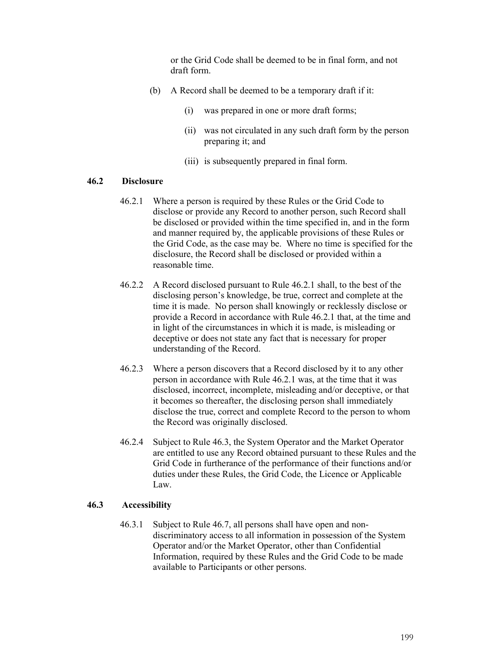or the Grid Code shall be deemed to be in final form, and not draft form.

- (b) A Record shall be deemed to be a temporary draft if it:
	- (i) was prepared in one or more draft forms;
	- (ii) was not circulated in any such draft form by the person preparing it; and
	- (iii) is subsequently prepared in final form.

### **46.2 Disclosure**

- 46.2.1 Where a person is required by these Rules or the Grid Code to disclose or provide any Record to another person, such Record shall be disclosed or provided within the time specified in, and in the form and manner required by, the applicable provisions of these Rules or the Grid Code, as the case may be. Where no time is specified for the disclosure, the Record shall be disclosed or provided within a reasonable time.
- 46.2.2 A Record disclosed pursuant to Rule 46.2.1 shall, to the best of the disclosing person's knowledge, be true, correct and complete at the time it is made. No person shall knowingly or recklessly disclose or provide a Record in accordance with Rule 46.2.1 that, at the time and in light of the circumstances in which it is made, is misleading or deceptive or does not state any fact that is necessary for proper understanding of the Record.
- 46.2.3 Where a person discovers that a Record disclosed by it to any other person in accordance with Rule 46.2.1 was, at the time that it was disclosed, incorrect, incomplete, misleading and/or deceptive, or that it becomes so thereafter, the disclosing person shall immediately disclose the true, correct and complete Record to the person to whom the Record was originally disclosed.
- 46.2.4 Subject to Rule 46.3, the System Operator and the Market Operator are entitled to use any Record obtained pursuant to these Rules and the Grid Code in furtherance of the performance of their functions and/or duties under these Rules, the Grid Code, the Licence or Applicable Law.

### **46.3 Accessibility**

46.3.1 Subject to Rule 46.7, all persons shall have open and nondiscriminatory access to all information in possession of the System Operator and/or the Market Operator, other than Confidential Information, required by these Rules and the Grid Code to be made available to Participants or other persons.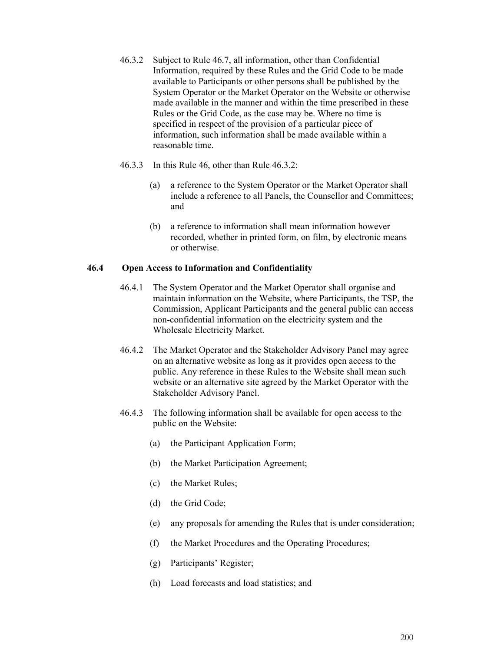- 46.3.2 Subject to Rule 46.7, all information, other than Confidential Information, required by these Rules and the Grid Code to be made available to Participants or other persons shall be published by the System Operator or the Market Operator on the Website or otherwise made available in the manner and within the time prescribed in these Rules or the Grid Code, as the case may be. Where no time is specified in respect of the provision of a particular piece of information, such information shall be made available within a reasonable time.
- 46.3.3 In this Rule 46, other than Rule 46.3.2:
	- (a) a reference to the System Operator or the Market Operator shall include a reference to all Panels, the Counsellor and Committees; and
	- (b) a reference to information shall mean information however recorded, whether in printed form, on film, by electronic means or otherwise.

## **46.4 Open Access to Information and Confidentiality**

- 46.4.1 The System Operator and the Market Operator shall organise and maintain information on the Website, where Participants, the TSP, the Commission, Applicant Participants and the general public can access non-confidential information on the electricity system and the Wholesale Electricity Market.
- 46.4.2 The Market Operator and the Stakeholder Advisory Panel may agree on an alternative website as long as it provides open access to the public. Any reference in these Rules to the Website shall mean such website or an alternative site agreed by the Market Operator with the Stakeholder Advisory Panel.
- 46.4.3 The following information shall be available for open access to the public on the Website:
	- (a) the Participant Application Form;
	- (b) the Market Participation Agreement;
	- (c) the Market Rules;
	- (d) the Grid Code;
	- (e) any proposals for amending the Rules that is under consideration;
	- (f) the Market Procedures and the Operating Procedures;
	- (g) Participants' Register;
	- (h) Load forecasts and load statistics; and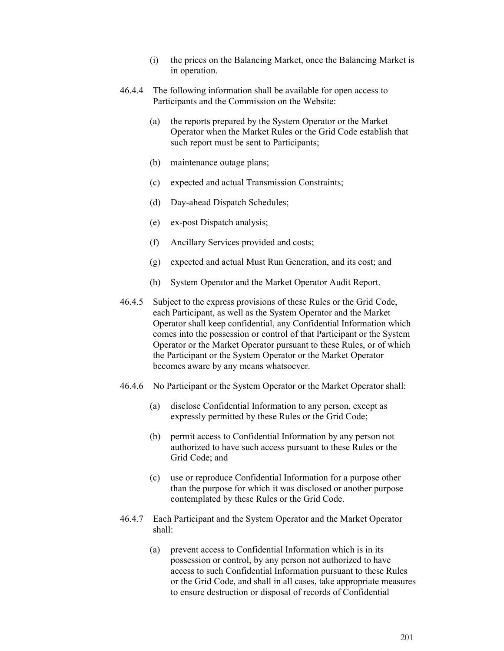- (i) the prices on the Balancing Market, once the Balancing Market is in operation.
- 46.4.4 The following information shall be available for open access to Participants and the Commission on the Website:
	- (a) the reports prepared by the System Operator or the Market Operator when the Market Rules or the Grid Code establish that such report must be sent to Participants;
	- (b) maintenance outage plans;
	- (c) expected and actual Transmission Constraints;
	- (d) Day-ahead Dispatch Schedules;
	- (e) ex-post Dispatch analysis;
	- (f) Ancillary Services provided and costs;
	- (g) expected and actual Must Run Generation, and its cost; and
	- (h) System Operator and the Market Operator Audit Report.
- 46.4.5 Subject to the express provisions of these Rules or the Grid Code, each Participant, as well as the System Operator and the Market Operator shall keep confidential, any Confidential Information which comes into the possession or control of that Participant or the System Operator or the Market Operator pursuant to these Rules, or of which the Participant or the System Operator or the Market Operator becomes aware by any means whatsoever.
- 46.4.6 No Participant or the System Operator or the Market Operator shall:
	- (a) disclose Confidential Information to any person, except as expressly permitted by these Rules or the Grid Code;
	- (b) permit access to Confidential Information by any person not authorized to have such access pursuant to these Rules or the Grid Code; and
	- (c) use or reproduce Confidential Information for a purpose other than the purpose for which it was disclosed or another purpose contemplated by these Rules or the Grid Code.
- 46.4.7 Each Participant and the System Operator and the Market Operator shall:
	- (a) prevent access to Confidential Information which is in its possession or control, by any person not authorized to have access to such Confidential Information pursuant to these Rules or the Grid Code, and shall in all cases, take appropriate measures to ensure destruction or disposal of records of Confidential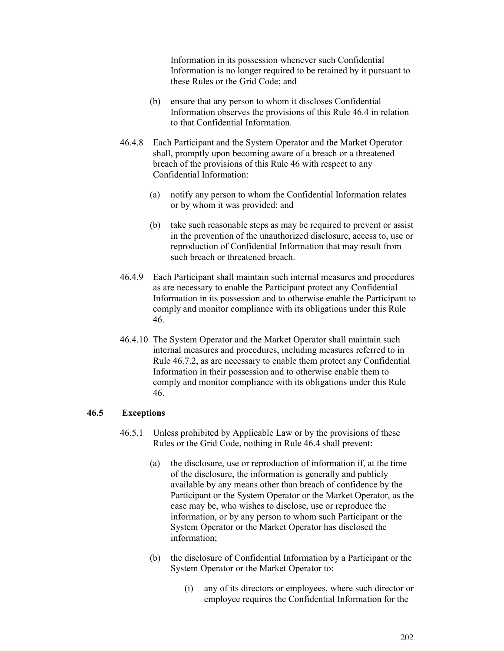Information in its possession whenever such Confidential Information is no longer required to be retained by it pursuant to these Rules or the Grid Code; and

- (b) ensure that any person to whom it discloses Confidential Information observes the provisions of this Rule 46.4 in relation to that Confidential Information.
- 46.4.8 Each Participant and the System Operator and the Market Operator shall, promptly upon becoming aware of a breach or a threatened breach of the provisions of this Rule 46 with respect to any Confidential Information:
	- (a) notify any person to whom the Confidential Information relates or by whom it was provided; and
	- (b) take such reasonable steps as may be required to prevent or assist in the prevention of the unauthorized disclosure, access to, use or reproduction of Confidential Information that may result from such breach or threatened breach.
- 46.4.9 Each Participant shall maintain such internal measures and procedures as are necessary to enable the Participant protect any Confidential Information in its possession and to otherwise enable the Participant to comply and monitor compliance with its obligations under this Rule 46.
- 46.4.10 The System Operator and the Market Operator shall maintain such internal measures and procedures, including measures referred to in Rule 46.7.2, as are necessary to enable them protect any Confidential Information in their possession and to otherwise enable them to comply and monitor compliance with its obligations under this Rule 46.

### **46.5 Exceptions**

- 46.5.1 Unless prohibited by Applicable Law or by the provisions of these Rules or the Grid Code, nothing in Rule 46.4 shall prevent:
	- (a) the disclosure, use or reproduction of information if, at the time of the disclosure, the information is generally and publicly available by any means other than breach of confidence by the Participant or the System Operator or the Market Operator, as the case may be, who wishes to disclose, use or reproduce the information, or by any person to whom such Participant or the System Operator or the Market Operator has disclosed the information;
	- (b) the disclosure of Confidential Information by a Participant or the System Operator or the Market Operator to:
		- (i) any of its directors or employees, where such director or employee requires the Confidential Information for the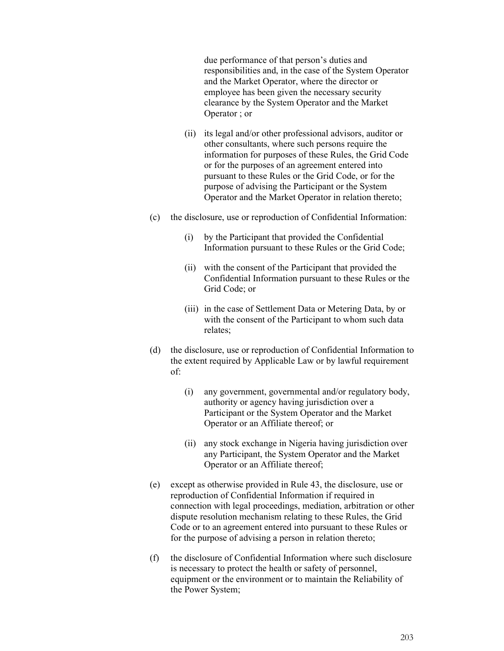due performance of that person's duties and responsibilities and, in the case of the System Operator and the Market Operator, where the director or employee has been given the necessary security clearance by the System Operator and the Market Operator ; or

- (ii) its legal and/or other professional advisors, auditor or other consultants, where such persons require the information for purposes of these Rules, the Grid Code or for the purposes of an agreement entered into pursuant to these Rules or the Grid Code, or for the purpose of advising the Participant or the System Operator and the Market Operator in relation thereto;
- (c) the disclosure, use or reproduction of Confidential Information:
	- (i) by the Participant that provided the Confidential Information pursuant to these Rules or the Grid Code;
	- (ii) with the consent of the Participant that provided the Confidential Information pursuant to these Rules or the Grid Code; or
	- (iii) in the case of Settlement Data or Metering Data, by or with the consent of the Participant to whom such data relates;
- (d) the disclosure, use or reproduction of Confidential Information to the extent required by Applicable Law or by lawful requirement of:
	- (i) any government, governmental and/or regulatory body, authority or agency having jurisdiction over a Participant or the System Operator and the Market Operator or an Affiliate thereof; or
	- (ii) any stock exchange in Nigeria having jurisdiction over any Participant, the System Operator and the Market Operator or an Affiliate thereof;
- (e) except as otherwise provided in Rule 43, the disclosure, use or reproduction of Confidential Information if required in connection with legal proceedings, mediation, arbitration or other dispute resolution mechanism relating to these Rules, the Grid Code or to an agreement entered into pursuant to these Rules or for the purpose of advising a person in relation thereto;
- (f) the disclosure of Confidential Information where such disclosure is necessary to protect the health or safety of personnel, equipment or the environment or to maintain the Reliability of the Power System;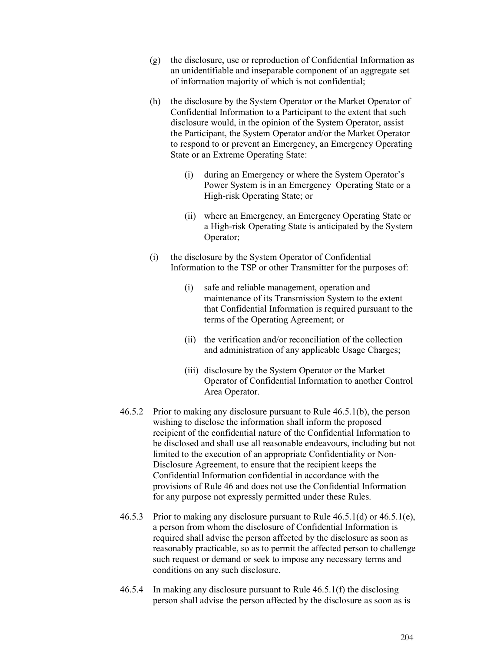- (g) the disclosure, use or reproduction of Confidential Information as an unidentifiable and inseparable component of an aggregate set of information majority of which is not confidential;
- (h) the disclosure by the System Operator or the Market Operator of Confidential Information to a Participant to the extent that such disclosure would, in the opinion of the System Operator, assist the Participant, the System Operator and/or the Market Operator to respond to or prevent an Emergency, an Emergency Operating State or an Extreme Operating State:
	- (i) during an Emergency or where the System Operator's Power System is in an Emergency Operating State or a High-risk Operating State; or
	- (ii) where an Emergency, an Emergency Operating State or a High-risk Operating State is anticipated by the System Operator;
- (i) the disclosure by the System Operator of Confidential Information to the TSP or other Transmitter for the purposes of:
	- (i) safe and reliable management, operation and maintenance of its Transmission System to the extent that Confidential Information is required pursuant to the terms of the Operating Agreement; or
	- (ii) the verification and/or reconciliation of the collection and administration of any applicable Usage Charges;
	- (iii) disclosure by the System Operator or the Market Operator of Confidential Information to another Control Area Operator.
- 46.5.2 Prior to making any disclosure pursuant to Rule 46.5.1(b), the person wishing to disclose the information shall inform the proposed recipient of the confidential nature of the Confidential Information to be disclosed and shall use all reasonable endeavours, including but not limited to the execution of an appropriate Confidentiality or Non-Disclosure Agreement, to ensure that the recipient keeps the Confidential Information confidential in accordance with the provisions of Rule 46 and does not use the Confidential Information for any purpose not expressly permitted under these Rules.
- 46.5.3 Prior to making any disclosure pursuant to Rule 46.5.1(d) or 46.5.1(e), a person from whom the disclosure of Confidential Information is required shall advise the person affected by the disclosure as soon as reasonably practicable, so as to permit the affected person to challenge such request or demand or seek to impose any necessary terms and conditions on any such disclosure.
- 46.5.4 In making any disclosure pursuant to Rule 46.5.1(f) the disclosing person shall advise the person affected by the disclosure as soon as is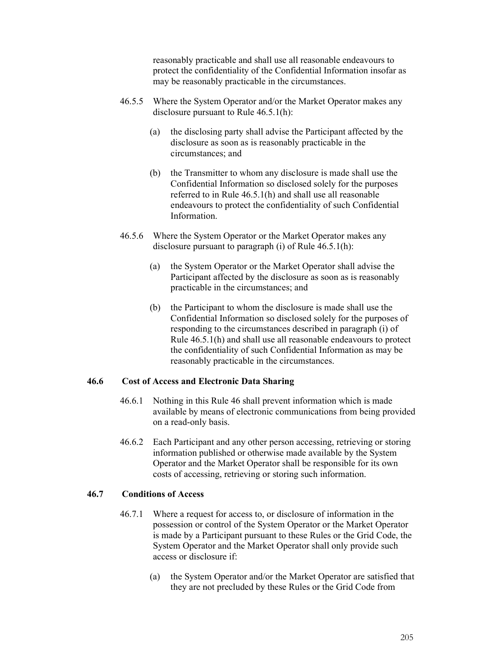reasonably practicable and shall use all reasonable endeavours to protect the confidentiality of the Confidential Information insofar as may be reasonably practicable in the circumstances.

- 46.5.5 Where the System Operator and/or the Market Operator makes any disclosure pursuant to Rule 46.5.1(h):
	- (a) the disclosing party shall advise the Participant affected by the disclosure as soon as is reasonably practicable in the circumstances; and
	- (b) the Transmitter to whom any disclosure is made shall use the Confidential Information so disclosed solely for the purposes referred to in Rule 46.5.1(h) and shall use all reasonable endeavours to protect the confidentiality of such Confidential Information.
- 46.5.6 Where the System Operator or the Market Operator makes any disclosure pursuant to paragraph (i) of Rule 46.5.1(h):
	- (a) the System Operator or the Market Operator shall advise the Participant affected by the disclosure as soon as is reasonably practicable in the circumstances; and
	- (b) the Participant to whom the disclosure is made shall use the Confidential Information so disclosed solely for the purposes of responding to the circumstances described in paragraph (i) of Rule 46.5.1(h) and shall use all reasonable endeavours to protect the confidentiality of such Confidential Information as may be reasonably practicable in the circumstances.

### **46.6 Cost of Access and Electronic Data Sharing**

- 46.6.1 Nothing in this Rule 46 shall prevent information which is made available by means of electronic communications from being provided on a read-only basis.
- 46.6.2 Each Participant and any other person accessing, retrieving or storing information published or otherwise made available by the System Operator and the Market Operator shall be responsible for its own costs of accessing, retrieving or storing such information.

# **46.7 Conditions of Access**

- 46.7.1 Where a request for access to, or disclosure of information in the possession or control of the System Operator or the Market Operator is made by a Participant pursuant to these Rules or the Grid Code, the System Operator and the Market Operator shall only provide such access or disclosure if:
	- (a) the System Operator and/or the Market Operator are satisfied that they are not precluded by these Rules or the Grid Code from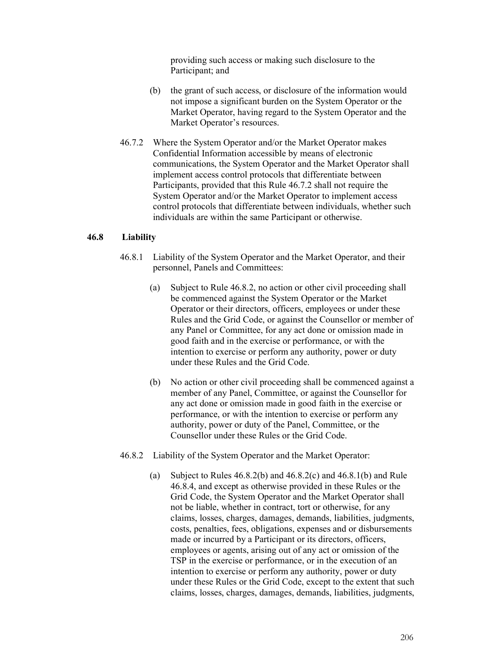providing such access or making such disclosure to the Participant; and

- (b) the grant of such access, or disclosure of the information would not impose a significant burden on the System Operator or the Market Operator, having regard to the System Operator and the Market Operator's resources.
- 46.7.2 Where the System Operator and/or the Market Operator makes Confidential Information accessible by means of electronic communications, the System Operator and the Market Operator shall implement access control protocols that differentiate between Participants, provided that this Rule 46.7.2 shall not require the System Operator and/or the Market Operator to implement access control protocols that differentiate between individuals, whether such individuals are within the same Participant or otherwise.

### **46.8 Liability**

- 46.8.1 Liability of the System Operator and the Market Operator, and their personnel, Panels and Committees:
	- (a) Subject to Rule 46.8.2, no action or other civil proceeding shall be commenced against the System Operator or the Market Operator or their directors, officers, employees or under these Rules and the Grid Code, or against the Counsellor or member of any Panel or Committee, for any act done or omission made in good faith and in the exercise or performance, or with the intention to exercise or perform any authority, power or duty under these Rules and the Grid Code.
	- (b) No action or other civil proceeding shall be commenced against a member of any Panel, Committee, or against the Counsellor for any act done or omission made in good faith in the exercise or performance, or with the intention to exercise or perform any authority, power or duty of the Panel, Committee, or the Counsellor under these Rules or the Grid Code.
- 46.8.2 Liability of the System Operator and the Market Operator:
	- (a) Subject to Rules  $46.8.2(b)$  and  $46.8.2(c)$  and  $46.8.1(b)$  and Rule 46.8.4, and except as otherwise provided in these Rules or the Grid Code, the System Operator and the Market Operator shall not be liable, whether in contract, tort or otherwise, for any claims, losses, charges, damages, demands, liabilities, judgments, costs, penalties, fees, obligations, expenses and or disbursements made or incurred by a Participant or its directors, officers, employees or agents, arising out of any act or omission of the TSP in the exercise or performance, or in the execution of an intention to exercise or perform any authority, power or duty under these Rules or the Grid Code, except to the extent that such claims, losses, charges, damages, demands, liabilities, judgments,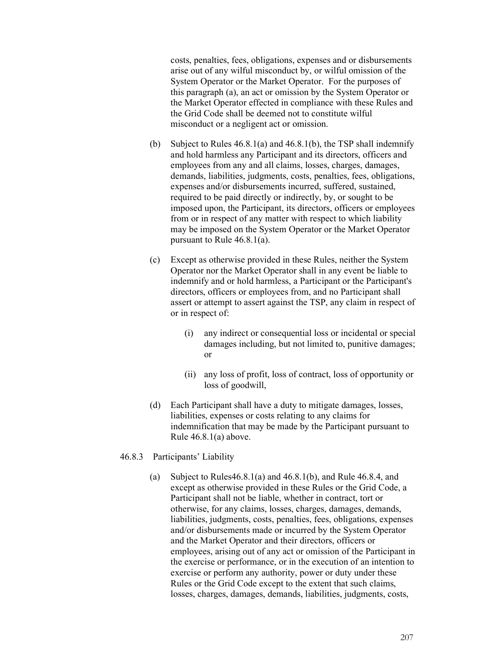costs, penalties, fees, obligations, expenses and or disbursements arise out of any wilful misconduct by, or wilful omission of the System Operator or the Market Operator. For the purposes of this paragraph (a), an act or omission by the System Operator or the Market Operator effected in compliance with these Rules and the Grid Code shall be deemed not to constitute wilful misconduct or a negligent act or omission.

- (b) Subject to Rules  $46.8.1(a)$  and  $46.8.1(b)$ , the TSP shall indemnify and hold harmless any Participant and its directors, officers and employees from any and all claims, losses, charges, damages, demands, liabilities, judgments, costs, penalties, fees, obligations, expenses and/or disbursements incurred, suffered, sustained, required to be paid directly or indirectly, by, or sought to be imposed upon, the Participant, its directors, officers or employees from or in respect of any matter with respect to which liability may be imposed on the System Operator or the Market Operator pursuant to Rule 46.8.1(a).
- (c) Except as otherwise provided in these Rules, neither the System Operator nor the Market Operator shall in any event be liable to indemnify and or hold harmless, a Participant or the Participant's directors, officers or employees from, and no Participant shall assert or attempt to assert against the TSP, any claim in respect of or in respect of:
	- (i) any indirect or consequential loss or incidental or special damages including, but not limited to, punitive damages; or
	- (ii) any loss of profit, loss of contract, loss of opportunity or loss of goodwill,
- (d) Each Participant shall have a duty to mitigate damages, losses, liabilities, expenses or costs relating to any claims for indemnification that may be made by the Participant pursuant to Rule 46.8.1(a) above.
- 46.8.3 Participants' Liability
	- (a) Subject to Rules $46.8.1(a)$  and  $46.8.1(b)$ , and Rule  $46.8.4$ , and except as otherwise provided in these Rules or the Grid Code, a Participant shall not be liable, whether in contract, tort or otherwise, for any claims, losses, charges, damages, demands, liabilities, judgments, costs, penalties, fees, obligations, expenses and/or disbursements made or incurred by the System Operator and the Market Operator and their directors, officers or employees, arising out of any act or omission of the Participant in the exercise or performance, or in the execution of an intention to exercise or perform any authority, power or duty under these Rules or the Grid Code except to the extent that such claims, losses, charges, damages, demands, liabilities, judgments, costs,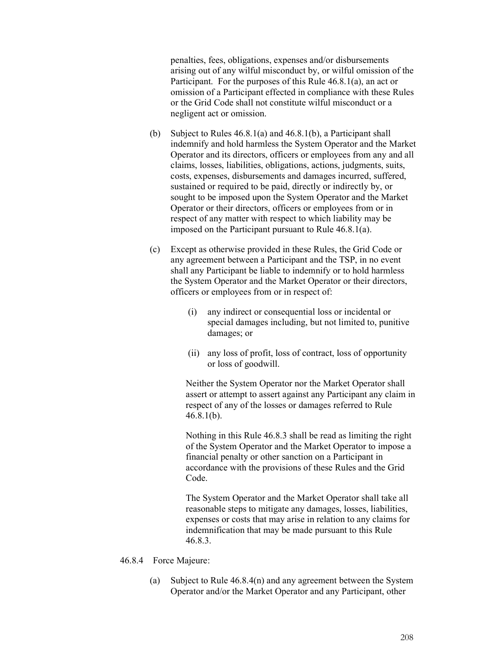penalties, fees, obligations, expenses and/or disbursements arising out of any wilful misconduct by, or wilful omission of the Participant. For the purposes of this Rule 46.8.1(a), an act or omission of a Participant effected in compliance with these Rules or the Grid Code shall not constitute wilful misconduct or a negligent act or omission.

- (b) Subject to Rules 46.8.1(a) and 46.8.1(b), a Participant shall indemnify and hold harmless the System Operator and the Market Operator and its directors, officers or employees from any and all claims, losses, liabilities, obligations, actions, judgments, suits, costs, expenses, disbursements and damages incurred, suffered, sustained or required to be paid, directly or indirectly by, or sought to be imposed upon the System Operator and the Market Operator or their directors, officers or employees from or in respect of any matter with respect to which liability may be imposed on the Participant pursuant to Rule 46.8.1(a).
- (c) Except as otherwise provided in these Rules, the Grid Code or any agreement between a Participant and the TSP, in no event shall any Participant be liable to indemnify or to hold harmless the System Operator and the Market Operator or their directors, officers or employees from or in respect of:
	- (i) any indirect or consequential loss or incidental or special damages including, but not limited to, punitive damages; or
	- (ii) any loss of profit, loss of contract, loss of opportunity or loss of goodwill.

Neither the System Operator nor the Market Operator shall assert or attempt to assert against any Participant any claim in respect of any of the losses or damages referred to Rule 46.8.1(b).

Nothing in this Rule 46.8.3 shall be read as limiting the right of the System Operator and the Market Operator to impose a financial penalty or other sanction on a Participant in accordance with the provisions of these Rules and the Grid Code.

The System Operator and the Market Operator shall take all reasonable steps to mitigate any damages, losses, liabilities, expenses or costs that may arise in relation to any claims for indemnification that may be made pursuant to this Rule 46.8.3.

- 46.8.4 Force Majeure:
	- (a) Subject to Rule 46.8.4(n) and any agreement between the System Operator and/or the Market Operator and any Participant, other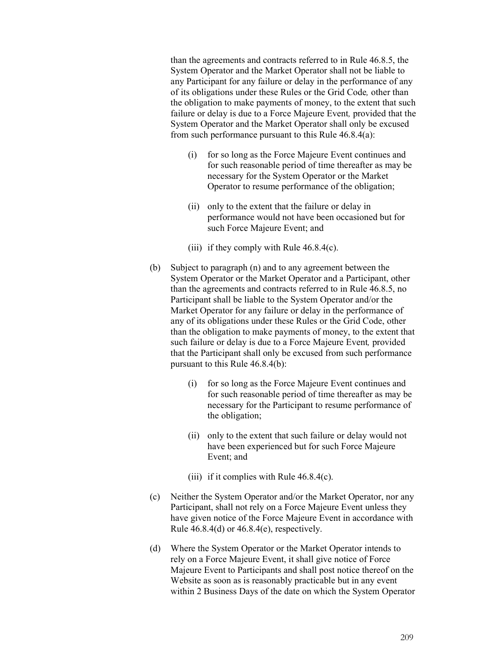than the agreements and contracts referred to in Rule 46.8.5, the System Operator and the Market Operator shall not be liable to any Participant for any failure or delay in the performance of any of its obligations under these Rules or the Grid Code*,* other than the obligation to make payments of money, to the extent that such failure or delay is due to a Force Majeure Event*,* provided that the System Operator and the Market Operator shall only be excused from such performance pursuant to this Rule 46.8.4(a):

- (i) for so long as the Force Majeure Event continues and for such reasonable period of time thereafter as may be necessary for the System Operator or the Market Operator to resume performance of the obligation;
- (ii) only to the extent that the failure or delay in performance would not have been occasioned but for such Force Majeure Event; and
- (iii) if they comply with Rule  $46.8.4(c)$ .
- (b) Subject to paragraph (n) and to any agreement between the System Operator or the Market Operator and a Participant, other than the agreements and contracts referred to in Rule 46.8.5, no Participant shall be liable to the System Operator and/or the Market Operator for any failure or delay in the performance of any of its obligations under these Rules or the Grid Code, other than the obligation to make payments of money, to the extent that such failure or delay is due to a Force Majeure Event*,* provided that the Participant shall only be excused from such performance pursuant to this Rule 46.8.4(b):
	- (i) for so long as the Force Majeure Event continues and for such reasonable period of time thereafter as may be necessary for the Participant to resume performance of the obligation;
	- (ii) only to the extent that such failure or delay would not have been experienced but for such Force Majeure Event; and
	- (iii) if it complies with Rule  $46.8.4(c)$ .
- (c) Neither the System Operator and/or the Market Operator, nor any Participant, shall not rely on a Force Majeure Event unless they have given notice of the Force Majeure Event in accordance with Rule  $46.8.4(d)$  or  $46.8.4(e)$ , respectively.
- (d) Where the System Operator or the Market Operator intends to rely on a Force Majeure Event, it shall give notice of Force Majeure Event to Participants and shall post notice thereof on the Website as soon as is reasonably practicable but in any event within 2 Business Days of the date on which the System Operator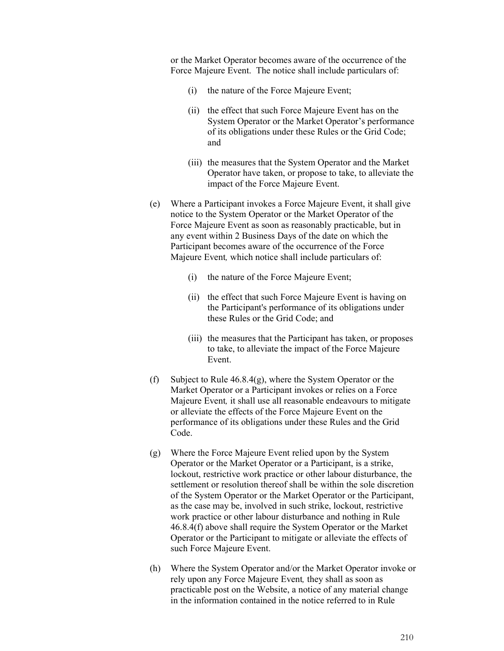or the Market Operator becomes aware of the occurrence of the Force Majeure Event. The notice shall include particulars of:

- (i) the nature of the Force Majeure Event;
- (ii) the effect that such Force Majeure Event has on the System Operator or the Market Operator's performance of its obligations under these Rules or the Grid Code; and
- (iii) the measures that the System Operator and the Market Operator have taken, or propose to take, to alleviate the impact of the Force Majeure Event.
- (e) Where a Participant invokes a Force Majeure Event, it shall give notice to the System Operator or the Market Operator of the Force Majeure Event as soon as reasonably practicable, but in any event within 2 Business Days of the date on which the Participant becomes aware of the occurrence of the Force Majeure Event*,* which notice shall include particulars of:
	- (i) the nature of the Force Majeure Event;
	- (ii) the effect that such Force Majeure Event is having on the Participant's performance of its obligations under these Rules or the Grid Code; and
	- (iii) the measures that the Participant has taken, or proposes to take, to alleviate the impact of the Force Majeure Event.
- (f) Subject to Rule 46.8.4(g), where the System Operator or the Market Operator or a Participant invokes or relies on a Force Majeure Event*,* it shall use all reasonable endeavours to mitigate or alleviate the effects of the Force Majeure Event on the performance of its obligations under these Rules and the Grid Code.
- (g) Where the Force Majeure Event relied upon by the System Operator or the Market Operator or a Participant, is a strike, lockout, restrictive work practice or other labour disturbance, the settlement or resolution thereof shall be within the sole discretion of the System Operator or the Market Operator or the Participant, as the case may be, involved in such strike, lockout, restrictive work practice or other labour disturbance and nothing in Rule 46.8.4(f) above shall require the System Operator or the Market Operator or the Participant to mitigate or alleviate the effects of such Force Majeure Event.
- (h) Where the System Operator and/or the Market Operator invoke or rely upon any Force Majeure Event*,* they shall as soon as practicable post on the Website, a notice of any material change in the information contained in the notice referred to in Rule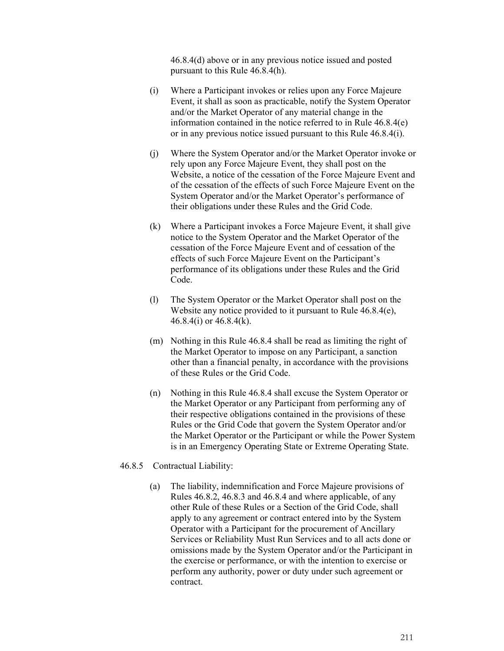46.8.4(d) above or in any previous notice issued and posted pursuant to this Rule 46.8.4(h).

- (i) Where a Participant invokes or relies upon any Force Majeure Event, it shall as soon as practicable, notify the System Operator and/or the Market Operator of any material change in the information contained in the notice referred to in Rule 46.8.4(e) or in any previous notice issued pursuant to this Rule 46.8.4(i).
- (j) Where the System Operator and/or the Market Operator invoke or rely upon any Force Majeure Event, they shall post on the Website, a notice of the cessation of the Force Majeure Event and of the cessation of the effects of such Force Majeure Event on the System Operator and/or the Market Operator's performance of their obligations under these Rules and the Grid Code.
- (k) Where a Participant invokes a Force Majeure Event, it shall give notice to the System Operator and the Market Operator of the cessation of the Force Majeure Event and of cessation of the effects of such Force Majeure Event on the Participant's performance of its obligations under these Rules and the Grid Code.
- (l) The System Operator or the Market Operator shall post on the Website any notice provided to it pursuant to Rule 46.8.4(e), 46.8.4(i) or 46.8.4(k).
- (m) Nothing in this Rule 46.8.4 shall be read as limiting the right of the Market Operator to impose on any Participant, a sanction other than a financial penalty, in accordance with the provisions of these Rules or the Grid Code.
- (n) Nothing in this Rule 46.8.4 shall excuse the System Operator or the Market Operator or any Participant from performing any of their respective obligations contained in the provisions of these Rules or the Grid Code that govern the System Operator and/or the Market Operator or the Participant or while the Power System is in an Emergency Operating State or Extreme Operating State.
- 46.8.5 Contractual Liability:
	- (a) The liability, indemnification and Force Majeure provisions of Rules 46.8.2, 46.8.3 and 46.8.4 and where applicable, of any other Rule of these Rules or a Section of the Grid Code, shall apply to any agreement or contract entered into by the System Operator with a Participant for the procurement of Ancillary Services or Reliability Must Run Services and to all acts done or omissions made by the System Operator and/or the Participant in the exercise or performance, or with the intention to exercise or perform any authority, power or duty under such agreement or contract.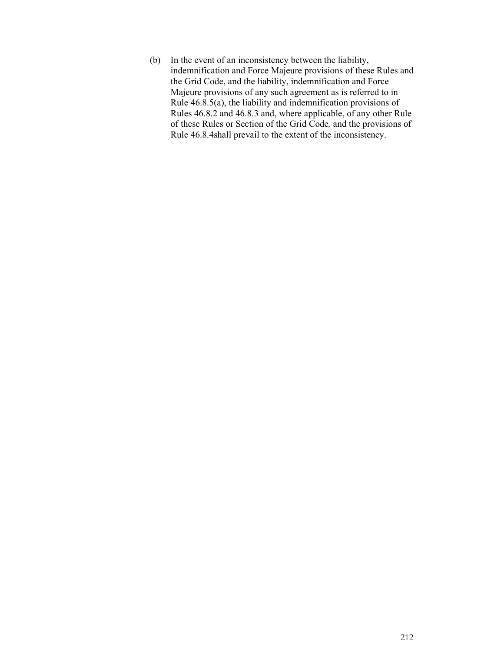(b) In the event of an inconsistency between the liability, indemnification and Force Majeure provisions of these Rules and the Grid Code, and the liability, indemnification and Force Majeure provisions of any such agreement as is referred to in Rule 46.8.5(a), the liability and indemnification provisions of Rules 46.8.2 and 46.8.3 and, where applicable, of any other Rule of these Rules or Section of the Grid Code*,* and the provisions of Rule 46.8.4shall prevail to the extent of the inconsistency.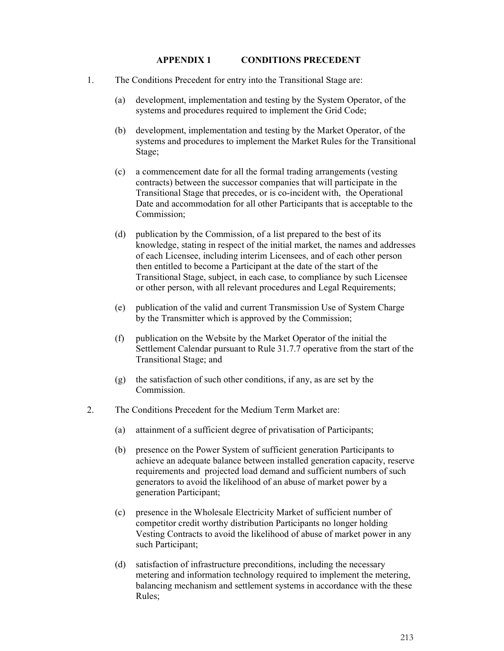#### **APPENDIX 1 CONDITIONS PRECEDENT**

- 1. The Conditions Precedent for entry into the Transitional Stage are:
	- (a) development, implementation and testing by the System Operator, of the systems and procedures required to implement the Grid Code;
	- (b) development, implementation and testing by the Market Operator, of the systems and procedures to implement the Market Rules for the Transitional Stage;
	- (c) a commencement date for all the formal trading arrangements (vesting contracts) between the successor companies that will participate in the Transitional Stage that precedes, or is co-incident with, the Operational Date and accommodation for all other Participants that is acceptable to the Commission;
	- (d) publication by the Commission, of a list prepared to the best of its knowledge, stating in respect of the initial market, the names and addresses of each Licensee, including interim Licensees, and of each other person then entitled to become a Participant at the date of the start of the Transitional Stage, subject, in each case, to compliance by such Licensee or other person, with all relevant procedures and Legal Requirements;
	- (e) publication of the valid and current Transmission Use of System Charge by the Transmitter which is approved by the Commission;
	- (f) publication on the Website by the Market Operator of the initial the Settlement Calendar pursuant to Rule 31.7.7 operative from the start of the Transitional Stage; and
	- (g) the satisfaction of such other conditions, if any, as are set by the Commission.
- 2. The Conditions Precedent for the Medium Term Market are:
	- (a) attainment of a sufficient degree of privatisation of Participants;
	- (b) presence on the Power System of sufficient generation Participants to achieve an adequate balance between installed generation capacity, reserve requirements and projected load demand and sufficient numbers of such generators to avoid the likelihood of an abuse of market power by a generation Participant;
	- (c) presence in the Wholesale Electricity Market of sufficient number of competitor credit worthy distribution Participants no longer holding Vesting Contracts to avoid the likelihood of abuse of market power in any such Participant;
	- (d) satisfaction of infrastructure preconditions, including the necessary metering and information technology required to implement the metering, balancing mechanism and settlement systems in accordance with the these Rules;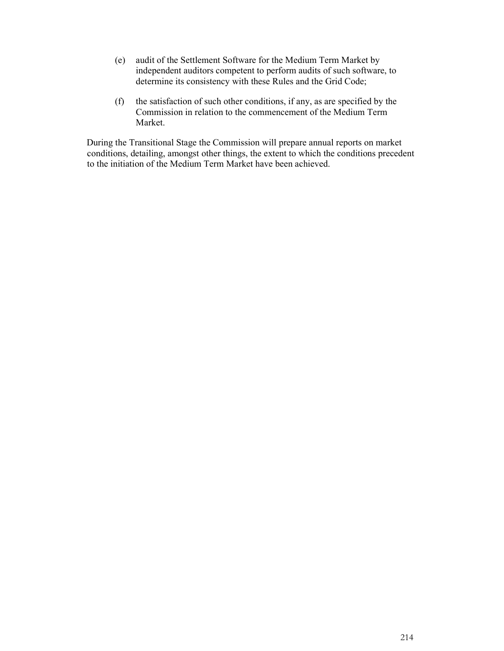- (e) audit of the Settlement Software for the Medium Term Market by independent auditors competent to perform audits of such software, to determine its consistency with these Rules and the Grid Code;
- (f) the satisfaction of such other conditions, if any, as are specified by the Commission in relation to the commencement of the Medium Term Market.

During the Transitional Stage the Commission will prepare annual reports on market conditions, detailing, amongst other things, the extent to which the conditions precedent to the initiation of the Medium Term Market have been achieved.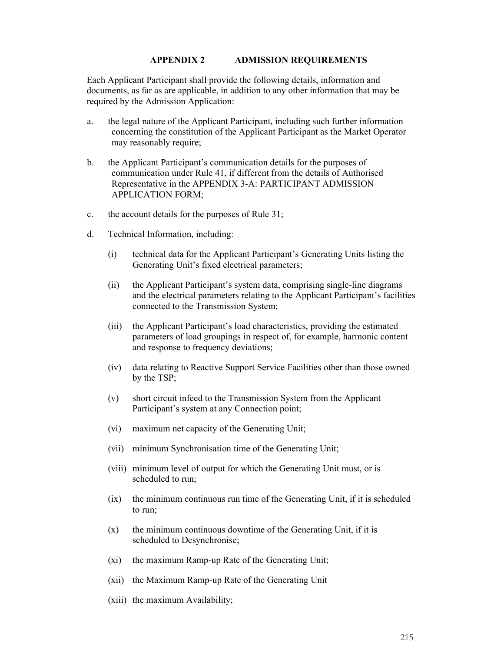#### **APPENDIX 2 ADMISSION REQUIREMENTS**

Each Applicant Participant shall provide the following details, information and documents, as far as are applicable, in addition to any other information that may be required by the Admission Application:

- a. the legal nature of the Applicant Participant, including such further information concerning the constitution of the Applicant Participant as the Market Operator may reasonably require;
- b. the Applicant Participant's communication details for the purposes of communication under Rule 41, if different from the details of Authorised Representative in the APPENDIX 3-A: PARTICIPANT ADMISSION APPLICATION FORM;
- c. the account details for the purposes of Rule 31;
- d. Technical Information, including:
	- (i) technical data for the Applicant Participant's Generating Units listing the Generating Unit's fixed electrical parameters;
	- (ii) the Applicant Participant's system data, comprising single-line diagrams and the electrical parameters relating to the Applicant Participant's facilities connected to the Transmission System;
	- (iii) the Applicant Participant's load characteristics, providing the estimated parameters of load groupings in respect of, for example, harmonic content and response to frequency deviations;
	- (iv) data relating to Reactive Support Service Facilities other than those owned by the TSP;
	- (v) short circuit infeed to the Transmission System from the Applicant Participant's system at any Connection point;
	- (vi) maximum net capacity of the Generating Unit;
	- (vii) minimum Synchronisation time of the Generating Unit;
	- (viii) minimum level of output for which the Generating Unit must, or is scheduled to run;
	- (ix) the minimum continuous run time of the Generating Unit, if it is scheduled to run;
	- (x) the minimum continuous downtime of the Generating Unit, if it is scheduled to Desynchronise;
	- (xi) the maximum Ramp-up Rate of the Generating Unit;
	- (xii) the Maximum Ramp-up Rate of the Generating Unit
	- (xiii) the maximum Availability;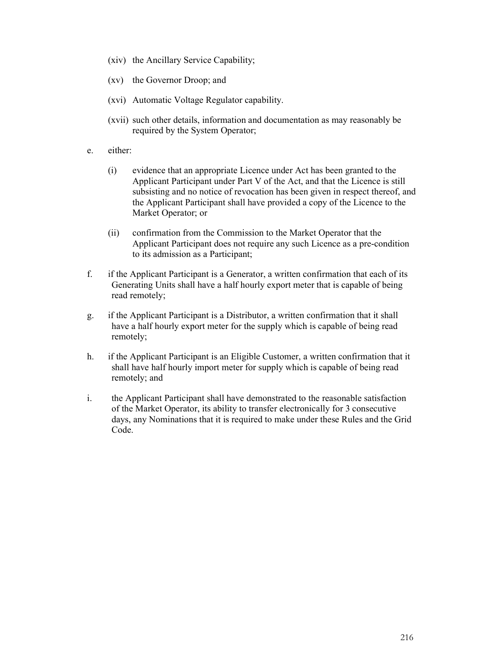- (xiv) the Ancillary Service Capability;
- (xv) the Governor Droop; and
- (xvi) Automatic Voltage Regulator capability.
- (xvii) such other details, information and documentation as may reasonably be required by the System Operator;
- e. either:
	- (i) evidence that an appropriate Licence under Act has been granted to the Applicant Participant under Part V of the Act, and that the Licence is still subsisting and no notice of revocation has been given in respect thereof, and the Applicant Participant shall have provided a copy of the Licence to the Market Operator; or
	- (ii) confirmation from the Commission to the Market Operator that the Applicant Participant does not require any such Licence as a pre-condition to its admission as a Participant;
- f. if the Applicant Participant is a Generator, a written confirmation that each of its Generating Units shall have a half hourly export meter that is capable of being read remotely;
- g. if the Applicant Participant is a Distributor, a written confirmation that it shall have a half hourly export meter for the supply which is capable of being read remotely;
- h. if the Applicant Participant is an Eligible Customer, a written confirmation that it shall have half hourly import meter for supply which is capable of being read remotely; and
- i. the Applicant Participant shall have demonstrated to the reasonable satisfaction of the Market Operator, its ability to transfer electronically for 3 consecutive days, any Nominations that it is required to make under these Rules and the Grid Code.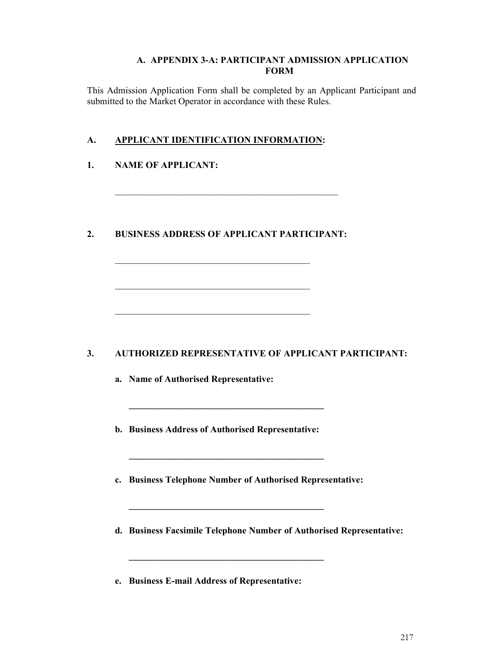#### **A. APPENDIX 3-A: PARTICIPANT ADMISSION APPLICATION FORM**

This Admission Application Form shall be completed by an Applicant Participant and submitted to the Market Operator in accordance with these Rules.

## **A. APPLICANT IDENTIFICATION INFORMATION:**

## **1. NAME OF APPLICANT:**

## **2. BUSINESS ADDRESS OF APPLICANT PARTICIPANT:**

\_\_\_\_\_\_\_\_\_\_\_\_\_\_\_\_\_\_\_\_\_\_\_\_\_\_\_\_\_\_\_\_\_\_\_\_\_\_\_\_\_\_

\_\_\_\_\_\_\_\_\_\_\_\_\_\_\_\_\_\_\_\_\_\_\_\_\_\_\_\_\_\_\_\_\_\_\_\_\_\_\_\_\_\_

\_\_\_\_\_\_\_\_\_\_\_\_\_\_\_\_\_\_\_\_\_\_\_\_\_\_\_\_\_\_\_\_\_\_\_\_\_\_\_\_\_\_

\_\_\_\_\_\_\_\_\_\_\_\_\_\_\_\_\_\_\_\_\_\_\_\_\_\_\_\_\_\_\_\_\_\_\_\_\_\_\_\_\_\_\_\_\_\_\_\_

# **3. AUTHORIZED REPRESENTATIVE OF APPLICANT PARTICIPANT:**

**a. Name of Authorised Representative:** 

**b. Business Address of Authorised Representative:** 

**\_\_\_\_\_\_\_\_\_\_\_\_\_\_\_\_\_\_\_\_\_\_\_\_\_\_\_\_\_\_\_\_\_\_\_\_\_\_\_\_\_\_** 

**\_\_\_\_\_\_\_\_\_\_\_\_\_\_\_\_\_\_\_\_\_\_\_\_\_\_\_\_\_\_\_\_\_\_\_\_\_\_\_\_\_\_** 

**\_\_\_\_\_\_\_\_\_\_\_\_\_\_\_\_\_\_\_\_\_\_\_\_\_\_\_\_\_\_\_\_\_\_\_\_\_\_\_\_\_\_** 

**\_\_\_\_\_\_\_\_\_\_\_\_\_\_\_\_\_\_\_\_\_\_\_\_\_\_\_\_\_\_\_\_\_\_\_\_\_\_\_\_\_\_** 

**c. Business Telephone Number of Authorised Representative:** 

- **d. Business Facsimile Telephone Number of Authorised Representative:**
- **e. Business E-mail Address of Representative:**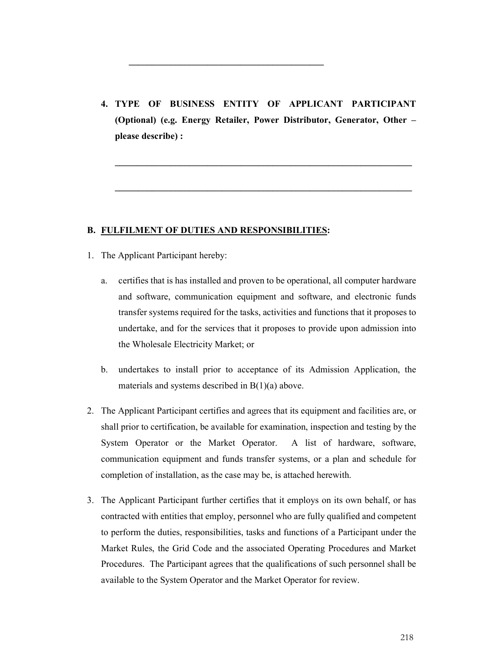**4. TYPE OF BUSINESS ENTITY OF APPLICANT PARTICIPANT (Optional) (e.g. Energy Retailer, Power Distributor, Generator, Other – please describe) :** 

**\_\_\_\_\_\_\_\_\_\_\_\_\_\_\_\_\_\_\_\_\_\_\_\_\_\_\_\_\_\_\_\_\_\_\_\_\_\_\_\_\_\_\_\_\_\_\_\_\_\_\_\_\_\_\_\_\_\_\_\_\_\_\_\_** 

**\_\_\_\_\_\_\_\_\_\_\_\_\_\_\_\_\_\_\_\_\_\_\_\_\_\_\_\_\_\_\_\_\_\_\_\_\_\_\_\_\_\_\_\_\_\_\_\_\_\_\_\_\_\_\_\_\_\_\_\_\_\_\_\_** 

**\_\_\_\_\_\_\_\_\_\_\_\_\_\_\_\_\_\_\_\_\_\_\_\_\_\_\_\_\_\_\_\_\_\_\_\_\_\_\_\_\_\_** 

#### **B. FULFILMENT OF DUTIES AND RESPONSIBILITIES:**

- 1. The Applicant Participant hereby:
	- a. certifies that is has installed and proven to be operational, all computer hardware and software, communication equipment and software, and electronic funds transfer systems required for the tasks, activities and functions that it proposes to undertake, and for the services that it proposes to provide upon admission into the Wholesale Electricity Market; or
	- b. undertakes to install prior to acceptance of its Admission Application, the materials and systems described in B(1)(a) above.
- 2. The Applicant Participant certifies and agrees that its equipment and facilities are, or shall prior to certification, be available for examination, inspection and testing by the System Operator or the Market Operator. A list of hardware, software, communication equipment and funds transfer systems, or a plan and schedule for completion of installation, as the case may be, is attached herewith.
- 3. The Applicant Participant further certifies that it employs on its own behalf, or has contracted with entities that employ, personnel who are fully qualified and competent to perform the duties, responsibilities, tasks and functions of a Participant under the Market Rules, the Grid Code and the associated Operating Procedures and Market Procedures. The Participant agrees that the qualifications of such personnel shall be available to the System Operator and the Market Operator for review.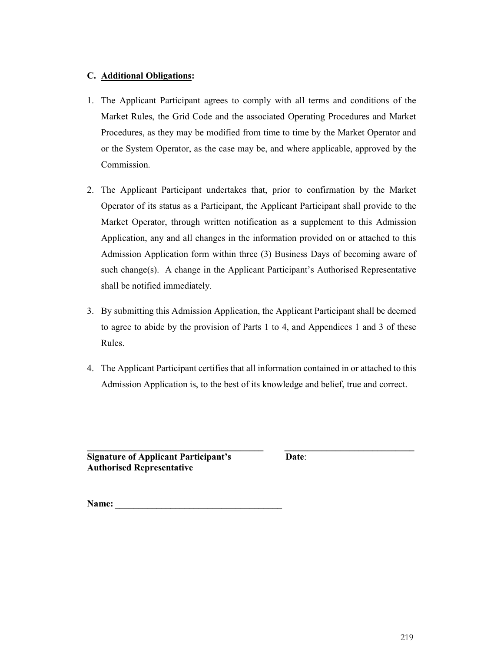### **C. Additional Obligations:**

- 1. The Applicant Participant agrees to comply with all terms and conditions of the Market Rules, the Grid Code and the associated Operating Procedures and Market Procedures, as they may be modified from time to time by the Market Operator and or the System Operator, as the case may be, and where applicable, approved by the Commission.
- 2. The Applicant Participant undertakes that, prior to confirmation by the Market Operator of its status as a Participant, the Applicant Participant shall provide to the Market Operator, through written notification as a supplement to this Admission Application, any and all changes in the information provided on or attached to this Admission Application form within three (3) Business Days of becoming aware of such change(s). A change in the Applicant Participant's Authorised Representative shall be notified immediately.
- 3. By submitting this Admission Application, the Applicant Participant shall be deemed to agree to abide by the provision of Parts 1 to 4, and Appendices 1 and 3 of these Rules.
- 4. The Applicant Participant certifies that all information contained in or attached to this Admission Application is, to the best of its knowledge and belief, true and correct.

**\_\_\_\_\_\_\_\_\_\_\_\_\_\_\_\_\_\_\_\_\_\_\_\_\_\_\_\_\_\_\_\_\_\_\_\_\_\_ \_\_\_\_\_\_\_\_\_\_\_\_\_\_\_\_\_\_\_\_\_\_\_\_\_\_\_\_ Signature of Applicant Participant's** Date: **Authorised Representative** 

Name: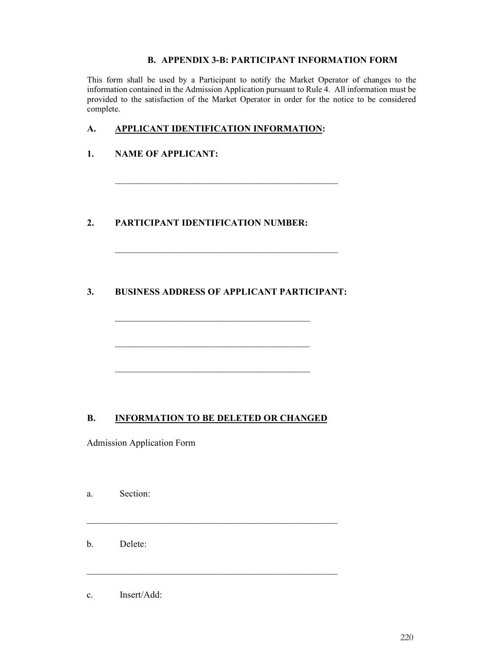## **B. APPENDIX 3-B: PARTICIPANT INFORMATION FORM**

This form shall be used by a Participant to notify the Market Operator of changes to the information contained in the Admission Application pursuant to Rule 4. All information must be provided to the satisfaction of the Market Operator in order for the notice to be considered complete.

## **A. APPLICANT IDENTIFICATION INFORMATION:**

\_\_\_\_\_\_\_\_\_\_\_\_\_\_\_\_\_\_\_\_\_\_\_\_\_\_\_\_\_\_\_\_\_\_\_\_\_\_\_\_\_\_\_\_\_\_\_\_

\_\_\_\_\_\_\_\_\_\_\_\_\_\_\_\_\_\_\_\_\_\_\_\_\_\_\_\_\_\_\_\_\_\_\_\_\_\_\_\_\_\_\_\_\_\_\_\_

## **1. NAME OF APPLICANT:**

## **2. PARTICIPANT IDENTIFICATION NUMBER:**

# **3. BUSINESS ADDRESS OF APPLICANT PARTICIPANT:**

\_\_\_\_\_\_\_\_\_\_\_\_\_\_\_\_\_\_\_\_\_\_\_\_\_\_\_\_\_\_\_\_\_\_\_\_\_\_\_\_\_\_

\_\_\_\_\_\_\_\_\_\_\_\_\_\_\_\_\_\_\_\_\_\_\_\_\_\_\_\_\_\_\_\_\_\_\_\_\_\_\_\_\_\_

\_\_\_\_\_\_\_\_\_\_\_\_\_\_\_\_\_\_\_\_\_\_\_\_\_\_\_\_\_\_\_\_\_\_\_\_\_\_\_\_\_\_

## **B. INFORMATION TO BE DELETED OR CHANGED**

\_\_\_\_\_\_\_\_\_\_\_\_\_\_\_\_\_\_\_\_\_\_\_\_\_\_\_\_\_\_\_\_\_\_\_\_\_\_\_\_\_\_\_\_\_\_\_\_\_\_\_\_\_\_

\_\_\_\_\_\_\_\_\_\_\_\_\_\_\_\_\_\_\_\_\_\_\_\_\_\_\_\_\_\_\_\_\_\_\_\_\_\_\_\_\_\_\_\_\_\_\_\_\_\_\_\_\_\_

Admission Application Form

| a. | Section: |
|----|----------|
|    |          |

b. Delete:

c. Insert/Add: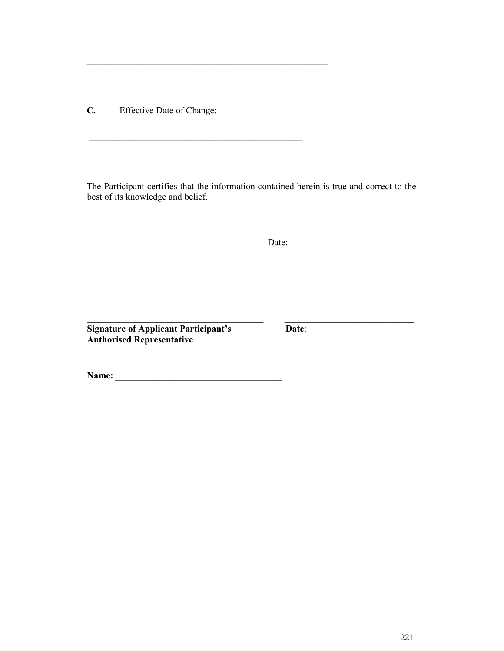**C.** Effective Date of Change:

\_\_\_\_\_\_\_\_\_\_\_\_\_\_\_\_\_\_\_\_\_\_\_\_\_\_\_\_\_\_\_\_\_\_\_\_\_\_\_\_\_\_\_\_\_\_\_\_\_\_\_\_

\_\_\_\_\_\_\_\_\_\_\_\_\_\_\_\_\_\_\_\_\_\_\_\_\_\_\_\_\_\_\_\_\_\_\_\_\_\_\_\_\_\_\_\_\_\_

The Participant certifies that the information contained herein is true and correct to the best of its knowledge and belief.

|                                                                                 | Date: |  |
|---------------------------------------------------------------------------------|-------|--|
|                                                                                 |       |  |
|                                                                                 |       |  |
| <b>Signature of Applicant Participant's</b><br><b>Authorised Representative</b> | Date: |  |
|                                                                                 |       |  |
| Name:                                                                           |       |  |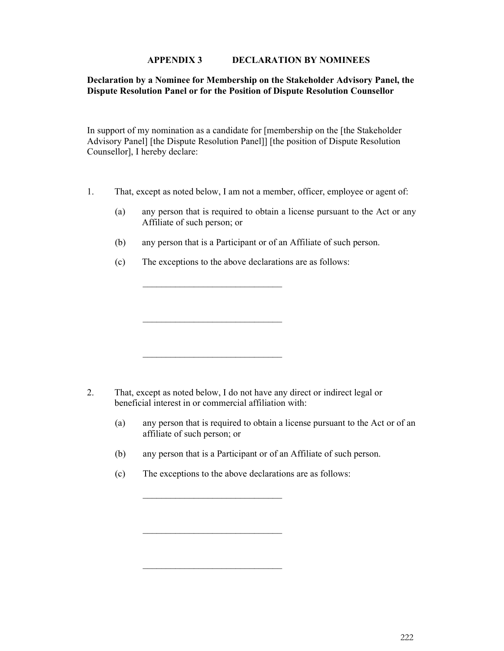#### **APPENDIX 3 DECLARATION BY NOMINEES**

#### **Declaration by a Nominee for Membership on the Stakeholder Advisory Panel, the Dispute Resolution Panel or for the Position of Dispute Resolution Counsellor**

In support of my nomination as a candidate for [membership on the [the Stakeholder Advisory Panel] [the Dispute Resolution Panel]] [the position of Dispute Resolution Counsellor], I hereby declare:

- 1. That, except as noted below, I am not a member, officer, employee or agent of:
	- (a) any person that is required to obtain a license pursuant to the Act or any Affiliate of such person; or
	- (b) any person that is a Participant or of an Affiliate of such person.
	- (c) The exceptions to the above declarations are as follows:

\_\_\_\_\_\_\_\_\_\_\_\_\_\_\_\_\_\_\_\_\_\_\_\_\_\_\_\_\_\_

\_\_\_\_\_\_\_\_\_\_\_\_\_\_\_\_\_\_\_\_\_\_\_\_\_\_\_\_\_\_

\_\_\_\_\_\_\_\_\_\_\_\_\_\_\_\_\_\_\_\_\_\_\_\_\_\_\_\_\_\_

- 2. That, except as noted below, I do not have any direct or indirect legal or beneficial interest in or commercial affiliation with:
	- (a) any person that is required to obtain a license pursuant to the Act or of an affiliate of such person; or
	- (b) any person that is a Participant or of an Affiliate of such person.
	- (c) The exceptions to the above declarations are as follows:

\_\_\_\_\_\_\_\_\_\_\_\_\_\_\_\_\_\_\_\_\_\_\_\_\_\_\_\_\_\_

\_\_\_\_\_\_\_\_\_\_\_\_\_\_\_\_\_\_\_\_\_\_\_\_\_\_\_\_\_\_

\_\_\_\_\_\_\_\_\_\_\_\_\_\_\_\_\_\_\_\_\_\_\_\_\_\_\_\_\_\_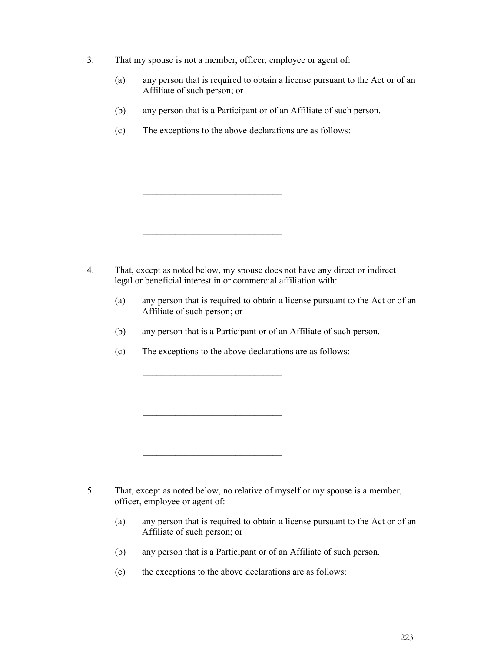- 3. That my spouse is not a member, officer, employee or agent of:
	- (a) any person that is required to obtain a license pursuant to the Act or of an Affiliate of such person; or
	- (b) any person that is a Participant or of an Affiliate of such person.
	- (c) The exceptions to the above declarations are as follows:

\_\_\_\_\_\_\_\_\_\_\_\_\_\_\_\_\_\_\_\_\_\_\_\_\_\_\_\_\_\_

\_\_\_\_\_\_\_\_\_\_\_\_\_\_\_\_\_\_\_\_\_\_\_\_\_\_\_\_\_\_

\_\_\_\_\_\_\_\_\_\_\_\_\_\_\_\_\_\_\_\_\_\_\_\_\_\_\_\_\_\_

- 4. That, except as noted below, my spouse does not have any direct or indirect legal or beneficial interest in or commercial affiliation with:
	- (a) any person that is required to obtain a license pursuant to the Act or of an Affiliate of such person; or
	- (b) any person that is a Participant or of an Affiliate of such person.
	- (c) The exceptions to the above declarations are as follows:

\_\_\_\_\_\_\_\_\_\_\_\_\_\_\_\_\_\_\_\_\_\_\_\_\_\_\_\_\_\_

\_\_\_\_\_\_\_\_\_\_\_\_\_\_\_\_\_\_\_\_\_\_\_\_\_\_\_\_\_\_

\_\_\_\_\_\_\_\_\_\_\_\_\_\_\_\_\_\_\_\_\_\_\_\_\_\_\_\_\_\_

- 5. That, except as noted below, no relative of myself or my spouse is a member, officer, employee or agent of:
	- (a) any person that is required to obtain a license pursuant to the Act or of an Affiliate of such person; or
	- (b) any person that is a Participant or of an Affiliate of such person.
	- (c) the exceptions to the above declarations are as follows: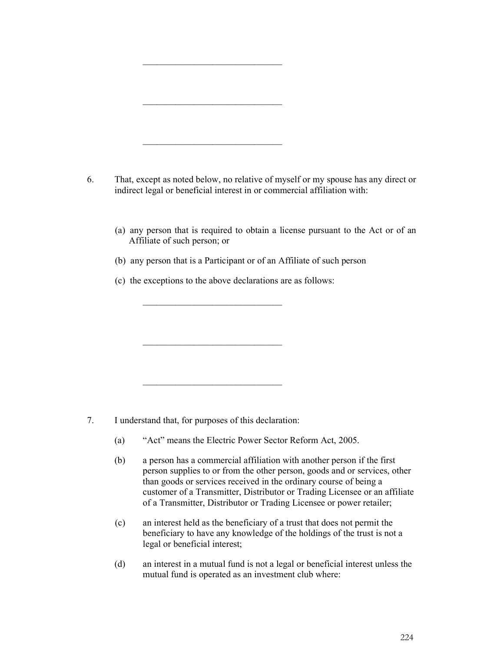| That, except as noted below, no relative of myself or my spouse has any direct or<br>indirect legal or beneficial interest in or commercial affiliation with: |  |  |  |  |
|---------------------------------------------------------------------------------------------------------------------------------------------------------------|--|--|--|--|
| (a) any person that is required to obtain a license pursuant to the Act or of an<br>Affiliate of such person; or                                              |  |  |  |  |
| (b) any person that is a Participant or of an Affiliate of such person                                                                                        |  |  |  |  |
| (c) the exceptions to the above declarations are as follows:                                                                                                  |  |  |  |  |
|                                                                                                                                                               |  |  |  |  |
|                                                                                                                                                               |  |  |  |  |
|                                                                                                                                                               |  |  |  |  |
|                                                                                                                                                               |  |  |  |  |
|                                                                                                                                                               |  |  |  |  |
|                                                                                                                                                               |  |  |  |  |
|                                                                                                                                                               |  |  |  |  |

- (a) "Act" means the Electric Power Sector Reform Act, 2005.
- (b) a person has a commercial affiliation with another person if the first person supplies to or from the other person, goods and or services, other than goods or services received in the ordinary course of being a customer of a Transmitter, Distributor or Trading Licensee or an affiliate of a Transmitter, Distributor or Trading Licensee or power retailer;
- (c) an interest held as the beneficiary of a trust that does not permit the beneficiary to have any knowledge of the holdings of the trust is not a legal or beneficial interest;
- (d) an interest in a mutual fund is not a legal or beneficial interest unless the mutual fund is operated as an investment club where: